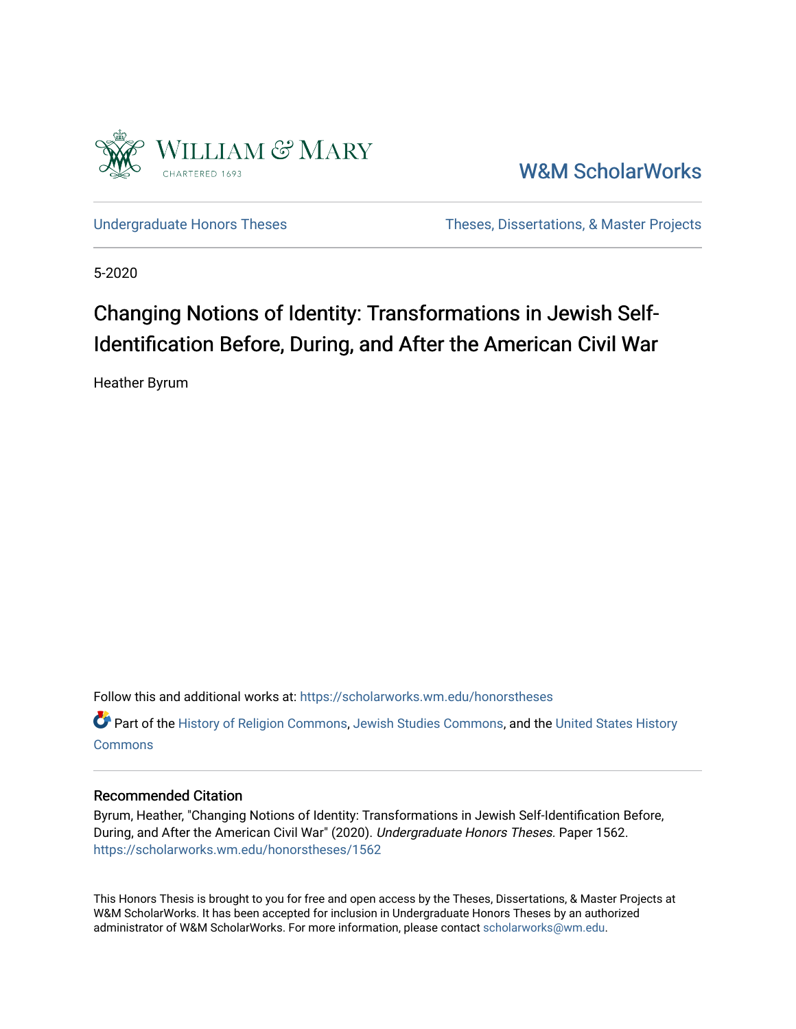

[W&M ScholarWorks](https://scholarworks.wm.edu/) 

[Undergraduate Honors Theses](https://scholarworks.wm.edu/honorstheses) Theses Theses, Dissertations, & Master Projects

5-2020

# Changing Notions of Identity: Transformations in Jewish Self-Identification Before, During, and After the American Civil War

Heather Byrum

Follow this and additional works at: [https://scholarworks.wm.edu/honorstheses](https://scholarworks.wm.edu/honorstheses?utm_source=scholarworks.wm.edu%2Fhonorstheses%2F1562&utm_medium=PDF&utm_campaign=PDFCoverPages) 

Part of the [History of Religion Commons](http://network.bepress.com/hgg/discipline/499?utm_source=scholarworks.wm.edu%2Fhonorstheses%2F1562&utm_medium=PDF&utm_campaign=PDFCoverPages), [Jewish Studies Commons](http://network.bepress.com/hgg/discipline/479?utm_source=scholarworks.wm.edu%2Fhonorstheses%2F1562&utm_medium=PDF&utm_campaign=PDFCoverPages), and the [United States History](http://network.bepress.com/hgg/discipline/495?utm_source=scholarworks.wm.edu%2Fhonorstheses%2F1562&utm_medium=PDF&utm_campaign=PDFCoverPages) **[Commons](http://network.bepress.com/hgg/discipline/495?utm_source=scholarworks.wm.edu%2Fhonorstheses%2F1562&utm_medium=PDF&utm_campaign=PDFCoverPages)** 

#### Recommended Citation

Byrum, Heather, "Changing Notions of Identity: Transformations in Jewish Self-Identification Before, During, and After the American Civil War" (2020). Undergraduate Honors Theses. Paper 1562. [https://scholarworks.wm.edu/honorstheses/1562](https://scholarworks.wm.edu/honorstheses/1562?utm_source=scholarworks.wm.edu%2Fhonorstheses%2F1562&utm_medium=PDF&utm_campaign=PDFCoverPages)

This Honors Thesis is brought to you for free and open access by the Theses, Dissertations, & Master Projects at W&M ScholarWorks. It has been accepted for inclusion in Undergraduate Honors Theses by an authorized administrator of W&M ScholarWorks. For more information, please contact [scholarworks@wm.edu.](mailto:scholarworks@wm.edu)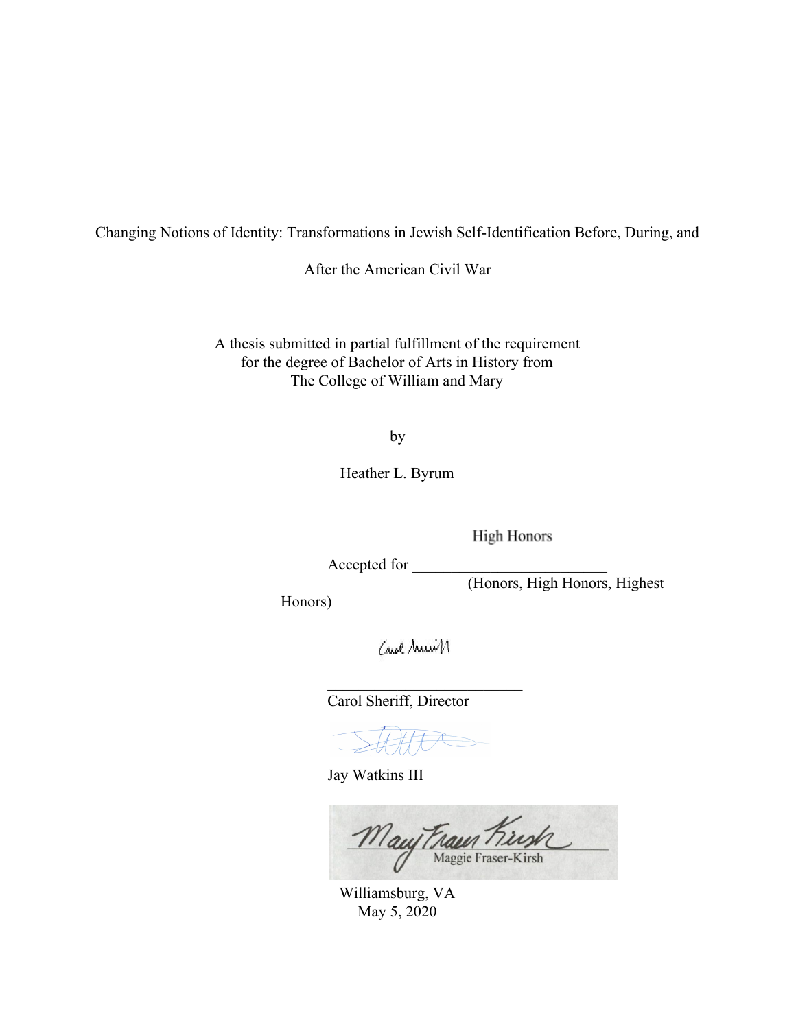Changing Notions of Identity: Transformations in Jewish Self-Identification Before, During, and

After the American Civil War

A thesis submitted in partial fulfillment of the requirement for the degree of Bachelor of Arts in History from The College of William and Mary

by

Heather L. Byrum

**High Honors** 

Accepted for \_\_\_\_\_\_\_\_\_\_\_\_\_\_\_\_\_\_\_\_\_\_\_\_\_

(Honors, High Honors, Highest

Honors)

Carol Muir

 $\mathcal{L}_\text{max}$  , where  $\mathcal{L}_\text{max}$  , we have the set of the set of the set of the set of the set of the set of the set of the set of the set of the set of the set of the set of the set of the set of the set of the set of

Carol Sheriff, Director

HHT

Jay Watkins III

Mauy Fraun Kirsh

Williamsburg, VA May 5, 2020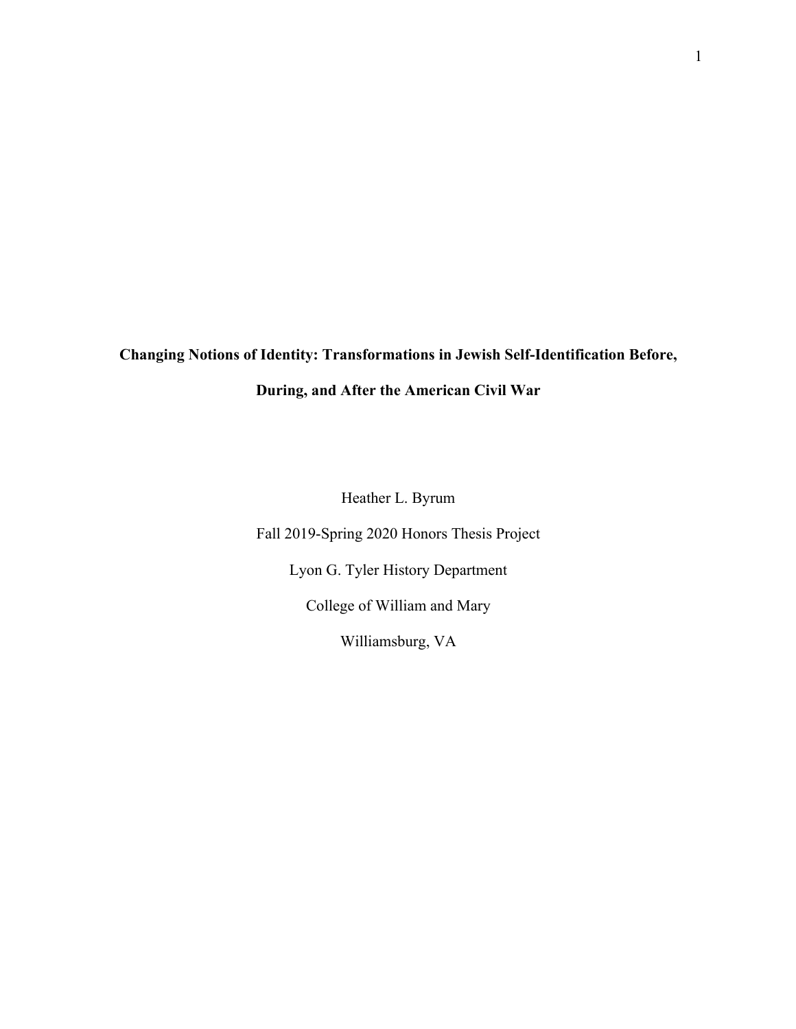# **Changing Notions of Identity: Transformations in Jewish Self-Identification Before,**

### **During, and After the American Civil War**

Heather L. Byrum

Fall 2019-Spring 2020 Honors Thesis Project

Lyon G. Tyler History Department

College of William and Mary

Williamsburg, VA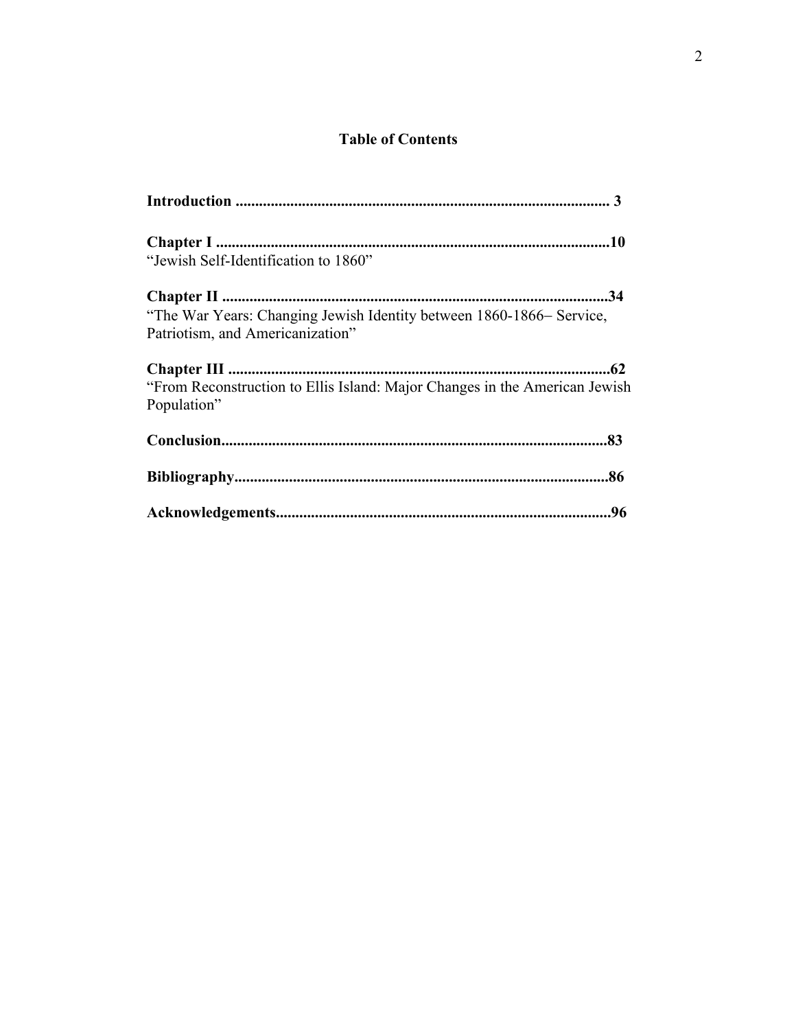## **Table of Contents**

| "Jewish Self-Identification to 1860"                                                                     |
|----------------------------------------------------------------------------------------------------------|
| "The War Years: Changing Jewish Identity between 1860-1866- Service,<br>Patriotism, and Americanization" |
| "From Reconstruction to Ellis Island: Major Changes in the American Jewish<br>Population"                |
|                                                                                                          |
|                                                                                                          |
|                                                                                                          |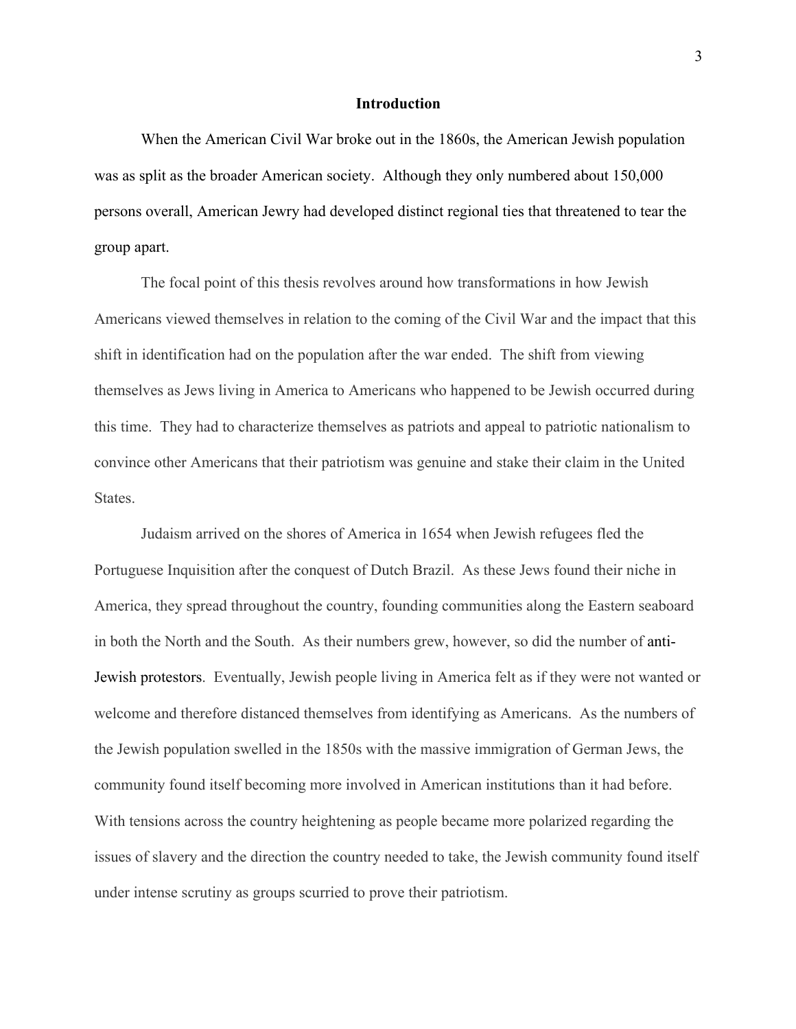#### **Introduction**

When the American Civil War broke out in the 1860s, the American Jewish population was as split as the broader American society. Although they only numbered about 150,000 persons overall, American Jewry had developed distinct regional ties that threatened to tear the group apart.

The focal point of this thesis revolves around how transformations in how Jewish Americans viewed themselves in relation to the coming of the Civil War and the impact that this shift in identification had on the population after the war ended. The shift from viewing themselves as Jews living in America to Americans who happened to be Jewish occurred during this time. They had to characterize themselves as patriots and appeal to patriotic nationalism to convince other Americans that their patriotism was genuine and stake their claim in the United States.

Judaism arrived on the shores of America in 1654 when Jewish refugees fled the Portuguese Inquisition after the conquest of Dutch Brazil. As these Jews found their niche in America, they spread throughout the country, founding communities along the Eastern seaboard in both the North and the South. As their numbers grew, however, so did the number of anti-Jewish protestors. Eventually, Jewish people living in America felt as if they were not wanted or welcome and therefore distanced themselves from identifying as Americans. As the numbers of the Jewish population swelled in the 1850s with the massive immigration of German Jews, the community found itself becoming more involved in American institutions than it had before. With tensions across the country heightening as people became more polarized regarding the issues of slavery and the direction the country needed to take, the Jewish community found itself under intense scrutiny as groups scurried to prove their patriotism.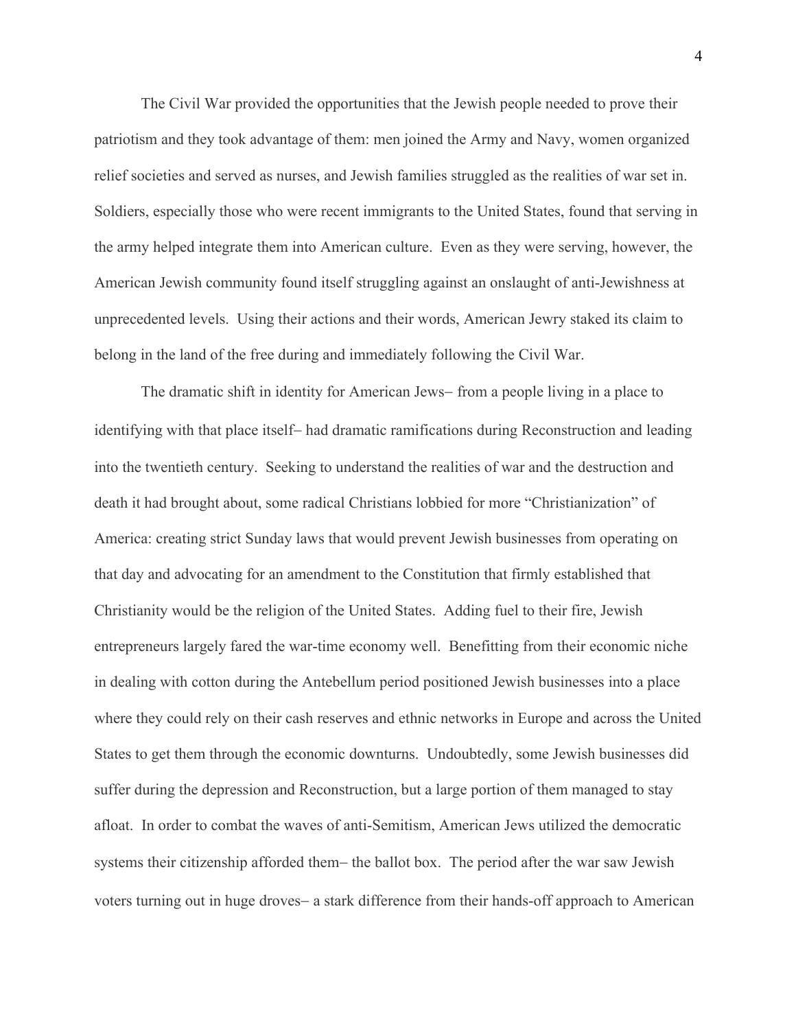The Civil War provided the opportunities that the Jewish people needed to prove their patriotism and they took advantage of them: men joined the Army and Navy, women organized relief societies and served as nurses, and Jewish families struggled as the realities of war set in. Soldiers, especially those who were recent immigrants to the United States, found that serving in the army helped integrate them into American culture. Even as they were serving, however, the American Jewish community found itself struggling against an onslaught of anti-Jewishness at unprecedented levels. Using their actions and their words, American Jewry staked its claim to belong in the land of the free during and immediately following the Civil War.

The dramatic shift in identity for American Jews- from a people living in a place to identifying with that place itself- had dramatic ramifications during Reconstruction and leading into the twentieth century. Seeking to understand the realities of war and the destruction and death it had brought about, some radical Christians lobbied for more "Christianization" of America: creating strict Sunday laws that would prevent Jewish businesses from operating on that day and advocating for an amendment to the Constitution that firmly established that Christianity would be the religion of the United States. Adding fuel to their fire, Jewish entrepreneurs largely fared the war-time economy well. Benefitting from their economic niche in dealing with cotton during the Antebellum period positioned Jewish businesses into a place where they could rely on their cash reserves and ethnic networks in Europe and across the United States to get them through the economic downturns. Undoubtedly, some Jewish businesses did suffer during the depression and Reconstruction, but a large portion of them managed to stay afloat. In order to combat the waves of anti-Semitism, American Jews utilized the democratic systems their citizenship afforded them- the ballot box. The period after the war saw Jewish voters turning out in huge droves- a stark difference from their hands-off approach to American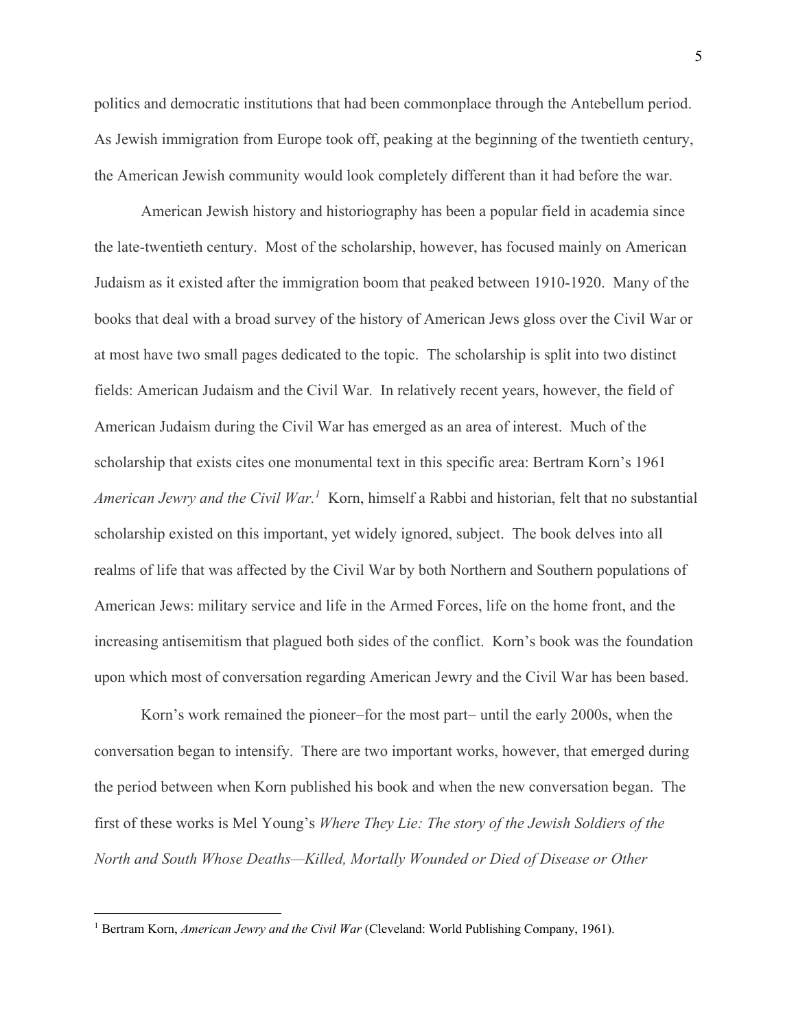politics and democratic institutions that had been commonplace through the Antebellum period. As Jewish immigration from Europe took off, peaking at the beginning of the twentieth century, the American Jewish community would look completely different than it had before the war.

American Jewish history and historiography has been a popular field in academia since the late-twentieth century. Most of the scholarship, however, has focused mainly on American Judaism as it existed after the immigration boom that peaked between 1910-1920. Many of the books that deal with a broad survey of the history of American Jews gloss over the Civil War or at most have two small pages dedicated to the topic. The scholarship is split into two distinct fields: American Judaism and the Civil War. In relatively recent years, however, the field of American Judaism during the Civil War has emerged as an area of interest. Much of the scholarship that exists cites one monumental text in this specific area: Bertram Korn's 1961 *American Jewry and the Civil War.1* Korn, himself a Rabbi and historian, felt that no substantial scholarship existed on this important, yet widely ignored, subject. The book delves into all realms of life that was affected by the Civil War by both Northern and Southern populations of American Jews: military service and life in the Armed Forces, life on the home front, and the increasing antisemitism that plagued both sides of the conflict. Korn's book was the foundation upon which most of conversation regarding American Jewry and the Civil War has been based.

Korn's work remained the pioneer-for the most part- until the early 2000s, when the conversation began to intensify. There are two important works, however, that emerged during the period between when Korn published his book and when the new conversation began. The first of these works is Mel Young's *Where They Lie: The story of the Jewish Soldiers of the North and South Whose Deaths—Killed, Mortally Wounded or Died of Disease or Other* 

<sup>&</sup>lt;sup>1</sup> Bertram Korn, *American Jewry and the Civil War* (Cleveland: World Publishing Company, 1961).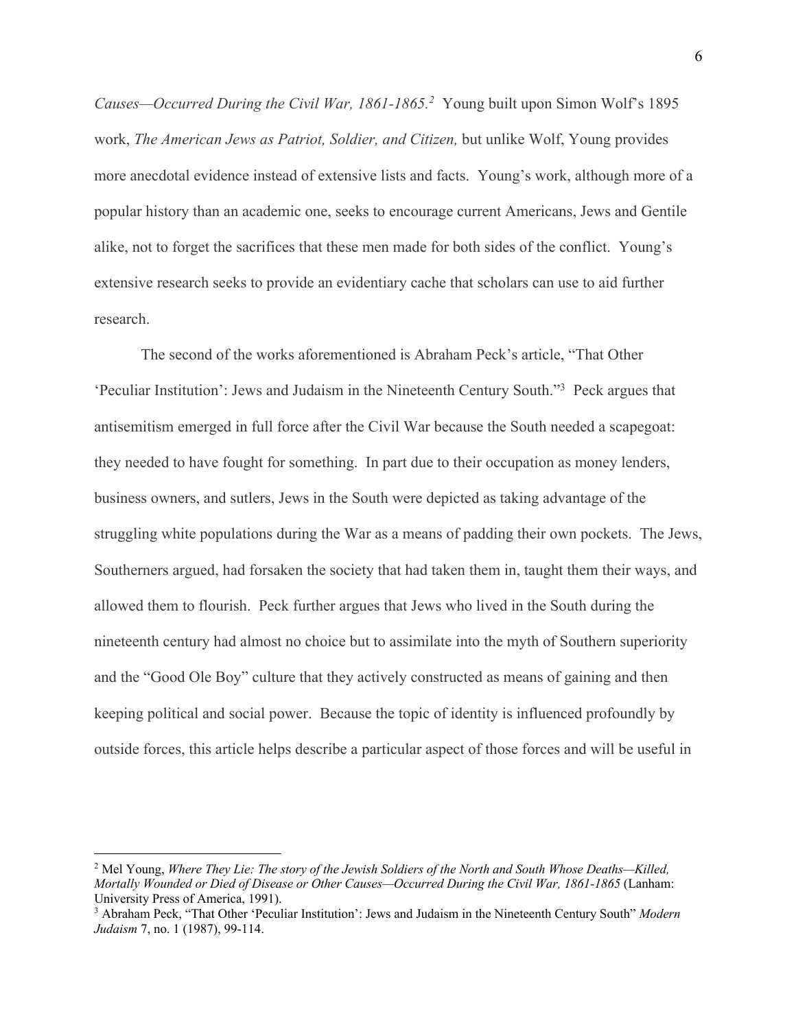Causes—Occurred During the Civil War, 1861-1865.<sup>2</sup> Young built upon Simon Wolf's 1895 work, *The American Jews as Patriot, Soldier, and Citizen,* but unlike Wolf, Young provides more anecdotal evidence instead of extensive lists and facts. Young's work, although more of a popular history than an academic one, seeks to encourage current Americans, Jews and Gentile alike, not to forget the sacrifices that these men made for both sides of the conflict. Young's extensive research seeks to provide an evidentiary cache that scholars can use to aid further research.

The second of the works aforementioned is Abraham Peck's article, "That Other 'Peculiar Institution': Jews and Judaism in the Nineteenth Century South."3 Peck argues that antisemitism emerged in full force after the Civil War because the South needed a scapegoat: they needed to have fought for something. In part due to their occupation as money lenders, business owners, and sutlers, Jews in the South were depicted as taking advantage of the struggling white populations during the War as a means of padding their own pockets. The Jews, Southerners argued, had forsaken the society that had taken them in, taught them their ways, and allowed them to flourish. Peck further argues that Jews who lived in the South during the nineteenth century had almost no choice but to assimilate into the myth of Southern superiority and the "Good Ole Boy" culture that they actively constructed as means of gaining and then keeping political and social power. Because the topic of identity is influenced profoundly by outside forces, this article helps describe a particular aspect of those forces and will be useful in

<sup>2</sup> Mel Young, *Where They Lie: The story of the Jewish Soldiers of the North and South Whose Deaths—Killed, Mortally Wounded or Died of Disease or Other Causes—Occurred During the Civil War, 1861-1865* (Lanham: University Press of America, 1991).

<sup>3</sup> Abraham Peck, "That Other 'Peculiar Institution': Jews and Judaism in the Nineteenth Century South" *Modern Judaism* 7, no. 1 (1987), 99-114.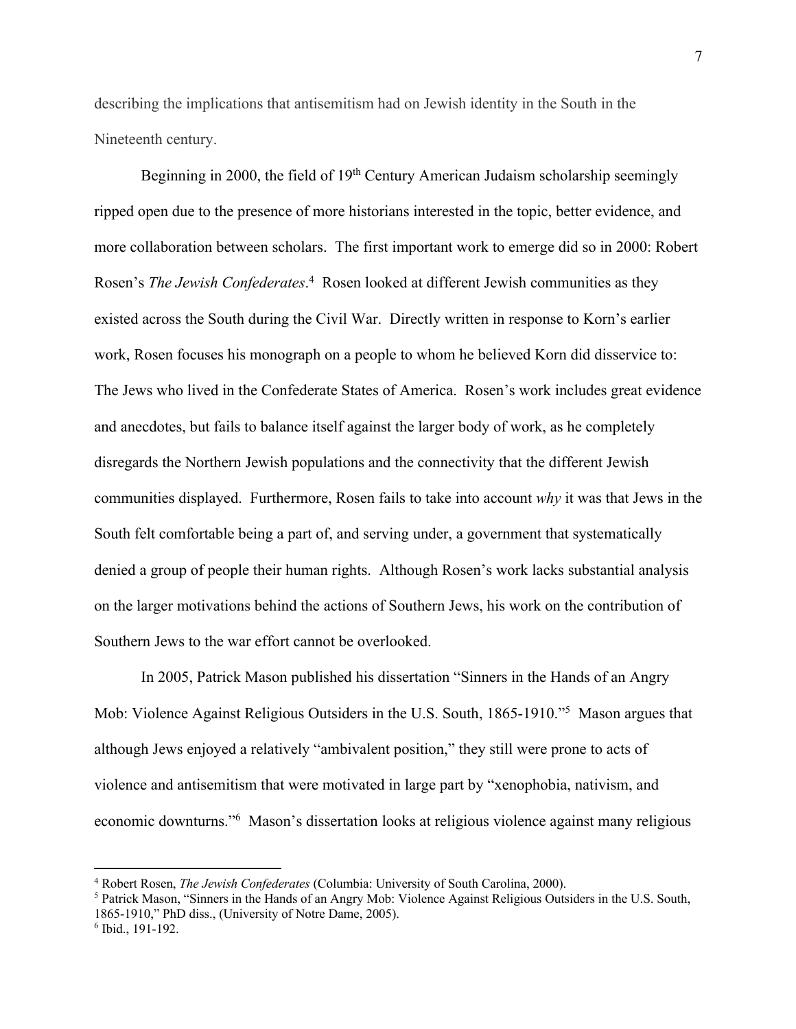describing the implications that antisemitism had on Jewish identity in the South in the Nineteenth century.

Beginning in 2000, the field of  $19<sup>th</sup>$  Century American Judaism scholarship seemingly ripped open due to the presence of more historians interested in the topic, better evidence, and more collaboration between scholars. The first important work to emerge did so in 2000: Robert Rosen's *The Jewish Confederates*.<sup>4</sup> Rosen looked at different Jewish communities as they existed across the South during the Civil War. Directly written in response to Korn's earlier work, Rosen focuses his monograph on a people to whom he believed Korn did disservice to: The Jews who lived in the Confederate States of America. Rosen's work includes great evidence and anecdotes, but fails to balance itself against the larger body of work, as he completely disregards the Northern Jewish populations and the connectivity that the different Jewish communities displayed. Furthermore, Rosen fails to take into account *why* it was that Jews in the South felt comfortable being a part of, and serving under, a government that systematically denied a group of people their human rights. Although Rosen's work lacks substantial analysis on the larger motivations behind the actions of Southern Jews, his work on the contribution of Southern Jews to the war effort cannot be overlooked.

In 2005, Patrick Mason published his dissertation "Sinners in the Hands of an Angry Mob: Violence Against Religious Outsiders in the U.S. South, 1865-1910."<sup>5</sup> Mason argues that although Jews enjoyed a relatively "ambivalent position," they still were prone to acts of violence and antisemitism that were motivated in large part by "xenophobia, nativism, and economic downturns."<sup>6</sup> Mason's dissertation looks at religious violence against many religious

<sup>4</sup> Robert Rosen, *The Jewish Confederates* (Columbia: University of South Carolina, 2000). 5 Patrick Mason, "Sinners in the Hands of an Angry Mob: Violence Against Religious Outsiders in the U.S. South, 1865-1910," PhD diss., (University of Notre Dame, 2005).

<sup>6</sup> Ibid., 191-192.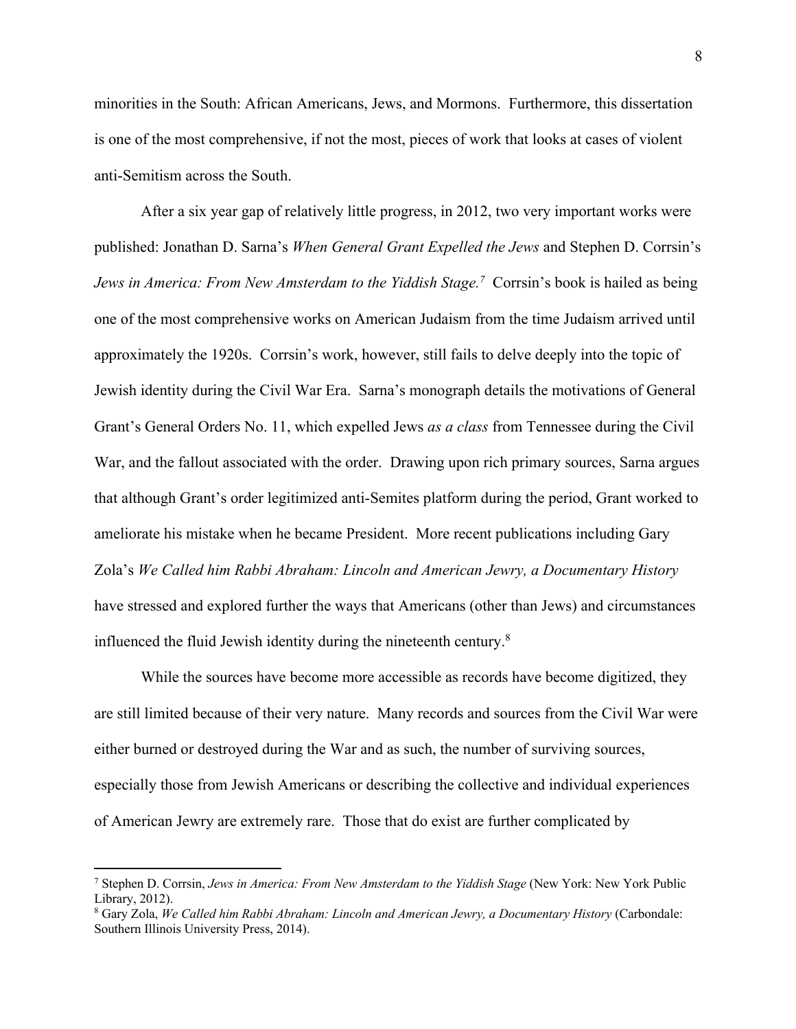minorities in the South: African Americans, Jews, and Mormons. Furthermore, this dissertation is one of the most comprehensive, if not the most, pieces of work that looks at cases of violent anti-Semitism across the South.

After a six year gap of relatively little progress, in 2012, two very important works were published: Jonathan D. Sarna's *When General Grant Expelled the Jews* and Stephen D. Corrsin's *Jews in America: From New Amsterdam to the Yiddish Stage.<sup>7</sup> Corrsin's book is hailed as being* one of the most comprehensive works on American Judaism from the time Judaism arrived until approximately the 1920s. Corrsin's work, however, still fails to delve deeply into the topic of Jewish identity during the Civil War Era. Sarna's monograph details the motivations of General Grant's General Orders No. 11, which expelled Jews *as a class* from Tennessee during the Civil War, and the fallout associated with the order. Drawing upon rich primary sources, Sarna argues that although Grant's order legitimized anti-Semites platform during the period, Grant worked to ameliorate his mistake when he became President. More recent publications including Gary Zola's *We Called him Rabbi Abraham: Lincoln and American Jewry, a Documentary History* have stressed and explored further the ways that Americans (other than Jews) and circumstances influenced the fluid Jewish identity during the nineteenth century. $8$ 

While the sources have become more accessible as records have become digitized, they are still limited because of their very nature. Many records and sources from the Civil War were either burned or destroyed during the War and as such, the number of surviving sources, especially those from Jewish Americans or describing the collective and individual experiences of American Jewry are extremely rare. Those that do exist are further complicated by

<sup>7</sup> Stephen D. Corrsin, *Jews in America: From New Amsterdam to the Yiddish Stage* (New York: New York Public Library, 2012).

<sup>8</sup> Gary Zola, *We Called him Rabbi Abraham: Lincoln and American Jewry, a Documentary History* (Carbondale: Southern Illinois University Press, 2014).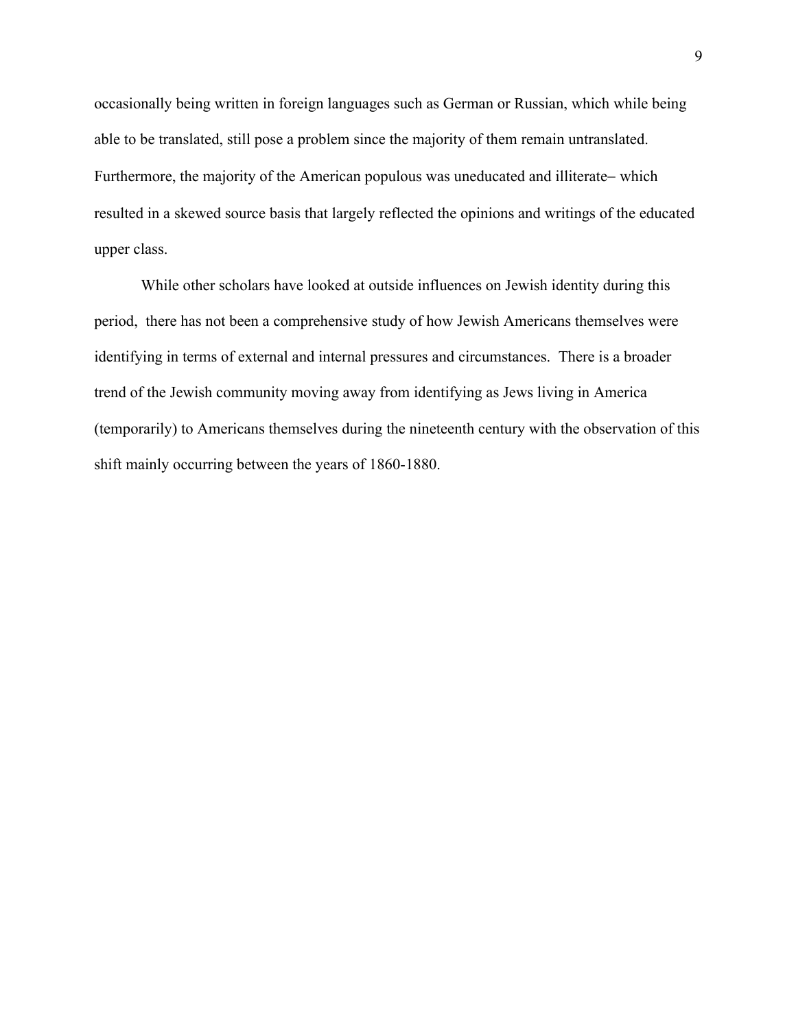occasionally being written in foreign languages such as German or Russian, which while being able to be translated, still pose a problem since the majority of them remain untranslated. Furthermore, the majority of the American populous was uneducated and illiterate- which resulted in a skewed source basis that largely reflected the opinions and writings of the educated upper class.

While other scholars have looked at outside influences on Jewish identity during this period, there has not been a comprehensive study of how Jewish Americans themselves were identifying in terms of external and internal pressures and circumstances. There is a broader trend of the Jewish community moving away from identifying as Jews living in America (temporarily) to Americans themselves during the nineteenth century with the observation of this shift mainly occurring between the years of 1860-1880.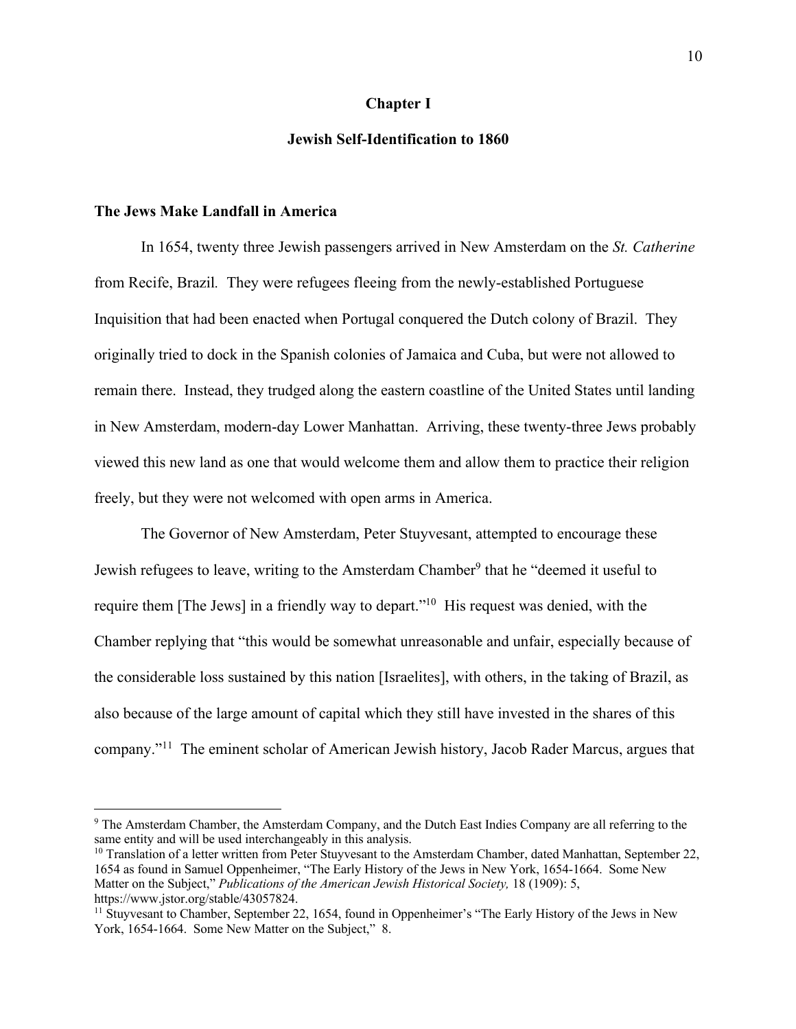#### **Chapter I**

#### **Jewish Self-Identification to 1860**

#### **The Jews Make Landfall in America**

In 1654, twenty three Jewish passengers arrived in New Amsterdam on the *St. Catherine*  from Recife, Brazil*.* They were refugees fleeing from the newly-established Portuguese Inquisition that had been enacted when Portugal conquered the Dutch colony of Brazil. They originally tried to dock in the Spanish colonies of Jamaica and Cuba, but were not allowed to remain there. Instead, they trudged along the eastern coastline of the United States until landing in New Amsterdam, modern-day Lower Manhattan. Arriving, these twenty-three Jews probably viewed this new land as one that would welcome them and allow them to practice their religion freely, but they were not welcomed with open arms in America.

The Governor of New Amsterdam, Peter Stuyvesant, attempted to encourage these Jewish refugees to leave, writing to the Amsterdam Chamber<sup>9</sup> that he "deemed it useful to require them [The Jews] in a friendly way to depart."10 His request was denied, with the Chamber replying that "this would be somewhat unreasonable and unfair, especially because of the considerable loss sustained by this nation [Israelites], with others, in the taking of Brazil, as also because of the large amount of capital which they still have invested in the shares of this company."11 The eminent scholar of American Jewish history, Jacob Rader Marcus, argues that

<sup>9</sup> The Amsterdam Chamber, the Amsterdam Company, and the Dutch East Indies Company are all referring to the same entity and will be used interchangeably in this analysis.

 $10$  Translation of a letter written from Peter Stuyvesant to the Amsterdam Chamber, dated Manhattan, September 22, 1654 as found in Samuel Oppenheimer, "The Early History of the Jews in New York, 1654-1664. Some New Matter on the Subject," *Publications of the American Jewish Historical Society,* 18 (1909): 5, https://www.jstor.org/stable/43057824.

<sup>&</sup>lt;sup>11</sup> Stuyvesant to Chamber, September 22, 1654, found in Oppenheimer's "The Early History of the Jews in New York, 1654-1664. Some New Matter on the Subject," 8.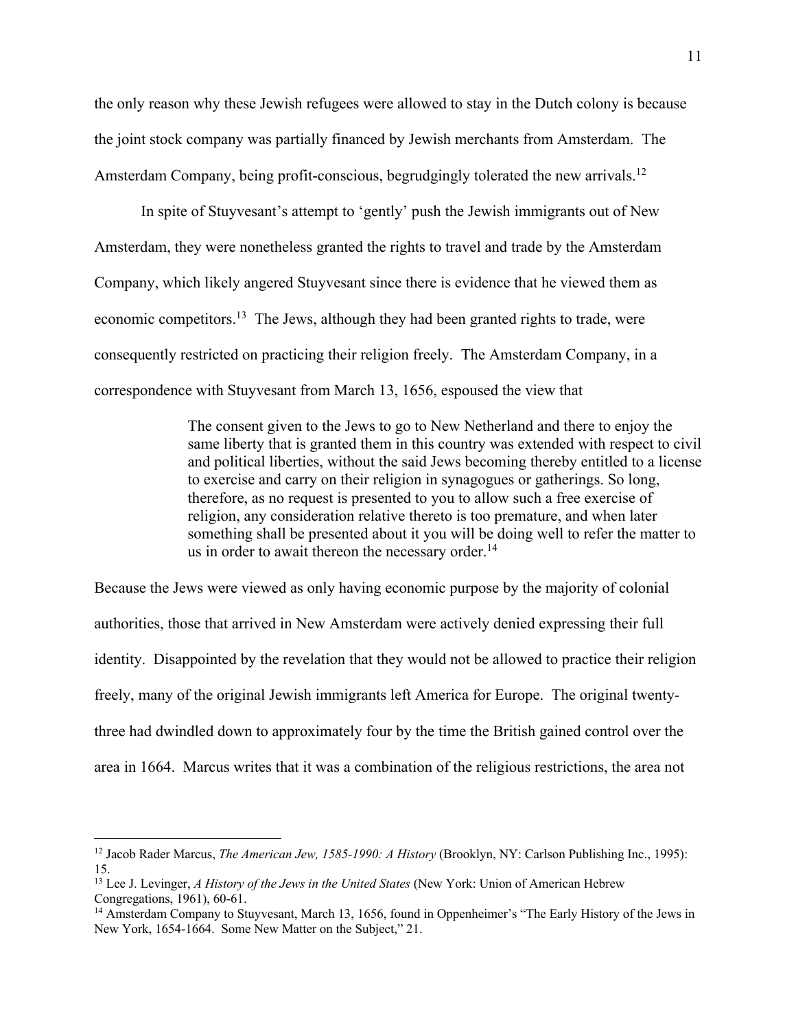the only reason why these Jewish refugees were allowed to stay in the Dutch colony is because the joint stock company was partially financed by Jewish merchants from Amsterdam. The Amsterdam Company, being profit-conscious, begrudgingly tolerated the new arrivals.<sup>12</sup>

In spite of Stuyvesant's attempt to 'gently' push the Jewish immigrants out of New Amsterdam, they were nonetheless granted the rights to travel and trade by the Amsterdam Company, which likely angered Stuyvesant since there is evidence that he viewed them as economic competitors.<sup>13</sup> The Jews, although they had been granted rights to trade, were consequently restricted on practicing their religion freely. The Amsterdam Company, in a correspondence with Stuyvesant from March 13, 1656, espoused the view that

> The consent given to the Jews to go to New Netherland and there to enjoy the same liberty that is granted them in this country was extended with respect to civil and political liberties, without the said Jews becoming thereby entitled to a license to exercise and carry on their religion in synagogues or gatherings. So long, therefore, as no request is presented to you to allow such a free exercise of religion, any consideration relative thereto is too premature, and when later something shall be presented about it you will be doing well to refer the matter to us in order to await thereon the necessary order.<sup>14</sup>

Because the Jews were viewed as only having economic purpose by the majority of colonial authorities, those that arrived in New Amsterdam were actively denied expressing their full identity. Disappointed by the revelation that they would not be allowed to practice their religion freely, many of the original Jewish immigrants left America for Europe. The original twentythree had dwindled down to approximately four by the time the British gained control over the area in 1664. Marcus writes that it was a combination of the religious restrictions, the area not

<sup>12</sup> Jacob Rader Marcus, *The American Jew, 1585-1990: A History* (Brooklyn, NY: Carlson Publishing Inc., 1995): 15.

<sup>&</sup>lt;sup>13</sup> Lee J. Levinger, *A History of the Jews in the United States* (New York: Union of American Hebrew Congregations, 1961), 60-61.

<sup>&</sup>lt;sup>14</sup> Amsterdam Company to Stuyvesant, March 13, 1656, found in Oppenheimer's "The Early History of the Jews in New York, 1654-1664. Some New Matter on the Subject," 21.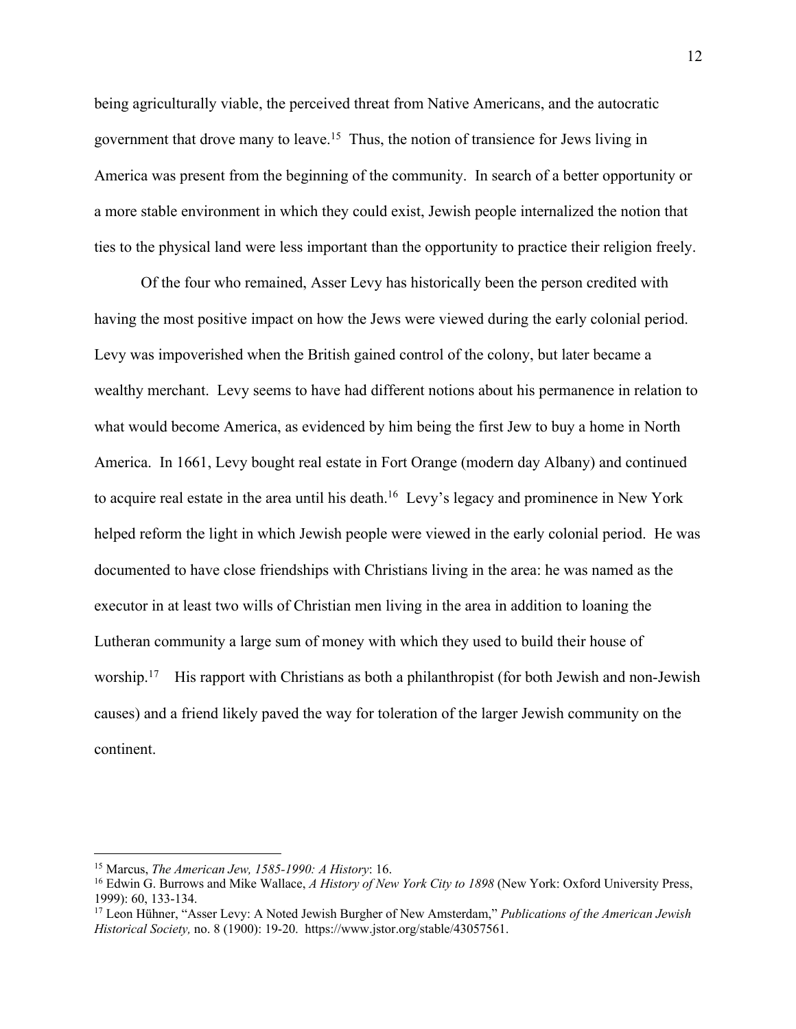being agriculturally viable, the perceived threat from Native Americans, and the autocratic government that drove many to leave.15 Thus, the notion of transience for Jews living in America was present from the beginning of the community. In search of a better opportunity or a more stable environment in which they could exist, Jewish people internalized the notion that ties to the physical land were less important than the opportunity to practice their religion freely.

Of the four who remained, Asser Levy has historically been the person credited with having the most positive impact on how the Jews were viewed during the early colonial period. Levy was impoverished when the British gained control of the colony, but later became a wealthy merchant. Levy seems to have had different notions about his permanence in relation to what would become America, as evidenced by him being the first Jew to buy a home in North America. In 1661, Levy bought real estate in Fort Orange (modern day Albany) and continued to acquire real estate in the area until his death.<sup>16</sup> Levy's legacy and prominence in New York helped reform the light in which Jewish people were viewed in the early colonial period. He was documented to have close friendships with Christians living in the area: he was named as the executor in at least two wills of Christian men living in the area in addition to loaning the Lutheran community a large sum of money with which they used to build their house of worship.<sup>17</sup> His rapport with Christians as both a philanthropist (for both Jewish and non-Jewish causes) and a friend likely paved the way for toleration of the larger Jewish community on the continent.

<sup>&</sup>lt;sup>15</sup> Marcus, *The American Jew, 1585-1990: A History*: 16.<br><sup>16</sup> Edwin G. Burrows and Mike Wallace, *A History of New York City to 1898* (New York: Oxford University Press, 1999): 60, 133-134. 17 Leon Hühner, "Asser Levy: A Noted Jewish Burgher of New Amsterdam," *Publications of the American Jewish* 

*Historical Society,* no. 8 (1900): 19-20. https://www.jstor.org/stable/43057561.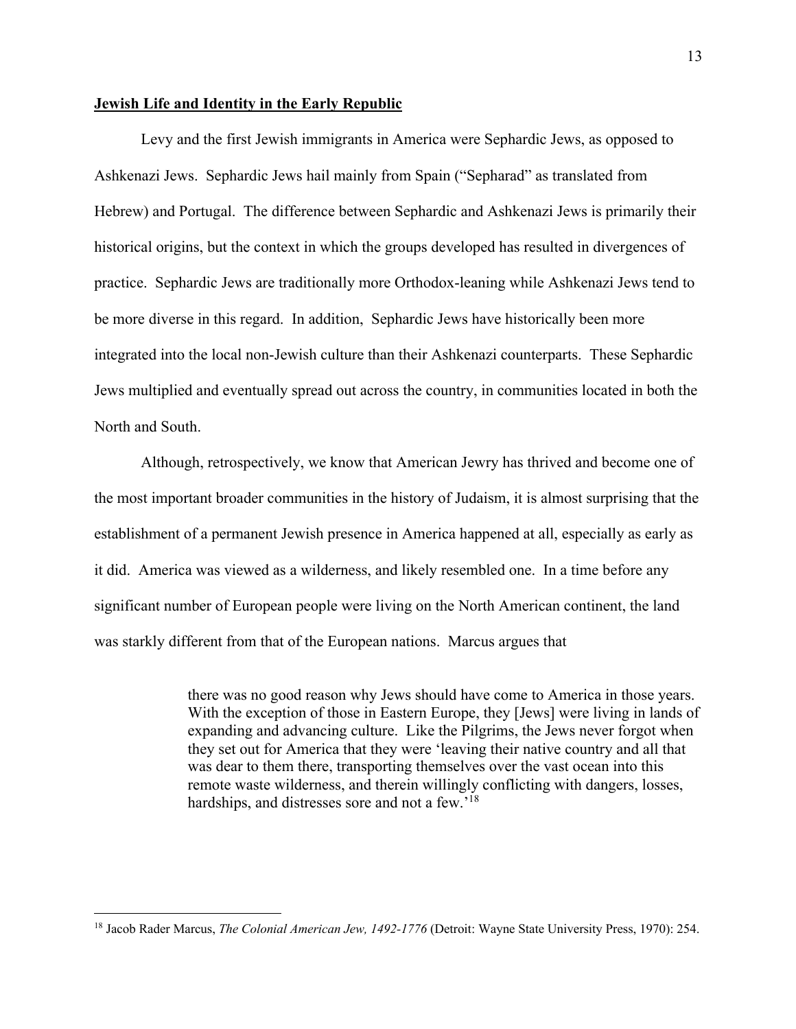#### **Jewish Life and Identity in the Early Republic**

Levy and the first Jewish immigrants in America were Sephardic Jews, as opposed to Ashkenazi Jews. Sephardic Jews hail mainly from Spain ("Sepharad" as translated from Hebrew) and Portugal. The difference between Sephardic and Ashkenazi Jews is primarily their historical origins, but the context in which the groups developed has resulted in divergences of practice. Sephardic Jews are traditionally more Orthodox-leaning while Ashkenazi Jews tend to be more diverse in this regard. In addition, Sephardic Jews have historically been more integrated into the local non-Jewish culture than their Ashkenazi counterparts. These Sephardic Jews multiplied and eventually spread out across the country, in communities located in both the North and South.

Although, retrospectively, we know that American Jewry has thrived and become one of the most important broader communities in the history of Judaism, it is almost surprising that the establishment of a permanent Jewish presence in America happened at all, especially as early as it did. America was viewed as a wilderness, and likely resembled one. In a time before any significant number of European people were living on the North American continent, the land was starkly different from that of the European nations. Marcus argues that

> there was no good reason why Jews should have come to America in those years. With the exception of those in Eastern Europe, they [Jews] were living in lands of expanding and advancing culture. Like the Pilgrims, the Jews never forgot when they set out for America that they were 'leaving their native country and all that was dear to them there, transporting themselves over the vast ocean into this remote waste wilderness, and therein willingly conflicting with dangers, losses, hardships, and distresses sore and not a few.<sup>'18</sup>

<sup>18</sup> Jacob Rader Marcus, *The Colonial American Jew, 1492-1776* (Detroit: Wayne State University Press, 1970): 254.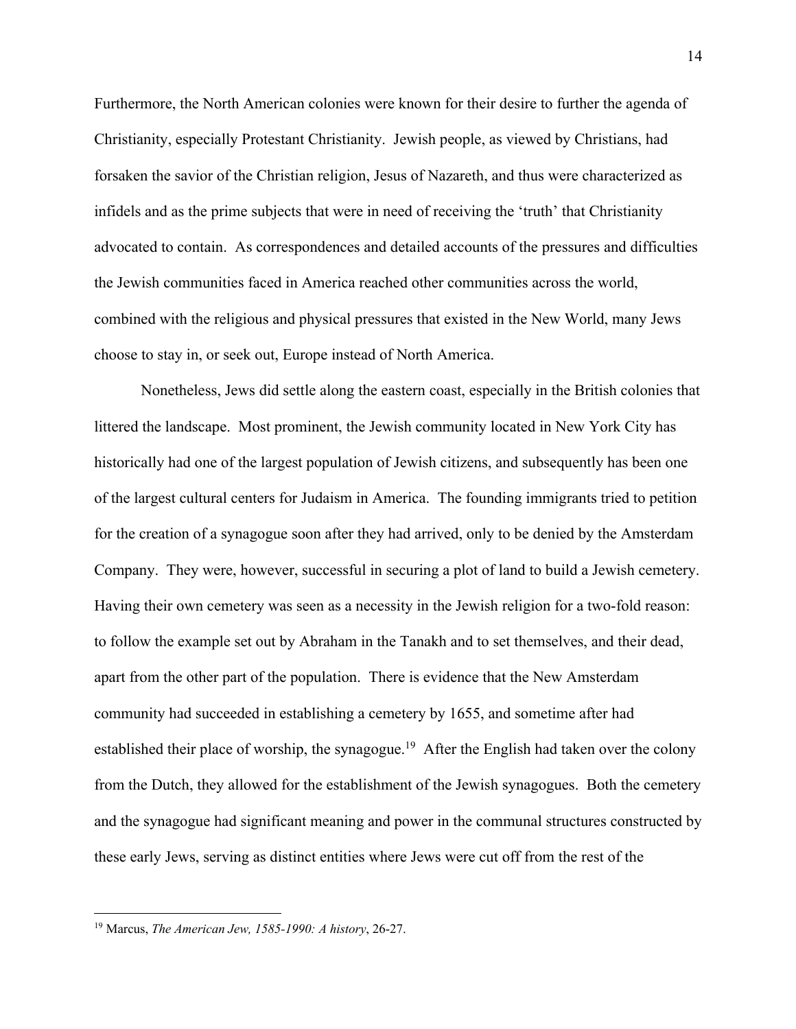Furthermore, the North American colonies were known for their desire to further the agenda of Christianity, especially Protestant Christianity. Jewish people, as viewed by Christians, had forsaken the savior of the Christian religion, Jesus of Nazareth, and thus were characterized as infidels and as the prime subjects that were in need of receiving the 'truth' that Christianity advocated to contain. As correspondences and detailed accounts of the pressures and difficulties the Jewish communities faced in America reached other communities across the world, combined with the religious and physical pressures that existed in the New World, many Jews choose to stay in, or seek out, Europe instead of North America.

Nonetheless, Jews did settle along the eastern coast, especially in the British colonies that littered the landscape. Most prominent, the Jewish community located in New York City has historically had one of the largest population of Jewish citizens, and subsequently has been one of the largest cultural centers for Judaism in America. The founding immigrants tried to petition for the creation of a synagogue soon after they had arrived, only to be denied by the Amsterdam Company. They were, however, successful in securing a plot of land to build a Jewish cemetery. Having their own cemetery was seen as a necessity in the Jewish religion for a two-fold reason: to follow the example set out by Abraham in the Tanakh and to set themselves, and their dead, apart from the other part of the population. There is evidence that the New Amsterdam community had succeeded in establishing a cemetery by 1655, and sometime after had established their place of worship, the synagogue.<sup>19</sup> After the English had taken over the colony from the Dutch, they allowed for the establishment of the Jewish synagogues. Both the cemetery and the synagogue had significant meaning and power in the communal structures constructed by these early Jews, serving as distinct entities where Jews were cut off from the rest of the

<sup>19</sup> Marcus, *The American Jew, 1585-1990: A history*, 26-27.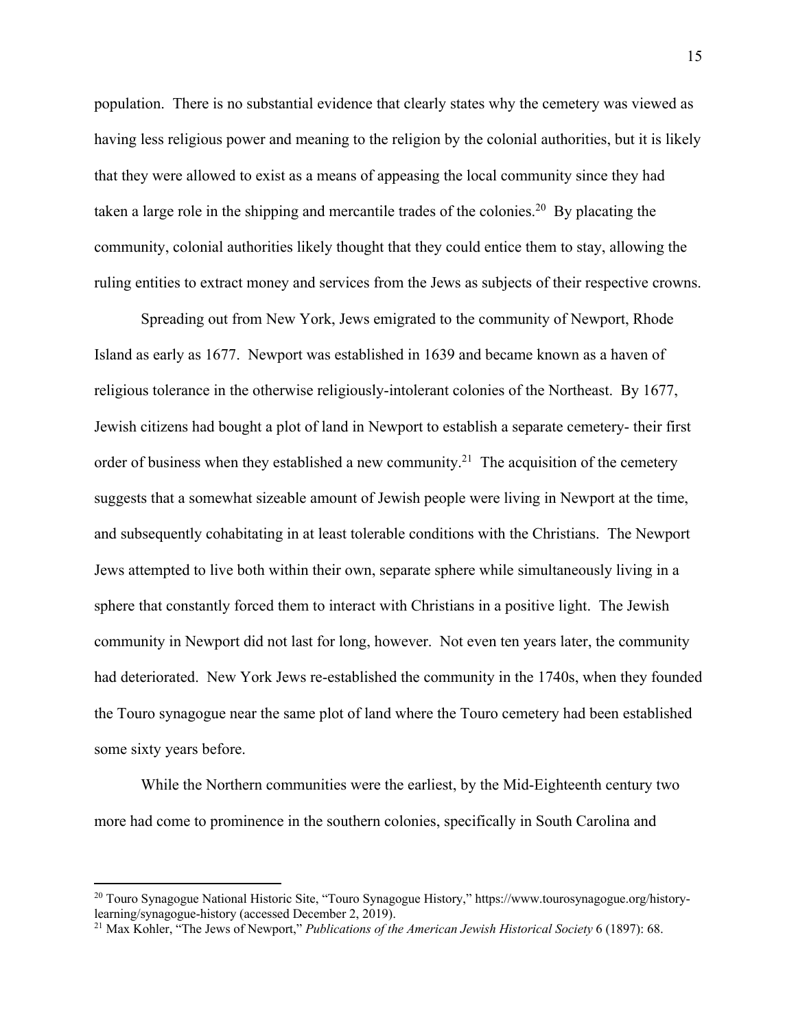population. There is no substantial evidence that clearly states why the cemetery was viewed as having less religious power and meaning to the religion by the colonial authorities, but it is likely that they were allowed to exist as a means of appeasing the local community since they had taken a large role in the shipping and mercantile trades of the colonies.20 By placating the community, colonial authorities likely thought that they could entice them to stay, allowing the ruling entities to extract money and services from the Jews as subjects of their respective crowns.

Spreading out from New York, Jews emigrated to the community of Newport, Rhode Island as early as 1677. Newport was established in 1639 and became known as a haven of religious tolerance in the otherwise religiously-intolerant colonies of the Northeast. By 1677, Jewish citizens had bought a plot of land in Newport to establish a separate cemetery- their first order of business when they established a new community.<sup>21</sup> The acquisition of the cemetery suggests that a somewhat sizeable amount of Jewish people were living in Newport at the time, and subsequently cohabitating in at least tolerable conditions with the Christians. The Newport Jews attempted to live both within their own, separate sphere while simultaneously living in a sphere that constantly forced them to interact with Christians in a positive light. The Jewish community in Newport did not last for long, however. Not even ten years later, the community had deteriorated. New York Jews re-established the community in the 1740s, when they founded the Touro synagogue near the same plot of land where the Touro cemetery had been established some sixty years before.

While the Northern communities were the earliest, by the Mid-Eighteenth century two more had come to prominence in the southern colonies, specifically in South Carolina and

<sup>&</sup>lt;sup>20</sup> Touro Synagogue National Historic Site, "Touro Synagogue History," https://www.tourosynagogue.org/historylearning/synagogue-history (accessed December 2, 2019). 21 Max Kohler, "The Jews of Newport," *Publications of the American Jewish Historical Society* 6 (1897): 68.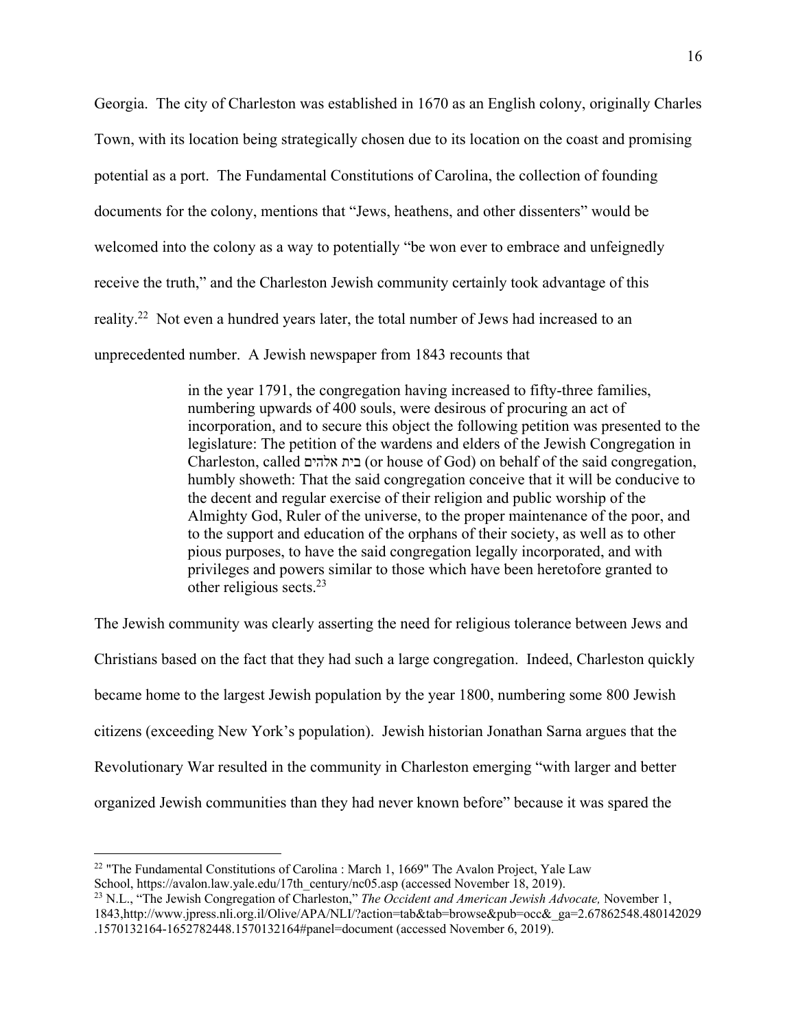Georgia. The city of Charleston was established in 1670 as an English colony, originally Charles Town, with its location being strategically chosen due to its location on the coast and promising potential as a port. The Fundamental Constitutions of Carolina, the collection of founding documents for the colony, mentions that "Jews, heathens, and other dissenters" would be welcomed into the colony as a way to potentially "be won ever to embrace and unfeignedly receive the truth," and the Charleston Jewish community certainly took advantage of this reality.22 Not even a hundred years later, the total number of Jews had increased to an unprecedented number. A Jewish newspaper from 1843 recounts that

> in the year 1791, the congregation having increased to fifty-three families, numbering upwards of 400 souls, were desirous of procuring an act of incorporation, and to secure this object the following petition was presented to the legislature: The petition of the wardens and elders of the Jewish Congregation in Charleston, called םיהלא תיב) or house of God) on behalf of the said congregation, humbly showeth: That the said congregation conceive that it will be conducive to the decent and regular exercise of their religion and public worship of the Almighty God, Ruler of the universe, to the proper maintenance of the poor, and to the support and education of the orphans of their society, as well as to other pious purposes, to have the said congregation legally incorporated, and with privileges and powers similar to those which have been heretofore granted to other religious sects.23

The Jewish community was clearly asserting the need for religious tolerance between Jews and Christians based on the fact that they had such a large congregation. Indeed, Charleston quickly became home to the largest Jewish population by the year 1800, numbering some 800 Jewish citizens (exceeding New York's population). Jewish historian Jonathan Sarna argues that the Revolutionary War resulted in the community in Charleston emerging "with larger and better organized Jewish communities than they had never known before" because it was spared the

<sup>&</sup>lt;sup>22</sup> "The Fundamental Constitutions of Carolina : March 1, 1669" The Avalon Project, Yale Law

School, https://avalon.law.yale.edu/17th\_century/nc05.asp (accessed November 18, 2019). 23 N.L., "The Jewish Congregation of Charleston," *The Occident and American Jewish Advocate,* November 1, 1843,http://www.jpress.nli.org.il/Olive/APA/NLI/?action=tab&tab=browse&pub=occ&\_ga=2.67862548.480142029 .1570132164-1652782448.1570132164#panel=document (accessed November 6, 2019).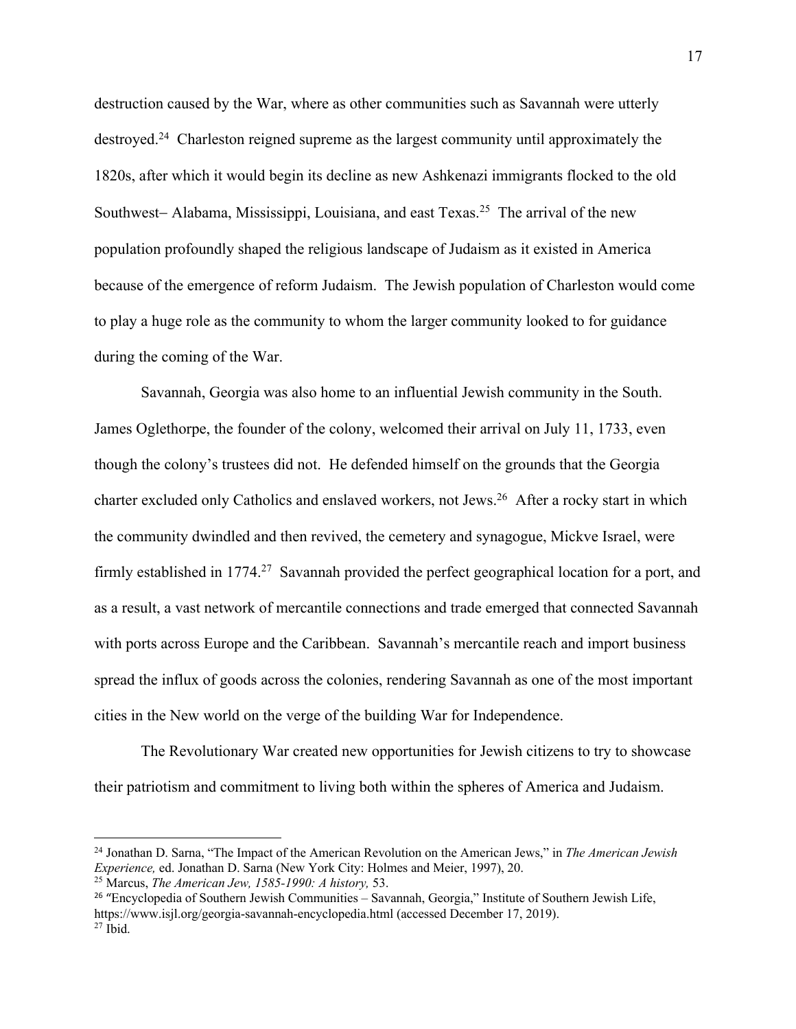destruction caused by the War, where as other communities such as Savannah were utterly destroyed.24 Charleston reigned supreme as the largest community until approximately the 1820s, after which it would begin its decline as new Ashkenazi immigrants flocked to the old Southwest- Alabama, Mississippi, Louisiana, and east Texas.<sup>25</sup> The arrival of the new population profoundly shaped the religious landscape of Judaism as it existed in America because of the emergence of reform Judaism. The Jewish population of Charleston would come to play a huge role as the community to whom the larger community looked to for guidance during the coming of the War.

Savannah, Georgia was also home to an influential Jewish community in the South. James Oglethorpe, the founder of the colony, welcomed their arrival on July 11, 1733, even though the colony's trustees did not. He defended himself on the grounds that the Georgia charter excluded only Catholics and enslaved workers, not Jews.26 After a rocky start in which the community dwindled and then revived, the cemetery and synagogue, Mickve Israel, were firmly established in 1774.<sup>27</sup> Savannah provided the perfect geographical location for a port, and as a result, a vast network of mercantile connections and trade emerged that connected Savannah with ports across Europe and the Caribbean. Savannah's mercantile reach and import business spread the influx of goods across the colonies, rendering Savannah as one of the most important cities in the New world on the verge of the building War for Independence.

The Revolutionary War created new opportunities for Jewish citizens to try to showcase their patriotism and commitment to living both within the spheres of America and Judaism.

<sup>24</sup> Jonathan D. Sarna, "The Impact of the American Revolution on the American Jews," in *The American Jewish Experience,* ed. Jonathan D. Sarna (New York City: Holmes and Meier, 1997), 20. 25 Marcus, *The American Jew, 1585-1990: A history,* 53.

<sup>26</sup> "Encyclopedia of Southern Jewish Communities – Savannah, Georgia," Institute of Southern Jewish Life, https://www.isjl.org/georgia-savannah-encyclopedia.html (accessed December 17, 2019). 27 Ibid.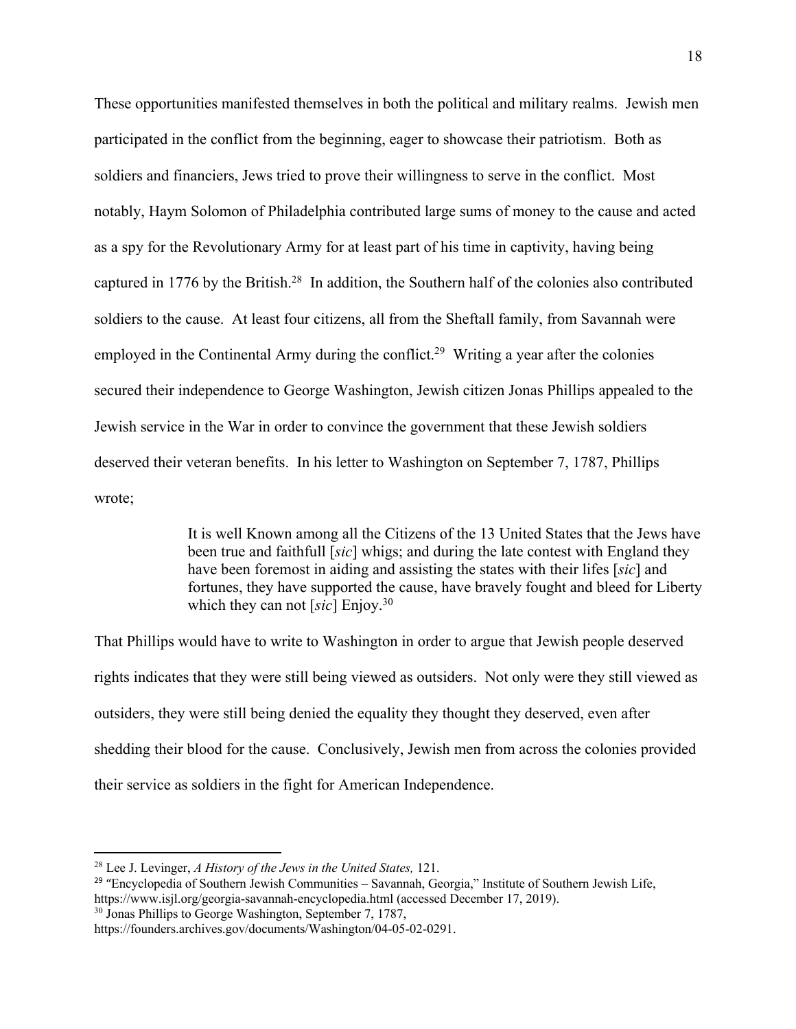These opportunities manifested themselves in both the political and military realms. Jewish men participated in the conflict from the beginning, eager to showcase their patriotism. Both as soldiers and financiers, Jews tried to prove their willingness to serve in the conflict. Most notably, Haym Solomon of Philadelphia contributed large sums of money to the cause and acted as a spy for the Revolutionary Army for at least part of his time in captivity, having being captured in 1776 by the British.28 In addition, the Southern half of the colonies also contributed soldiers to the cause. At least four citizens, all from the Sheftall family, from Savannah were employed in the Continental Army during the conflict.<sup>29</sup> Writing a year after the colonies secured their independence to George Washington, Jewish citizen Jonas Phillips appealed to the Jewish service in the War in order to convince the government that these Jewish soldiers deserved their veteran benefits. In his letter to Washington on September 7, 1787, Phillips wrote;

> It is well Known among all the Citizens of the 13 United States that the Jews have been true and faithfull [*sic*] whigs; and during the late contest with England they have been foremost in aiding and assisting the states with their lifes [*sic*] and fortunes, they have supported the cause, have bravely fought and bleed for Liberty which they can not [*sic*] Enjoy.30

That Phillips would have to write to Washington in order to argue that Jewish people deserved rights indicates that they were still being viewed as outsiders. Not only were they still viewed as outsiders, they were still being denied the equality they thought they deserved, even after shedding their blood for the cause. Conclusively, Jewish men from across the colonies provided their service as soldiers in the fight for American Independence.

<sup>28</sup> Lee J. Levinger, *A History of the Jews in the United States,* 121.

<sup>&</sup>lt;sup>29</sup> "Encyclopedia of Southern Jewish Communities – Savannah, Georgia," Institute of Southern Jewish Life, https://www.isjl.org/georgia-savannah-encyclopedia.html (accessed December 17, 2019).<br><sup>30</sup> Jonas Phillips to George Washington, September 7, 1787,

https://founders.archives.gov/documents/Washington/04-05-02-0291.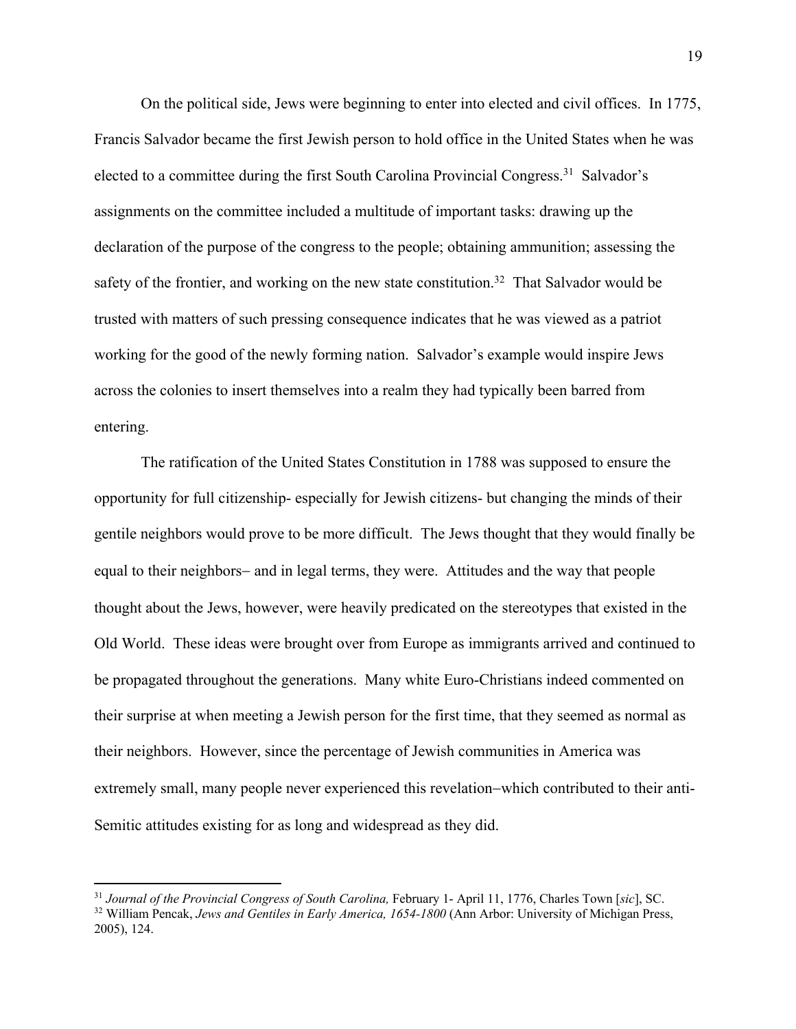On the political side, Jews were beginning to enter into elected and civil offices. In 1775, Francis Salvador became the first Jewish person to hold office in the United States when he was elected to a committee during the first South Carolina Provincial Congress.31 Salvador's assignments on the committee included a multitude of important tasks: drawing up the declaration of the purpose of the congress to the people; obtaining ammunition; assessing the safety of the frontier, and working on the new state constitution.<sup>32</sup> That Salvador would be trusted with matters of such pressing consequence indicates that he was viewed as a patriot working for the good of the newly forming nation. Salvador's example would inspire Jews across the colonies to insert themselves into a realm they had typically been barred from entering.

The ratification of the United States Constitution in 1788 was supposed to ensure the opportunity for full citizenship- especially for Jewish citizens- but changing the minds of their gentile neighbors would prove to be more difficult. The Jews thought that they would finally be equal to their neighbors- and in legal terms, they were. Attitudes and the way that people thought about the Jews, however, were heavily predicated on the stereotypes that existed in the Old World. These ideas were brought over from Europe as immigrants arrived and continued to be propagated throughout the generations. Many white Euro-Christians indeed commented on their surprise at when meeting a Jewish person for the first time, that they seemed as normal as their neighbors. However, since the percentage of Jewish communities in America was extremely small, many people never experienced this revelation-which contributed to their anti-Semitic attitudes existing for as long and widespread as they did.

 $^{31}$  Journal of the Provincial Congress of South Carolina, February 1- April 11, 1776, Charles Town [sic], SC.<br><sup>32</sup> William Pencak, Jews and Gentiles in Early America, 1654-1800 (Ann Arbor: University of Michigan Press, 2005), 124.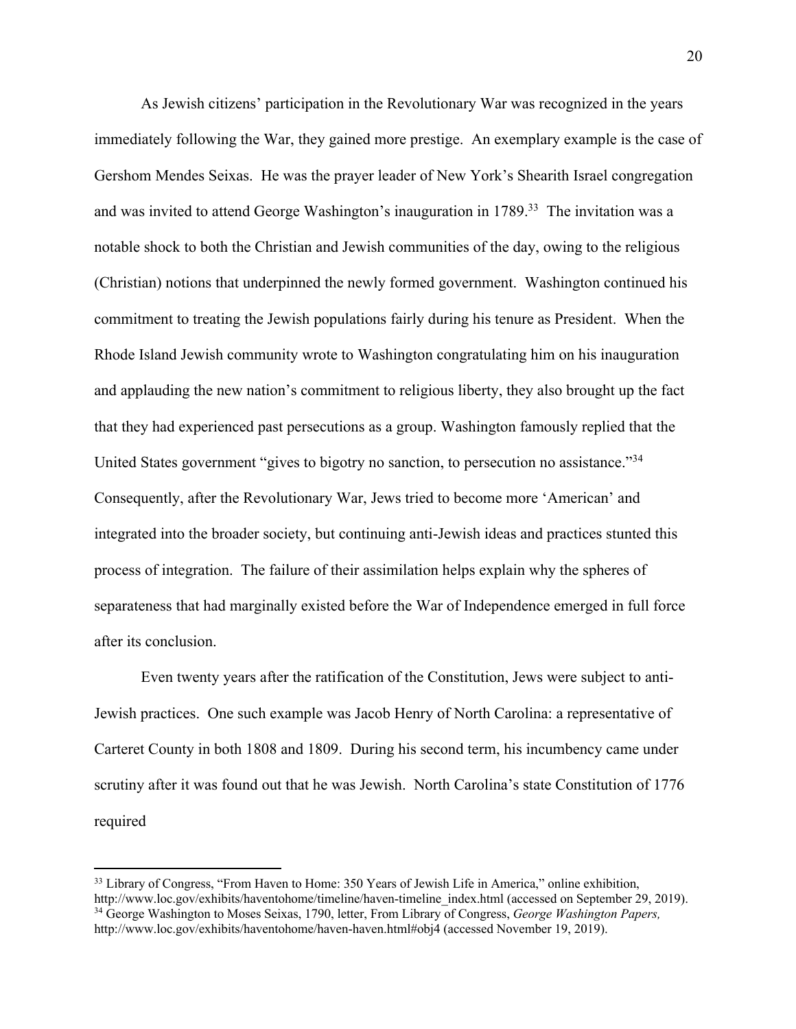As Jewish citizens' participation in the Revolutionary War was recognized in the years immediately following the War, they gained more prestige. An exemplary example is the case of Gershom Mendes Seixas. He was the prayer leader of New York's Shearith Israel congregation and was invited to attend George Washington's inauguration in 1789.<sup>33</sup> The invitation was a notable shock to both the Christian and Jewish communities of the day, owing to the religious (Christian) notions that underpinned the newly formed government. Washington continued his commitment to treating the Jewish populations fairly during his tenure as President. When the Rhode Island Jewish community wrote to Washington congratulating him on his inauguration and applauding the new nation's commitment to religious liberty, they also brought up the fact that they had experienced past persecutions as a group. Washington famously replied that the United States government "gives to bigotry no sanction, to persecution no assistance."34 Consequently, after the Revolutionary War, Jews tried to become more 'American' and integrated into the broader society, but continuing anti-Jewish ideas and practices stunted this process of integration. The failure of their assimilation helps explain why the spheres of separateness that had marginally existed before the War of Independence emerged in full force after its conclusion.

Even twenty years after the ratification of the Constitution, Jews were subject to anti-Jewish practices. One such example was Jacob Henry of North Carolina: a representative of Carteret County in both 1808 and 1809. During his second term, his incumbency came under scrutiny after it was found out that he was Jewish. North Carolina's state Constitution of 1776 required

<sup>&</sup>lt;sup>33</sup> Library of Congress, "From Haven to Home: 350 Years of Jewish Life in America," online exhibition, http://www.loc.gov/exhibits/haventohome/timeline/haven-timeline\_index.html (accessed on September 29, 2019). 34 George Washington to Moses Seixas, 1790, letter, From Library of Congress, *George Washington Papers,*  http://www.loc.gov/exhibits/haventohome/haven-haven.html#obj4 (accessed November 19, 2019).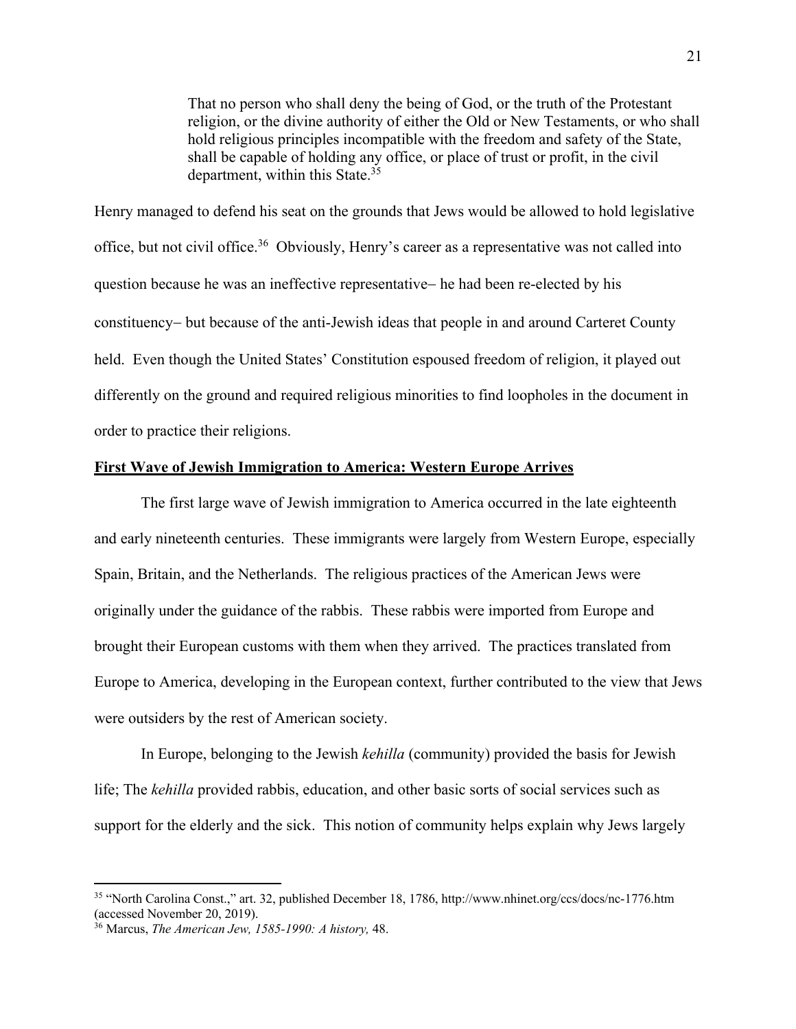That no person who shall deny the being of God, or the truth of the Protestant religion, or the divine authority of either the Old or New Testaments, or who shall hold religious principles incompatible with the freedom and safety of the State, shall be capable of holding any office, or place of trust or profit, in the civil department, within this State.<sup>35</sup>

Henry managed to defend his seat on the grounds that Jews would be allowed to hold legislative office, but not civil office.36 Obviously, Henry's career as a representative was not called into question because he was an ineffective representative- he had been re-elected by his constituency- but because of the anti-Jewish ideas that people in and around Carteret County held. Even though the United States' Constitution espoused freedom of religion, it played out differently on the ground and required religious minorities to find loopholes in the document in order to practice their religions.

#### **First Wave of Jewish Immigration to America: Western Europe Arrives**

The first large wave of Jewish immigration to America occurred in the late eighteenth and early nineteenth centuries. These immigrants were largely from Western Europe, especially Spain, Britain, and the Netherlands. The religious practices of the American Jews were originally under the guidance of the rabbis. These rabbis were imported from Europe and brought their European customs with them when they arrived. The practices translated from Europe to America, developing in the European context, further contributed to the view that Jews were outsiders by the rest of American society.

In Europe, belonging to the Jewish *kehilla* (community) provided the basis for Jewish life; The *kehilla* provided rabbis, education, and other basic sorts of social services such as support for the elderly and the sick. This notion of community helps explain why Jews largely

<sup>35</sup> "North Carolina Const.," art. 32, published December 18, 1786, http://www.nhinet.org/ccs/docs/nc-1776.htm (accessed November 20, 2019).

<sup>36</sup> Marcus, *The American Jew, 1585-1990: A history,* 48.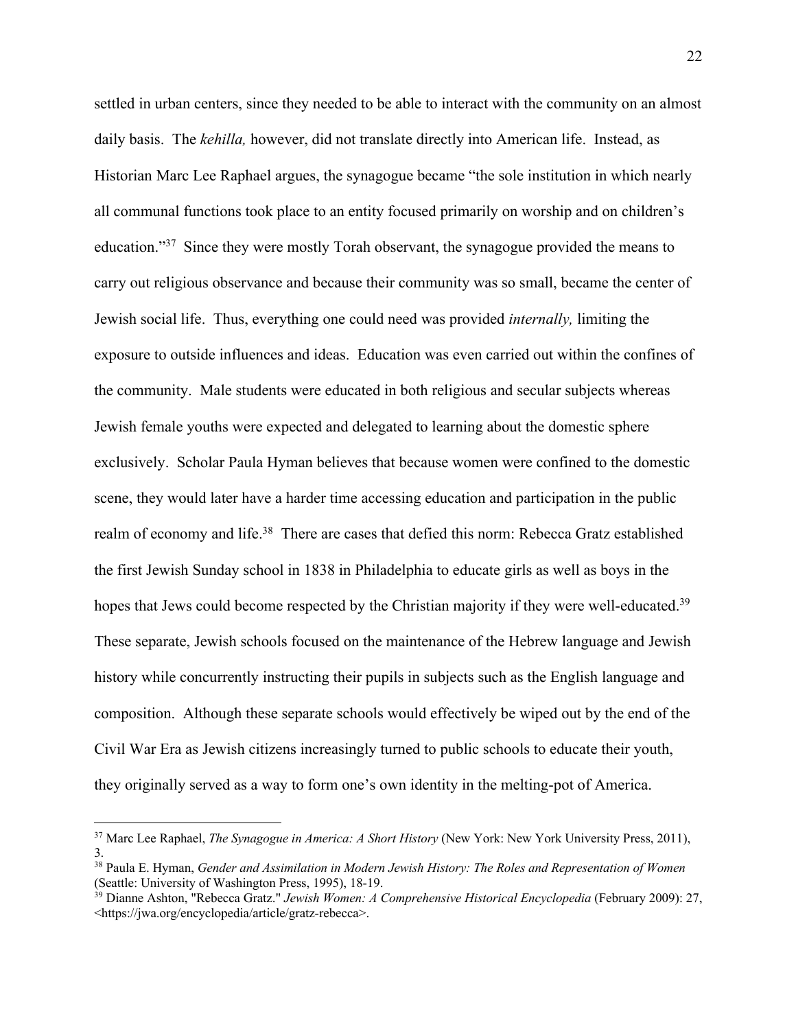settled in urban centers, since they needed to be able to interact with the community on an almost daily basis. The *kehilla,* however, did not translate directly into American life. Instead, as Historian Marc Lee Raphael argues, the synagogue became "the sole institution in which nearly all communal functions took place to an entity focused primarily on worship and on children's education."37 Since they were mostly Torah observant, the synagogue provided the means to carry out religious observance and because their community was so small, became the center of Jewish social life. Thus, everything one could need was provided *internally,* limiting the exposure to outside influences and ideas. Education was even carried out within the confines of the community. Male students were educated in both religious and secular subjects whereas Jewish female youths were expected and delegated to learning about the domestic sphere exclusively. Scholar Paula Hyman believes that because women were confined to the domestic scene, they would later have a harder time accessing education and participation in the public realm of economy and life.<sup>38</sup> There are cases that defied this norm: Rebecca Gratz established the first Jewish Sunday school in 1838 in Philadelphia to educate girls as well as boys in the hopes that Jews could become respected by the Christian majority if they were well-educated.<sup>39</sup> These separate, Jewish schools focused on the maintenance of the Hebrew language and Jewish history while concurrently instructing their pupils in subjects such as the English language and composition. Although these separate schools would effectively be wiped out by the end of the Civil War Era as Jewish citizens increasingly turned to public schools to educate their youth, they originally served as a way to form one's own identity in the melting-pot of America.

<sup>37</sup> Marc Lee Raphael, *The Synagogue in America: A Short History* (New York: New York University Press, 2011), 3.

<sup>&</sup>lt;sup>38</sup> Paula E. Hyman, *Gender and Assimilation in Modern Jewish History: The Roles and Representation of Women* (Seattle: University of Washington Press, 1995), 18-19.

<sup>&</sup>lt;sup>39</sup> Dianne Ashton, "Rebecca Gratz." *Jewish Women: A Comprehensive Historical Encyclopedia* (February 2009): 27, <https://jwa.org/encyclopedia/article/gratz-rebecca>.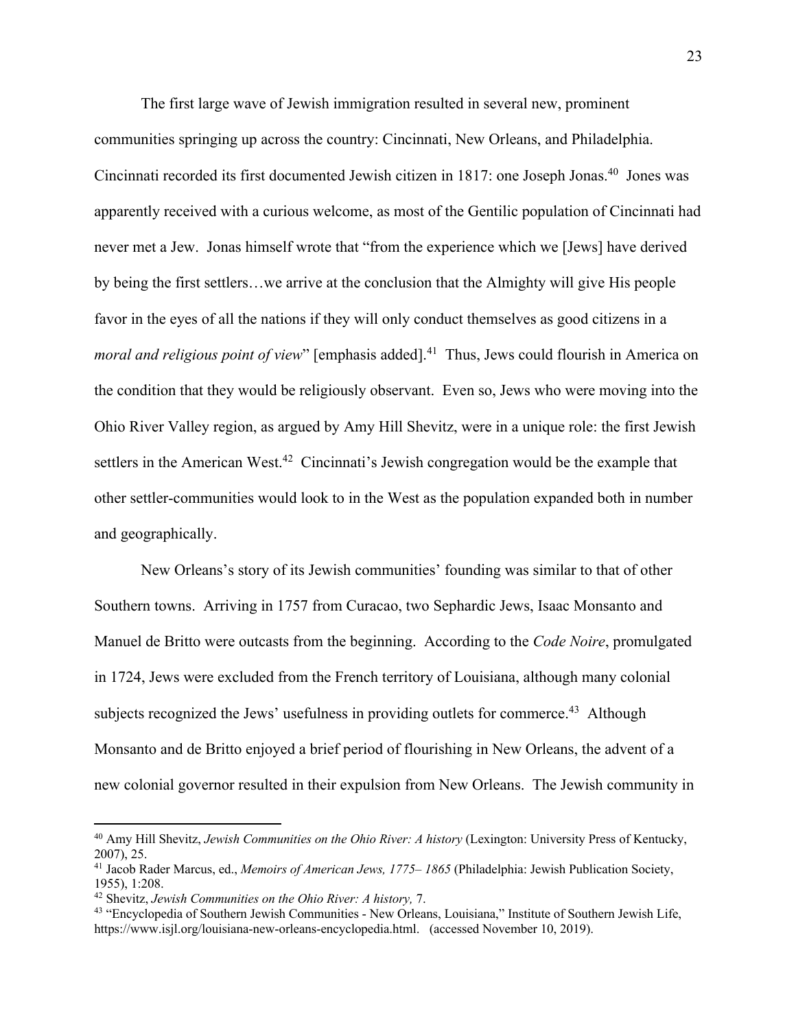The first large wave of Jewish immigration resulted in several new, prominent communities springing up across the country: Cincinnati, New Orleans, and Philadelphia. Cincinnati recorded its first documented Jewish citizen in 1817: one Joseph Jonas.<sup>40</sup> Jones was apparently received with a curious welcome, as most of the Gentilic population of Cincinnati had never met a Jew. Jonas himself wrote that "from the experience which we [Jews] have derived by being the first settlers…we arrive at the conclusion that the Almighty will give His people favor in the eyes of all the nations if they will only conduct themselves as good citizens in a *moral and religious point of view*" [emphasis added]. 41 Thus, Jews could flourish in America on the condition that they would be religiously observant. Even so, Jews who were moving into the Ohio River Valley region, as argued by Amy Hill Shevitz, were in a unique role: the first Jewish settlers in the American West.<sup>42</sup> Cincinnati's Jewish congregation would be the example that other settler-communities would look to in the West as the population expanded both in number and geographically.

New Orleans's story of its Jewish communities' founding was similar to that of other Southern towns. Arriving in 1757 from Curacao, two Sephardic Jews, Isaac Monsanto and Manuel de Britto were outcasts from the beginning. According to the *Code Noire*, promulgated in 1724, Jews were excluded from the French territory of Louisiana, although many colonial subjects recognized the Jews' usefulness in providing outlets for commerce.<sup>43</sup> Although Monsanto and de Britto enjoyed a brief period of flourishing in New Orleans, the advent of a new colonial governor resulted in their expulsion from New Orleans. The Jewish community in

<sup>&</sup>lt;sup>40</sup> Amy Hill Shevitz, *Jewish Communities on the Ohio River: A history* (Lexington: University Press of Kentucky, 2007), 25.

<sup>41</sup> Jacob Rader Marcus, ed., *Memoirs of American Jews, 1775– 1865* (Philadelphia: Jewish Publication Society, 1955), 1:208.

<sup>&</sup>lt;sup>42</sup> Shevitz, *Jewish Communities on the Ohio River: A history*, 7.<br><sup>43</sup> "Encyclopedia of Southern Jewish Communities - New Orleans, Louisiana," Institute of Southern Jewish Life, https://www.isjl.org/louisiana-new-orleans-encyclopedia.html. (accessed November 10, 2019).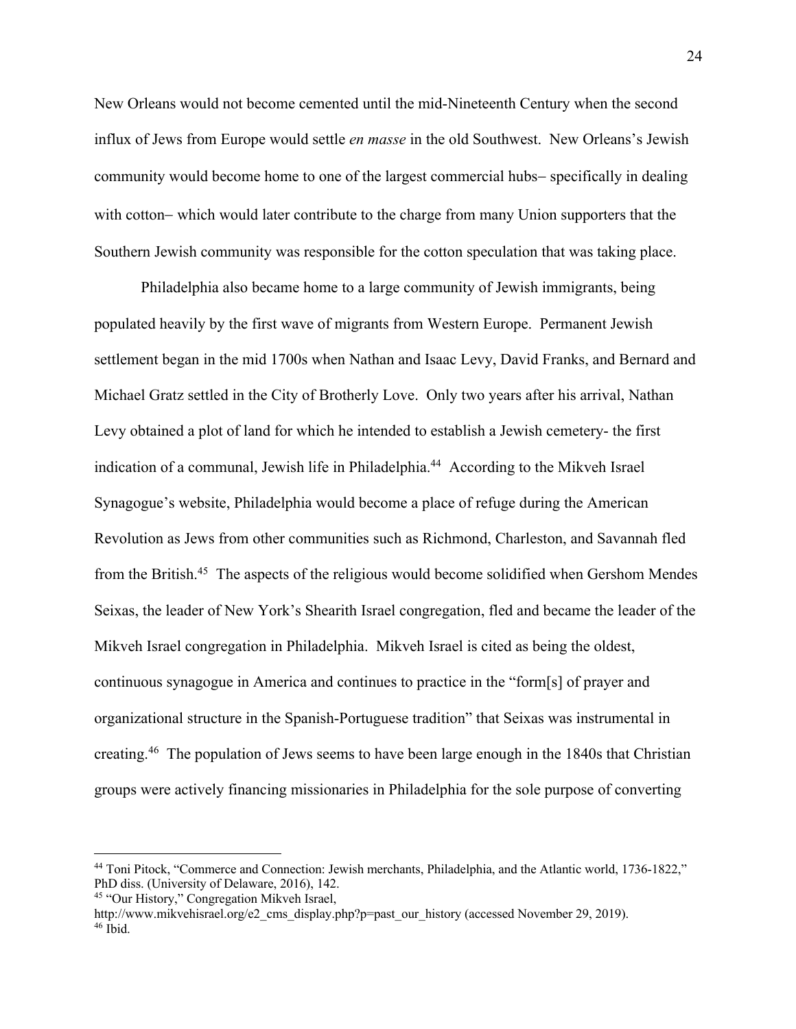New Orleans would not become cemented until the mid-Nineteenth Century when the second influx of Jews from Europe would settle *en masse* in the old Southwest. New Orleans's Jewish community would become home to one of the largest commercial hubs- specifically in dealing with cotton- which would later contribute to the charge from many Union supporters that the Southern Jewish community was responsible for the cotton speculation that was taking place.

Philadelphia also became home to a large community of Jewish immigrants, being populated heavily by the first wave of migrants from Western Europe. Permanent Jewish settlement began in the mid 1700s when Nathan and Isaac Levy, David Franks, and Bernard and Michael Gratz settled in the City of Brotherly Love. Only two years after his arrival, Nathan Levy obtained a plot of land for which he intended to establish a Jewish cemetery- the first indication of a communal, Jewish life in Philadelphia.<sup>44</sup> According to the Mikveh Israel Synagogue's website, Philadelphia would become a place of refuge during the American Revolution as Jews from other communities such as Richmond, Charleston, and Savannah fled from the British.45 The aspects of the religious would become solidified when Gershom Mendes Seixas, the leader of New York's Shearith Israel congregation, fled and became the leader of the Mikveh Israel congregation in Philadelphia. Mikveh Israel is cited as being the oldest, continuous synagogue in America and continues to practice in the "form[s] of prayer and organizational structure in the Spanish-Portuguese tradition" that Seixas was instrumental in creating.<sup>46</sup> The population of Jews seems to have been large enough in the 1840s that Christian groups were actively financing missionaries in Philadelphia for the sole purpose of converting

<sup>44</sup> Toni Pitock, "Commerce and Connection: Jewish merchants, Philadelphia, and the Atlantic world, 1736-1822," PhD diss. (University of Delaware, 2016), 142. 45 "Our History," Congregation Mikveh Israel,

http://www.mikvehisrael.org/e2\_cms\_display.php?p=past\_our\_history (accessed November 29, 2019). 46 Ibid.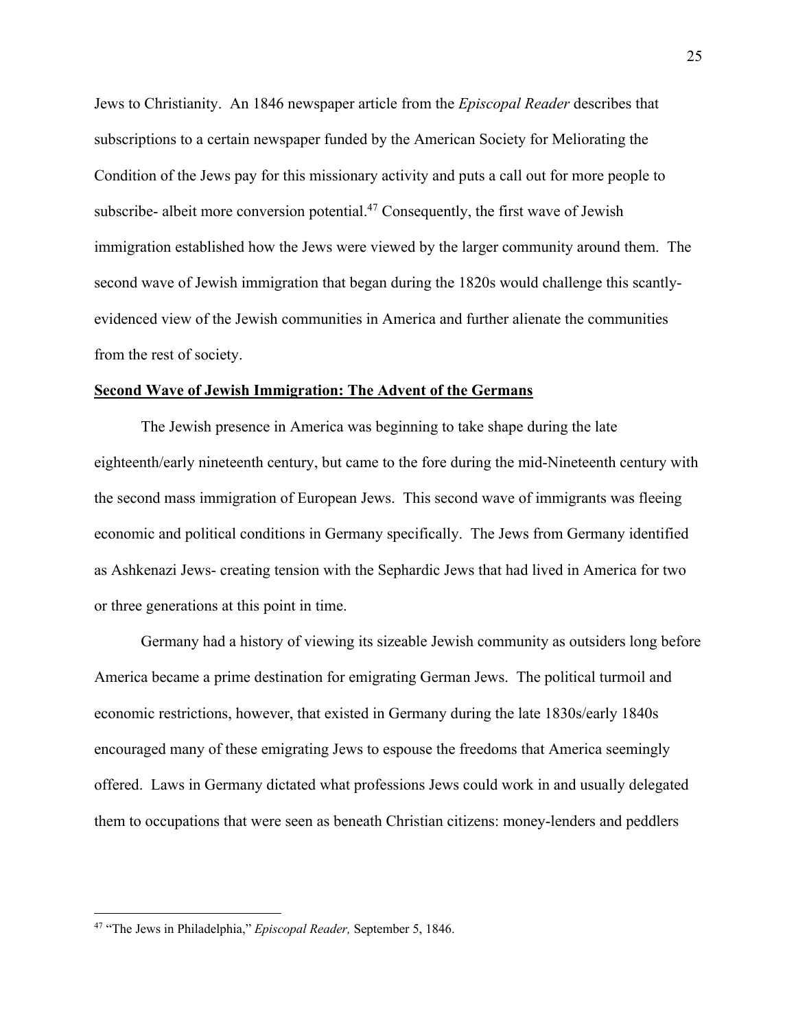Jews to Christianity. An 1846 newspaper article from the *Episcopal Reader* describes that subscriptions to a certain newspaper funded by the American Society for Meliorating the Condition of the Jews pay for this missionary activity and puts a call out for more people to subscribe- albeit more conversion potential.<sup>47</sup> Consequently, the first wave of Jewish immigration established how the Jews were viewed by the larger community around them. The second wave of Jewish immigration that began during the 1820s would challenge this scantlyevidenced view of the Jewish communities in America and further alienate the communities from the rest of society.

#### **Second Wave of Jewish Immigration: The Advent of the Germans**

The Jewish presence in America was beginning to take shape during the late eighteenth/early nineteenth century, but came to the fore during the mid-Nineteenth century with the second mass immigration of European Jews. This second wave of immigrants was fleeing economic and political conditions in Germany specifically. The Jews from Germany identified as Ashkenazi Jews- creating tension with the Sephardic Jews that had lived in America for two or three generations at this point in time.

Germany had a history of viewing its sizeable Jewish community as outsiders long before America became a prime destination for emigrating German Jews. The political turmoil and economic restrictions, however, that existed in Germany during the late 1830s/early 1840s encouraged many of these emigrating Jews to espouse the freedoms that America seemingly offered. Laws in Germany dictated what professions Jews could work in and usually delegated them to occupations that were seen as beneath Christian citizens: money-lenders and peddlers

<sup>47</sup> "The Jews in Philadelphia," *Episcopal Reader,* September 5, 1846.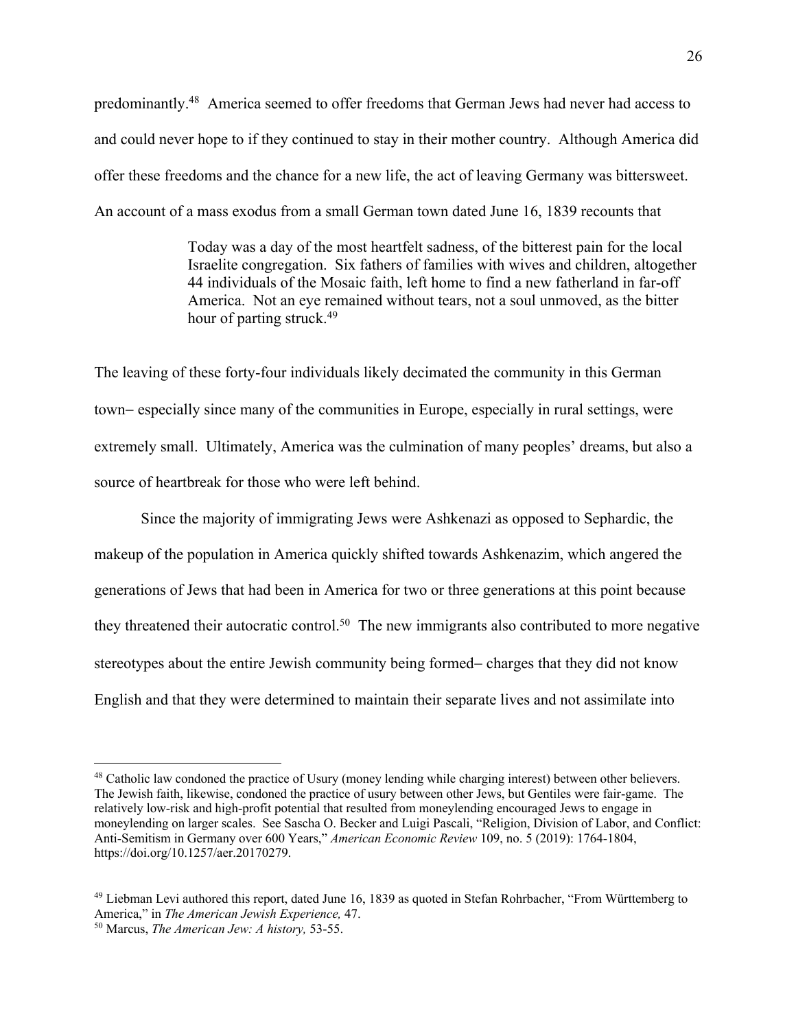predominantly.48 America seemed to offer freedoms that German Jews had never had access to and could never hope to if they continued to stay in their mother country. Although America did offer these freedoms and the chance for a new life, the act of leaving Germany was bittersweet. An account of a mass exodus from a small German town dated June 16, 1839 recounts that

> Today was a day of the most heartfelt sadness, of the bitterest pain for the local Israelite congregation. Six fathers of families with wives and children, altogether 44 individuals of the Mosaic faith, left home to find a new fatherland in far-off America. Not an eye remained without tears, not a soul unmoved, as the bitter hour of parting struck.<sup>49</sup>

The leaving of these forty-four individuals likely decimated the community in this German town- especially since many of the communities in Europe, especially in rural settings, were extremely small. Ultimately, America was the culmination of many peoples' dreams, but also a source of heartbreak for those who were left behind.

Since the majority of immigrating Jews were Ashkenazi as opposed to Sephardic, the makeup of the population in America quickly shifted towards Ashkenazim, which angered the generations of Jews that had been in America for two or three generations at this point because they threatened their autocratic control.<sup>50</sup> The new immigrants also contributed to more negative stereotypes about the entire Jewish community being formed- charges that they did not know English and that they were determined to maintain their separate lives and not assimilate into

<sup>48</sup> Catholic law condoned the practice of Usury (money lending while charging interest) between other believers. The Jewish faith, likewise, condoned the practice of usury between other Jews, but Gentiles were fair-game. The relatively low-risk and high-profit potential that resulted from moneylending encouraged Jews to engage in moneylending on larger scales. See Sascha O. Becker and Luigi Pascali, "Religion, Division of Labor, and Conflict: Anti-Semitism in Germany over 600 Years," *American Economic Review* 109, no. 5 (2019): 1764-1804, https://doi.org/10.1257/aer.20170279.

<sup>49</sup> Liebman Levi authored this report, dated June 16, 1839 as quoted in Stefan Rohrbacher, "From Württemberg to America," in *The American Jewish Experience,* 47. 50 Marcus, *The American Jew: A history,* 53-55.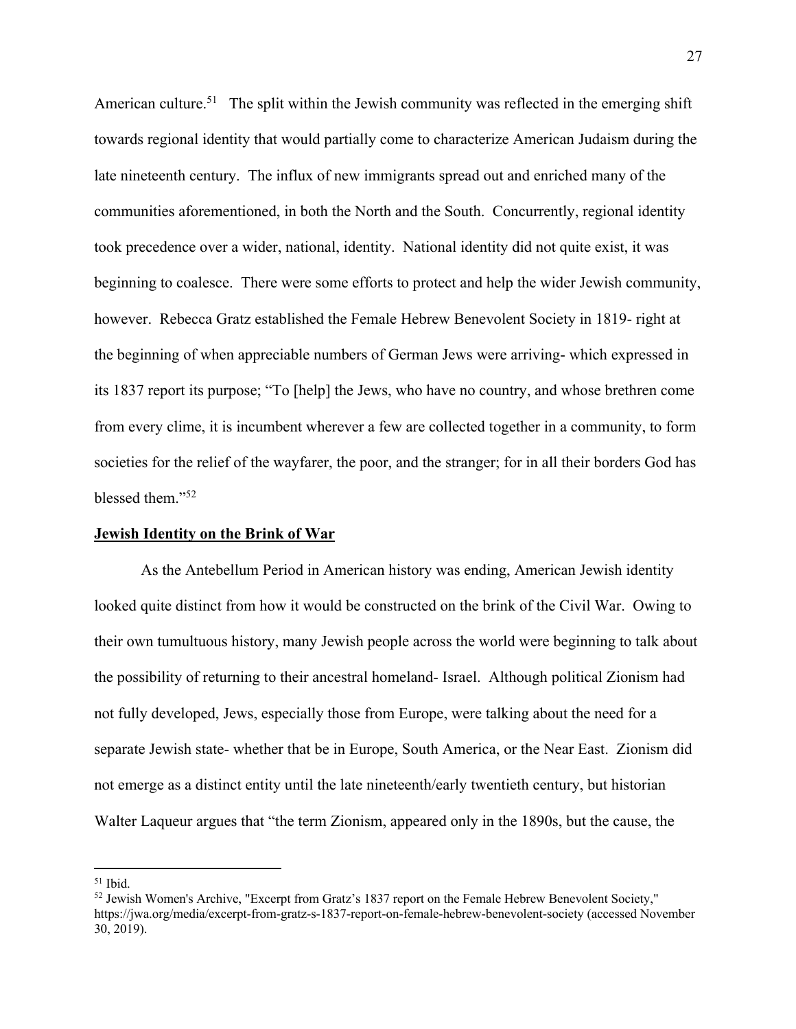American culture.<sup>51</sup> The split within the Jewish community was reflected in the emerging shift towards regional identity that would partially come to characterize American Judaism during the late nineteenth century. The influx of new immigrants spread out and enriched many of the communities aforementioned, in both the North and the South. Concurrently, regional identity took precedence over a wider, national, identity. National identity did not quite exist, it was beginning to coalesce. There were some efforts to protect and help the wider Jewish community, however. Rebecca Gratz established the Female Hebrew Benevolent Society in 1819- right at the beginning of when appreciable numbers of German Jews were arriving- which expressed in its 1837 report its purpose; "To [help] the Jews, who have no country, and whose brethren come from every clime, it is incumbent wherever a few are collected together in a community, to form societies for the relief of the wayfarer, the poor, and the stranger; for in all their borders God has blessed them."52

#### **Jewish Identity on the Brink of War**

As the Antebellum Period in American history was ending, American Jewish identity looked quite distinct from how it would be constructed on the brink of the Civil War. Owing to their own tumultuous history, many Jewish people across the world were beginning to talk about the possibility of returning to their ancestral homeland- Israel. Although political Zionism had not fully developed, Jews, especially those from Europe, were talking about the need for a separate Jewish state- whether that be in Europe, South America, or the Near East. Zionism did not emerge as a distinct entity until the late nineteenth/early twentieth century, but historian Walter Laqueur argues that "the term Zionism, appeared only in the 1890s, but the cause, the

 $51$  Ibid.

<sup>&</sup>lt;sup>52</sup> Jewish Women's Archive, "Excerpt from Gratz's 1837 report on the Female Hebrew Benevolent Society," https://jwa.org/media/excerpt-from-gratz-s-1837-report-on-female-hebrew-benevolent-society (accessed November 30, 2019).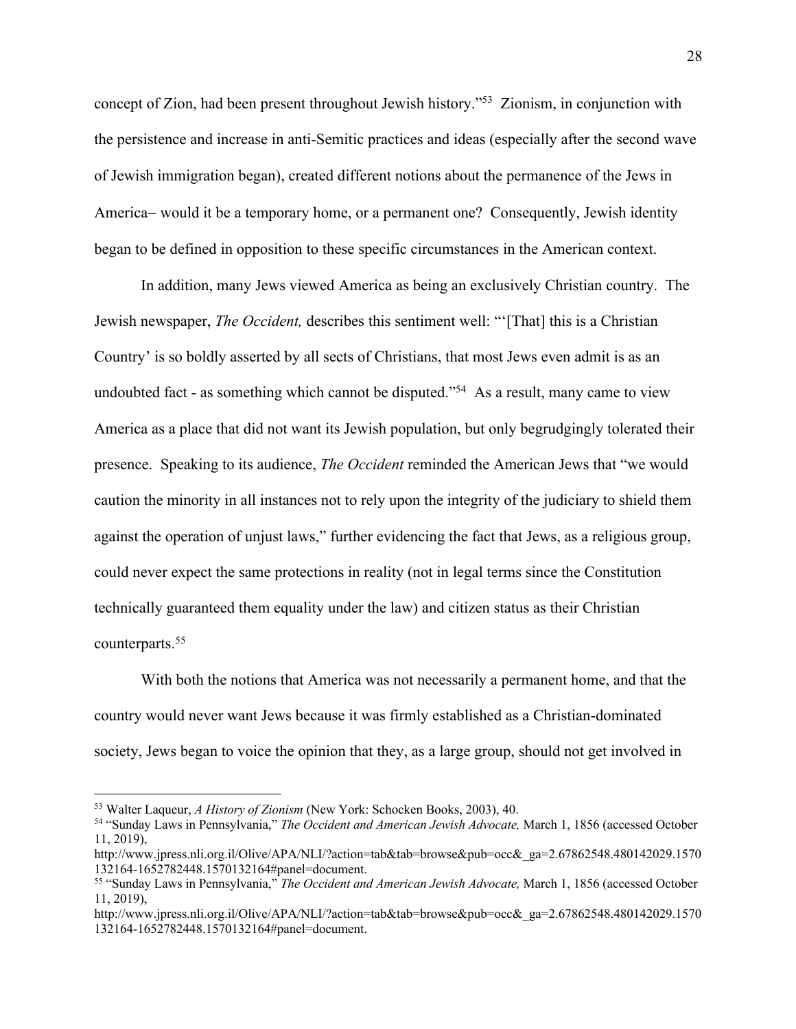concept of Zion, had been present throughout Jewish history."53 Zionism, in conjunction with the persistence and increase in anti-Semitic practices and ideas (especially after the second wave of Jewish immigration began), created different notions about the permanence of the Jews in America- would it be a temporary home, or a permanent one? Consequently, Jewish identity began to be defined in opposition to these specific circumstances in the American context.

In addition, many Jews viewed America as being an exclusively Christian country. The Jewish newspaper, *The Occident,* describes this sentiment well: "'[That] this is a Christian Country' is so boldly asserted by all sects of Christians, that most Jews even admit is as an undoubted fact - as something which cannot be disputed."<sup>54</sup> As a result, many came to view America as a place that did not want its Jewish population, but only begrudgingly tolerated their presence. Speaking to its audience, *The Occident* reminded the American Jews that "we would caution the minority in all instances not to rely upon the integrity of the judiciary to shield them against the operation of unjust laws," further evidencing the fact that Jews, as a religious group, could never expect the same protections in reality (not in legal terms since the Constitution technically guaranteed them equality under the law) and citizen status as their Christian counterparts.55

With both the notions that America was not necessarily a permanent home, and that the country would never want Jews because it was firmly established as a Christian-dominated society, Jews began to voice the opinion that they, as a large group, should not get involved in

<sup>53</sup> Walter Laqueur, *A History of Zionism* (New York: Schocken Books, 2003), 40. 54 "Sunday Laws in Pennsylvania," *The Occident and American Jewish Advocate,* March 1, 1856 (accessed October 11, 2019),

http://www.jpress.nli.org.il/Olive/APA/NLI/?action=tab&tab=browse&pub=occ&\_ga=2.67862548.480142029.1570 132164-1652782448.1570132164#panel=document. 55 "Sunday Laws in Pennsylvania," *The Occident and American Jewish Advocate,* March 1, 1856 (accessed October

<sup>11, 2019),</sup> 

http://www.jpress.nli.org.il/Olive/APA/NLI/?action=tab&tab=browse&pub=occ&\_ga=2.67862548.480142029.1570 132164-1652782448.1570132164#panel=document.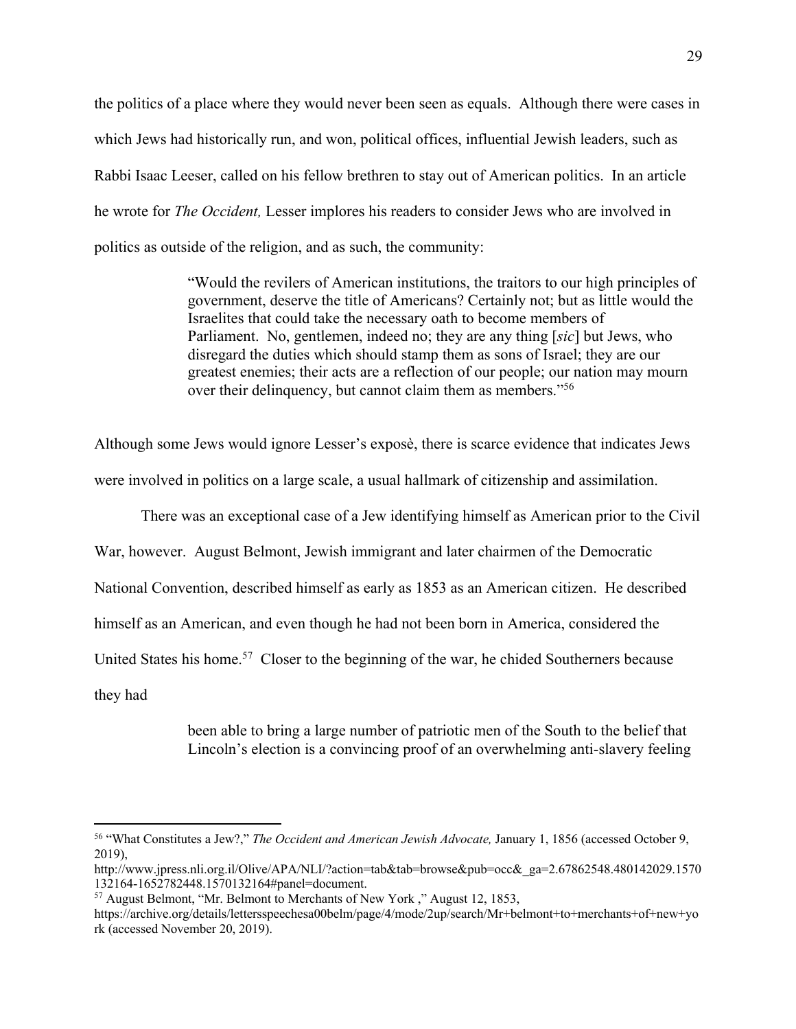the politics of a place where they would never been seen as equals. Although there were cases in which Jews had historically run, and won, political offices, influential Jewish leaders, such as Rabbi Isaac Leeser, called on his fellow brethren to stay out of American politics. In an article he wrote for *The Occident,* Lesser implores his readers to consider Jews who are involved in politics as outside of the religion, and as such, the community:

> "Would the revilers of American institutions, the traitors to our high principles of government, deserve the title of Americans? Certainly not; but as little would the Israelites that could take the necessary oath to become members of Parliament. No, gentlemen, indeed no; they are any thing [*sic*] but Jews, who disregard the duties which should stamp them as sons of Israel; they are our greatest enemies; their acts are a reflection of our people; our nation may mourn over their delinquency, but cannot claim them as members."56

Although some Jews would ignore Lesser's exposè, there is scarce evidence that indicates Jews were involved in politics on a large scale, a usual hallmark of citizenship and assimilation.

There was an exceptional case of a Jew identifying himself as American prior to the Civil

War, however. August Belmont, Jewish immigrant and later chairmen of the Democratic

National Convention, described himself as early as 1853 as an American citizen. He described

himself as an American, and even though he had not been born in America, considered the

United States his home.<sup>57</sup> Closer to the beginning of the war, he chided Southerners because

they had

been able to bring a large number of patriotic men of the South to the belief that Lincoln's election is a convincing proof of an overwhelming anti-slavery feeling

<sup>56</sup> "What Constitutes a Jew?," *The Occident and American Jewish Advocate,* January 1, 1856 (accessed October 9, 2019),

http://www.jpress.nli.org.il/Olive/APA/NLI/?action=tab&tab=browse&pub=occ&\_ga=2.67862548.480142029.1570 132164-1652782448.1570132164#panel=document. 57 August Belmont, "Mr. Belmont to Merchants of New York ," August 12, 1853,

https://archive.org/details/lettersspeechesa00belm/page/4/mode/2up/search/Mr+belmont+to+merchants+of+new+yo rk (accessed November 20, 2019).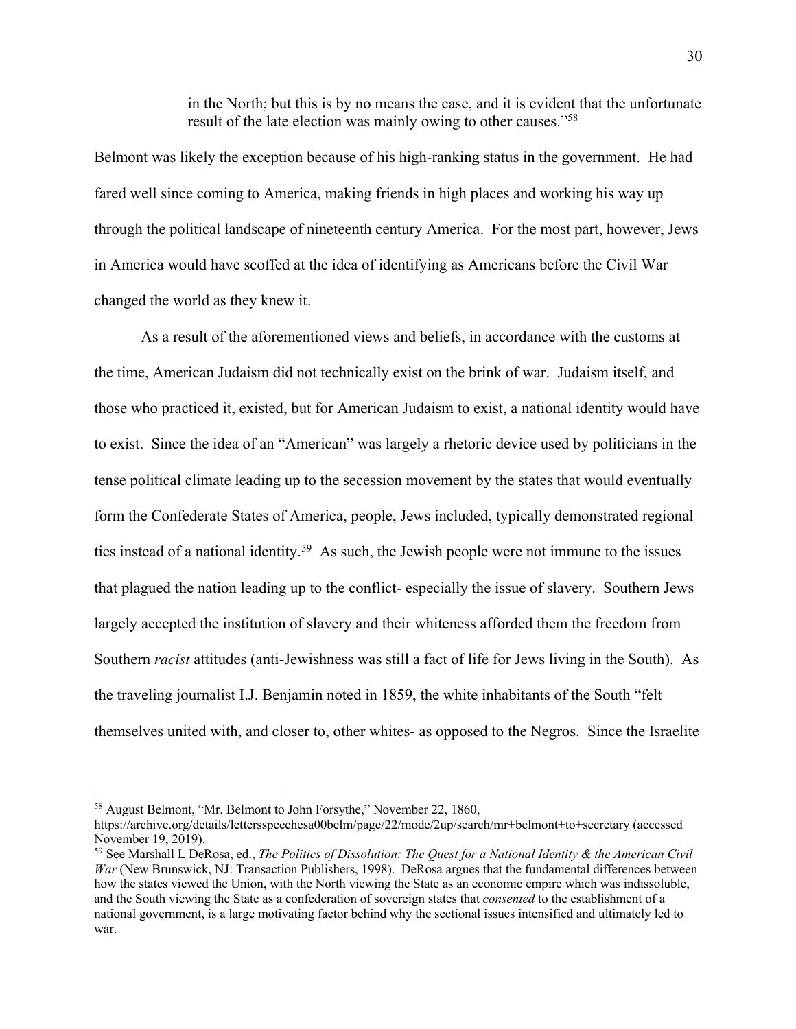in the North; but this is by no means the case, and it is evident that the unfortunate result of the late election was mainly owing to other causes."58

Belmont was likely the exception because of his high-ranking status in the government. He had fared well since coming to America, making friends in high places and working his way up through the political landscape of nineteenth century America. For the most part, however, Jews in America would have scoffed at the idea of identifying as Americans before the Civil War changed the world as they knew it.

As a result of the aforementioned views and beliefs, in accordance with the customs at the time, American Judaism did not technically exist on the brink of war. Judaism itself, and those who practiced it, existed, but for American Judaism to exist, a national identity would have to exist. Since the idea of an "American" was largely a rhetoric device used by politicians in the tense political climate leading up to the secession movement by the states that would eventually form the Confederate States of America, people, Jews included, typically demonstrated regional ties instead of a national identity.<sup>59</sup> As such, the Jewish people were not immune to the issues that plagued the nation leading up to the conflict- especially the issue of slavery. Southern Jews largely accepted the institution of slavery and their whiteness afforded them the freedom from Southern *racist* attitudes (anti-Jewishness was still a fact of life for Jews living in the South). As the traveling journalist I.J. Benjamin noted in 1859, the white inhabitants of the South "felt themselves united with, and closer to, other whites- as opposed to the Negros. Since the Israelite

<sup>58</sup> August Belmont, "Mr. Belmont to John Forsythe," November 22, 1860,

https://archive.org/details/lettersspeechesa00belm/page/22/mode/2up/search/mr+belmont+to+secretary (accessed November 19, 2019).

<sup>59</sup> See Marshall L DeRosa, ed., *The Politics of Dissolution: The Quest for a National Identity & the American Civil War* (New Brunswick, NJ: Transaction Publishers, 1998). DeRosa argues that the fundamental differences between how the states viewed the Union, with the North viewing the State as an economic empire which was indissoluble, and the South viewing the State as a confederation of sovereign states that *consented* to the establishment of a national government, is a large motivating factor behind why the sectional issues intensified and ultimately led to war.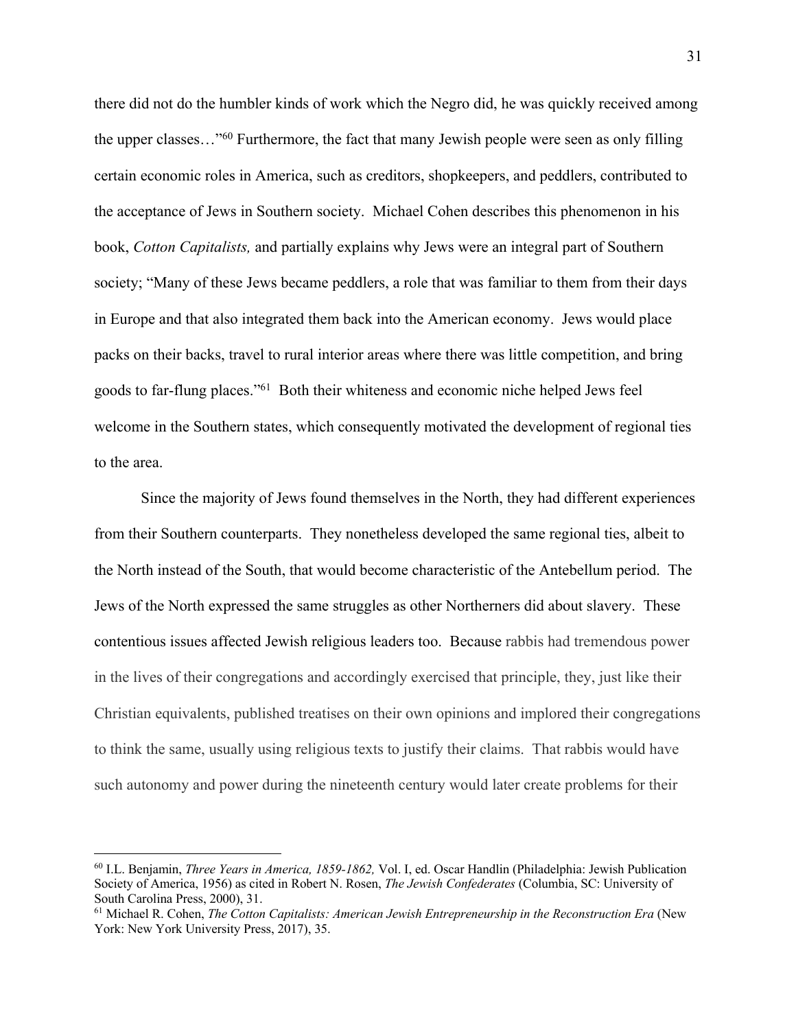there did not do the humbler kinds of work which the Negro did, he was quickly received among the upper classes..."<sup>60</sup> Furthermore, the fact that many Jewish people were seen as only filling certain economic roles in America, such as creditors, shopkeepers, and peddlers, contributed to the acceptance of Jews in Southern society. Michael Cohen describes this phenomenon in his book, *Cotton Capitalists,* and partially explains why Jews were an integral part of Southern society; "Many of these Jews became peddlers, a role that was familiar to them from their days in Europe and that also integrated them back into the American economy. Jews would place packs on their backs, travel to rural interior areas where there was little competition, and bring goods to far-flung places."61 Both their whiteness and economic niche helped Jews feel welcome in the Southern states, which consequently motivated the development of regional ties to the area.

Since the majority of Jews found themselves in the North, they had different experiences from their Southern counterparts. They nonetheless developed the same regional ties, albeit to the North instead of the South, that would become characteristic of the Antebellum period. The Jews of the North expressed the same struggles as other Northerners did about slavery. These contentious issues affected Jewish religious leaders too. Because rabbis had tremendous power in the lives of their congregations and accordingly exercised that principle, they, just like their Christian equivalents, published treatises on their own opinions and implored their congregations to think the same, usually using religious texts to justify their claims. That rabbis would have such autonomy and power during the nineteenth century would later create problems for their

<sup>60</sup> I.L. Benjamin, *Three Years in America, 1859-1862,* Vol. I, ed. Oscar Handlin (Philadelphia: Jewish Publication Society of America, 1956) as cited in Robert N. Rosen, *The Jewish Confederates* (Columbia, SC: University of South Carolina Press, 2000), 31.

<sup>61</sup> Michael R. Cohen, *The Cotton Capitalists: American Jewish Entrepreneurship in the Reconstruction Era* (New York: New York University Press, 2017), 35.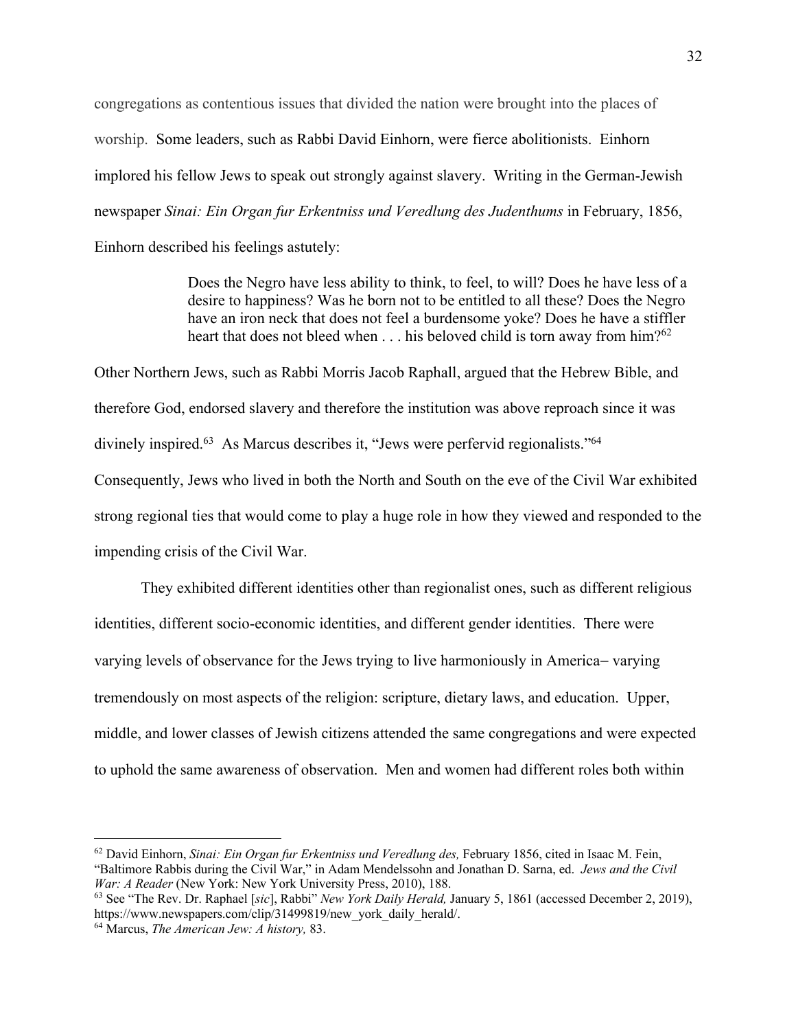congregations as contentious issues that divided the nation were brought into the places of worship. Some leaders, such as Rabbi David Einhorn, were fierce abolitionists. Einhorn implored his fellow Jews to speak out strongly against slavery. Writing in the German-Jewish newspaper *Sinai: Ein Organ fur Erkentniss und Veredlung des Judenthums* in February, 1856, Einhorn described his feelings astutely:

> Does the Negro have less ability to think, to feel, to will? Does he have less of a desire to happiness? Was he born not to be entitled to all these? Does the Negro have an iron neck that does not feel a burdensome yoke? Does he have a stiffler heart that does not bleed when . . . his beloved child is torn away from him?<sup>62</sup>

Other Northern Jews, such as Rabbi Morris Jacob Raphall, argued that the Hebrew Bible, and therefore God, endorsed slavery and therefore the institution was above reproach since it was divinely inspired.<sup>63</sup> As Marcus describes it, "Jews were perfervid regionalists."<sup>64</sup> Consequently, Jews who lived in both the North and South on the eve of the Civil War exhibited strong regional ties that would come to play a huge role in how they viewed and responded to the impending crisis of the Civil War.

They exhibited different identities other than regionalist ones, such as different religious identities, different socio-economic identities, and different gender identities. There were varying levels of observance for the Jews trying to live harmoniously in America- varying tremendously on most aspects of the religion: scripture, dietary laws, and education. Upper, middle, and lower classes of Jewish citizens attended the same congregations and were expected to uphold the same awareness of observation. Men and women had different roles both within

<sup>62</sup> David Einhorn, *Sinai: Ein Organ fur Erkentniss und Veredlung des,* February 1856, cited in Isaac M. Fein, "Baltimore Rabbis during the Civil War," in Adam Mendelssohn and Jonathan D. Sarna, ed. *Jews and the Civil War: A Reader* (New York: New York University Press, 2010), 188.

<sup>63</sup> See "The Rev. Dr. Raphael [*sic*], Rabbi" *New York Daily Herald,* January 5, 1861 (accessed December 2, 2019), https://www.newspapers.com/clip/31499819/new\_york\_daily\_herald/.

<sup>64</sup> Marcus, *The American Jew: A history,* 83.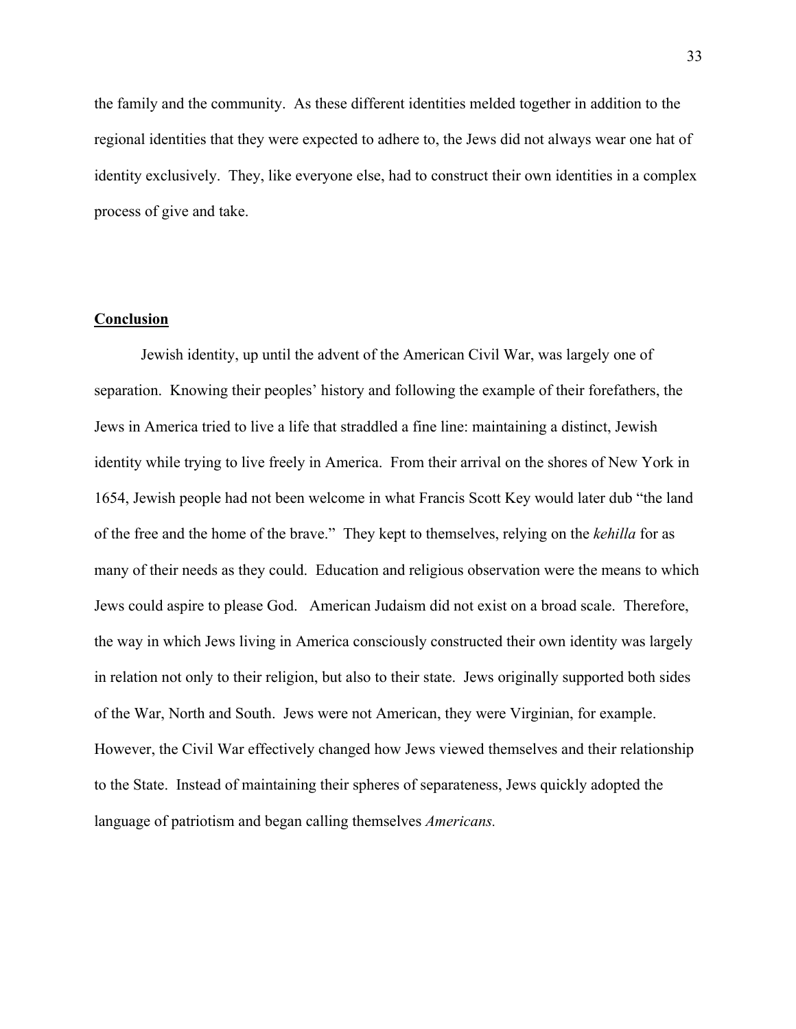the family and the community. As these different identities melded together in addition to the regional identities that they were expected to adhere to, the Jews did not always wear one hat of identity exclusively. They, like everyone else, had to construct their own identities in a complex process of give and take.

#### **Conclusion**

Jewish identity, up until the advent of the American Civil War, was largely one of separation. Knowing their peoples' history and following the example of their forefathers, the Jews in America tried to live a life that straddled a fine line: maintaining a distinct, Jewish identity while trying to live freely in America. From their arrival on the shores of New York in 1654, Jewish people had not been welcome in what Francis Scott Key would later dub "the land of the free and the home of the brave." They kept to themselves, relying on the *kehilla* for as many of their needs as they could. Education and religious observation were the means to which Jews could aspire to please God. American Judaism did not exist on a broad scale. Therefore, the way in which Jews living in America consciously constructed their own identity was largely in relation not only to their religion, but also to their state. Jews originally supported both sides of the War, North and South. Jews were not American, they were Virginian, for example. However, the Civil War effectively changed how Jews viewed themselves and their relationship to the State. Instead of maintaining their spheres of separateness, Jews quickly adopted the language of patriotism and began calling themselves *Americans.*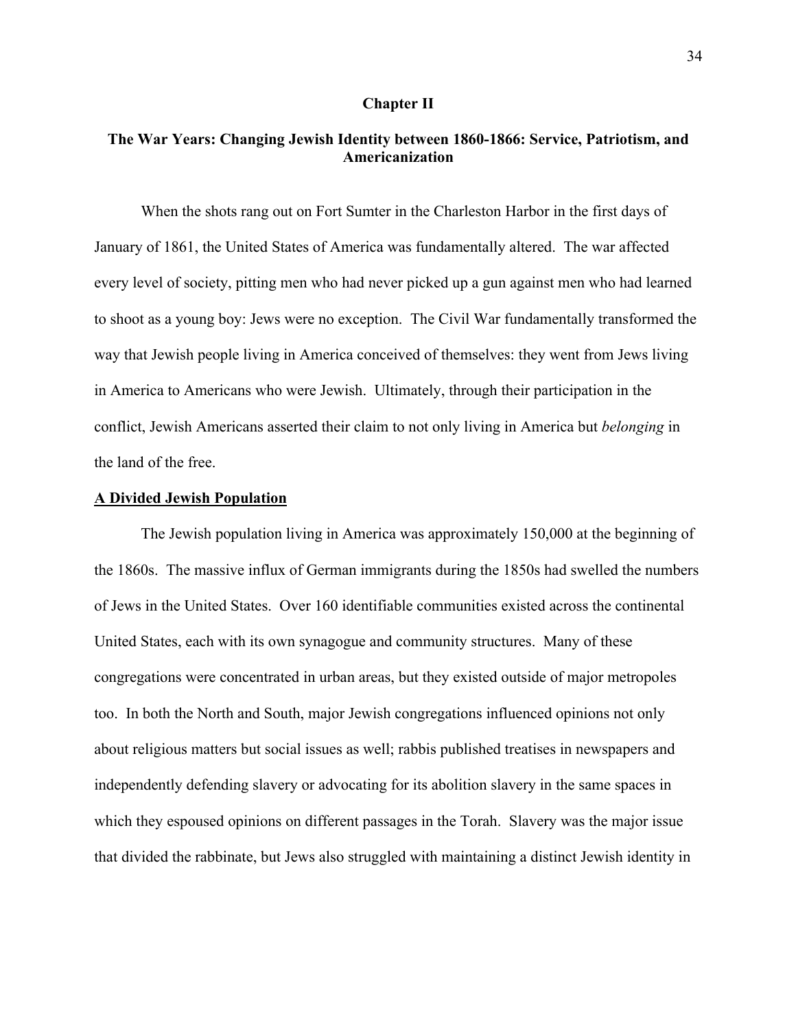#### **Chapter II**

#### **The War Years: Changing Jewish Identity between 1860-1866: Service, Patriotism, and Americanization**

When the shots rang out on Fort Sumter in the Charleston Harbor in the first days of January of 1861, the United States of America was fundamentally altered. The war affected every level of society, pitting men who had never picked up a gun against men who had learned to shoot as a young boy: Jews were no exception. The Civil War fundamentally transformed the way that Jewish people living in America conceived of themselves: they went from Jews living in America to Americans who were Jewish. Ultimately, through their participation in the conflict, Jewish Americans asserted their claim to not only living in America but *belonging* in the land of the free.

#### **A Divided Jewish Population**

The Jewish population living in America was approximately 150,000 at the beginning of the 1860s. The massive influx of German immigrants during the 1850s had swelled the numbers of Jews in the United States. Over 160 identifiable communities existed across the continental United States, each with its own synagogue and community structures. Many of these congregations were concentrated in urban areas, but they existed outside of major metropoles too. In both the North and South, major Jewish congregations influenced opinions not only about religious matters but social issues as well; rabbis published treatises in newspapers and independently defending slavery or advocating for its abolition slavery in the same spaces in which they espoused opinions on different passages in the Torah. Slavery was the major issue that divided the rabbinate, but Jews also struggled with maintaining a distinct Jewish identity in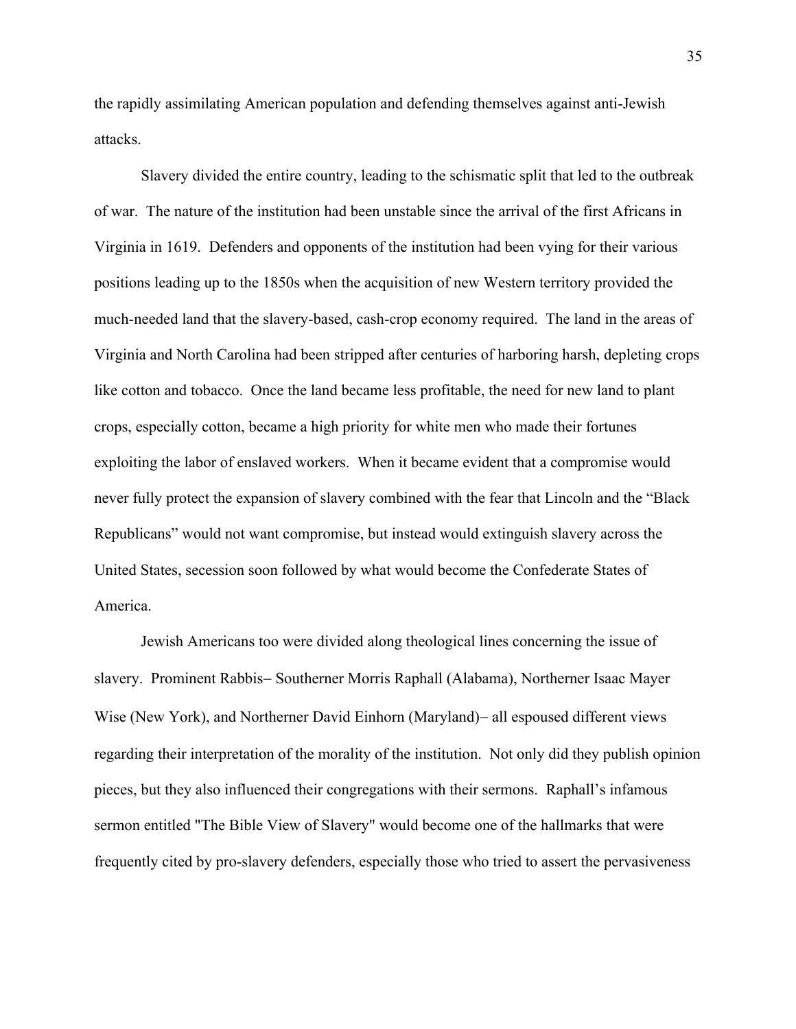the rapidly assimilating American population and defending themselves against anti-Jewish attacks.

Slavery divided the entire country, leading to the schismatic split that led to the outbreak of war. The nature of the institution had been unstable since the arrival of the first Africans in Virginia in 1619. Defenders and opponents of the institution had been vying for their various positions leading up to the 1850s when the acquisition of new Western territory provided the much-needed land that the slavery-based, cash-crop economy required. The land in the areas of Virginia and North Carolina had been stripped after centuries of harboring harsh, depleting crops like cotton and tobacco. Once the land became less profitable, the need for new land to plant crops, especially cotton, became a high priority for white men who made their fortunes exploiting the labor of enslaved workers. When it became evident that a compromise would never fully protect the expansion of slavery combined with the fear that Lincoln and the "Black Republicans" would not want compromise, but instead would extinguish slavery across the United States, secession soon followed by what would become the Confederate States of America.

Jewish Americans too were divided along theological lines concerning the issue of slavery. Prominent Rabbis- Southerner Morris Raphall (Alabama), Northerner Isaac Mayer Wise (New York), and Northerner David Einhorn (Maryland)– all espoused different views regarding their interpretation of the morality of the institution. Not only did they publish opinion pieces, but they also influenced their congregations with their sermons. Raphall's infamous sermon entitled "The Bible View of Slavery" would become one of the hallmarks that were frequently cited by pro-slavery defenders, especially those who tried to assert the pervasiveness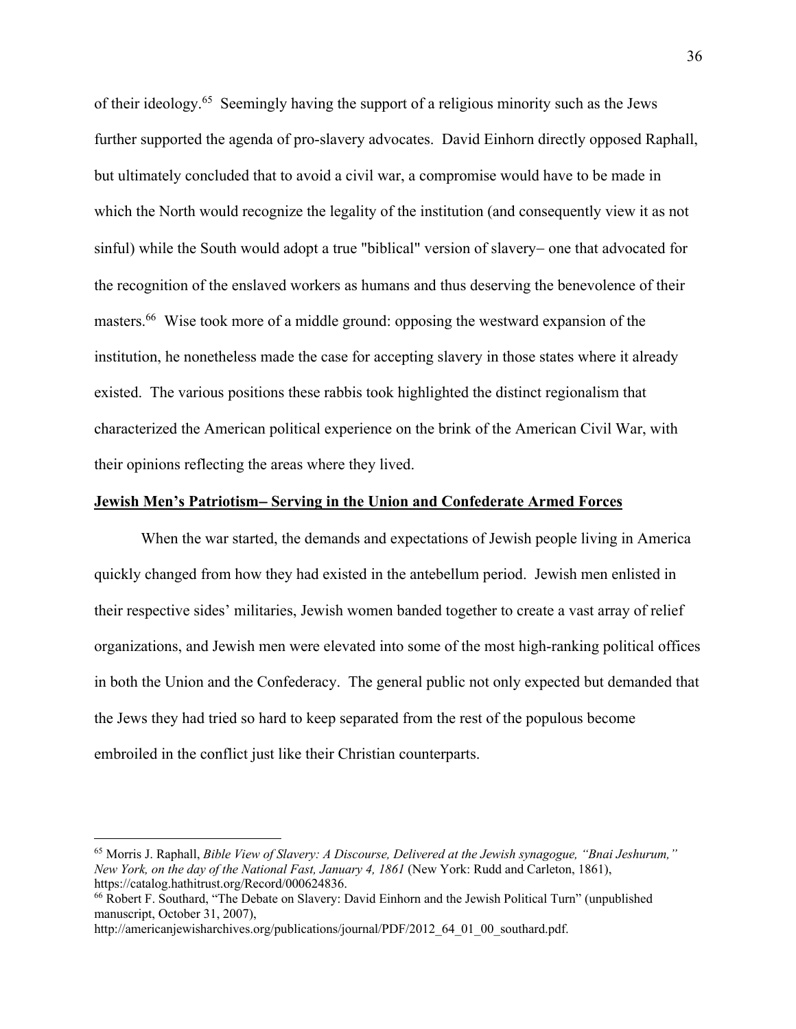of their ideology. 65 Seemingly having the support of a religious minority such as the Jews further supported the agenda of pro-slavery advocates. David Einhorn directly opposed Raphall, but ultimately concluded that to avoid a civil war, a compromise would have to be made in which the North would recognize the legality of the institution (and consequently view it as not sinful) while the South would adopt a true "biblical" version of slavery- one that advocated for the recognition of the enslaved workers as humans and thus deserving the benevolence of their masters.66 Wise took more of a middle ground: opposing the westward expansion of the institution, he nonetheless made the case for accepting slavery in those states where it already existed. The various positions these rabbis took highlighted the distinct regionalism that characterized the American political experience on the brink of the American Civil War, with their opinions reflecting the areas where they lived.

### **Jewish Men's Patriotism**- **Serving in the Union and Confederate Armed Forces**

When the war started, the demands and expectations of Jewish people living in America quickly changed from how they had existed in the antebellum period. Jewish men enlisted in their respective sides' militaries, Jewish women banded together to create a vast array of relief organizations, and Jewish men were elevated into some of the most high-ranking political offices in both the Union and the Confederacy. The general public not only expected but demanded that the Jews they had tried so hard to keep separated from the rest of the populous become embroiled in the conflict just like their Christian counterparts.

<sup>65</sup> Morris J. Raphall, *Bible View of Slavery: A Discourse, Delivered at the Jewish synagogue, "Bnai Jeshurum," New York, on the day of the National Fast, January 4, 1861* (New York: Rudd and Carleton, 1861), https://catalog.hathitrust.org/Record/000624836. 66 Robert F. Southard, "The Debate on Slavery: David Einhorn and the Jewish Political Turn" (unpublished

manuscript, October 31, 2007),

http://americanjewisharchives.org/publications/journal/PDF/2012\_64\_01\_00\_southard.pdf.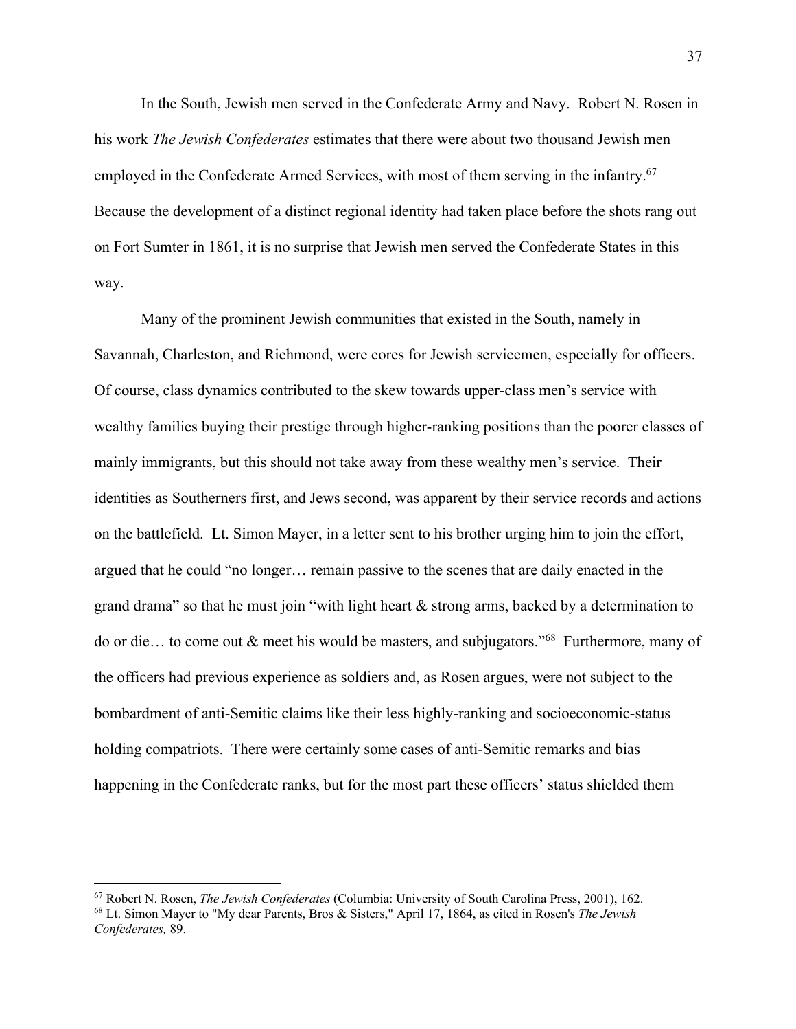In the South, Jewish men served in the Confederate Army and Navy. Robert N. Rosen in his work *The Jewish Confederates* estimates that there were about two thousand Jewish men employed in the Confederate Armed Services, with most of them serving in the infantry.<sup>67</sup> Because the development of a distinct regional identity had taken place before the shots rang out on Fort Sumter in 1861, it is no surprise that Jewish men served the Confederate States in this way.

Many of the prominent Jewish communities that existed in the South, namely in Savannah, Charleston, and Richmond, were cores for Jewish servicemen, especially for officers. Of course, class dynamics contributed to the skew towards upper-class men's service with wealthy families buying their prestige through higher-ranking positions than the poorer classes of mainly immigrants, but this should not take away from these wealthy men's service. Their identities as Southerners first, and Jews second, was apparent by their service records and actions on the battlefield. Lt. Simon Mayer, in a letter sent to his brother urging him to join the effort, argued that he could "no longer… remain passive to the scenes that are daily enacted in the grand drama" so that he must join "with light heart  $\&$  strong arms, backed by a determination to do or die… to come out & meet his would be masters, and subjugators."68 Furthermore, many of the officers had previous experience as soldiers and, as Rosen argues, were not subject to the bombardment of anti-Semitic claims like their less highly-ranking and socioeconomic-status holding compatriots. There were certainly some cases of anti-Semitic remarks and bias happening in the Confederate ranks, but for the most part these officers' status shielded them

<sup>67</sup> Robert N. Rosen, *The Jewish Confederates* (Columbia: University of South Carolina Press, 2001), 162. 68 Lt. Simon Mayer to "My dear Parents, Bros & Sisters," April 17, 1864, as cited in Rosen's *The Jewish Confederates,* 89.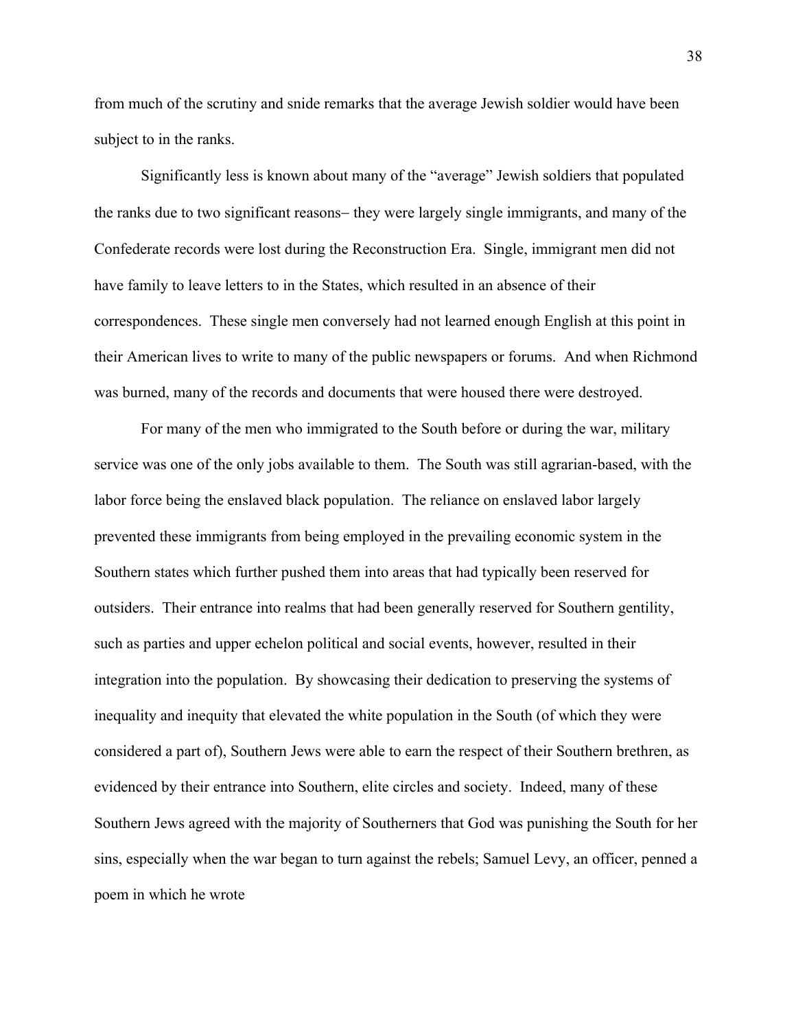from much of the scrutiny and snide remarks that the average Jewish soldier would have been subject to in the ranks.

Significantly less is known about many of the "average" Jewish soldiers that populated the ranks due to two significant reasons- they were largely single immigrants, and many of the Confederate records were lost during the Reconstruction Era. Single, immigrant men did not have family to leave letters to in the States, which resulted in an absence of their correspondences. These single men conversely had not learned enough English at this point in their American lives to write to many of the public newspapers or forums. And when Richmond was burned, many of the records and documents that were housed there were destroyed.

For many of the men who immigrated to the South before or during the war, military service was one of the only jobs available to them. The South was still agrarian-based, with the labor force being the enslaved black population. The reliance on enslaved labor largely prevented these immigrants from being employed in the prevailing economic system in the Southern states which further pushed them into areas that had typically been reserved for outsiders. Their entrance into realms that had been generally reserved for Southern gentility, such as parties and upper echelon political and social events, however, resulted in their integration into the population. By showcasing their dedication to preserving the systems of inequality and inequity that elevated the white population in the South (of which they were considered a part of), Southern Jews were able to earn the respect of their Southern brethren, as evidenced by their entrance into Southern, elite circles and society. Indeed, many of these Southern Jews agreed with the majority of Southerners that God was punishing the South for her sins, especially when the war began to turn against the rebels; Samuel Levy, an officer, penned a poem in which he wrote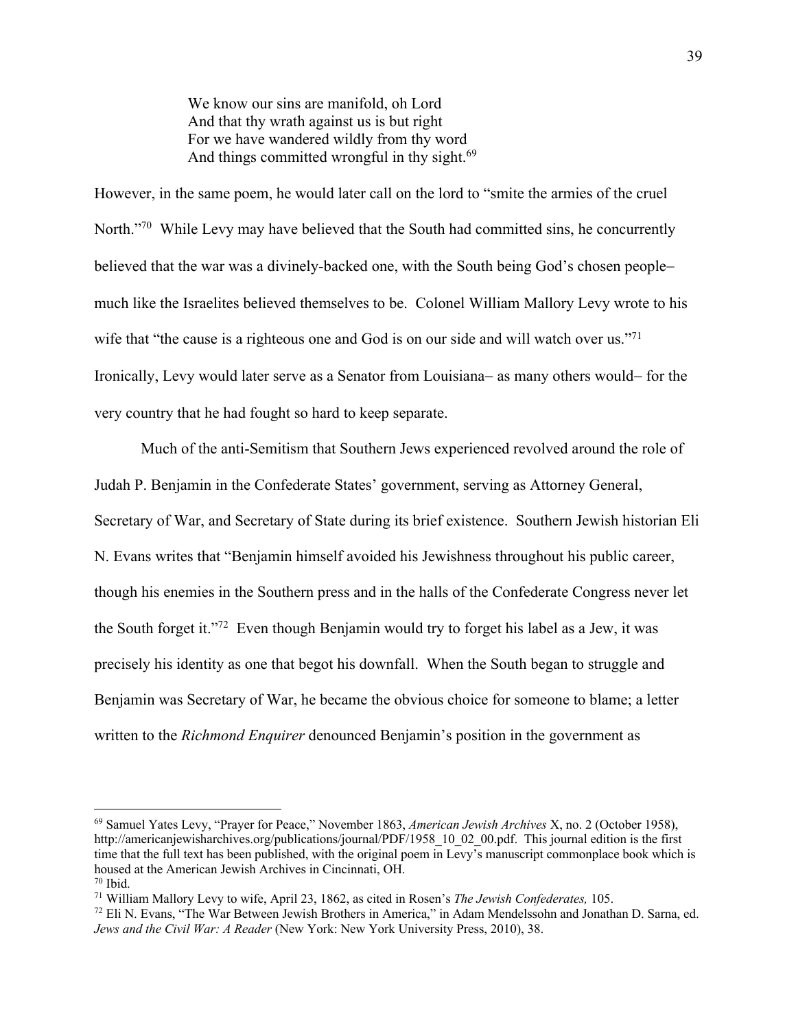We know our sins are manifold, oh Lord And that thy wrath against us is but right For we have wandered wildly from thy word And things committed wrongful in thy sight.<sup>69</sup>

However, in the same poem, he would later call on the lord to "smite the armies of the cruel North."<sup>70</sup> While Levy may have believed that the South had committed sins, he concurrently believed that the war was a divinely-backed one, with the South being God's chosen peoplemuch like the Israelites believed themselves to be. Colonel William Mallory Levy wrote to his wife that "the cause is a righteous one and God is on our side and will watch over us."<sup>71</sup> Ironically, Levy would later serve as a Senator from Louisiana- as many others would- for the very country that he had fought so hard to keep separate.

Much of the anti-Semitism that Southern Jews experienced revolved around the role of Judah P. Benjamin in the Confederate States' government, serving as Attorney General, Secretary of War, and Secretary of State during its brief existence. Southern Jewish historian Eli N. Evans writes that "Benjamin himself avoided his Jewishness throughout his public career, though his enemies in the Southern press and in the halls of the Confederate Congress never let the South forget it."72 Even though Benjamin would try to forget his label as a Jew, it was precisely his identity as one that begot his downfall. When the South began to struggle and Benjamin was Secretary of War, he became the obvious choice for someone to blame; a letter written to the *Richmond Enquirer* denounced Benjamin's position in the government as

<sup>69</sup> Samuel Yates Levy, "Prayer for Peace," November 1863, *American Jewish Archives* X, no. 2 (October 1958), http://americanjewisharchives.org/publications/journal/PDF/1958\_10\_02\_00.pdf. This journal edition is the first time that the full text has been published, with the original poem in Levy's manuscript commonplace book which is housed at the American Jewish Archives in Cincinnati, OH.<br><sup>70</sup> Ibid. <sup>71</sup> William Mallory Levy to wife, April 23, 1862, as cited in Rosen's *The Jewish Confederates*, 105.

<sup>72</sup> Eli N. Evans, "The War Between Jewish Brothers in America," in Adam Mendelssohn and Jonathan D. Sarna, ed. *Jews and the Civil War: A Reader* (New York: New York University Press, 2010), 38.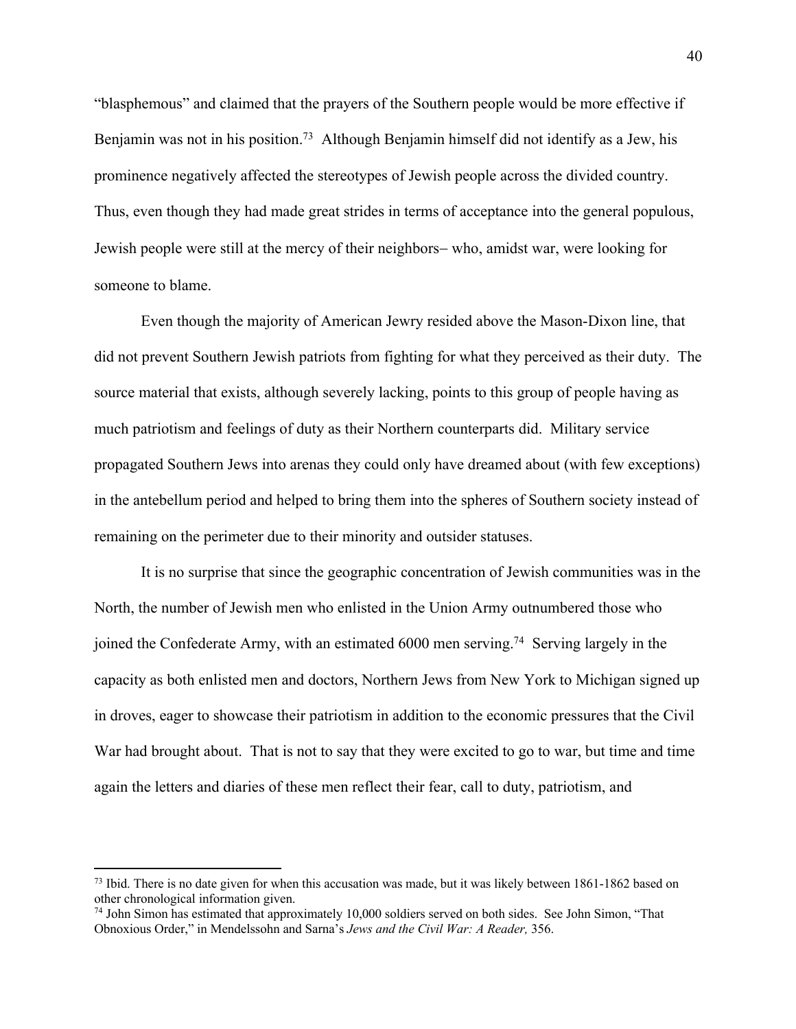"blasphemous" and claimed that the prayers of the Southern people would be more effective if Benjamin was not in his position.<sup>73</sup> Although Benjamin himself did not identify as a Jew, his prominence negatively affected the stereotypes of Jewish people across the divided country. Thus, even though they had made great strides in terms of acceptance into the general populous, Jewish people were still at the mercy of their neighbors- who, amidst war, were looking for someone to blame.

Even though the majority of American Jewry resided above the Mason-Dixon line, that did not prevent Southern Jewish patriots from fighting for what they perceived as their duty. The source material that exists, although severely lacking, points to this group of people having as much patriotism and feelings of duty as their Northern counterparts did. Military service propagated Southern Jews into arenas they could only have dreamed about (with few exceptions) in the antebellum period and helped to bring them into the spheres of Southern society instead of remaining on the perimeter due to their minority and outsider statuses.

It is no surprise that since the geographic concentration of Jewish communities was in the North, the number of Jewish men who enlisted in the Union Army outnumbered those who joined the Confederate Army, with an estimated 6000 men serving. 74 Serving largely in the capacity as both enlisted men and doctors, Northern Jews from New York to Michigan signed up in droves, eager to showcase their patriotism in addition to the economic pressures that the Civil War had brought about. That is not to say that they were excited to go to war, but time and time again the letters and diaries of these men reflect their fear, call to duty, patriotism, and

<sup>&</sup>lt;sup>73</sup> Ibid. There is no date given for when this accusation was made, but it was likely between 1861-1862 based on other chronological information given.

<sup>74</sup> John Simon has estimated that approximately 10,000 soldiers served on both sides. See John Simon, "That Obnoxious Order," in Mendelssohn and Sarna's *Jews and the Civil War: A Reader,* 356.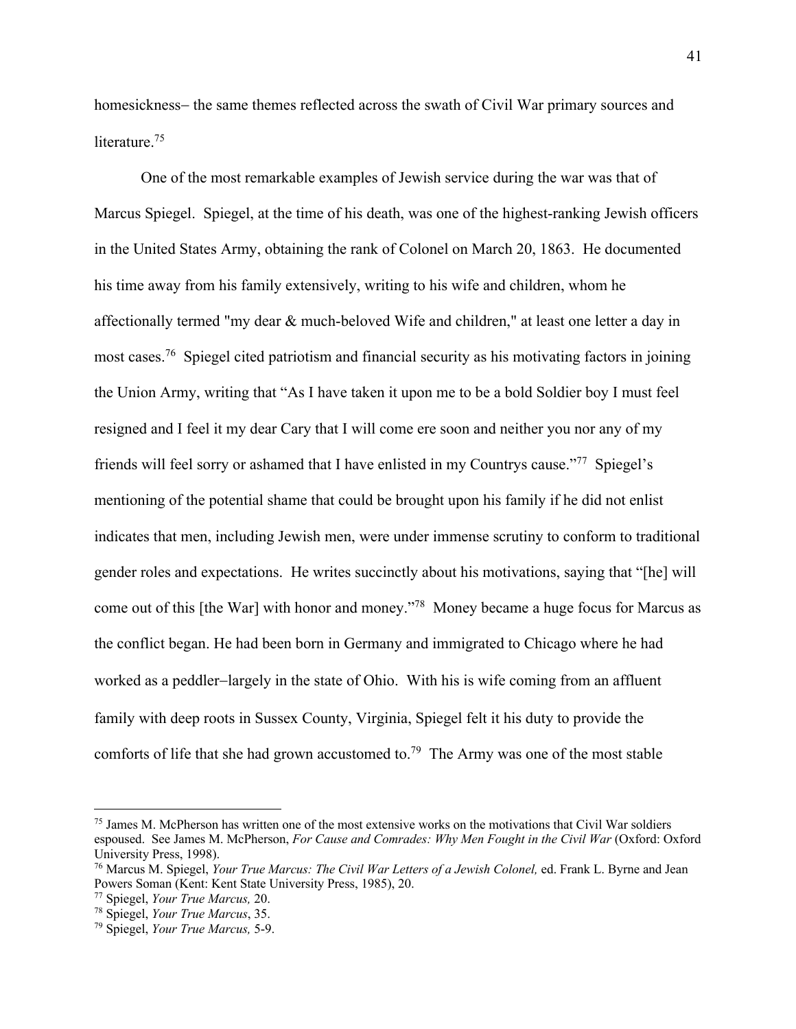homesickness- the same themes reflected across the swath of Civil War primary sources and literature.<sup>75</sup>

One of the most remarkable examples of Jewish service during the war was that of Marcus Spiegel. Spiegel, at the time of his death, was one of the highest-ranking Jewish officers in the United States Army, obtaining the rank of Colonel on March 20, 1863. He documented his time away from his family extensively, writing to his wife and children, whom he affectionally termed "my dear & much-beloved Wife and children," at least one letter a day in most cases.76 Spiegel cited patriotism and financial security as his motivating factors in joining the Union Army, writing that "As I have taken it upon me to be a bold Soldier boy I must feel resigned and I feel it my dear Cary that I will come ere soon and neither you nor any of my friends will feel sorry or ashamed that I have enlisted in my Countrys cause."77 Spiegel's mentioning of the potential shame that could be brought upon his family if he did not enlist indicates that men, including Jewish men, were under immense scrutiny to conform to traditional gender roles and expectations. He writes succinctly about his motivations, saying that "[he] will come out of this [the War] with honor and money."78 Money became a huge focus for Marcus as the conflict began. He had been born in Germany and immigrated to Chicago where he had worked as a peddler-largely in the state of Ohio. With his is wife coming from an affluent family with deep roots in Sussex County, Virginia, Spiegel felt it his duty to provide the comforts of life that she had grown accustomed to.79 The Army was one of the most stable

<sup>75</sup> James M. McPherson has written one of the most extensive works on the motivations that Civil War soldiers espoused. See James M. McPherson, *For Cause and Comrades: Why Men Fought in the Civil War* (Oxford: Oxford University Press, 1998).

<sup>76</sup> Marcus M. Spiegel, *Your True Marcus: The Civil War Letters of a Jewish Colonel,* ed. Frank L. Byrne and Jean Powers Soman (Kent: Kent State University Press, 1985), 20.

<sup>77</sup> Spiegel, *Your True Marcus,* 20. 78 Spiegel, *Your True Marcus*, 35. 79 Spiegel, *Your True Marcus,* 5-9.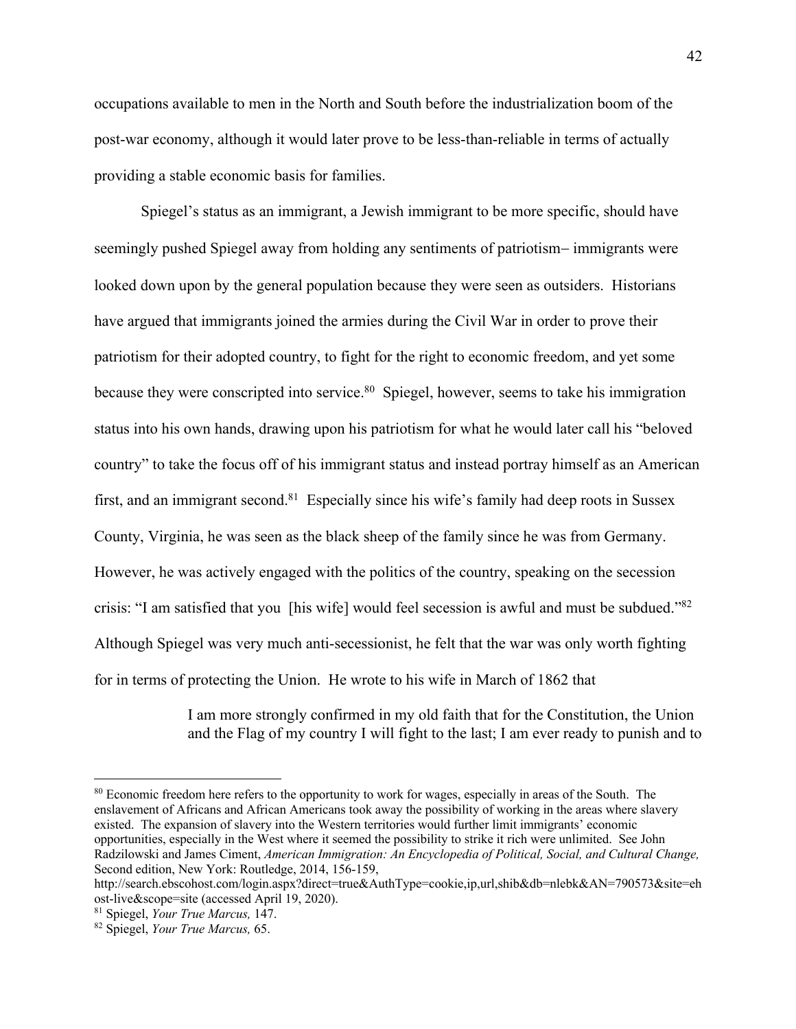occupations available to men in the North and South before the industrialization boom of the post-war economy, although it would later prove to be less-than-reliable in terms of actually providing a stable economic basis for families.

Spiegel's status as an immigrant, a Jewish immigrant to be more specific, should have seemingly pushed Spiegel away from holding any sentiments of patriotism- immigrants were looked down upon by the general population because they were seen as outsiders. Historians have argued that immigrants joined the armies during the Civil War in order to prove their patriotism for their adopted country, to fight for the right to economic freedom, and yet some because they were conscripted into service.<sup>80</sup> Spiegel, however, seems to take his immigration status into his own hands, drawing upon his patriotism for what he would later call his "beloved country" to take the focus off of his immigrant status and instead portray himself as an American first, and an immigrant second.<sup>81</sup> Especially since his wife's family had deep roots in Sussex County, Virginia, he was seen as the black sheep of the family since he was from Germany. However, he was actively engaged with the politics of the country, speaking on the secession crisis: "I am satisfied that you [his wife] would feel secession is awful and must be subdued."82 Although Spiegel was very much anti-secessionist, he felt that the war was only worth fighting for in terms of protecting the Union. He wrote to his wife in March of 1862 that

> I am more strongly confirmed in my old faith that for the Constitution, the Union and the Flag of my country I will fight to the last; I am ever ready to punish and to

<sup>&</sup>lt;sup>80</sup> Economic freedom here refers to the opportunity to work for wages, especially in areas of the South. The enslavement of Africans and African Americans took away the possibility of working in the areas where slavery existed. The expansion of slavery into the Western territories would further limit immigrants' economic opportunities, especially in the West where it seemed the possibility to strike it rich were unlimited. See John Radzilowski and James Ciment, *American Immigration: An Encyclopedia of Political, Social, and Cultural Change,* Second edition, New York: Routledge, 2014, 156-159,

http://search.ebscohost.com/login.aspx?direct=true&AuthType=cookie,ip,url,shib&db=nlebk&AN=790573&site=eh ost-live&scope=site (accessed April 19, 2020). 81 Spiegel, *Your True Marcus,* 147. 82 Spiegel, *Your True Marcus,* 65.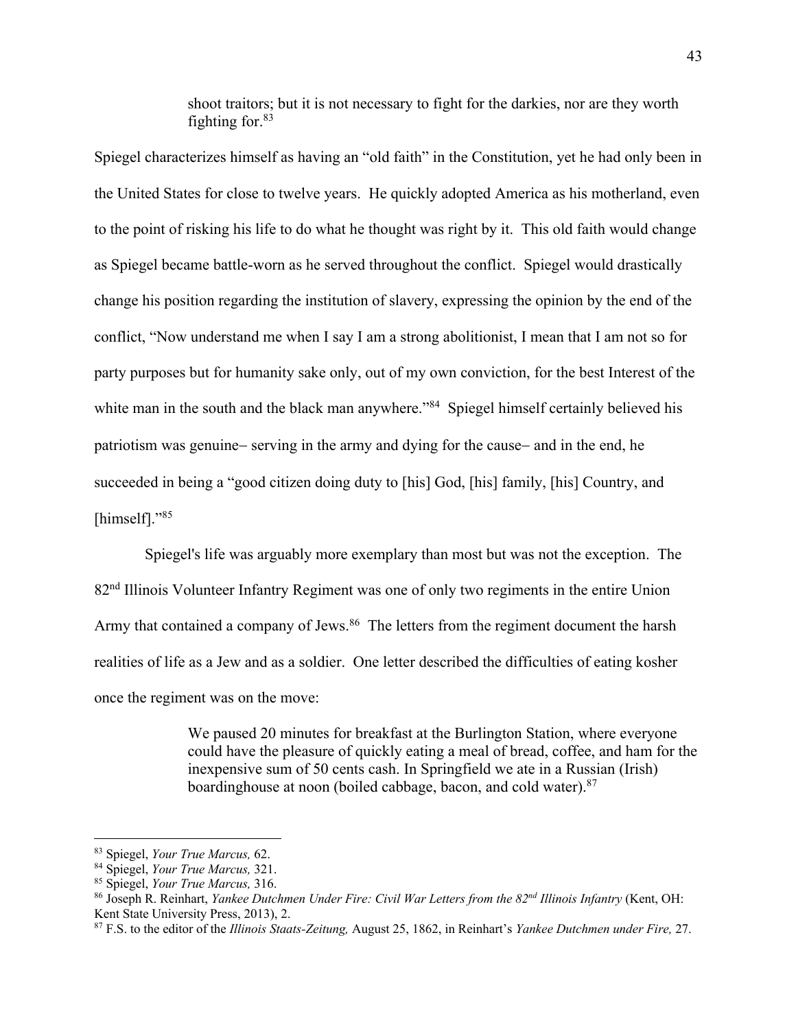shoot traitors; but it is not necessary to fight for the darkies, nor are they worth fighting for. $83$ 

Spiegel characterizes himself as having an "old faith" in the Constitution, yet he had only been in the United States for close to twelve years. He quickly adopted America as his motherland, even to the point of risking his life to do what he thought was right by it. This old faith would change as Spiegel became battle-worn as he served throughout the conflict. Spiegel would drastically change his position regarding the institution of slavery, expressing the opinion by the end of the conflict, "Now understand me when I say I am a strong abolitionist, I mean that I am not so for party purposes but for humanity sake only, out of my own conviction, for the best Interest of the white man in the south and the black man anywhere."<sup>84</sup> Spiegel himself certainly believed his patriotism was genuine- serving in the army and dying for the cause- and in the end, he succeeded in being a "good citizen doing duty to [his] God, [his] family, [his] Country, and [himself]."85

Spiegel's life was arguably more exemplary than most but was not the exception. The 82nd Illinois Volunteer Infantry Regiment was one of only two regiments in the entire Union Army that contained a company of Jews.<sup>86</sup> The letters from the regiment document the harsh realities of life as a Jew and as a soldier. One letter described the difficulties of eating kosher once the regiment was on the move:

> We paused 20 minutes for breakfast at the Burlington Station, where everyone could have the pleasure of quickly eating a meal of bread, coffee, and ham for the inexpensive sum of 50 cents cash. In Springfield we ate in a Russian (Irish) boardinghouse at noon (boiled cabbage, bacon, and cold water).<sup>87</sup>

<sup>&</sup>lt;sup>83</sup> Spiegel, *Your True Marcus*, 62.<br><sup>84</sup> Spiegel, *Your True Marcus*, 321.<br><sup>85</sup> Spiegel, *Your True Marcus*, 316.<br><sup>85</sup> Joseph R. Reinhart, *Yankee Dutchmen Under Fire: Civil War Letters from the 82<sup>nd</sup> Illinois Infantry* Kent State University Press, 2013), 2.

<sup>87</sup> F.S. to the editor of the *Illinois Staats-Zeitung,* August 25, 1862, in Reinhart's *Yankee Dutchmen under Fire,* 27.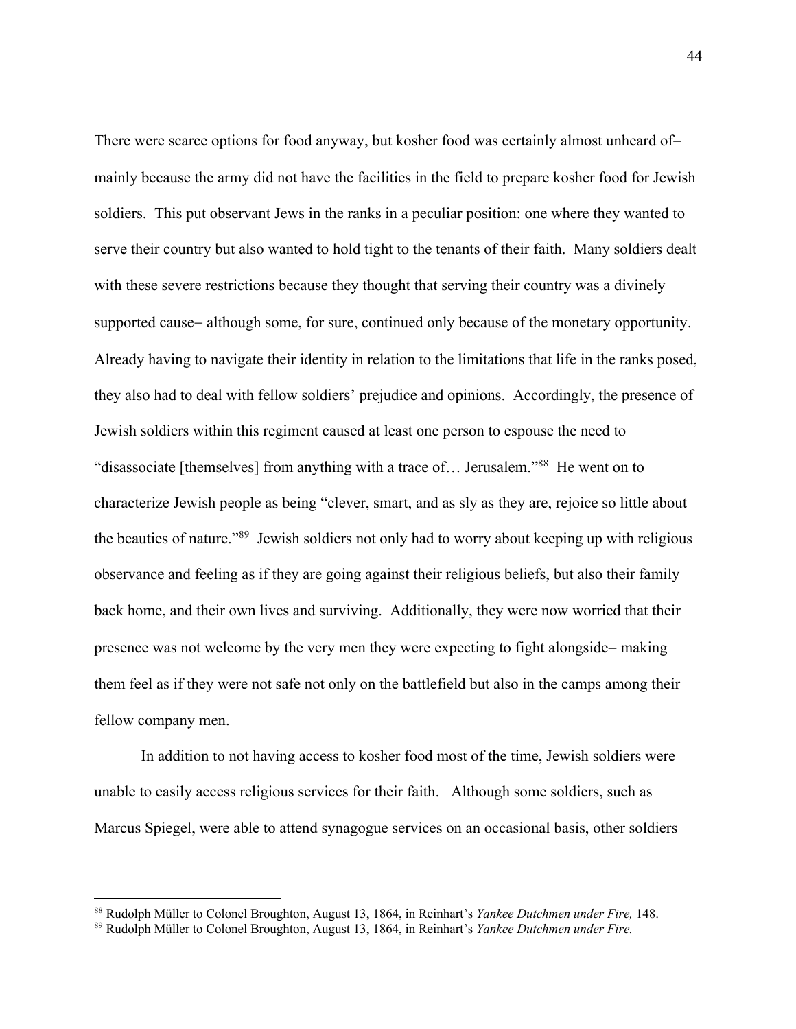There were scarce options for food anyway, but kosher food was certainly almost unheard ofmainly because the army did not have the facilities in the field to prepare kosher food for Jewish soldiers. This put observant Jews in the ranks in a peculiar position: one where they wanted to serve their country but also wanted to hold tight to the tenants of their faith. Many soldiers dealt with these severe restrictions because they thought that serving their country was a divinely supported cause- although some, for sure, continued only because of the monetary opportunity. Already having to navigate their identity in relation to the limitations that life in the ranks posed, they also had to deal with fellow soldiers' prejudice and opinions. Accordingly, the presence of Jewish soldiers within this regiment caused at least one person to espouse the need to "disassociate [themselves] from anything with a trace of… Jerusalem."88 He went on to characterize Jewish people as being "clever, smart, and as sly as they are, rejoice so little about the beauties of nature."89 Jewish soldiers not only had to worry about keeping up with religious observance and feeling as if they are going against their religious beliefs, but also their family back home, and their own lives and surviving. Additionally, they were now worried that their presence was not welcome by the very men they were expecting to fight alongside- making them feel as if they were not safe not only on the battlefield but also in the camps among their fellow company men.

In addition to not having access to kosher food most of the time, Jewish soldiers were unable to easily access religious services for their faith. Although some soldiers, such as Marcus Spiegel, were able to attend synagogue services on an occasional basis, other soldiers

<sup>&</sup>lt;sup>88</sup> Rudolph Müller to Colonel Broughton, August 13, 1864, in Reinhart's *Yankee Dutchmen under Fire*, 148. <sup>89</sup> Rudolph Müller to Colonel Broughton, August 13, 1864, in Reinhart's *Yankee Dutchmen under Fire*.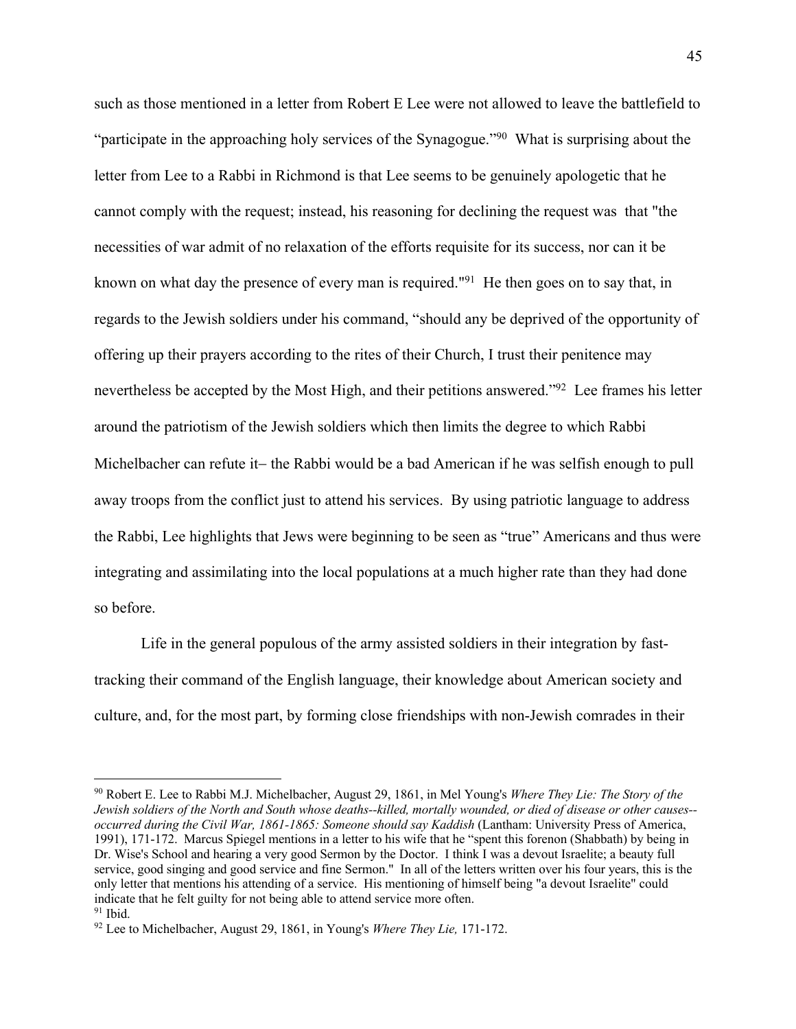such as those mentioned in a letter from Robert E Lee were not allowed to leave the battlefield to "participate in the approaching holy services of the Synagogue."<sup>90</sup> What is surprising about the letter from Lee to a Rabbi in Richmond is that Lee seems to be genuinely apologetic that he cannot comply with the request; instead, his reasoning for declining the request was that "the necessities of war admit of no relaxation of the efforts requisite for its success, nor can it be known on what day the presence of every man is required."91 He then goes on to say that, in regards to the Jewish soldiers under his command, "should any be deprived of the opportunity of offering up their prayers according to the rites of their Church, I trust their penitence may nevertheless be accepted by the Most High, and their petitions answered."92 Lee frames his letter around the patriotism of the Jewish soldiers which then limits the degree to which Rabbi Michelbacher can refute it- the Rabbi would be a bad American if he was selfish enough to pull away troops from the conflict just to attend his services. By using patriotic language to address the Rabbi, Lee highlights that Jews were beginning to be seen as "true" Americans and thus were integrating and assimilating into the local populations at a much higher rate than they had done so before.

Life in the general populous of the army assisted soldiers in their integration by fasttracking their command of the English language, their knowledge about American society and culture, and, for the most part, by forming close friendships with non-Jewish comrades in their

<sup>90</sup> Robert E. Lee to Rabbi M.J. Michelbacher, August 29, 1861, in Mel Young's *Where They Lie: The Story of the Jewish soldiers of the North and South whose deaths--killed, mortally wounded, or died of disease or other causes- occurred during the Civil War, 1861-1865: Someone should say Kaddish* (Lantham: University Press of America, 1991), 171-172. Marcus Spiegel mentions in a letter to his wife that he "spent this forenon (Shabbath) by being in Dr. Wise's School and hearing a very good Sermon by the Doctor. I think I was a devout Israelite; a beauty full service, good singing and good service and fine Sermon." In all of the letters written over his four years, this is the only letter that mentions his attending of a service. His mentioning of himself being "a devout Israelite" could indicate that he felt guilty for not being able to attend service more often.

<sup>91</sup> Ibid. 92 Lee to Michelbacher, August 29, 1861, in Young's *Where They Lie,* 171-172.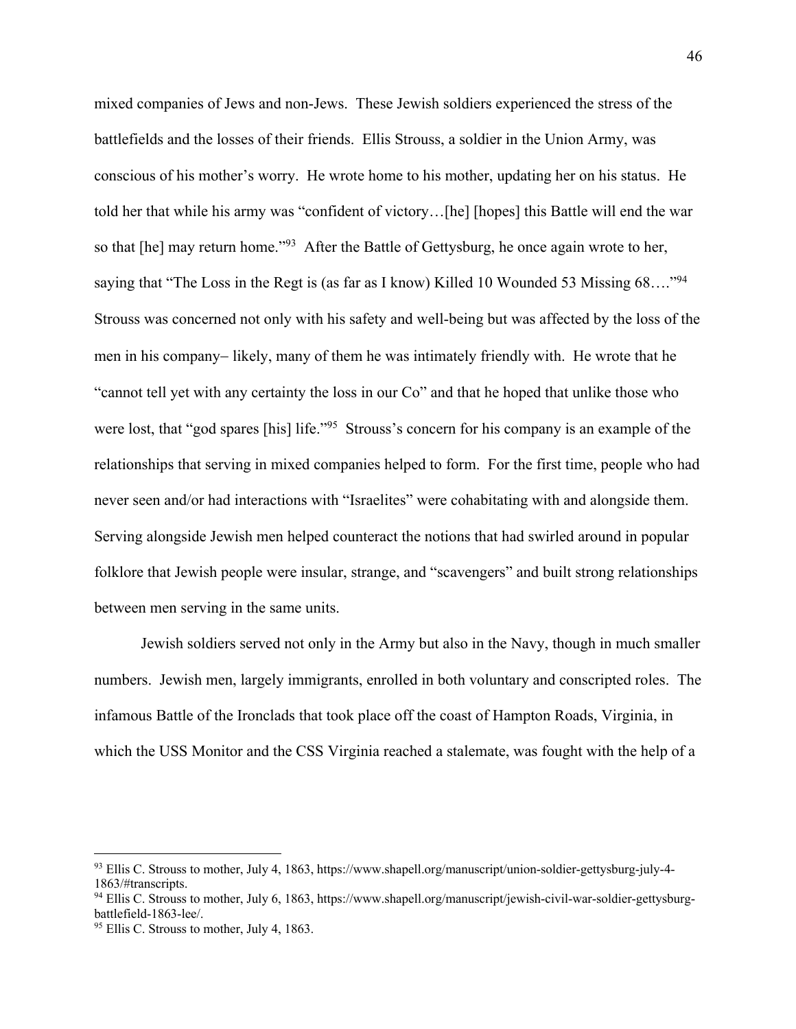mixed companies of Jews and non-Jews. These Jewish soldiers experienced the stress of the battlefields and the losses of their friends. Ellis Strouss, a soldier in the Union Army, was conscious of his mother's worry. He wrote home to his mother, updating her on his status. He told her that while his army was "confident of victory…[he] [hopes] this Battle will end the war so that [he] may return home."<sup>93</sup> After the Battle of Gettysburg, he once again wrote to her, saying that "The Loss in the Regt is (as far as I know) Killed 10 Wounded 53 Missing 68...."<sup>94</sup> Strouss was concerned not only with his safety and well-being but was affected by the loss of the men in his company- likely, many of them he was intimately friendly with. He wrote that he "cannot tell yet with any certainty the loss in our Co" and that he hoped that unlike those who were lost, that "god spares [his] life."<sup>95</sup> Strouss's concern for his company is an example of the relationships that serving in mixed companies helped to form. For the first time, people who had never seen and/or had interactions with "Israelites" were cohabitating with and alongside them. Serving alongside Jewish men helped counteract the notions that had swirled around in popular folklore that Jewish people were insular, strange, and "scavengers" and built strong relationships between men serving in the same units.

Jewish soldiers served not only in the Army but also in the Navy, though in much smaller numbers. Jewish men, largely immigrants, enrolled in both voluntary and conscripted roles. The infamous Battle of the Ironclads that took place off the coast of Hampton Roads, Virginia, in which the USS Monitor and the CSS Virginia reached a stalemate, was fought with the help of a

 $93$  Ellis C. Strouss to mother, July 4, 1863, https://www.shapell.org/manuscript/union-soldier-gettysburg-july-4-1863/#transcripts.

 $94$  Ellis C. Strouss to mother, July 6, 1863, https://www.shapell.org/manuscript/jewish-civil-war-soldier-gettysburg-<br>battlefield-1863-lee/.

 $95$  Ellis C. Strouss to mother, July 4, 1863.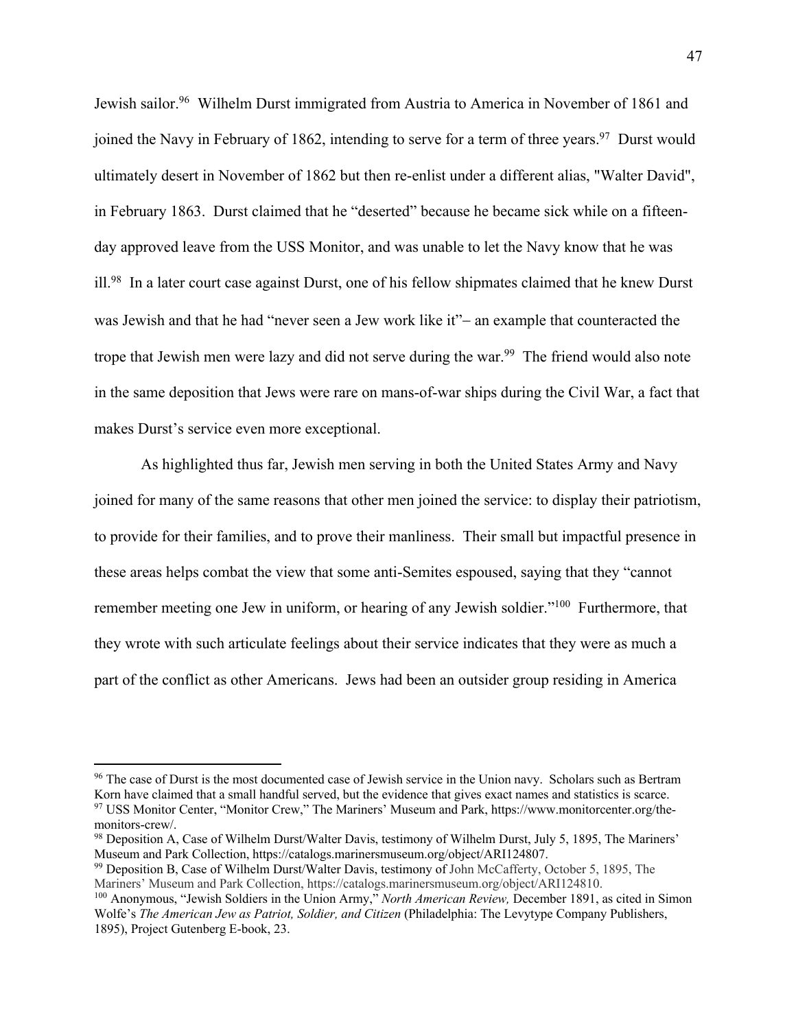Jewish sailor.<sup>96</sup> Wilhelm Durst immigrated from Austria to America in November of 1861 and joined the Navy in February of 1862, intending to serve for a term of three years.<sup>97</sup> Durst would ultimately desert in November of 1862 but then re-enlist under a different alias, "Walter David", in February 1863. Durst claimed that he "deserted" because he became sick while on a fifteenday approved leave from the USS Monitor, and was unable to let the Navy know that he was ill.98 In a later court case against Durst, one of his fellow shipmates claimed that he knew Durst was Jewish and that he had "never seen a Jew work like it"- an example that counteracted the trope that Jewish men were lazy and did not serve during the war.<sup>99</sup> The friend would also note in the same deposition that Jews were rare on mans-of-war ships during the Civil War, a fact that makes Durst's service even more exceptional.

As highlighted thus far, Jewish men serving in both the United States Army and Navy joined for many of the same reasons that other men joined the service: to display their patriotism, to provide for their families, and to prove their manliness. Their small but impactful presence in these areas helps combat the view that some anti-Semites espoused, saying that they "cannot remember meeting one Jew in uniform, or hearing of any Jewish soldier."<sup>100</sup> Furthermore, that they wrote with such articulate feelings about their service indicates that they were as much a part of the conflict as other Americans. Jews had been an outsider group residing in America

<sup>&</sup>lt;sup>96</sup> The case of Durst is the most documented case of Jewish service in the Union navy. Scholars such as Bertram Korn have claimed that a small handful served, but the evidence that gives exact names and statistics is scarce.

<sup>97</sup> USS Monitor Center, "Monitor Crew," The Mariners' Museum and Park, https://www.monitorcenter.org/themonitors-crew/.<br><sup>98</sup> Deposition A, Case of Wilhelm Durst/Walter Davis, testimony of Wilhelm Durst, July 5, 1895, The Mariners'

Museum and Park Collection, https://catalogs.marinersmuseum.org/object/ARI124807.

<sup>99</sup> Deposition B, Case of Wilhelm Durst/Walter Davis, testimony of John McCafferty, October 5, 1895, The Mariners' Museum and Park Collection, https://catalogs.marinersmuseum.org/object/ARI124810.

<sup>100</sup> Anonymous, "Jewish Soldiers in the Union Army," *North American Review,* December 1891, as cited in Simon Wolfe's *The American Jew as Patriot, Soldier, and Citizen* (Philadelphia: The Levytype Company Publishers, 1895), Project Gutenberg E-book, 23.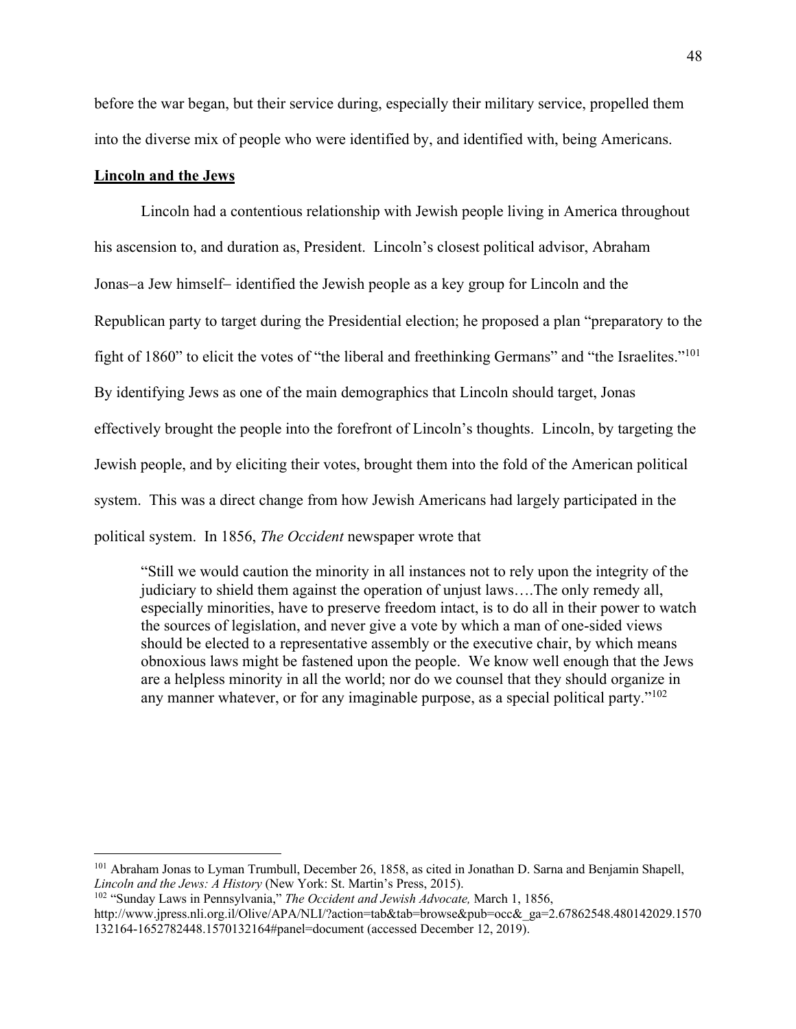before the war began, but their service during, especially their military service, propelled them into the diverse mix of people who were identified by, and identified with, being Americans.

# **Lincoln and the Jews**

Lincoln had a contentious relationship with Jewish people living in America throughout his ascension to, and duration as, President. Lincoln's closest political advisor, Abraham Jonas-a Jew himself- identified the Jewish people as a key group for Lincoln and the Republican party to target during the Presidential election; he proposed a plan "preparatory to the fight of 1860" to elicit the votes of "the liberal and freethinking Germans" and "the Israelites."101 By identifying Jews as one of the main demographics that Lincoln should target, Jonas effectively brought the people into the forefront of Lincoln's thoughts. Lincoln, by targeting the Jewish people, and by eliciting their votes, brought them into the fold of the American political system. This was a direct change from how Jewish Americans had largely participated in the political system. In 1856, *The Occident* newspaper wrote that

"Still we would caution the minority in all instances not to rely upon the integrity of the judiciary to shield them against the operation of unjust laws….The only remedy all, especially minorities, have to preserve freedom intact, is to do all in their power to watch the sources of legislation, and never give a vote by which a man of one-sided views should be elected to a representative assembly or the executive chair, by which means obnoxious laws might be fastened upon the people. We know well enough that the Jews are a helpless minority in all the world; nor do we counsel that they should organize in any manner whatever, or for any imaginable purpose, as a special political party."<sup>102</sup>

<sup>101</sup> Abraham Jonas to Lyman Trumbull, December 26, 1858, as cited in Jonathan D. Sarna and Benjamin Shapell, *Lincoln and the Jews: A History* (New York: St. Martin's Press, 2015). 102 "Sunday Laws in Pennsylvania," *The Occident and Jewish Advocate,* March 1, 1856,

http://www.jpress.nli.org.il/Olive/APA/NLI/?action=tab&tab=browse&pub=occ&\_ga=2.67862548.480142029.1570 132164-1652782448.1570132164#panel=document (accessed December 12, 2019).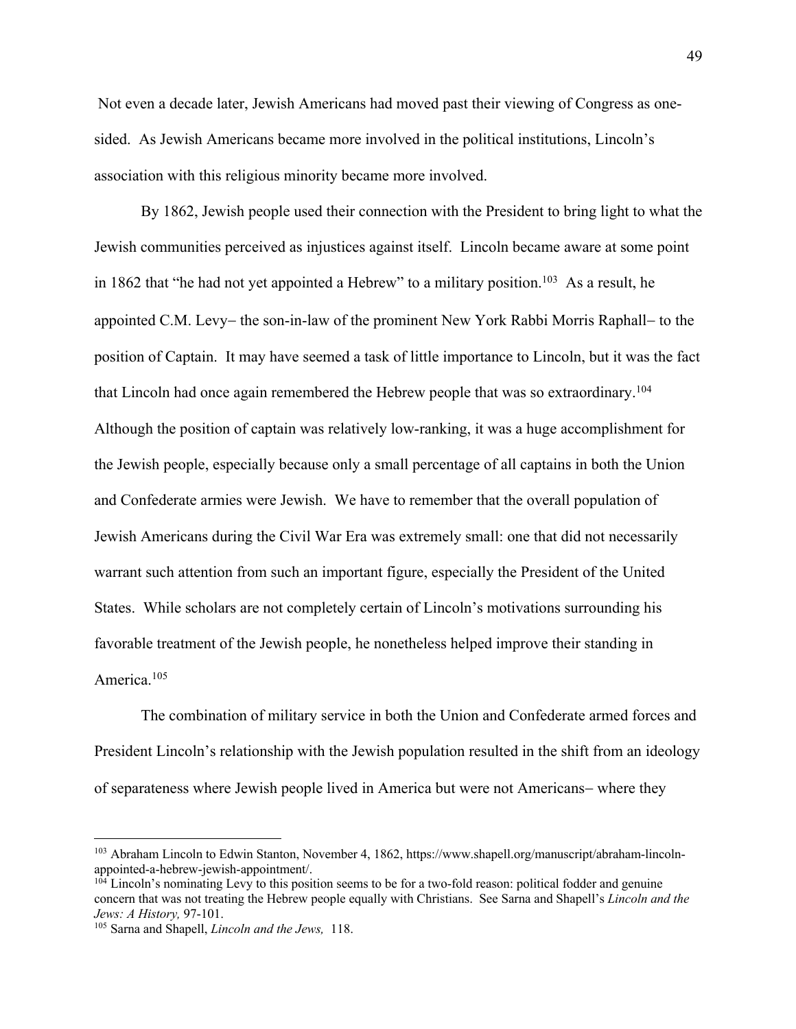Not even a decade later, Jewish Americans had moved past their viewing of Congress as onesided. As Jewish Americans became more involved in the political institutions, Lincoln's association with this religious minority became more involved.

By 1862, Jewish people used their connection with the President to bring light to what the Jewish communities perceived as injustices against itself. Lincoln became aware at some point in 1862 that "he had not yet appointed a Hebrew" to a military position.<sup>103</sup> As a result, he appointed C.M. Levy- the son-in-law of the prominent New York Rabbi Morris Raphall- to the position of Captain. It may have seemed a task of little importance to Lincoln, but it was the fact that Lincoln had once again remembered the Hebrew people that was so extraordinary.104 Although the position of captain was relatively low-ranking, it was a huge accomplishment for the Jewish people, especially because only a small percentage of all captains in both the Union and Confederate armies were Jewish. We have to remember that the overall population of Jewish Americans during the Civil War Era was extremely small: one that did not necessarily warrant such attention from such an important figure, especially the President of the United States. While scholars are not completely certain of Lincoln's motivations surrounding his favorable treatment of the Jewish people, he nonetheless helped improve their standing in America.105

The combination of military service in both the Union and Confederate armed forces and President Lincoln's relationship with the Jewish population resulted in the shift from an ideology of separateness where Jewish people lived in America but were not Americans- where they

<sup>103</sup> Abraham Lincoln to Edwin Stanton, November 4, 1862, https://www.shapell.org/manuscript/abraham-lincolnappointed-a-hebrew-jewish-appointment/.<br><sup>104</sup> Lincoln's nominating Levy to this position seems to be for a two-fold reason: political fodder and genuine

concern that was not treating the Hebrew people equally with Christians. See Sarna and Shapell's *Lincoln and the Jews: A History, 97-101.* 105 Sarna and Shapell, *Lincoln and the Jews, 118.*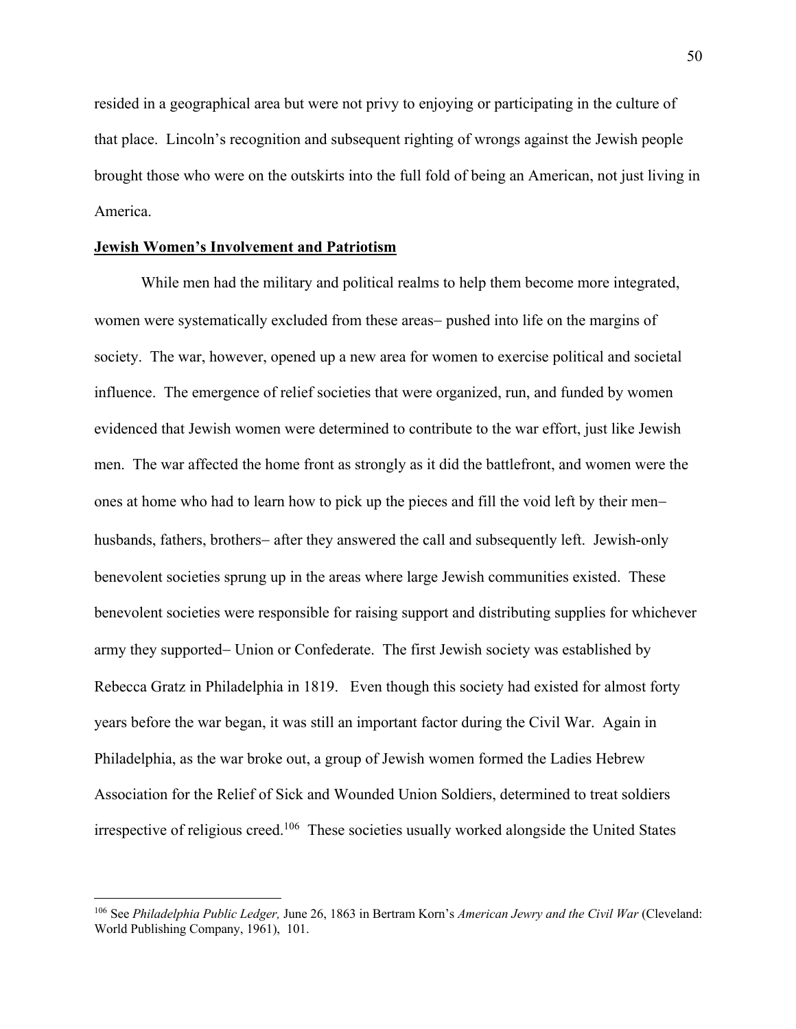resided in a geographical area but were not privy to enjoying or participating in the culture of that place. Lincoln's recognition and subsequent righting of wrongs against the Jewish people brought those who were on the outskirts into the full fold of being an American, not just living in America.

#### **Jewish Women's Involvement and Patriotism**

While men had the military and political realms to help them become more integrated, women were systematically excluded from these areas- pushed into life on the margins of society. The war, however, opened up a new area for women to exercise political and societal influence. The emergence of relief societies that were organized, run, and funded by women evidenced that Jewish women were determined to contribute to the war effort, just like Jewish men. The war affected the home front as strongly as it did the battlefront, and women were the ones at home who had to learn how to pick up the pieces and fill the void left by their menhusbands, fathers, brothers- after they answered the call and subsequently left. Jewish-only benevolent societies sprung up in the areas where large Jewish communities existed. These benevolent societies were responsible for raising support and distributing supplies for whichever army they supported- Union or Confederate. The first Jewish society was established by Rebecca Gratz in Philadelphia in 1819. Even though this society had existed for almost forty years before the war began, it was still an important factor during the Civil War. Again in Philadelphia, as the war broke out, a group of Jewish women formed the Ladies Hebrew Association for the Relief of Sick and Wounded Union Soldiers, determined to treat soldiers irrespective of religious creed.106 These societies usually worked alongside the United States

<sup>106</sup> See *Philadelphia Public Ledger,* June 26, 1863 in Bertram Korn's *American Jewry and the Civil War* (Cleveland: World Publishing Company, 1961), 101.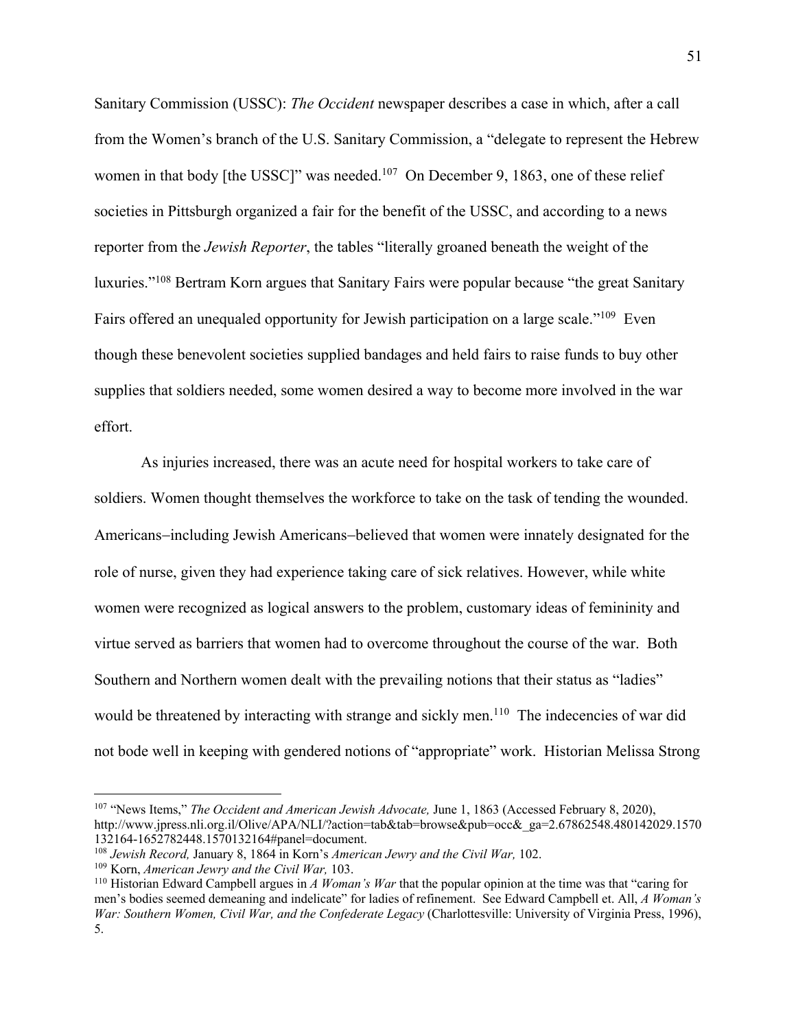Sanitary Commission (USSC): *The Occident* newspaper describes a case in which, after a call from the Women's branch of the U.S. Sanitary Commission, a "delegate to represent the Hebrew women in that body [the USSC]" was needed.<sup>107</sup> On December 9, 1863, one of these relief societies in Pittsburgh organized a fair for the benefit of the USSC, and according to a news reporter from the *Jewish Reporter*, the tables "literally groaned beneath the weight of the luxuries."108 Bertram Korn argues that Sanitary Fairs were popular because "the great Sanitary Fairs offered an unequaled opportunity for Jewish participation on a large scale."<sup>109</sup> Even though these benevolent societies supplied bandages and held fairs to raise funds to buy other supplies that soldiers needed, some women desired a way to become more involved in the war effort.

As injuries increased, there was an acute need for hospital workers to take care of soldiers. Women thought themselves the workforce to take on the task of tending the wounded. Americans-including Jewish Americans-believed that women were innately designated for the role of nurse, given they had experience taking care of sick relatives. However, while white women were recognized as logical answers to the problem, customary ideas of femininity and virtue served as barriers that women had to overcome throughout the course of the war. Both Southern and Northern women dealt with the prevailing notions that their status as "ladies" would be threatened by interacting with strange and sickly men.<sup>110</sup> The indecencies of war did not bode well in keeping with gendered notions of "appropriate" work. Historian Melissa Strong

<sup>107</sup> "News Items," *The Occident and American Jewish Advocate,* June 1, 1863 (Accessed February 8, 2020), http://www.jpress.nli.org.il/Olive/APA/NLI/?action=tab&tab=browse&pub=occ&\_ga=2.67862548.480142029.1570 132164-1652782448.1570132164#panel=document. 108 *Jewish Record,* January 8, 1864 in Korn's *American Jewry and the Civil War,* 102.

<sup>&</sup>lt;sup>109</sup> Korn, *American Jewry and the Civil War*, 103.<br><sup>110</sup> Historian Edward Campbell argues in *A Woman's War* that the popular opinion at the time was that "caring for men's bodies seemed demeaning and indelicate" for ladies of refinement. See Edward Campbell et. All, *A Woman's War: Southern Women, Civil War, and the Confederate Legacy* (Charlottesville: University of Virginia Press, 1996), 5.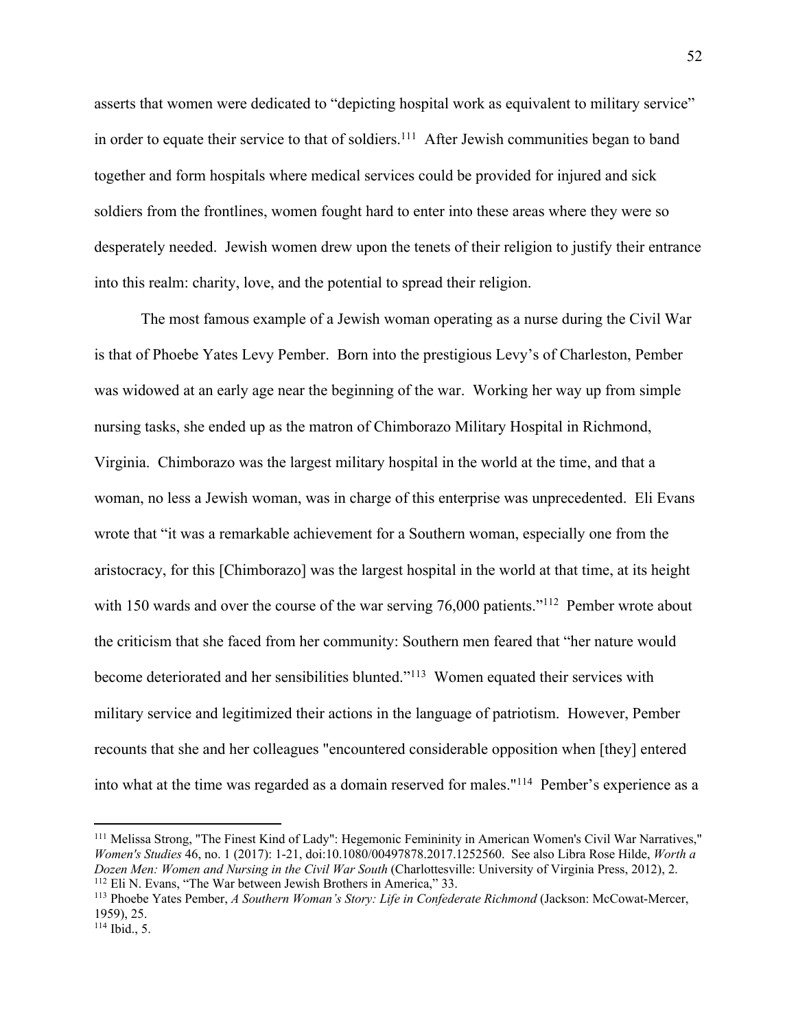asserts that women were dedicated to "depicting hospital work as equivalent to military service" in order to equate their service to that of soldiers.<sup>111</sup> After Jewish communities began to band together and form hospitals where medical services could be provided for injured and sick soldiers from the frontlines, women fought hard to enter into these areas where they were so desperately needed. Jewish women drew upon the tenets of their religion to justify their entrance into this realm: charity, love, and the potential to spread their religion.

The most famous example of a Jewish woman operating as a nurse during the Civil War is that of Phoebe Yates Levy Pember. Born into the prestigious Levy's of Charleston, Pember was widowed at an early age near the beginning of the war. Working her way up from simple nursing tasks, she ended up as the matron of Chimborazo Military Hospital in Richmond, Virginia. Chimborazo was the largest military hospital in the world at the time, and that a woman, no less a Jewish woman, was in charge of this enterprise was unprecedented. Eli Evans wrote that "it was a remarkable achievement for a Southern woman, especially one from the aristocracy, for this [Chimborazo] was the largest hospital in the world at that time, at its height with 150 wards and over the course of the war serving 76,000 patients."<sup>112</sup> Pember wrote about the criticism that she faced from her community: Southern men feared that "her nature would become deteriorated and her sensibilities blunted."113 Women equated their services with military service and legitimized their actions in the language of patriotism. However, Pember recounts that she and her colleagues "encountered considerable opposition when [they] entered into what at the time was regarded as a domain reserved for males."114 Pember's experience as a

<sup>111</sup> Melissa Strong, "The Finest Kind of Lady": Hegemonic Femininity in American Women's Civil War Narratives," *Women's Studies* 46, no. 1 (2017): 1-21, doi:10.1080/00497878.2017.1252560. See also Libra Rose Hilde, *Worth a Dozen Men: Women and Nursing in the Civil War South (Charlottesville: University of Virginia Press, 2012), 2.* <sup>112</sup> Eli N. Evans, "The War between Jewish Brothers in America," 33.

<sup>113</sup> Phoebe Yates Pember, *A Southern Woman's Story: Life in Confederate Richmond* (Jackson: McCowat-Mercer, 1959), 25.

<sup>114</sup> Ibid., 5.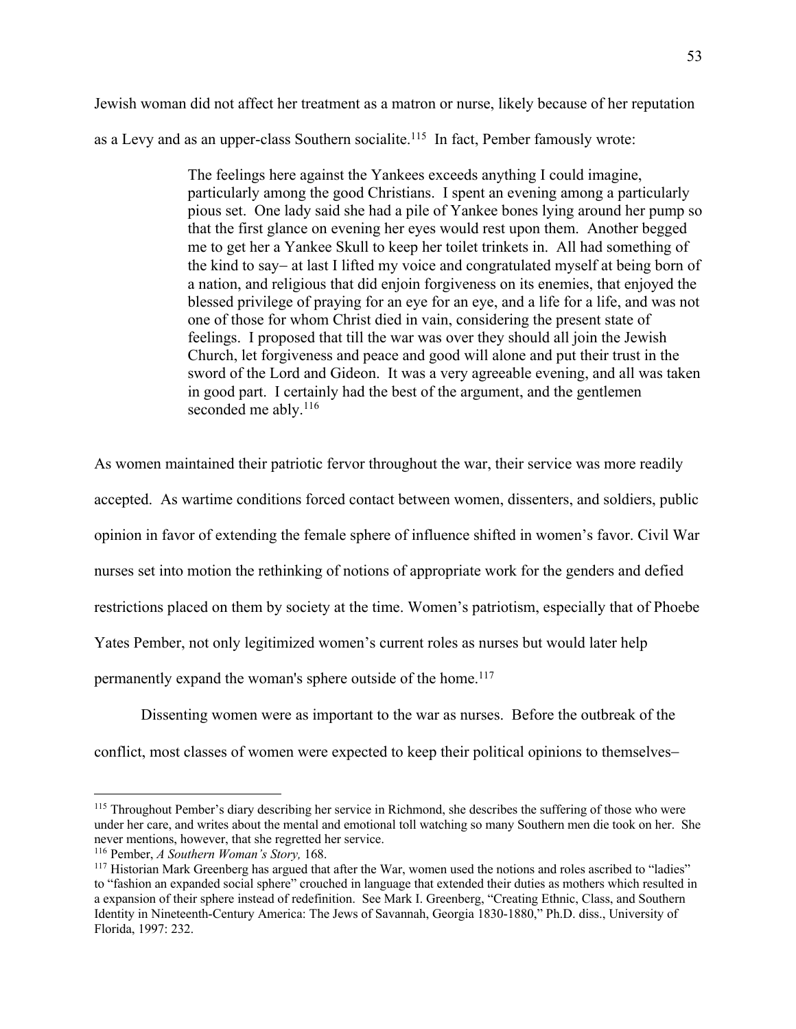Jewish woman did not affect her treatment as a matron or nurse, likely because of her reputation as a Levy and as an upper-class Southern socialite.<sup>115</sup> In fact, Pember famously wrote:

> The feelings here against the Yankees exceeds anything I could imagine, particularly among the good Christians. I spent an evening among a particularly pious set. One lady said she had a pile of Yankee bones lying around her pump so that the first glance on evening her eyes would rest upon them. Another begged me to get her a Yankee Skull to keep her toilet trinkets in. All had something of the kind to say- at last I lifted my voice and congratulated myself at being born of a nation, and religious that did enjoin forgiveness on its enemies, that enjoyed the blessed privilege of praying for an eye for an eye, and a life for a life, and was not one of those for whom Christ died in vain, considering the present state of feelings. I proposed that till the war was over they should all join the Jewish Church, let forgiveness and peace and good will alone and put their trust in the sword of the Lord and Gideon. It was a very agreeable evening, and all was taken in good part. I certainly had the best of the argument, and the gentlemen seconded me ably. $116$

As women maintained their patriotic fervor throughout the war, their service was more readily accepted. As wartime conditions forced contact between women, dissenters, and soldiers, public opinion in favor of extending the female sphere of influence shifted in women's favor. Civil War nurses set into motion the rethinking of notions of appropriate work for the genders and defied restrictions placed on them by society at the time. Women's patriotism, especially that of Phoebe Yates Pember, not only legitimized women's current roles as nurses but would later help permanently expand the woman's sphere outside of the home.<sup>117</sup>

Dissenting women were as important to the war as nurses. Before the outbreak of the conflict, most classes of women were expected to keep their political opinions to themselves-

<sup>&</sup>lt;sup>115</sup> Throughout Pember's diary describing her service in Richmond, she describes the suffering of those who were under her care, and writes about the mental and emotional toll watching so many Southern men die took on her. She never mentions, however, that she regretted her service.

<sup>&</sup>lt;sup>116</sup> Pember, *A Southern Woman's Story*, 168.<br><sup>117</sup> Historian Mark Greenberg has argued that after the War, women used the notions and roles ascribed to "ladies" to "fashion an expanded social sphere" crouched in language that extended their duties as mothers which resulted in a expansion of their sphere instead of redefinition. See Mark I. Greenberg, "Creating Ethnic, Class, and Southern Identity in Nineteenth-Century America: The Jews of Savannah, Georgia 1830-1880," Ph.D. diss., University of Florida, 1997: 232.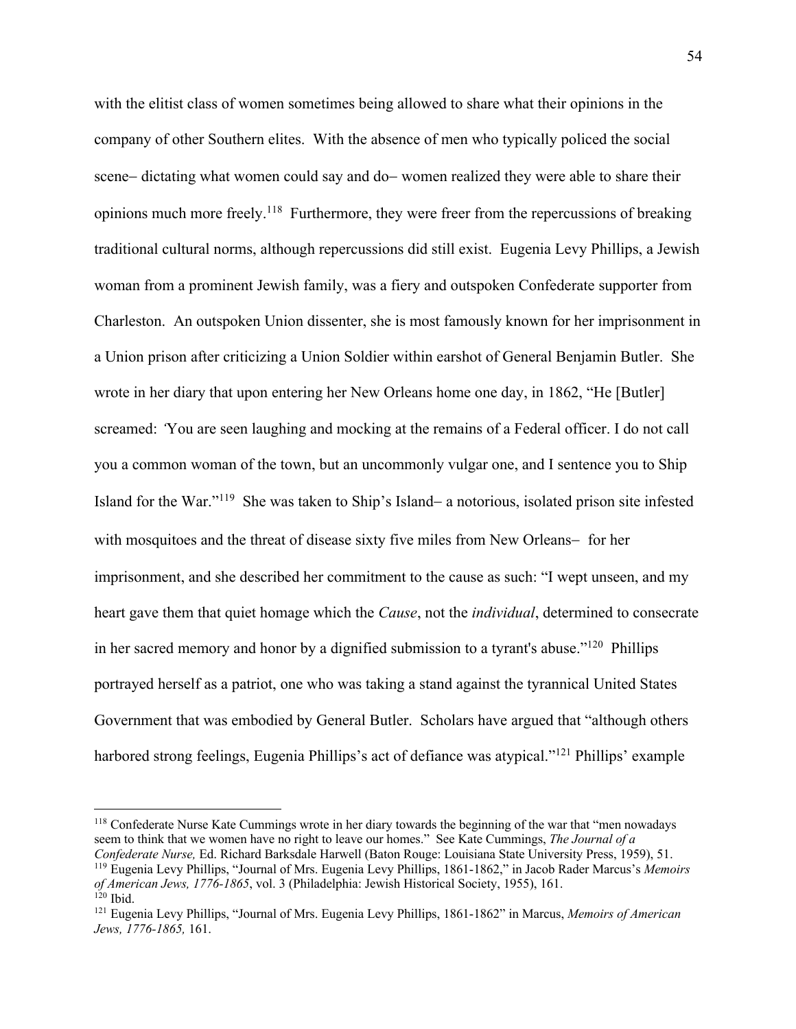with the elitist class of women sometimes being allowed to share what their opinions in the company of other Southern elites. With the absence of men who typically policed the social scene- dictating what women could say and do- women realized they were able to share their opinions much more freely.118 Furthermore, they were freer from the repercussions of breaking traditional cultural norms, although repercussions did still exist. Eugenia Levy Phillips, a Jewish woman from a prominent Jewish family, was a fiery and outspoken Confederate supporter from Charleston. An outspoken Union dissenter, she is most famously known for her imprisonment in a Union prison after criticizing a Union Soldier within earshot of General Benjamin Butler. She wrote in her diary that upon entering her New Orleans home one day, in 1862, "He [Butler] screamed: *'*You are seen laughing and mocking at the remains of a Federal officer. I do not call you a common woman of the town, but an uncommonly vulgar one, and I sentence you to Ship Island for the War."119 She was taken to Ship's Island- a notorious, isolated prison site infested with mosquitoes and the threat of disease sixty five miles from New Orleans- for her imprisonment, and she described her commitment to the cause as such: "I wept unseen, and my heart gave them that quiet homage which the *Cause*, not the *individual*, determined to consecrate in her sacred memory and honor by a dignified submission to a tyrant's abuse."120 Phillips portrayed herself as a patriot, one who was taking a stand against the tyrannical United States Government that was embodied by General Butler. Scholars have argued that "although others harbored strong feelings, Eugenia Phillips's act of defiance was atypical."<sup>121</sup> Phillips' example

<sup>&</sup>lt;sup>118</sup> Confederate Nurse Kate Cummings wrote in her diary towards the beginning of the war that "men nowadays" seem to think that we women have no right to leave our homes." See Kate Cummings, *The Journal of a*  Confederate Nurse, Ed. Richard Barksdale Harwell (Baton Rouge: Louisiana State University Press, 1959), 51.<br><sup>119</sup> Eugenia Levy Phillips, "Journal of Mrs. Eugenia Levy Phillips, 1861-1862," in Jacob Rader Marcus's Memoirs

*of American Jews, 1776-1865*, vol. 3 (Philadelphia: Jewish Historical Society, 1955), 161.<br><sup>120</sup> Ibid.

<sup>121</sup> Eugenia Levy Phillips, "Journal of Mrs. Eugenia Levy Phillips, 1861-1862" in Marcus, *Memoirs of American Jews, 1776-1865,* 161.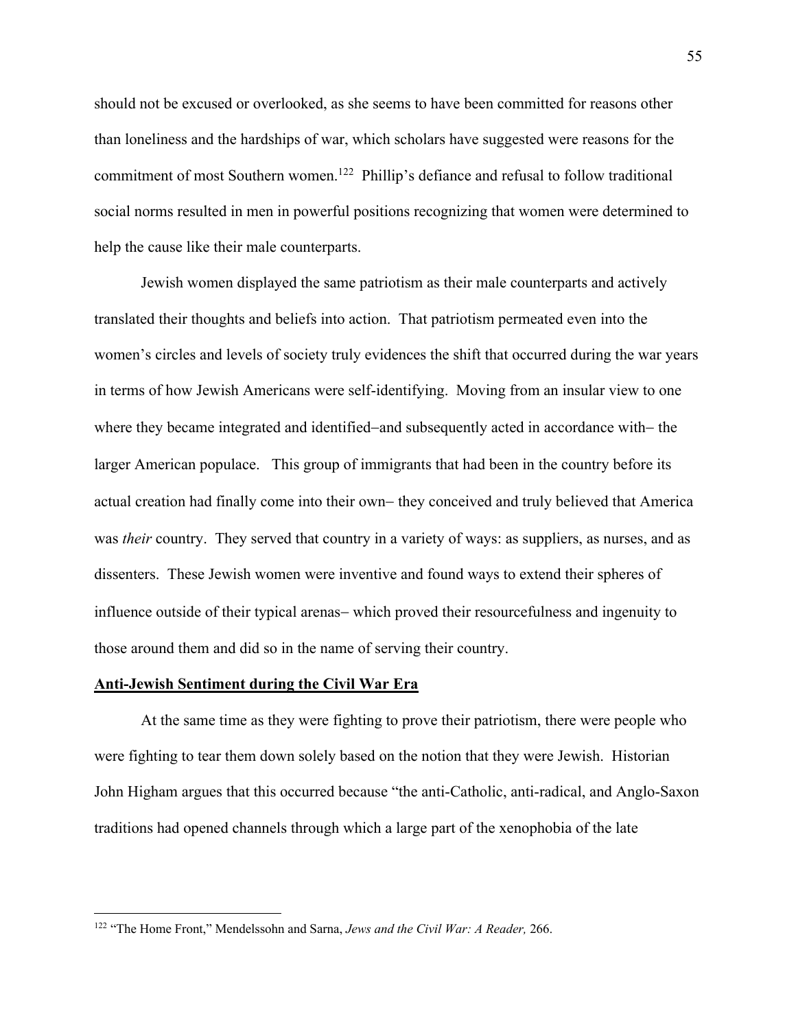should not be excused or overlooked, as she seems to have been committed for reasons other than loneliness and the hardships of war, which scholars have suggested were reasons for the commitment of most Southern women.122 Phillip's defiance and refusal to follow traditional social norms resulted in men in powerful positions recognizing that women were determined to help the cause like their male counterparts.

Jewish women displayed the same patriotism as their male counterparts and actively translated their thoughts and beliefs into action. That patriotism permeated even into the women's circles and levels of society truly evidences the shift that occurred during the war years in terms of how Jewish Americans were self-identifying. Moving from an insular view to one where they became integrated and identified-and subsequently acted in accordance with- the larger American populace. This group of immigrants that had been in the country before its actual creation had finally come into their own- they conceived and truly believed that America was *their* country. They served that country in a variety of ways: as suppliers, as nurses, and as dissenters. These Jewish women were inventive and found ways to extend their spheres of influence outside of their typical arenas- which proved their resourcefulness and ingenuity to those around them and did so in the name of serving their country.

## **Anti-Jewish Sentiment during the Civil War Era**

At the same time as they were fighting to prove their patriotism, there were people who were fighting to tear them down solely based on the notion that they were Jewish. Historian John Higham argues that this occurred because "the anti-Catholic, anti-radical, and Anglo-Saxon traditions had opened channels through which a large part of the xenophobia of the late

<sup>122</sup> "The Home Front," Mendelssohn and Sarna, *Jews and the Civil War: A Reader,* 266.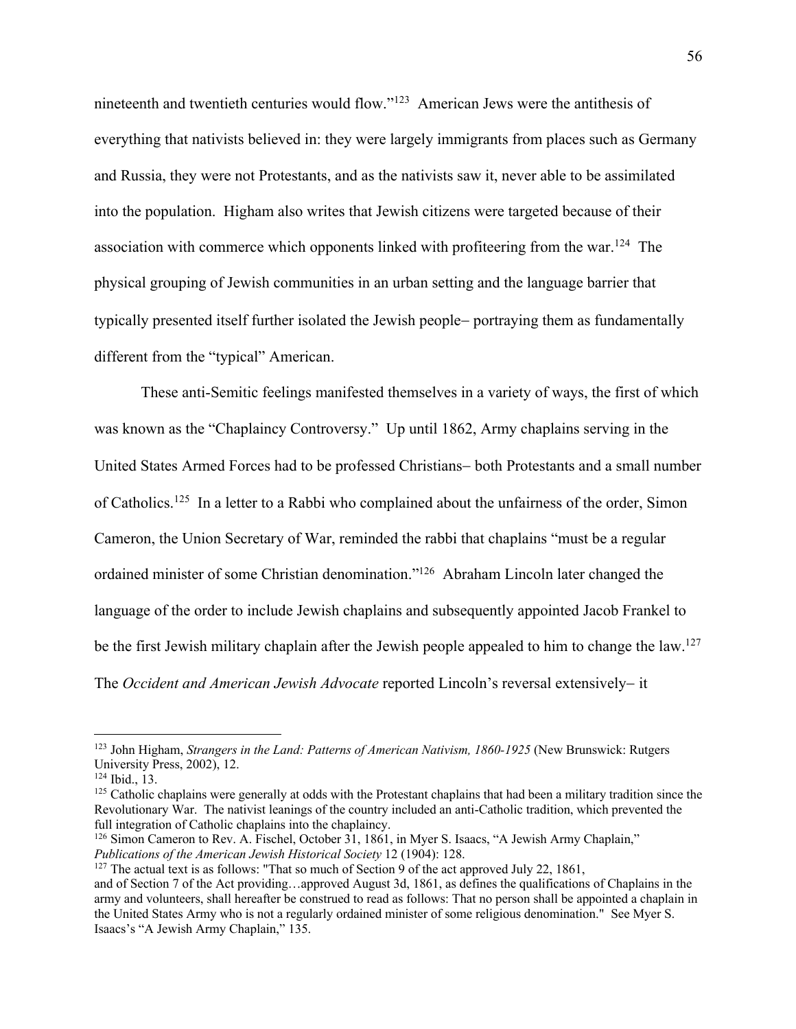nineteenth and twentieth centuries would flow."123 American Jews were the antithesis of everything that nativists believed in: they were largely immigrants from places such as Germany and Russia, they were not Protestants, and as the nativists saw it, never able to be assimilated into the population. Higham also writes that Jewish citizens were targeted because of their association with commerce which opponents linked with profiteering from the war.<sup>124</sup> The physical grouping of Jewish communities in an urban setting and the language barrier that typically presented itself further isolated the Jewish people- portraying them as fundamentally different from the "typical" American.

These anti-Semitic feelings manifested themselves in a variety of ways, the first of which was known as the "Chaplaincy Controversy." Up until 1862, Army chaplains serving in the United States Armed Forces had to be professed Christians- both Protestants and a small number of Catholics.125 In a letter to a Rabbi who complained about the unfairness of the order, Simon Cameron, the Union Secretary of War, reminded the rabbi that chaplains "must be a regular ordained minister of some Christian denomination."126 Abraham Lincoln later changed the language of the order to include Jewish chaplains and subsequently appointed Jacob Frankel to be the first Jewish military chaplain after the Jewish people appealed to him to change the law.<sup>127</sup> The *Occident and American Jewish Advocate* reported Lincoln's reversal extensively- it

<sup>&</sup>lt;sup>123</sup> John Higham, *Strangers in the Land: Patterns of American Nativism, 1860-1925* (New Brunswick: Rutgers University Press, 2002), 12.<br><sup>124</sup> Ibid., 13.

 $125$  Catholic chaplains were generally at odds with the Protestant chaplains that had been a military tradition since the Revolutionary War. The nativist leanings of the country included an anti-Catholic tradition, which prevented the full integration of Catholic chaplains into the chaplaincy.

<sup>&</sup>lt;sup>126</sup> Simon Cameron to Rev. A. Fischel, October 31, 1861, in Myer S. Isaacs, "A Jewish Army Chaplain," *Publications of the American Jewish Historical Society* 12 (1904): 128.<br><sup>127</sup> The actual text is as follows: "That so much of Section 9 of the act approved July 22, 1861,

and of Section 7 of the Act providing…approved August 3d, 1861, as defines the qualifications of Chaplains in the army and volunteers, shall hereafter be construed to read as follows: That no person shall be appointed a chaplain in the United States Army who is not a regularly ordained minister of some religious denomination." See Myer S. Isaacs's "A Jewish Army Chaplain," 135.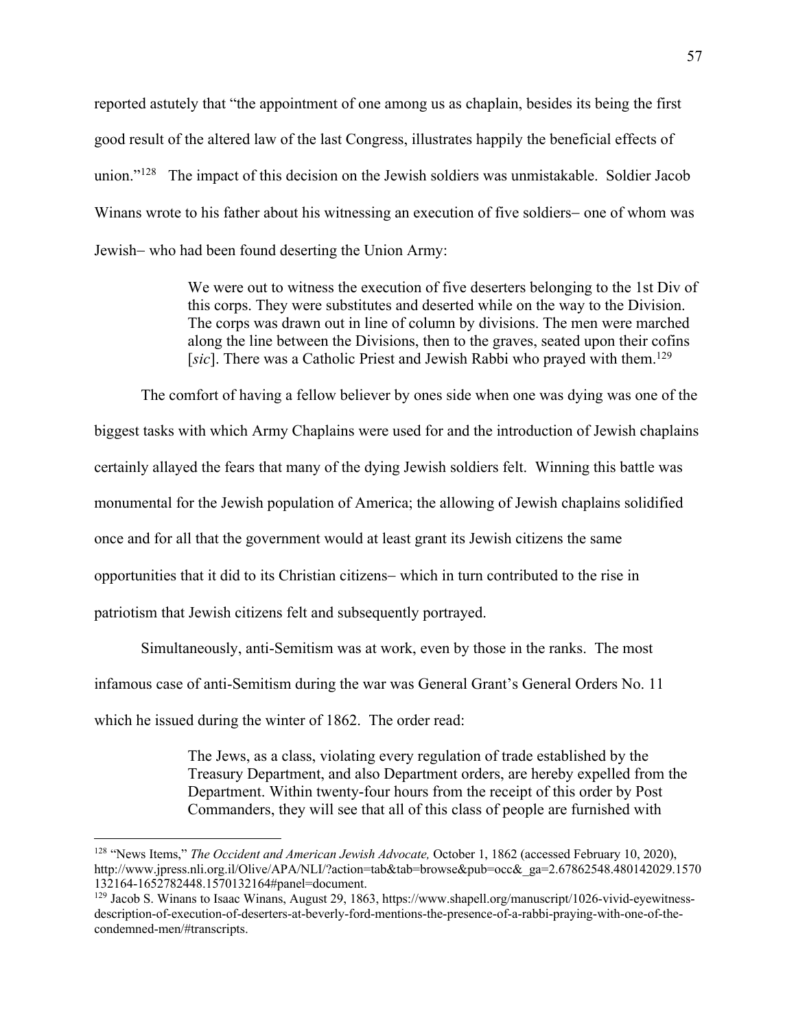reported astutely that "the appointment of one among us as chaplain, besides its being the first good result of the altered law of the last Congress, illustrates happily the beneficial effects of union."128 The impact of this decision on the Jewish soldiers was unmistakable. Soldier Jacob Winans wrote to his father about his witnessing an execution of five soldiers- one of whom was Jewish- who had been found deserting the Union Army:

> We were out to witness the execution of five deserters belonging to the 1st Div of this corps. They were substitutes and deserted while on the way to the Division. The corps was drawn out in line of column by divisions. The men were marched along the line between the Divisions, then to the graves, seated upon their cofins [sic]. There was a Catholic Priest and Jewish Rabbi who prayed with them.<sup>129</sup>

The comfort of having a fellow believer by ones side when one was dying was one of the biggest tasks with which Army Chaplains were used for and the introduction of Jewish chaplains certainly allayed the fears that many of the dying Jewish soldiers felt. Winning this battle was monumental for the Jewish population of America; the allowing of Jewish chaplains solidified once and for all that the government would at least grant its Jewish citizens the same opportunities that it did to its Christian citizens- which in turn contributed to the rise in patriotism that Jewish citizens felt and subsequently portrayed.

Simultaneously, anti-Semitism was at work, even by those in the ranks. The most infamous case of anti-Semitism during the war was General Grant's General Orders No. 11 which he issued during the winter of 1862. The order read:

> The Jews, as a class, violating every regulation of trade established by the Treasury Department, and also Department orders, are hereby expelled from the Department. Within twenty-four hours from the receipt of this order by Post Commanders, they will see that all of this class of people are furnished with

<sup>128</sup> "News Items," *The Occident and American Jewish Advocate,* October 1, 1862 (accessed February 10, 2020), http://www.jpress.nli.org.il/Olive/APA/NLI/?action=tab&tab=browse&pub=occ&\_ga=2.67862548.480142029.1570 132164-1652782448.1570132164#panel=document.<br><sup>129</sup> Jacob S. Winans to Isaac Winans, August 29, 1863, https://www.shapell.org/manuscript/1026-vivid-eyewitness-

description-of-execution-of-deserters-at-beverly-ford-mentions-the-presence-of-a-rabbi-praying-with-one-of-thecondemned-men/#transcripts.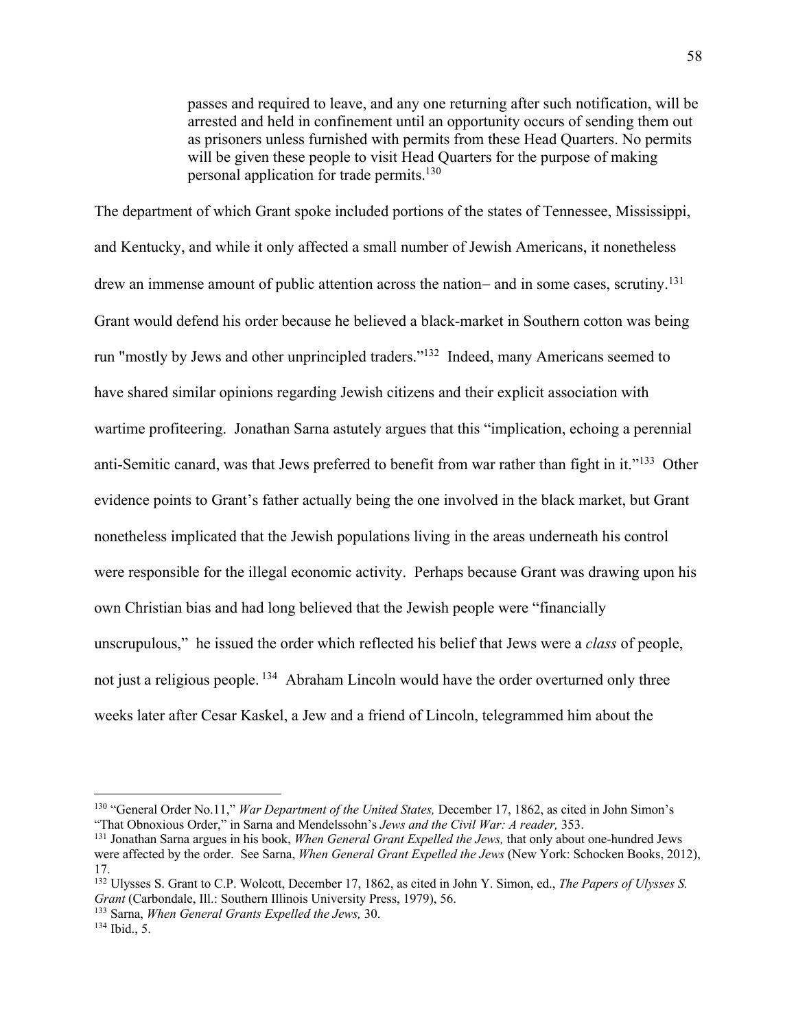passes and required to leave, and any one returning after such notification, will be arrested and held in confinement until an opportunity occurs of sending them out as prisoners unless furnished with permits from these Head Quarters. No permits will be given these people to visit Head Quarters for the purpose of making personal application for trade permits.130

The department of which Grant spoke included portions of the states of Tennessee, Mississippi, and Kentucky, and while it only affected a small number of Jewish Americans, it nonetheless drew an immense amount of public attention across the nation- and in some cases, scrutiny.<sup>131</sup> Grant would defend his order because he believed a black-market in Southern cotton was being run "mostly by Jews and other unprincipled traders."132 Indeed, many Americans seemed to have shared similar opinions regarding Jewish citizens and their explicit association with wartime profiteering. Jonathan Sarna astutely argues that this "implication, echoing a perennial anti-Semitic canard, was that Jews preferred to benefit from war rather than fight in it."<sup>133</sup> Other evidence points to Grant's father actually being the one involved in the black market, but Grant nonetheless implicated that the Jewish populations living in the areas underneath his control were responsible for the illegal economic activity. Perhaps because Grant was drawing upon his own Christian bias and had long believed that the Jewish people were "financially unscrupulous," he issued the order which reflected his belief that Jews were a *class* of people, not just a religious people. 134 Abraham Lincoln would have the order overturned only three weeks later after Cesar Kaskel, a Jew and a friend of Lincoln, telegrammed him about the

<sup>130</sup> "General Order No.11," *War Department of the United States,* December 17, 1862, as cited in John Simon's "That Obnoxious Order," in Sarna and Mendelssohn's *Jews and the Civil War: A reader*, 353.<br><sup>131</sup> Jonathan Sarna argues in his book, *When General Grant Expelled the Jews*, that only about one-hundred Jews

were affected by the order. See Sarna, *When General Grant Expelled the Jews* (New York: Schocken Books, 2012), 17.

<sup>132</sup> Ulysses S. Grant to C.P. Wolcott, December 17, 1862, as cited in John Y. Simon, ed., *The Papers of Ulysses S. Grant* (Carbondale, Ill.: Southern Illinois University Press, 1979), 56. <sup>133</sup> Sarna, *When General Grants Expelled the Jews,* 30. <sup>134</sup> Ibid., 5.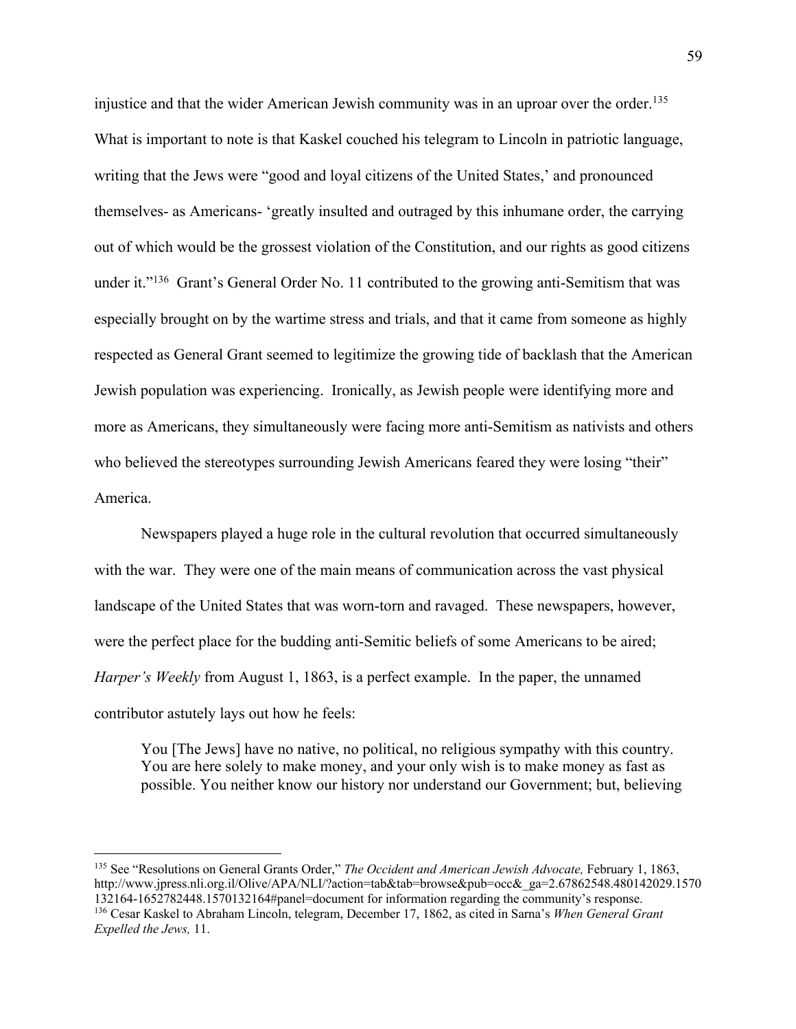injustice and that the wider American Jewish community was in an uproar over the order.<sup>135</sup> What is important to note is that Kaskel couched his telegram to Lincoln in patriotic language, writing that the Jews were "good and loyal citizens of the United States,' and pronounced themselves- as Americans- 'greatly insulted and outraged by this inhumane order, the carrying out of which would be the grossest violation of the Constitution, and our rights as good citizens under it."<sup>136</sup> Grant's General Order No. 11 contributed to the growing anti-Semitism that was especially brought on by the wartime stress and trials, and that it came from someone as highly respected as General Grant seemed to legitimize the growing tide of backlash that the American Jewish population was experiencing. Ironically, as Jewish people were identifying more and more as Americans, they simultaneously were facing more anti-Semitism as nativists and others who believed the stereotypes surrounding Jewish Americans feared they were losing "their" America.

Newspapers played a huge role in the cultural revolution that occurred simultaneously with the war. They were one of the main means of communication across the vast physical landscape of the United States that was worn-torn and ravaged. These newspapers, however, were the perfect place for the budding anti-Semitic beliefs of some Americans to be aired; *Harper's Weekly* from August 1, 1863, is a perfect example. In the paper, the unnamed contributor astutely lays out how he feels:

You [The Jews] have no native, no political, no religious sympathy with this country. You are here solely to make money, and your only wish is to make money as fast as possible. You neither know our history nor understand our Government; but, believing

<sup>135</sup> See "Resolutions on General Grants Order," *The Occident and American Jewish Advocate,* February 1, 1863, http://www.jpress.nli.org.il/Olive/APA/NLI/?action=tab&tab=browse&pub=occ&\_ga=2.67862548.480142029.1570 132164-1652782448.1570132164#panel=document for information regarding the community's response. 136 Cesar Kaskel to Abraham Lincoln, telegram, December 17, 1862, as cited in Sarna's *When General Grant Expelled the Jews,* 11.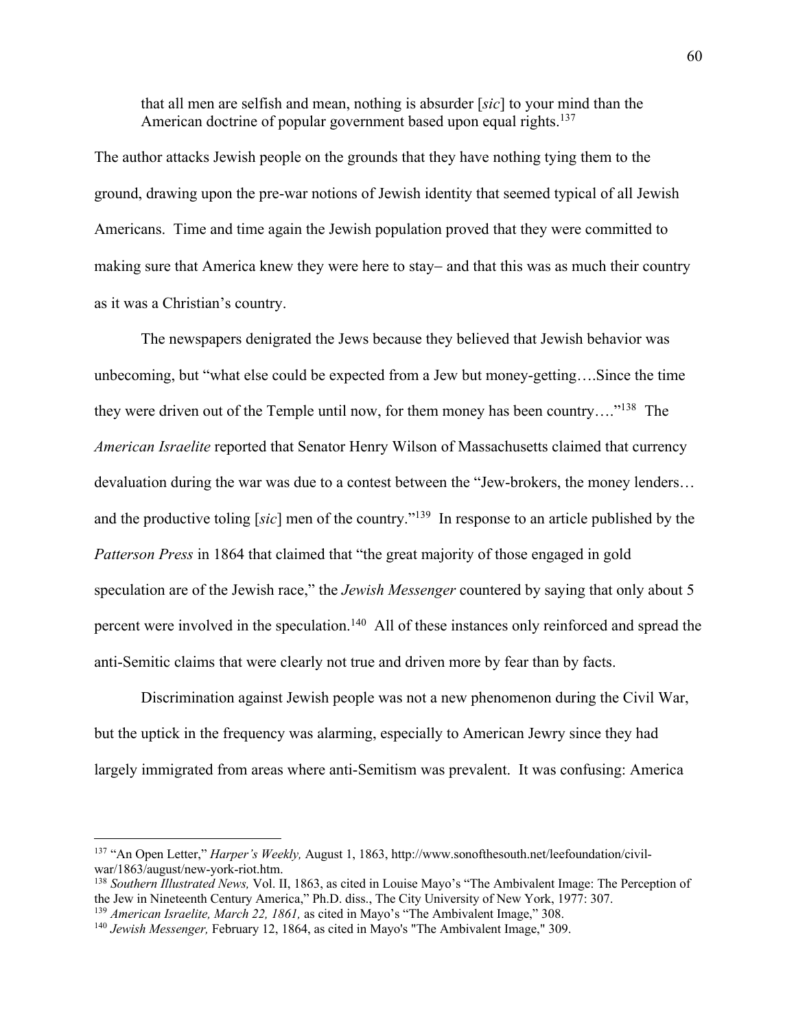that all men are selfish and mean, nothing is absurder [*sic*] to your mind than the American doctrine of popular government based upon equal rights.<sup>137</sup>

The author attacks Jewish people on the grounds that they have nothing tying them to the ground, drawing upon the pre-war notions of Jewish identity that seemed typical of all Jewish Americans. Time and time again the Jewish population proved that they were committed to making sure that America knew they were here to stay- and that this was as much their country as it was a Christian's country.

The newspapers denigrated the Jews because they believed that Jewish behavior was unbecoming, but "what else could be expected from a Jew but money-getting….Since the time they were driven out of the Temple until now, for them money has been country…."138 The *American Israelite* reported that Senator Henry Wilson of Massachusetts claimed that currency devaluation during the war was due to a contest between the "Jew-brokers, the money lenders… and the productive toling [*sic*] men of the country."139 In response to an article published by the *Patterson Press* in 1864 that claimed that "the great majority of those engaged in gold speculation are of the Jewish race," the *Jewish Messenger* countered by saying that only about 5 percent were involved in the speculation.<sup>140</sup> All of these instances only reinforced and spread the anti-Semitic claims that were clearly not true and driven more by fear than by facts.

Discrimination against Jewish people was not a new phenomenon during the Civil War, but the uptick in the frequency was alarming, especially to American Jewry since they had largely immigrated from areas where anti-Semitism was prevalent. It was confusing: America

<sup>137</sup> "An Open Letter," *Harper's Weekly,* August 1, 1863, http://www.sonofthesouth.net/leefoundation/civilwar/1863/august/new-york-riot.htm. 138 *Southern Illustrated News,* Vol. II, 1863, as cited in Louise Mayo's "The Ambivalent Image: The Perception of

the Jew in Nineteenth Century America," Ph.D. diss., The City University of New York, 1977: 307. <sup>139</sup> *American Israelite, March 22, 1861,* as cited in Mayo's "The Ambivalent Image," 308.

<sup>140</sup> *Jewish Messenger,* February 12, 1864, as cited in Mayo's "The Ambivalent Image," 309.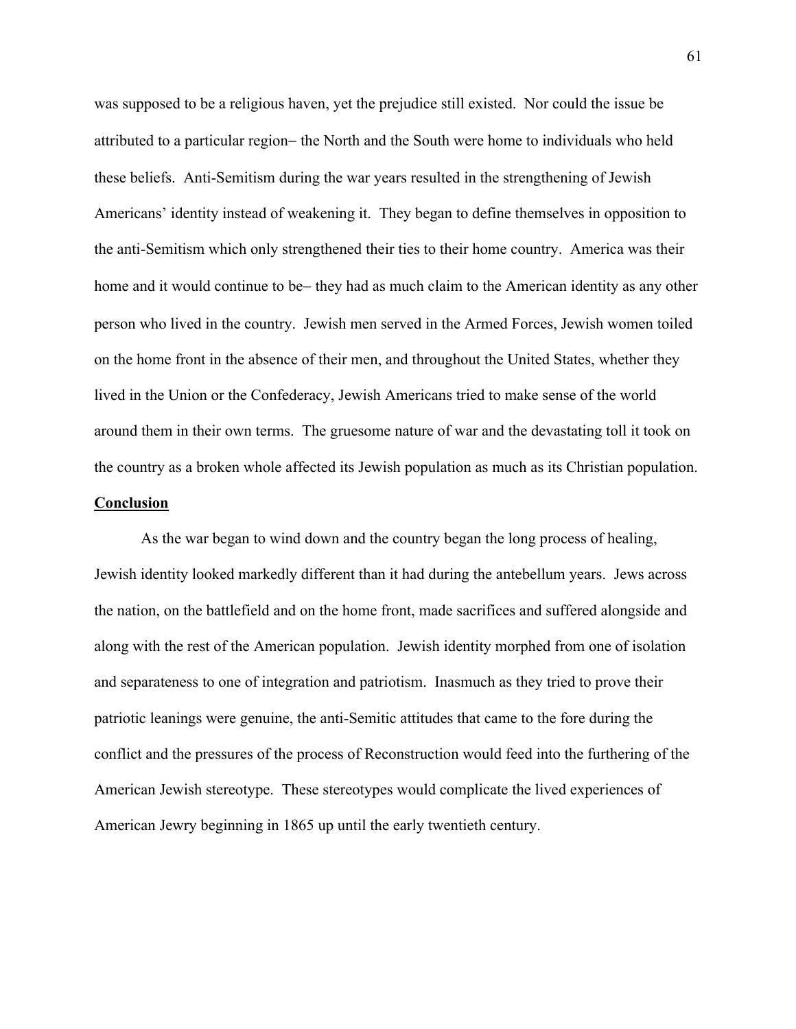was supposed to be a religious haven, yet the prejudice still existed. Nor could the issue be attributed to a particular region- the North and the South were home to individuals who held these beliefs. Anti-Semitism during the war years resulted in the strengthening of Jewish Americans' identity instead of weakening it. They began to define themselves in opposition to the anti-Semitism which only strengthened their ties to their home country. America was their home and it would continue to be- they had as much claim to the American identity as any other person who lived in the country. Jewish men served in the Armed Forces, Jewish women toiled on the home front in the absence of their men, and throughout the United States, whether they lived in the Union or the Confederacy, Jewish Americans tried to make sense of the world around them in their own terms. The gruesome nature of war and the devastating toll it took on the country as a broken whole affected its Jewish population as much as its Christian population.

## **Conclusion**

As the war began to wind down and the country began the long process of healing, Jewish identity looked markedly different than it had during the antebellum years. Jews across the nation, on the battlefield and on the home front, made sacrifices and suffered alongside and along with the rest of the American population. Jewish identity morphed from one of isolation and separateness to one of integration and patriotism. Inasmuch as they tried to prove their patriotic leanings were genuine, the anti-Semitic attitudes that came to the fore during the conflict and the pressures of the process of Reconstruction would feed into the furthering of the American Jewish stereotype. These stereotypes would complicate the lived experiences of American Jewry beginning in 1865 up until the early twentieth century.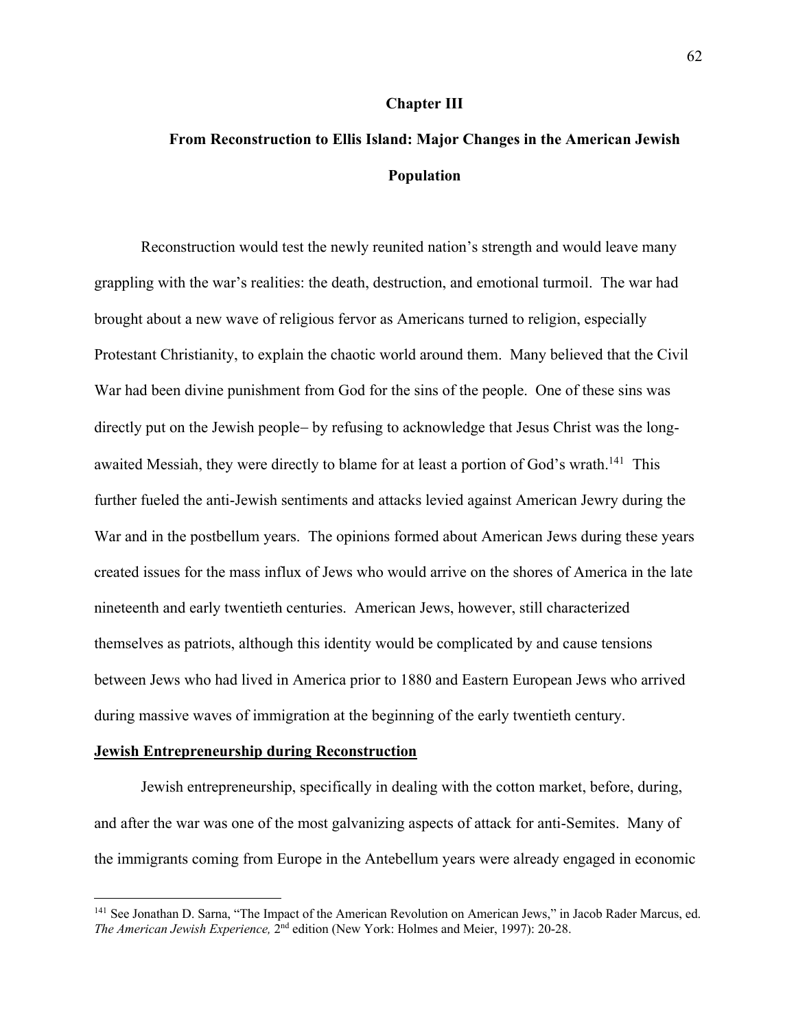#### **Chapter III**

# **From Reconstruction to Ellis Island: Major Changes in the American Jewish Population**

Reconstruction would test the newly reunited nation's strength and would leave many grappling with the war's realities: the death, destruction, and emotional turmoil. The war had brought about a new wave of religious fervor as Americans turned to religion, especially Protestant Christianity, to explain the chaotic world around them. Many believed that the Civil War had been divine punishment from God for the sins of the people. One of these sins was directly put on the Jewish people- by refusing to acknowledge that Jesus Christ was the longawaited Messiah, they were directly to blame for at least a portion of God's wrath.<sup>141</sup> This further fueled the anti-Jewish sentiments and attacks levied against American Jewry during the War and in the postbellum years. The opinions formed about American Jews during these years created issues for the mass influx of Jews who would arrive on the shores of America in the late nineteenth and early twentieth centuries. American Jews, however, still characterized themselves as patriots, although this identity would be complicated by and cause tensions between Jews who had lived in America prior to 1880 and Eastern European Jews who arrived during massive waves of immigration at the beginning of the early twentieth century.

#### **Jewish Entrepreneurship during Reconstruction**

Jewish entrepreneurship, specifically in dealing with the cotton market, before, during, and after the war was one of the most galvanizing aspects of attack for anti-Semites. Many of the immigrants coming from Europe in the Antebellum years were already engaged in economic

<sup>&</sup>lt;sup>141</sup> See Jonathan D. Sarna, "The Impact of the American Revolution on American Jews," in Jacob Rader Marcus, ed. *The American Jewish Experience,* 2nd edition (New York: Holmes and Meier, 1997): 20-28.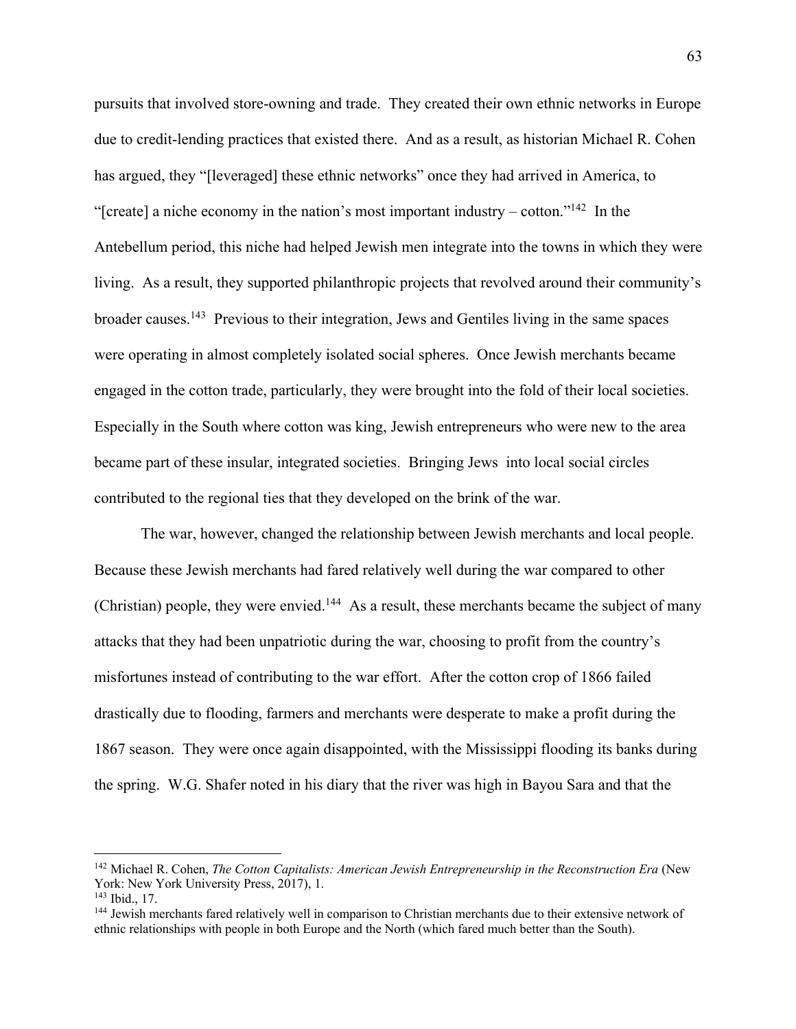pursuits that involved store-owning and trade. They created their own ethnic networks in Europe due to credit-lending practices that existed there. And as a result, as historian Michael R. Cohen has argued, they "[leveraged] these ethnic networks" once they had arrived in America, to "[create] a niche economy in the nation's most important industry – cotton."<sup>142</sup> In the Antebellum period, this niche had helped Jewish men integrate into the towns in which they were living. As a result, they supported philanthropic projects that revolved around their community's broader causes.143 Previous to their integration, Jews and Gentiles living in the same spaces were operating in almost completely isolated social spheres. Once Jewish merchants became engaged in the cotton trade, particularly, they were brought into the fold of their local societies. Especially in the South where cotton was king, Jewish entrepreneurs who were new to the area became part of these insular, integrated societies. Bringing Jews into local social circles contributed to the regional ties that they developed on the brink of the war.

The war, however, changed the relationship between Jewish merchants and local people. Because these Jewish merchants had fared relatively well during the war compared to other (Christian) people, they were envied.<sup>144</sup> As a result, these merchants became the subject of many attacks that they had been unpatriotic during the war, choosing to profit from the country's misfortunes instead of contributing to the war effort. After the cotton crop of 1866 failed drastically due to flooding, farmers and merchants were desperate to make a profit during the 1867 season. They were once again disappointed, with the Mississippi flooding its banks during the spring. W.G. Shafer noted in his diary that the river was high in Bayou Sara and that the

<sup>142</sup> Michael R. Cohen, *The Cotton Capitalists: American Jewish Entrepreneurship in the Reconstruction Era* (New York: New York University Press, 2017), 1.<br><sup>143</sup> Ibid., 17.

<sup>&</sup>lt;sup>144</sup> Jewish merchants fared relatively well in comparison to Christian merchants due to their extensive network of ethnic relationships with people in both Europe and the North (which fared much better than the South).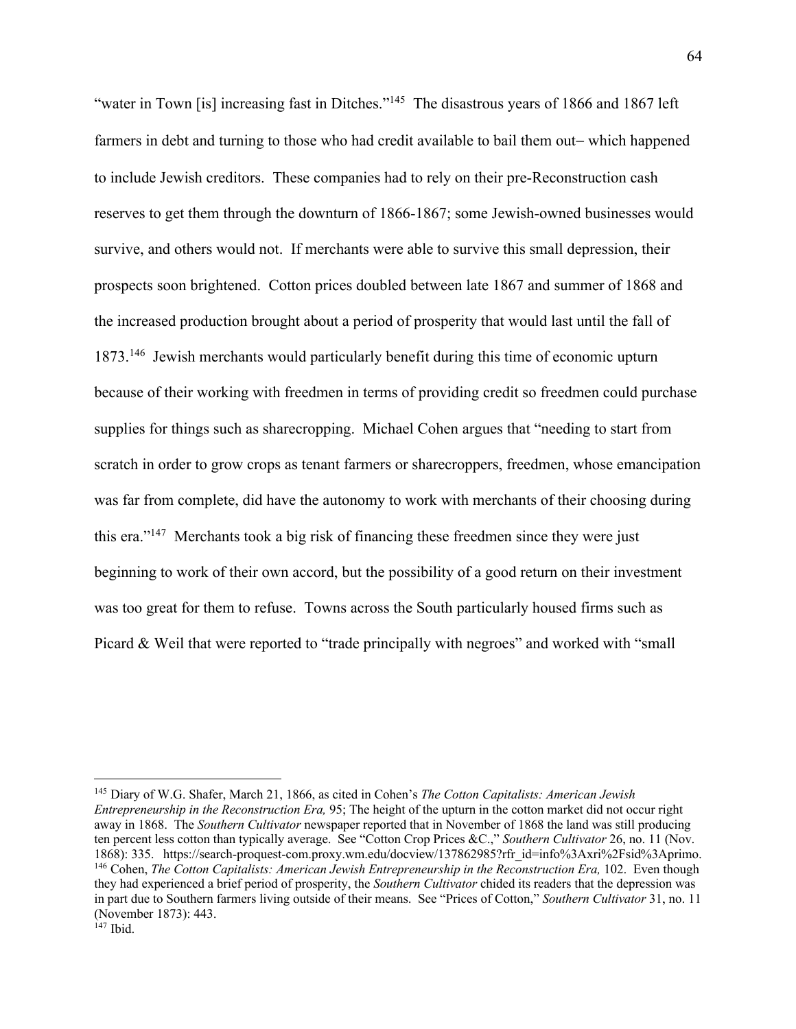"water in Town [is] increasing fast in Ditches."<sup>145</sup> The disastrous years of 1866 and 1867 left farmers in debt and turning to those who had credit available to bail them out-which happened to include Jewish creditors. These companies had to rely on their pre-Reconstruction cash reserves to get them through the downturn of 1866-1867; some Jewish-owned businesses would survive, and others would not. If merchants were able to survive this small depression, their prospects soon brightened. Cotton prices doubled between late 1867 and summer of 1868 and the increased production brought about a period of prosperity that would last until the fall of 1873.146 Jewish merchants would particularly benefit during this time of economic upturn because of their working with freedmen in terms of providing credit so freedmen could purchase supplies for things such as sharecropping. Michael Cohen argues that "needing to start from scratch in order to grow crops as tenant farmers or sharecroppers, freedmen, whose emancipation was far from complete, did have the autonomy to work with merchants of their choosing during this era."147 Merchants took a big risk of financing these freedmen since they were just beginning to work of their own accord, but the possibility of a good return on their investment was too great for them to refuse. Towns across the South particularly housed firms such as Picard & Weil that were reported to "trade principally with negroes" and worked with "small"

<sup>145</sup> Diary of W.G. Shafer, March 21, 1866, as cited in Cohen's *The Cotton Capitalists: American Jewish Entrepreneurship in the Reconstruction Era,* 95; The height of the upturn in the cotton market did not occur right away in 1868. The *Southern Cultivator* newspaper reported that in November of 1868 the land was still producing ten percent less cotton than typically average. See "Cotton Crop Prices &C.," *Southern Cultivator* 26, no. 11 (Nov. 1868): 335. https://search-proquest-com.proxy.wm.edu/docview/137862985?rfr\_id=info%3Axri%2Fsid%3Aprimo. 146 Cohen, *The Cotton Capitalists: American Jewish Entrepreneurship in the Reconstruction Era,* 102. Even though they had experienced a brief period of prosperity, the *Southern Cultivator* chided its readers that the depression was in part due to Southern farmers living outside of their means. See "Prices of Cotton," *Southern Cultivator* 31, no. 11 (November 1873): 443.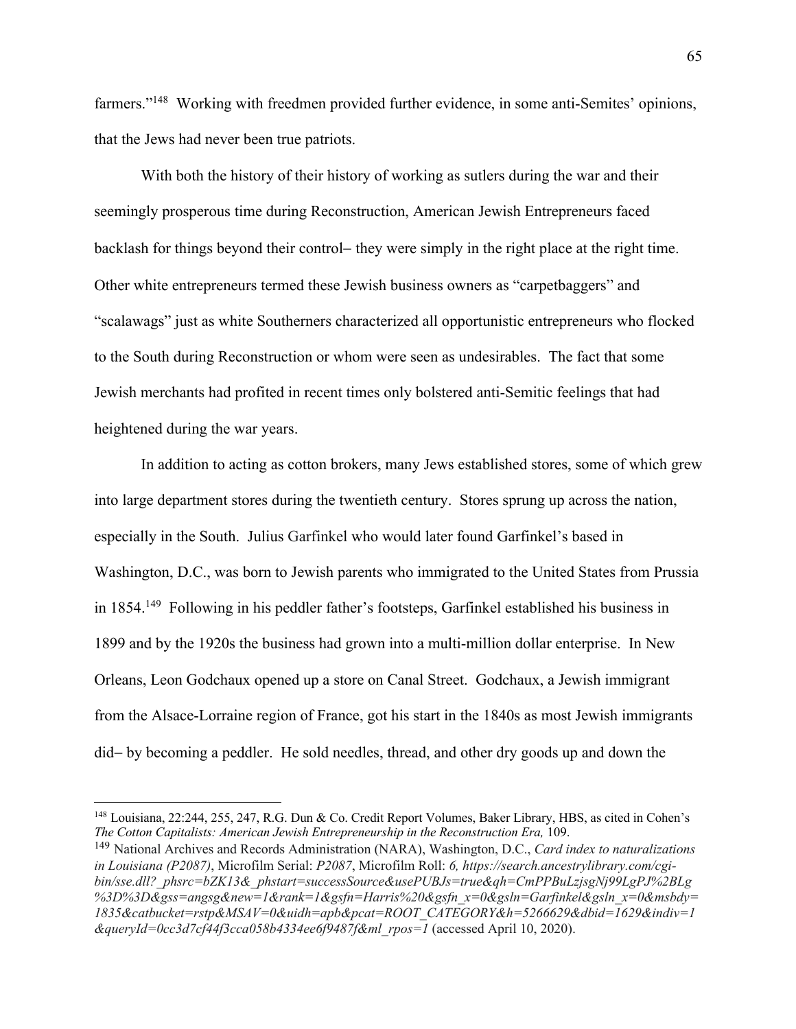farmers."<sup>148</sup> Working with freedmen provided further evidence, in some anti-Semites' opinions, that the Jews had never been true patriots.

With both the history of their history of working as sutlers during the war and their seemingly prosperous time during Reconstruction, American Jewish Entrepreneurs faced backlash for things beyond their control- they were simply in the right place at the right time. Other white entrepreneurs termed these Jewish business owners as "carpetbaggers" and "scalawags" just as white Southerners characterized all opportunistic entrepreneurs who flocked to the South during Reconstruction or whom were seen as undesirables. The fact that some Jewish merchants had profited in recent times only bolstered anti-Semitic feelings that had heightened during the war years.

In addition to acting as cotton brokers, many Jews established stores, some of which grew into large department stores during the twentieth century. Stores sprung up across the nation, especially in the South. Julius Garfinkel who would later found Garfinkel's based in Washington, D.C., was born to Jewish parents who immigrated to the United States from Prussia in 1854.149 Following in his peddler father's footsteps, Garfinkel established his business in 1899 and by the 1920s the business had grown into a multi-million dollar enterprise. In New Orleans, Leon Godchaux opened up a store on Canal Street. Godchaux, a Jewish immigrant from the Alsace-Lorraine region of France, got his start in the 1840s as most Jewish immigrants did- by becoming a peddler. He sold needles, thread, and other dry goods up and down the

<sup>148</sup> Louisiana, 22:244, 255, 247, R.G. Dun & Co. Credit Report Volumes, Baker Library, HBS, as cited in Cohen's *The Cotton Capitalists: American Jewish Entrepreneurship in the Reconstruction Era,* 109.

<sup>149</sup> National Archives and Records Administration (NARA), Washington, D.C., *Card index to naturalizations in Louisiana (P2087)*, Microfilm Serial: *P2087*, Microfilm Roll: *6, https://search.ancestrylibrary.com/cgibin/sse.dll?\_phsrc=bZK13&\_phstart=successSource&usePUBJs=true&qh=CmPPBuLzjsgNj99LgPJ%2BLg %3D%3D&gss=angsg&new=1&rank=1&gsfn=Harris%20&gsfn\_x=0&gsln=Garfinkel&gsln\_x=0&msbdy= 1835&catbucket=rstp&MSAV=0&uidh=apb&pcat=ROOT\_CATEGORY&h=5266629&dbid=1629&indiv=1 &queryId=0cc3d7cf44f3cca058b4334ee6f9487f&ml\_rpos=1* (accessed April 10, 2020).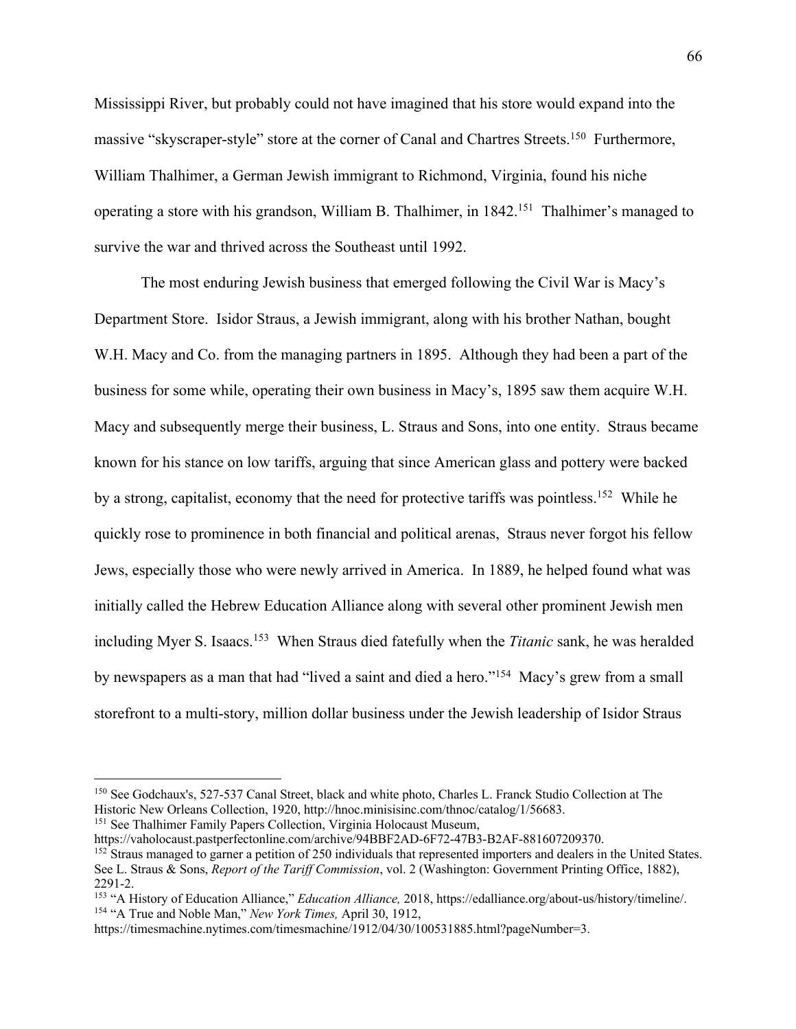Mississippi River, but probably could not have imagined that his store would expand into the massive "skyscraper-style" store at the corner of Canal and Chartres Streets.<sup>150</sup> Furthermore, William Thalhimer, a German Jewish immigrant to Richmond, Virginia, found his niche operating a store with his grandson, William B. Thalhimer, in 1842.<sup>151</sup> Thalhimer's managed to survive the war and thrived across the Southeast until 1992.

The most enduring Jewish business that emerged following the Civil War is Macy's Department Store. Isidor Straus, a Jewish immigrant, along with his brother Nathan, bought W.H. Macy and Co. from the managing partners in 1895. Although they had been a part of the business for some while, operating their own business in Macy's, 1895 saw them acquire W.H. Macy and subsequently merge their business, L. Straus and Sons, into one entity. Straus became known for his stance on low tariffs, arguing that since American glass and pottery were backed by a strong, capitalist, economy that the need for protective tariffs was pointless.152 While he quickly rose to prominence in both financial and political arenas, Straus never forgot his fellow Jews, especially those who were newly arrived in America. In 1889, he helped found what was initially called the Hebrew Education Alliance along with several other prominent Jewish men including Myer S. Isaacs.153 When Straus died fatefully when the *Titanic* sank, he was heralded by newspapers as a man that had "lived a saint and died a hero."154 Macy's grew from a small storefront to a multi-story, million dollar business under the Jewish leadership of Isidor Straus

<sup>150</sup> See Godchaux's, 527-537 Canal Street, black and white photo, Charles L. Franck Studio Collection at The Historic New Orleans Collection, 1920, http://hnoc.minisisinc.com/thnoc/catalog/1/56683.<br><sup>151</sup> See Thalhimer Family Papers Collection, Virginia Holocaust Museum,<br>https://vaholocaust.pastperfectonline.com/archive/94BBF2AD-6

<sup>&</sup>lt;sup>152</sup> Straus managed to garner a petition of 250 individuals that represented importers and dealers in the United States. See L. Straus & Sons, *Report of the Tariff Commission*, vol. 2 (Washington: Government Printing Office, 1882), 2291-2.

<sup>153</sup> "A History of Education Alliance," *Education Alliance,* 2018, https://edalliance.org/about-us/history/timeline/. 154 "A True and Noble Man," *New York Times,* April 30, 1912,

https://timesmachine.nytimes.com/timesmachine/1912/04/30/100531885.html?pageNumber=3.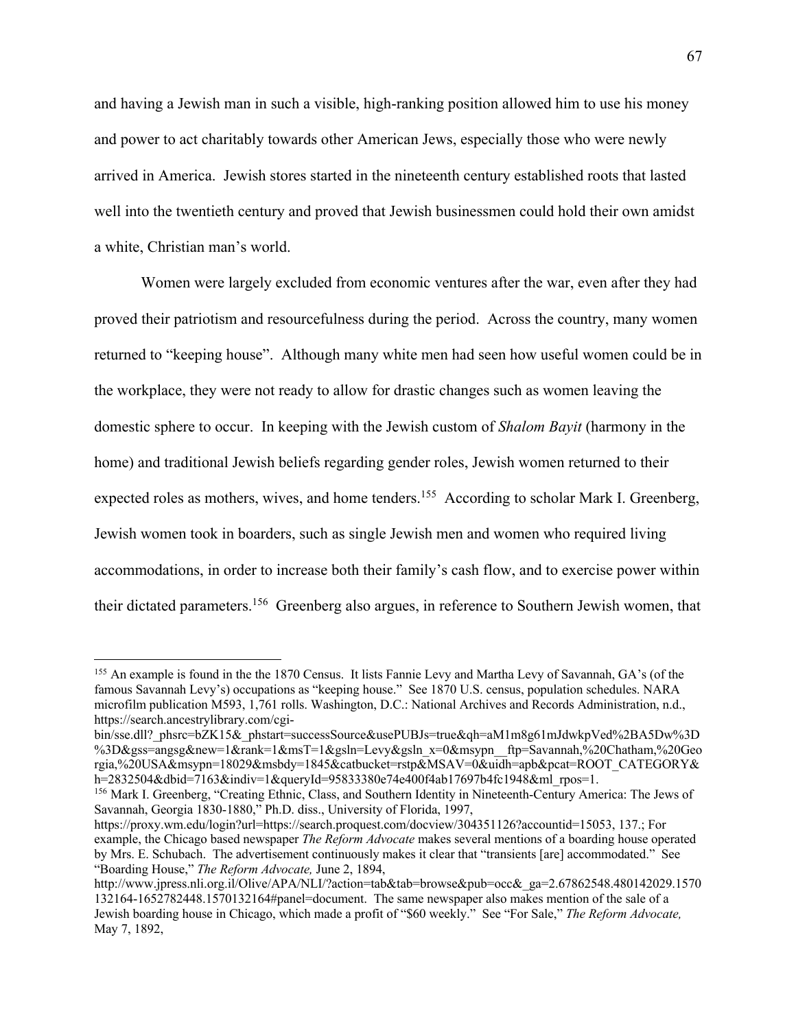and having a Jewish man in such a visible, high-ranking position allowed him to use his money and power to act charitably towards other American Jews, especially those who were newly arrived in America. Jewish stores started in the nineteenth century established roots that lasted well into the twentieth century and proved that Jewish businessmen could hold their own amidst a white, Christian man's world.

Women were largely excluded from economic ventures after the war, even after they had proved their patriotism and resourcefulness during the period. Across the country, many women returned to "keeping house". Although many white men had seen how useful women could be in the workplace, they were not ready to allow for drastic changes such as women leaving the domestic sphere to occur. In keeping with the Jewish custom of *Shalom Bayit* (harmony in the home) and traditional Jewish beliefs regarding gender roles, Jewish women returned to their expected roles as mothers, wives, and home tenders.<sup>155</sup> According to scholar Mark I. Greenberg, Jewish women took in boarders, such as single Jewish men and women who required living accommodations, in order to increase both their family's cash flow, and to exercise power within their dictated parameters.156 Greenberg also argues, in reference to Southern Jewish women, that

<sup>&</sup>lt;sup>155</sup> An example is found in the the 1870 Census. It lists Fannie Levy and Martha Levy of Savannah, GA's (of the famous Savannah Levy's) occupations as "keeping house." See 1870 U.S. census, population schedules. NARA microfilm publication M593, 1,761 rolls. Washington, D.C.: National Archives and Records Administration, n.d., https://search.ancestrylibrary.com/cgi-

bin/sse.dll?\_phsrc=bZK15&\_phstart=successSource&usePUBJs=true&qh=aM1m8g61mJdwkpVed%2BA5Dw%3D %3D&gss=angsg&new=1&rank=1&msT=1&gsln=Levy&gsln\_x=0&msypn\_\_ftp=Savannah,%20Chatham,%20Geo rgia,%20USA&msypn=18029&msbdy=1845&catbucket=rstp&MSAV=0&uidh=apb&pcat=ROOT\_CATEGORY& h=2832504&dbid=7163&indiv=1&queryId=95833380e74e400f4ab17697b4fc1948&ml\_rpos=1.

<sup>156</sup> Mark I. Greenberg, "Creating Ethnic, Class, and Southern Identity in Nineteenth-Century America: The Jews of Savannah, Georgia 1830-1880," Ph.D. diss., University of Florida, 1997,

https://proxy.wm.edu/login?url=https://search.proquest.com/docview/304351126?accountid=15053, 137.; For example, the Chicago based newspaper *The Reform Advocate* makes several mentions of a boarding house operated by Mrs. E. Schubach. The advertisement continuously makes it clear that "transients [are] accommodated." See "Boarding House," *The Reform Advocate,* June 2, 1894,

http://www.jpress.nli.org.il/Olive/APA/NLI/?action=tab&tab=browse&pub=occ&\_ga=2.67862548.480142029.1570 132164-1652782448.1570132164#panel=document. The same newspaper also makes mention of the sale of a Jewish boarding house in Chicago, which made a profit of "\$60 weekly." See "For Sale," *The Reform Advocate,*  May 7, 1892,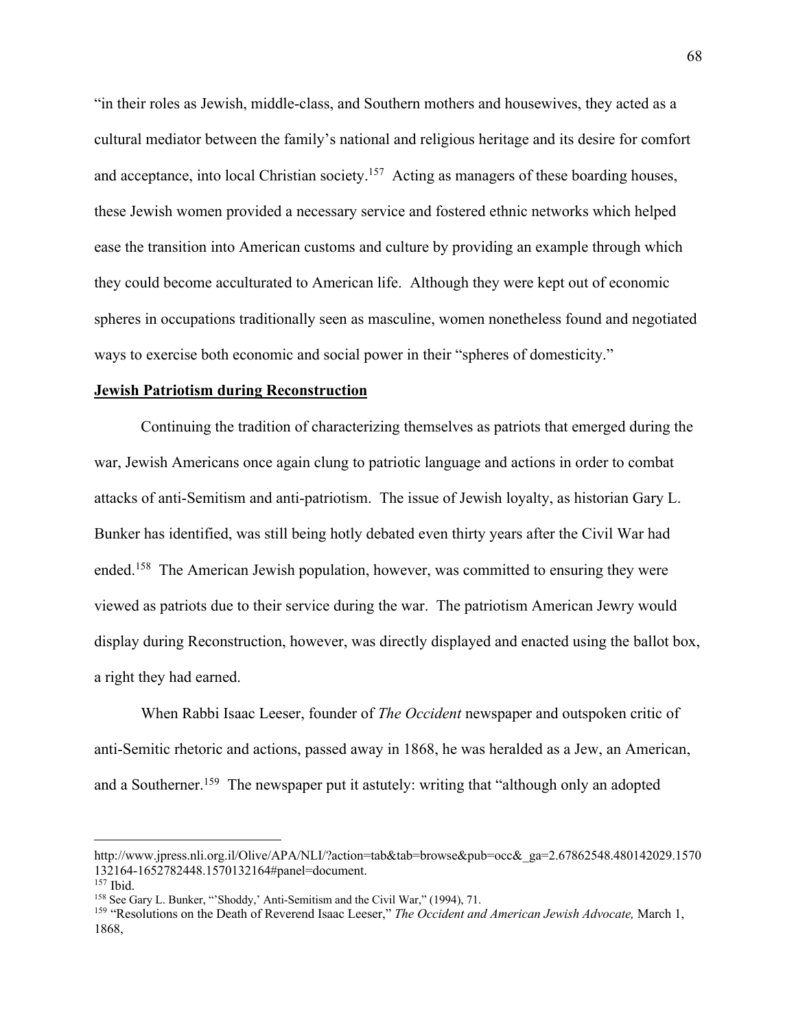"in their roles as Jewish, middle-class, and Southern mothers and housewives, they acted as a cultural mediator between the family's national and religious heritage and its desire for comfort and acceptance, into local Christian society.<sup>157</sup> Acting as managers of these boarding houses, these Jewish women provided a necessary service and fostered ethnic networks which helped ease the transition into American customs and culture by providing an example through which they could become acculturated to American life. Although they were kept out of economic spheres in occupations traditionally seen as masculine, women nonetheless found and negotiated ways to exercise both economic and social power in their "spheres of domesticity."

#### **Jewish Patriotism during Reconstruction**

Continuing the tradition of characterizing themselves as patriots that emerged during the war, Jewish Americans once again clung to patriotic language and actions in order to combat attacks of anti-Semitism and anti-patriotism. The issue of Jewish loyalty, as historian Gary L. Bunker has identified, was still being hotly debated even thirty years after the Civil War had ended.158 The American Jewish population, however, was committed to ensuring they were viewed as patriots due to their service during the war. The patriotism American Jewry would display during Reconstruction, however, was directly displayed and enacted using the ballot box, a right they had earned.

When Rabbi Isaac Leeser, founder of *The Occident* newspaper and outspoken critic of anti-Semitic rhetoric and actions, passed away in 1868, he was heralded as a Jew, an American, and a Southerner.<sup>159</sup> The newspaper put it astutely: writing that "although only an adopted

http://www.jpress.nli.org.il/Olive/APA/NLI/?action=tab&tab=browse&pub=occ&\_ga=2.67862548.480142029.1570 132164-1652782448.1570132164#panel=document.<br><sup>157</sup> Ibid.<br><sup>158</sup> See Gary L. Bunker, "'Shoddy,' Anti-Semitism and the Civil War," (1994), 71.

<sup>&</sup>lt;sup>159</sup> "Resolutions on the Death of Reverend Isaac Leeser," *The Occident and American Jewish Advocate*, March 1, 1868,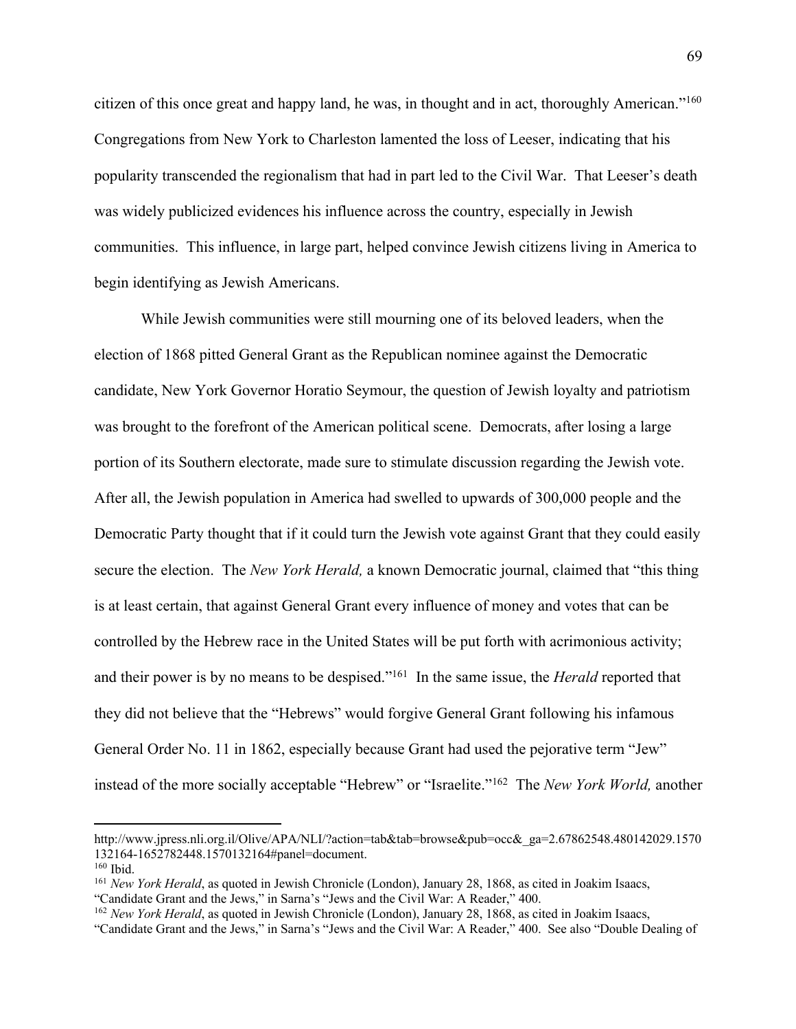citizen of this once great and happy land, he was, in thought and in act, thoroughly American."160 Congregations from New York to Charleston lamented the loss of Leeser, indicating that his popularity transcended the regionalism that had in part led to the Civil War. That Leeser's death was widely publicized evidences his influence across the country, especially in Jewish communities. This influence, in large part, helped convince Jewish citizens living in America to begin identifying as Jewish Americans.

While Jewish communities were still mourning one of its beloved leaders, when the election of 1868 pitted General Grant as the Republican nominee against the Democratic candidate, New York Governor Horatio Seymour, the question of Jewish loyalty and patriotism was brought to the forefront of the American political scene. Democrats, after losing a large portion of its Southern electorate, made sure to stimulate discussion regarding the Jewish vote. After all, the Jewish population in America had swelled to upwards of 300,000 people and the Democratic Party thought that if it could turn the Jewish vote against Grant that they could easily secure the election. The *New York Herald,* a known Democratic journal, claimed that "this thing is at least certain, that against General Grant every influence of money and votes that can be controlled by the Hebrew race in the United States will be put forth with acrimonious activity; and their power is by no means to be despised."161 In the same issue, the *Herald* reported that they did not believe that the "Hebrews" would forgive General Grant following his infamous General Order No. 11 in 1862, especially because Grant had used the pejorative term "Jew" instead of the more socially acceptable "Hebrew" or "Israelite."162 The *New York World,* another

http://www.jpress.nli.org.il/Olive/APA/NLI/?action=tab&tab=browse&pub=occ&\_ga=2.67862548.480142029.1570 132164-1652782448.1570132164#panel=document. 160 Ibid.

<sup>161</sup> *New York Herald*, as quoted in Jewish Chronicle (London), January 28, 1868, as cited in Joakim Isaacs, "Candidate Grant and the Jews," in Sarna's "Jews and the Civil War: A Reader," 400.

<sup>162</sup> *New York Herald*, as quoted in Jewish Chronicle (London), January 28, 1868, as cited in Joakim Isaacs,

<sup>&</sup>quot;Candidate Grant and the Jews," in Sarna's "Jews and the Civil War: A Reader," 400. See also "Double Dealing of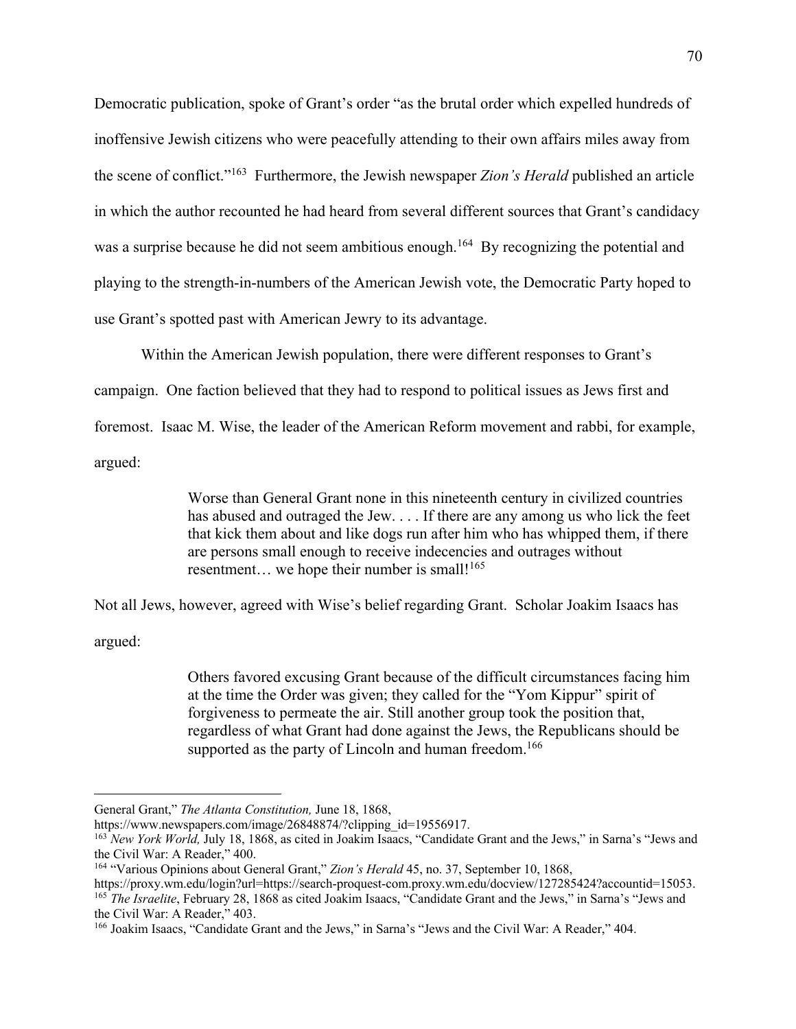Democratic publication, spoke of Grant's order "as the brutal order which expelled hundreds of inoffensive Jewish citizens who were peacefully attending to their own affairs miles away from the scene of conflict."163 Furthermore, the Jewish newspaper *Zion's Herald* published an article in which the author recounted he had heard from several different sources that Grant's candidacy was a surprise because he did not seem ambitious enough.<sup>164</sup> By recognizing the potential and playing to the strength-in-numbers of the American Jewish vote, the Democratic Party hoped to use Grant's spotted past with American Jewry to its advantage.

Within the American Jewish population, there were different responses to Grant's campaign. One faction believed that they had to respond to political issues as Jews first and foremost. Isaac M. Wise, the leader of the American Reform movement and rabbi, for example, argued:

> Worse than General Grant none in this nineteenth century in civilized countries has abused and outraged the Jew. . . . If there are any among us who lick the feet that kick them about and like dogs run after him who has whipped them, if there are persons small enough to receive indecencies and outrages without resentment... we hope their number is small!<sup>165</sup>

Not all Jews, however, agreed with Wise's belief regarding Grant. Scholar Joakim Isaacs has

argued:

Others favored excusing Grant because of the difficult circumstances facing him at the time the Order was given; they called for the "Yom Kippur" spirit of forgiveness to permeate the air. Still another group took the position that, regardless of what Grant had done against the Jews, the Republicans should be supported as the party of Lincoln and human freedom.<sup>166</sup>

General Grant," *The Atlanta Constitution,* June 18, 1868,

https://www.newspapers.com/image/26848874/?clipping\_id=19556917.<br><sup>163</sup> *New York World*, July 18, 1868, as cited in Joakim Isaacs, "Candidate Grant and the Jews," in Sarna's "Jews and the Civil War: A Reader," 400.

<sup>164</sup> "Various Opinions about General Grant," *Zion's Herald* 45, no. 37, September 10, 1868,

https://proxy.wm.edu/login?url=https://search-proquest-com.proxy.wm.edu/docview/127285424?accountid=15053.<br><sup>165</sup> The Israelite, February 28, 1868 as cited Joakim Isaacs, "Candidate Grant and the Jews," in Sarna's "Jews and the Civil War: A Reader," 403.

<sup>166</sup> Joakim Isaacs, "Candidate Grant and the Jews," in Sarna's "Jews and the Civil War: A Reader," 404.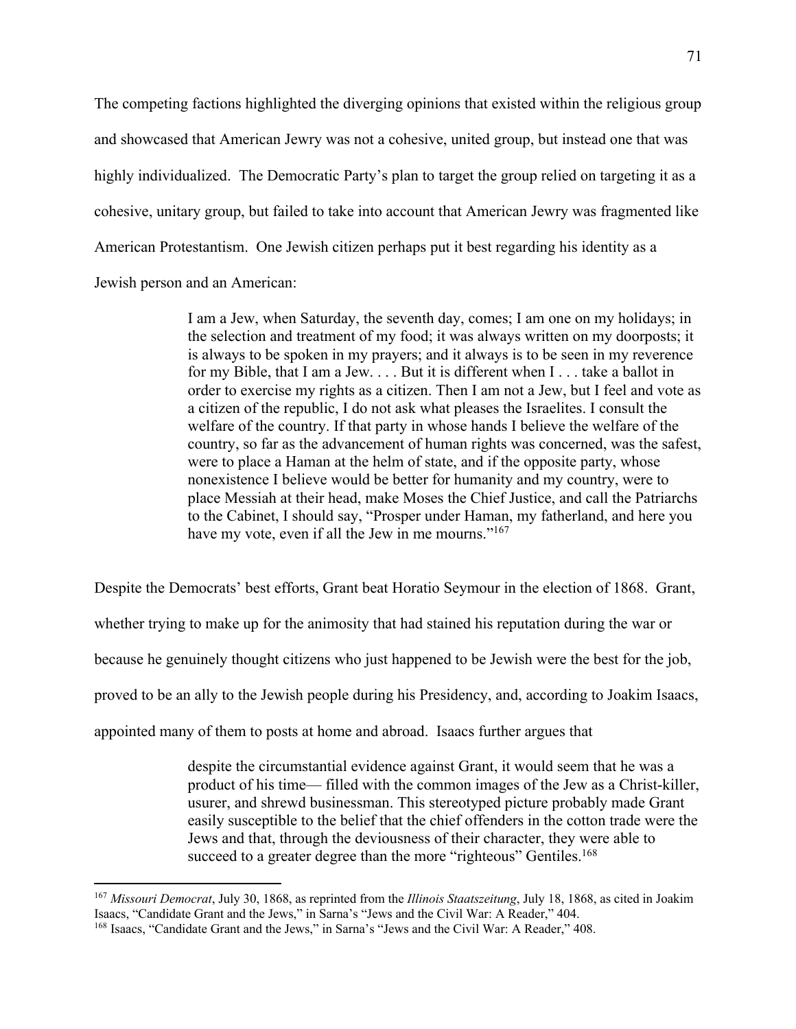The competing factions highlighted the diverging opinions that existed within the religious group and showcased that American Jewry was not a cohesive, united group, but instead one that was highly individualized. The Democratic Party's plan to target the group relied on targeting it as a cohesive, unitary group, but failed to take into account that American Jewry was fragmented like American Protestantism. One Jewish citizen perhaps put it best regarding his identity as a Jewish person and an American:

> I am a Jew, when Saturday, the seventh day, comes; I am one on my holidays; in the selection and treatment of my food; it was always written on my doorposts; it is always to be spoken in my prayers; and it always is to be seen in my reverence for my Bible, that I am a Jew. . . . But it is different when I . . . take a ballot in order to exercise my rights as a citizen. Then I am not a Jew, but I feel and vote as a citizen of the republic, I do not ask what pleases the Israelites. I consult the welfare of the country. If that party in whose hands I believe the welfare of the country, so far as the advancement of human rights was concerned, was the safest, were to place a Haman at the helm of state, and if the opposite party, whose nonexistence I believe would be better for humanity and my country, were to place Messiah at their head, make Moses the Chief Justice, and call the Patriarchs to the Cabinet, I should say, "Prosper under Haman, my fatherland, and here you have my vote, even if all the Jew in me mourns."<sup>167</sup>

Despite the Democrats' best efforts, Grant beat Horatio Seymour in the election of 1868. Grant, whether trying to make up for the animosity that had stained his reputation during the war or because he genuinely thought citizens who just happened to be Jewish were the best for the job, proved to be an ally to the Jewish people during his Presidency, and, according to Joakim Isaacs, appointed many of them to posts at home and abroad. Isaacs further argues that

> despite the circumstantial evidence against Grant, it would seem that he was a product of his time— filled with the common images of the Jew as a Christ-killer, usurer, and shrewd businessman. This stereotyped picture probably made Grant easily susceptible to the belief that the chief offenders in the cotton trade were the Jews and that, through the deviousness of their character, they were able to succeed to a greater degree than the more "righteous" Gentiles.<sup>168</sup>

<sup>167</sup> *Missouri Democrat*, July 30, 1868, as reprinted from the *Illinois Staatszeitung*, July 18, 1868, as cited in Joakim Isaacs, "Candidate Grant and the Jews," in Sarna's "Jews and the Civil War: A Reader," 404.

<sup>168</sup> Isaacs, "Candidate Grant and the Jews," in Sarna's "Jews and the Civil War: A Reader," 408.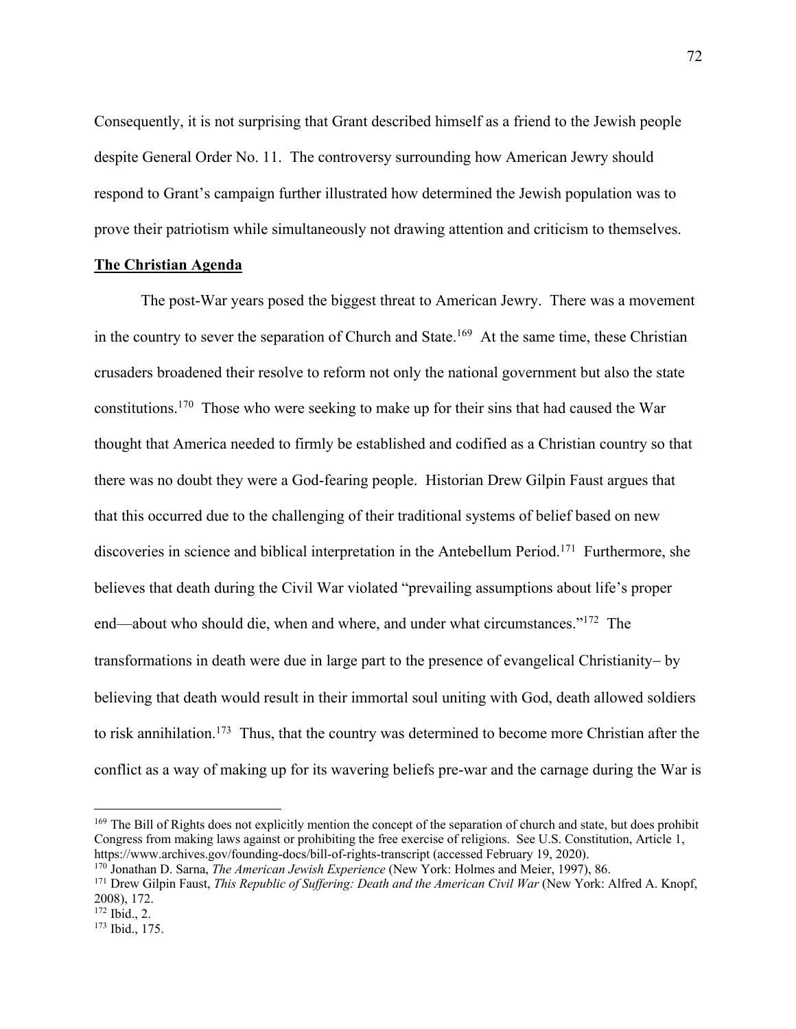Consequently, it is not surprising that Grant described himself as a friend to the Jewish people despite General Order No. 11. The controversy surrounding how American Jewry should respond to Grant's campaign further illustrated how determined the Jewish population was to prove their patriotism while simultaneously not drawing attention and criticism to themselves.

## **The Christian Agenda**

The post-War years posed the biggest threat to American Jewry. There was a movement in the country to sever the separation of Church and State.<sup>169</sup> At the same time, these Christian crusaders broadened their resolve to reform not only the national government but also the state constitutions.170 Those who were seeking to make up for their sins that had caused the War thought that America needed to firmly be established and codified as a Christian country so that there was no doubt they were a God-fearing people. Historian Drew Gilpin Faust argues that that this occurred due to the challenging of their traditional systems of belief based on new discoveries in science and biblical interpretation in the Antebellum Period.<sup>171</sup> Furthermore, she believes that death during the Civil War violated "prevailing assumptions about life's proper end—about who should die, when and where, and under what circumstances."172 The transformations in death were due in large part to the presence of evangelical Christianity- by believing that death would result in their immortal soul uniting with God, death allowed soldiers to risk annihilation.<sup>173</sup> Thus, that the country was determined to become more Christian after the conflict as a way of making up for its wavering beliefs pre-war and the carnage during the War is

<sup>&</sup>lt;sup>169</sup> The Bill of Rights does not explicitly mention the concept of the separation of church and state, but does prohibit Congress from making laws against or prohibiting the free exercise of religions. See U.S. Constitution, Article 1, https://www.archives.gov/founding-docs/bill-of-rights-transcript (accessed February 19, 2020).<br><sup>170</sup> Jonathan D. Sarna, *The American Jewish Experience* (New York: Holmes and Meier, 1997), 86.<br><sup>171</sup> Drew Gilpin Faust, *Thi* 

<sup>2008), 172.</sup> 

 $^{172}$  Ibid., 2.<br> $^{173}$  Ibid., 175.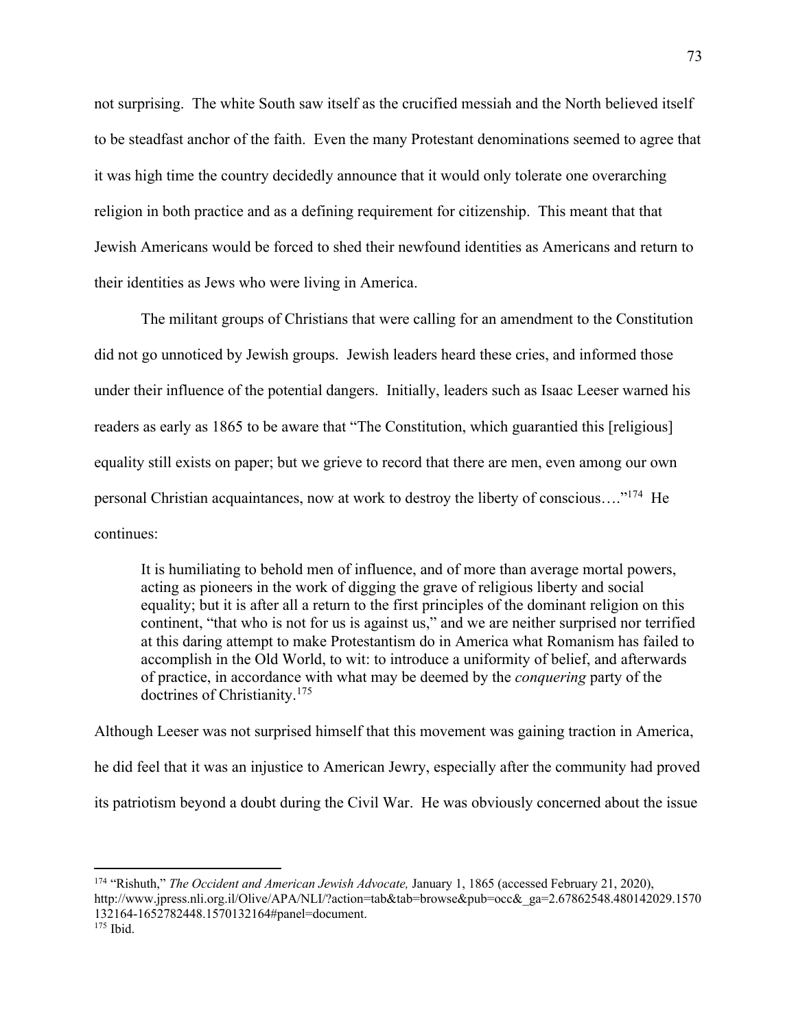not surprising. The white South saw itself as the crucified messiah and the North believed itself to be steadfast anchor of the faith. Even the many Protestant denominations seemed to agree that it was high time the country decidedly announce that it would only tolerate one overarching religion in both practice and as a defining requirement for citizenship. This meant that that Jewish Americans would be forced to shed their newfound identities as Americans and return to their identities as Jews who were living in America.

The militant groups of Christians that were calling for an amendment to the Constitution did not go unnoticed by Jewish groups. Jewish leaders heard these cries, and informed those under their influence of the potential dangers. Initially, leaders such as Isaac Leeser warned his readers as early as 1865 to be aware that "The Constitution, which guarantied this [religious] equality still exists on paper; but we grieve to record that there are men, even among our own personal Christian acquaintances, now at work to destroy the liberty of conscious…."174 He continues:

It is humiliating to behold men of influence, and of more than average mortal powers, acting as pioneers in the work of digging the grave of religious liberty and social equality; but it is after all a return to the first principles of the dominant religion on this continent, "that who is not for us is against us," and we are neither surprised nor terrified at this daring attempt to make Protestantism do in America what Romanism has failed to accomplish in the Old World, to wit: to introduce a uniformity of belief, and afterwards of practice, in accordance with what may be deemed by the *conquering* party of the doctrines of Christianity.175

Although Leeser was not surprised himself that this movement was gaining traction in America, he did feel that it was an injustice to American Jewry, especially after the community had proved its patriotism beyond a doubt during the Civil War. He was obviously concerned about the issue

<sup>174</sup> "Rishuth," *The Occident and American Jewish Advocate,* January 1, 1865 (accessed February 21, 2020), http://www.jpress.nli.org.il/Olive/APA/NLI/?action=tab&tab=browse&pub=occ&\_ga=2.67862548.480142029.1570 132164-1652782448.1570132164#panel=document. 175 Ibid.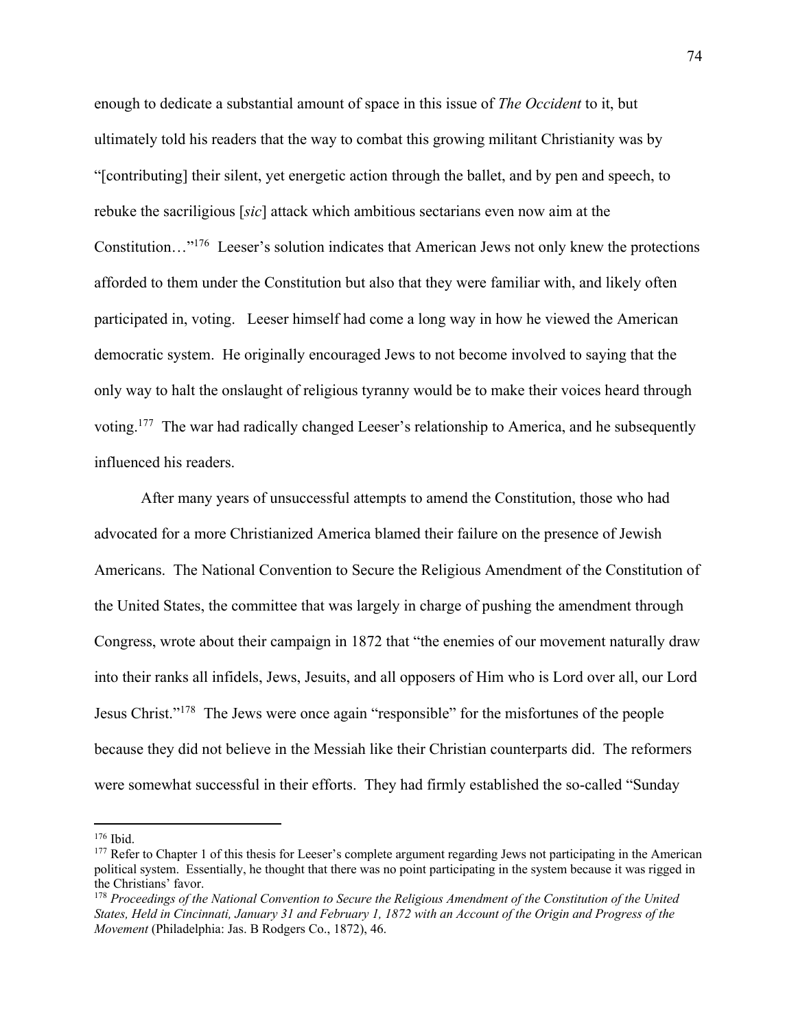enough to dedicate a substantial amount of space in this issue of *The Occident* to it, but ultimately told his readers that the way to combat this growing militant Christianity was by "[contributing] their silent, yet energetic action through the ballet, and by pen and speech, to rebuke the sacriligious [*sic*] attack which ambitious sectarians even now aim at the Constitution…"176 Leeser's solution indicates that American Jews not only knew the protections afforded to them under the Constitution but also that they were familiar with, and likely often participated in, voting. Leeser himself had come a long way in how he viewed the American democratic system. He originally encouraged Jews to not become involved to saying that the only way to halt the onslaught of religious tyranny would be to make their voices heard through voting.177 The war had radically changed Leeser's relationship to America, and he subsequently influenced his readers.

After many years of unsuccessful attempts to amend the Constitution, those who had advocated for a more Christianized America blamed their failure on the presence of Jewish Americans. The National Convention to Secure the Religious Amendment of the Constitution of the United States, the committee that was largely in charge of pushing the amendment through Congress, wrote about their campaign in 1872 that "the enemies of our movement naturally draw into their ranks all infidels, Jews, Jesuits, and all opposers of Him who is Lord over all, our Lord Jesus Christ."178 The Jews were once again "responsible" for the misfortunes of the people because they did not believe in the Messiah like their Christian counterparts did. The reformers were somewhat successful in their efforts. They had firmly established the so-called "Sunday

<sup>&</sup>lt;sup>176</sup> Ibid.<br><sup>177</sup> Refer to Chapter 1 of this thesis for Leeser's complete argument regarding Jews not participating in the American political system. Essentially, he thought that there was no point participating in the system because it was rigged in the Christians' favor.<br><sup>178</sup> Proceedings of the National Convention to Secure the Religious Amendment of the Constitution of the United

*States, Held in Cincinnati, January 31 and February 1, 1872 with an Account of the Origin and Progress of the Movement* (Philadelphia: Jas. B Rodgers Co., 1872), 46.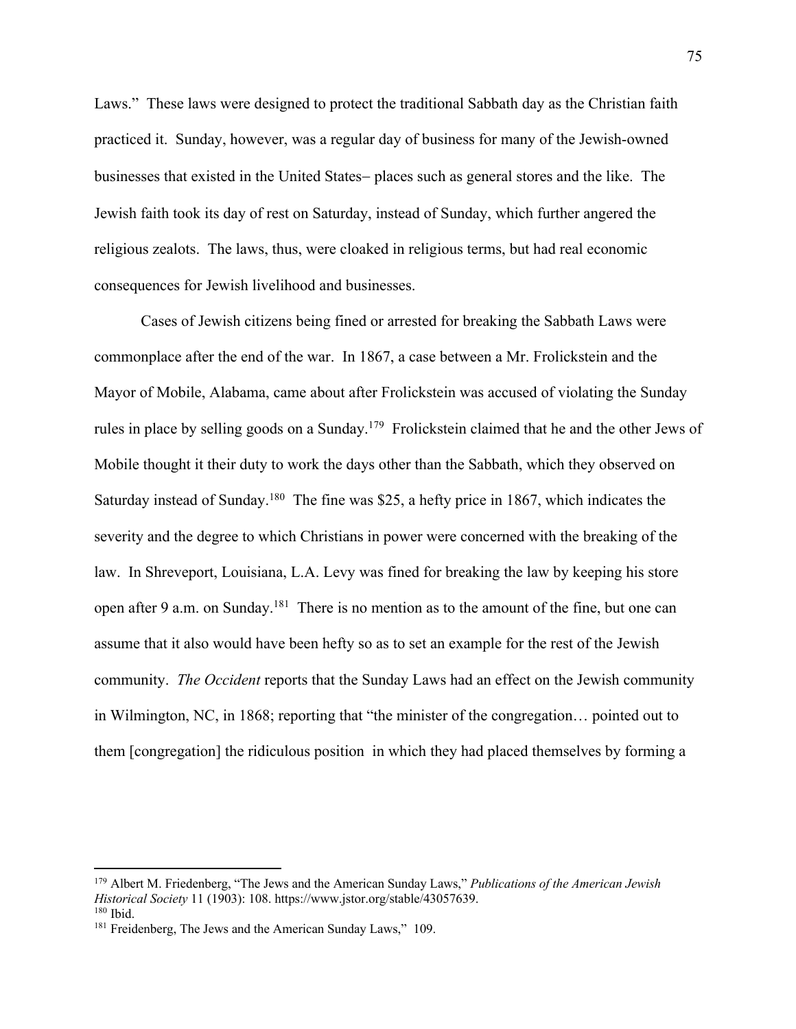Laws." These laws were designed to protect the traditional Sabbath day as the Christian faith practiced it. Sunday, however, was a regular day of business for many of the Jewish-owned businesses that existed in the United States- places such as general stores and the like. The Jewish faith took its day of rest on Saturday, instead of Sunday, which further angered the religious zealots. The laws, thus, were cloaked in religious terms, but had real economic consequences for Jewish livelihood and businesses.

Cases of Jewish citizens being fined or arrested for breaking the Sabbath Laws were commonplace after the end of the war. In 1867, a case between a Mr. Frolickstein and the Mayor of Mobile, Alabama, came about after Frolickstein was accused of violating the Sunday rules in place by selling goods on a Sunday.<sup>179</sup> Frolickstein claimed that he and the other Jews of Mobile thought it their duty to work the days other than the Sabbath, which they observed on Saturday instead of Sunday.<sup>180</sup> The fine was \$25, a hefty price in 1867, which indicates the severity and the degree to which Christians in power were concerned with the breaking of the law. In Shreveport, Louisiana, L.A. Levy was fined for breaking the law by keeping his store open after 9 a.m. on Sunday.<sup>181</sup> There is no mention as to the amount of the fine, but one can assume that it also would have been hefty so as to set an example for the rest of the Jewish community. *The Occident* reports that the Sunday Laws had an effect on the Jewish community in Wilmington, NC, in 1868; reporting that "the minister of the congregation… pointed out to them [congregation] the ridiculous position in which they had placed themselves by forming a

<sup>179</sup> Albert M. Friedenberg, "The Jews and the American Sunday Laws," *Publications of the American Jewish Historical Society* 11 (1903): 108. https://www.jstor.org/stable/43057639.<br><sup>180</sup> Ibid.

<sup>&</sup>lt;sup>181</sup> Freidenberg, The Jews and the American Sunday Laws," 109.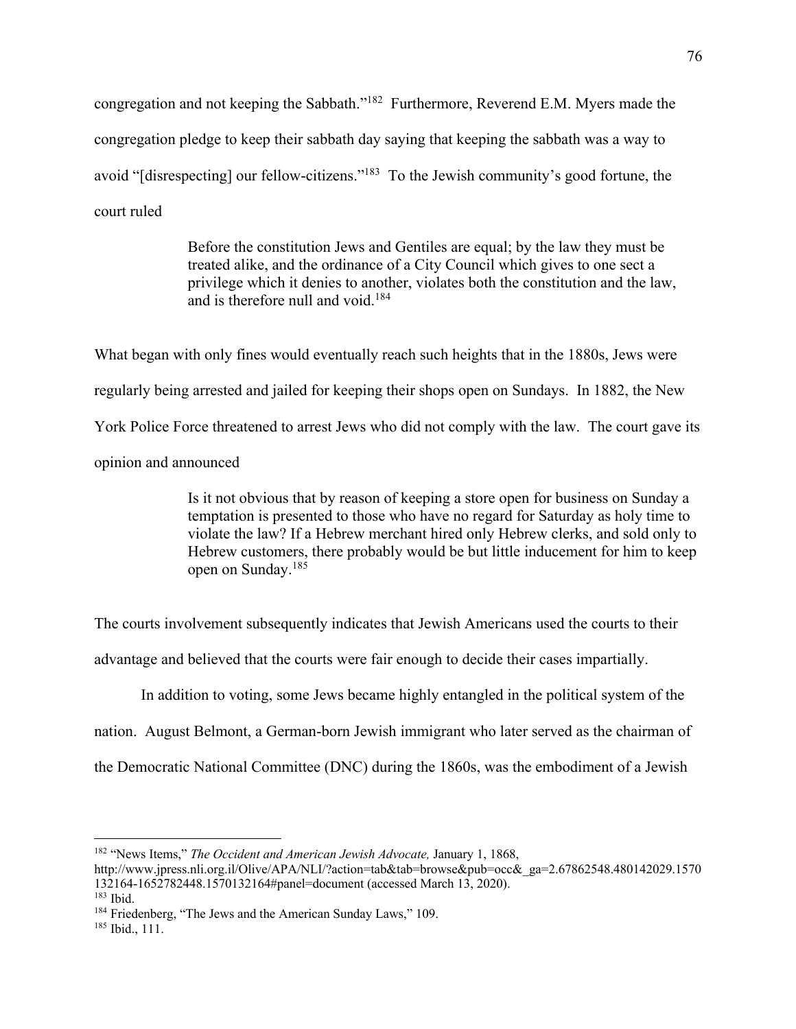congregation and not keeping the Sabbath."182 Furthermore, Reverend E.M. Myers made the congregation pledge to keep their sabbath day saying that keeping the sabbath was a way to avoid "[disrespecting] our fellow-citizens."183 To the Jewish community's good fortune, the court ruled

> Before the constitution Jews and Gentiles are equal; by the law they must be treated alike, and the ordinance of a City Council which gives to one sect a privilege which it denies to another, violates both the constitution and the law, and is therefore null and void.184

What began with only fines would eventually reach such heights that in the 1880s, Jews were regularly being arrested and jailed for keeping their shops open on Sundays. In 1882, the New York Police Force threatened to arrest Jews who did not comply with the law. The court gave its opinion and announced

> Is it not obvious that by reason of keeping a store open for business on Sunday a temptation is presented to those who have no regard for Saturday as holy time to violate the law? If a Hebrew merchant hired only Hebrew clerks, and sold only to Hebrew customers, there probably would be but little inducement for him to keep open on Sunday.185

The courts involvement subsequently indicates that Jewish Americans used the courts to their

advantage and believed that the courts were fair enough to decide their cases impartially.

In addition to voting, some Jews became highly entangled in the political system of the

nation. August Belmont, a German-born Jewish immigrant who later served as the chairman of

the Democratic National Committee (DNC) during the 1860s, was the embodiment of a Jewish

<sup>182</sup> "News Items," *The Occident and American Jewish Advocate,* January 1, 1868,

http://www.jpress.nli.org.il/Olive/APA/NLI/?action=tab&tab=browse&pub=occ&\_ga=2.67862548.480142029.1570 132164-1652782448.1570132164#panel=document (accessed March 13, 2020). 183 Ibid.

<sup>&</sup>lt;sup>184</sup> Friedenberg, "The Jews and the American Sunday Laws," 109.<br><sup>185</sup> Ibid., 111.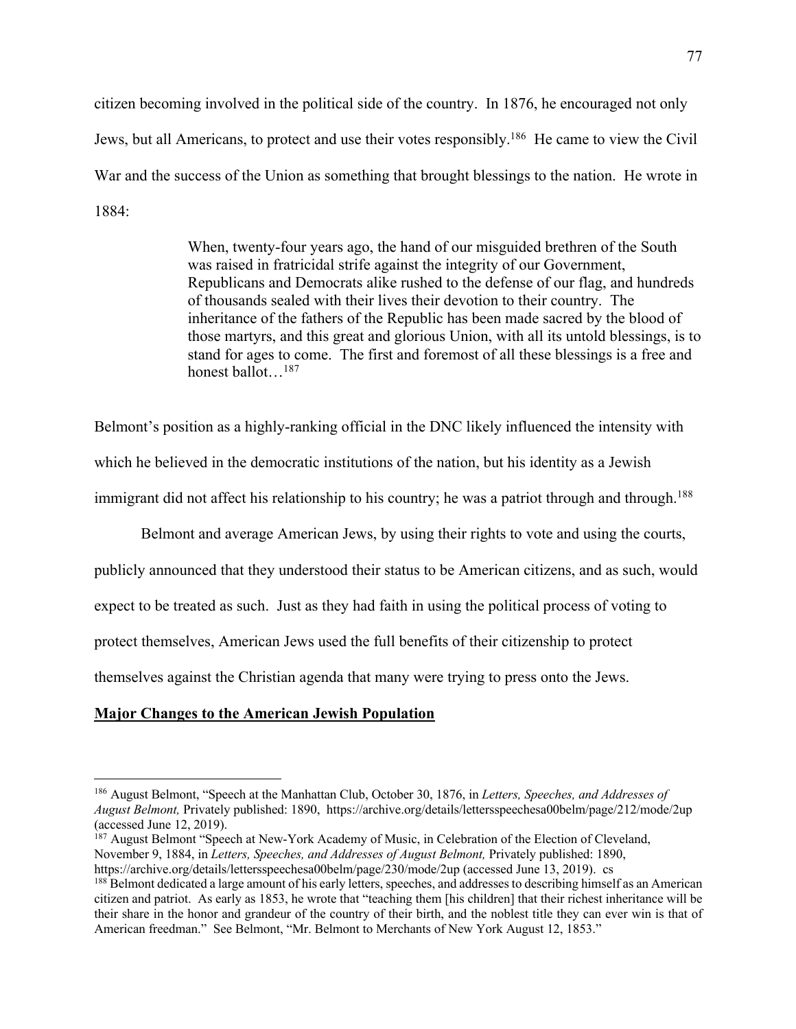citizen becoming involved in the political side of the country. In 1876, he encouraged not only Jews, but all Americans, to protect and use their votes responsibly.186 He came to view the Civil War and the success of the Union as something that brought blessings to the nation. He wrote in 1884:

> When, twenty-four years ago, the hand of our misguided brethren of the South was raised in fratricidal strife against the integrity of our Government, Republicans and Democrats alike rushed to the defense of our flag, and hundreds of thousands sealed with their lives their devotion to their country. The inheritance of the fathers of the Republic has been made sacred by the blood of those martyrs, and this great and glorious Union, with all its untold blessings, is to stand for ages to come. The first and foremost of all these blessings is a free and honest ballot…187

Belmont's position as a highly-ranking official in the DNC likely influenced the intensity with which he believed in the democratic institutions of the nation, but his identity as a Jewish immigrant did not affect his relationship to his country; he was a patriot through and through.<sup>188</sup>

Belmont and average American Jews, by using their rights to vote and using the courts,

publicly announced that they understood their status to be American citizens, and as such, would

expect to be treated as such. Just as they had faith in using the political process of voting to

protect themselves, American Jews used the full benefits of their citizenship to protect

themselves against the Christian agenda that many were trying to press onto the Jews.

## **Major Changes to the American Jewish Population**

<sup>186</sup> August Belmont, "Speech at the Manhattan Club, October 30, 1876, in *Letters, Speeches, and Addresses of August Belmont,* Privately published: 1890, https://archive.org/details/lettersspeechesa00belm/page/212/mode/2up (accessed June 12, 2019).

<sup>&</sup>lt;sup>187</sup> August Belmont "Speech at New-York Academy of Music, in Celebration of the Election of Cleveland, November 9, 1884, in *Letters, Speeches, and Addresses of August Belmont,* Privately published: 1890, https://archive.org/details/lettersspeechesa00belm/page/230/mode/2up (accessed June 13, 2019). cs

<sup>&</sup>lt;sup>188</sup> Belmont dedicated a large amount of his early letters, speeches, and addresses to describing himself as an American citizen and patriot. As early as 1853, he wrote that "teaching them [his children] that their richest inheritance will be their share in the honor and grandeur of the country of their birth, and the noblest title they can ever win is that of American freedman." See Belmont, "Mr. Belmont to Merchants of New York August 12, 1853."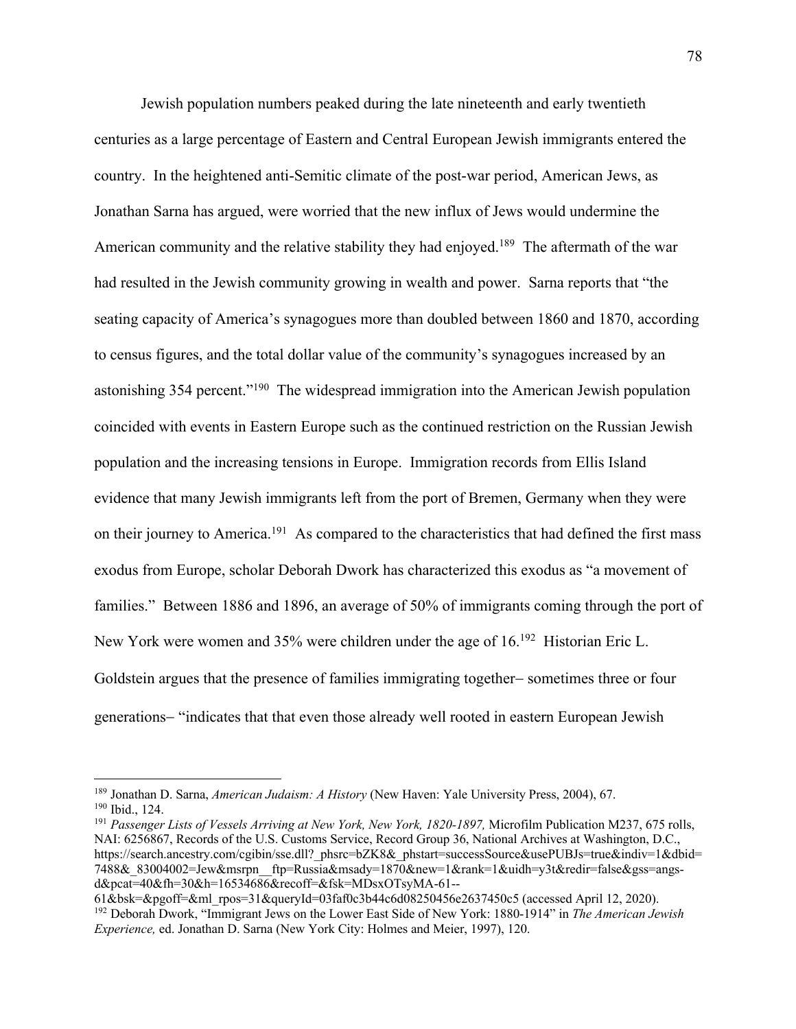Jewish population numbers peaked during the late nineteenth and early twentieth centuries as a large percentage of Eastern and Central European Jewish immigrants entered the country. In the heightened anti-Semitic climate of the post-war period, American Jews, as Jonathan Sarna has argued, were worried that the new influx of Jews would undermine the American community and the relative stability they had enjoyed.<sup>189</sup> The aftermath of the war had resulted in the Jewish community growing in wealth and power. Sarna reports that "the seating capacity of America's synagogues more than doubled between 1860 and 1870, according to census figures, and the total dollar value of the community's synagogues increased by an astonishing 354 percent."190 The widespread immigration into the American Jewish population coincided with events in Eastern Europe such as the continued restriction on the Russian Jewish population and the increasing tensions in Europe. Immigration records from Ellis Island evidence that many Jewish immigrants left from the port of Bremen, Germany when they were on their journey to America.<sup>191</sup> As compared to the characteristics that had defined the first mass exodus from Europe, scholar Deborah Dwork has characterized this exodus as "a movement of families." Between 1886 and 1896, an average of 50% of immigrants coming through the port of New York were women and 35% were children under the age of 16.192 Historian Eric L. Goldstein argues that the presence of families immigrating together- sometimes three or four generations- "indicates that that even those already well rooted in eastern European Jewish

<sup>189</sup> Jonathan D. Sarna, *American Judaism: A History* (New Haven: Yale University Press, 2004), 67. 190 Ibid., 124.

<sup>191</sup> *Passenger Lists of Vessels Arriving at New York, New York, 1820-1897,* Microfilm Publication M237, 675 rolls, NAI: 6256867, Records of the U.S. Customs Service, Record Group 36, National Archives at Washington, D.C., https://search.ancestry.com/cgibin/sse.dll?\_phsrc=bZK8&\_phstart=successSource&usePUBJs=true&indiv=1&dbid= 7488&\_83004002=Jew&msrpn\_\_ftp=Russia&msady=1870&new=1&rank=1&uidh=y3t&redir=false&gss=angsd&pcat=40&fh=30&h=16534686&recoff=&fsk=MDsxOTsyMA-61--

<sup>61&</sup>amp;bsk=&pgoff=&ml\_rpos=31&queryId=03faf0c3b44c6d08250456e2637450c5 (accessed April 12, 2020). 192 Deborah Dwork, "Immigrant Jews on the Lower East Side of New York: 1880-1914" in *The American Jewish Experience,* ed. Jonathan D. Sarna (New York City: Holmes and Meier, 1997), 120.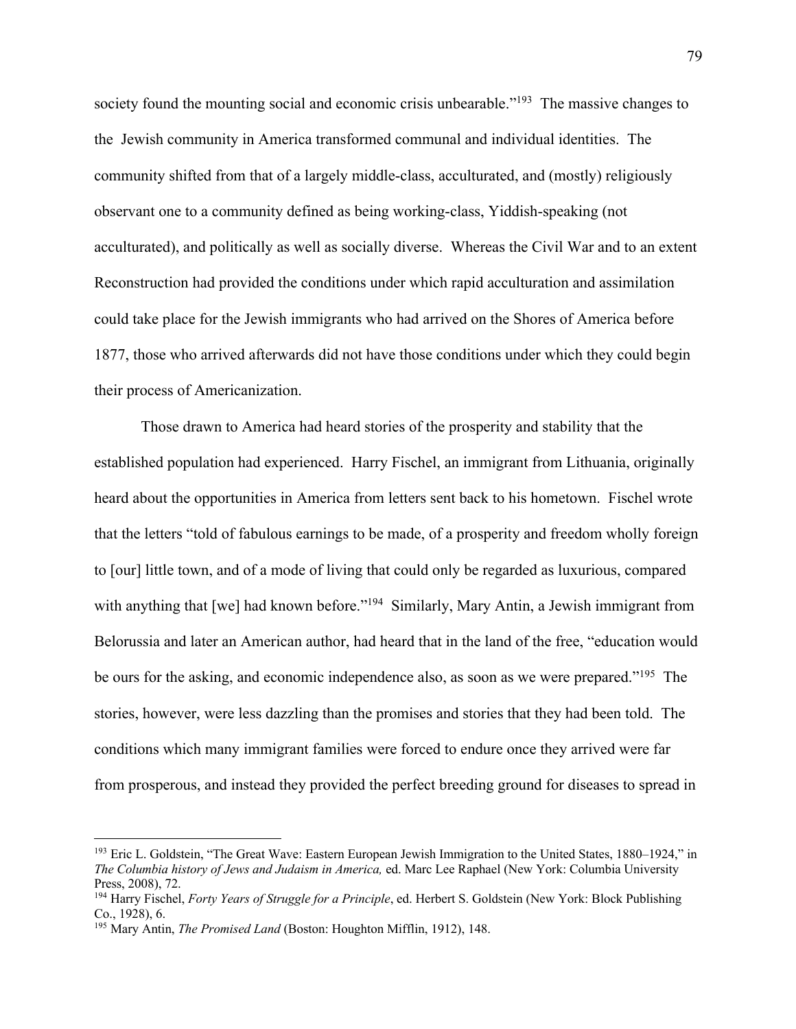society found the mounting social and economic crisis unbearable."<sup>193</sup> The massive changes to the Jewish community in America transformed communal and individual identities. The community shifted from that of a largely middle-class, acculturated, and (mostly) religiously observant one to a community defined as being working-class, Yiddish-speaking (not acculturated), and politically as well as socially diverse. Whereas the Civil War and to an extent Reconstruction had provided the conditions under which rapid acculturation and assimilation could take place for the Jewish immigrants who had arrived on the Shores of America before 1877, those who arrived afterwards did not have those conditions under which they could begin their process of Americanization.

Those drawn to America had heard stories of the prosperity and stability that the established population had experienced. Harry Fischel, an immigrant from Lithuania, originally heard about the opportunities in America from letters sent back to his hometown. Fischel wrote that the letters "told of fabulous earnings to be made, of a prosperity and freedom wholly foreign to [our] little town, and of a mode of living that could only be regarded as luxurious, compared with anything that [we] had known before."<sup>194</sup> Similarly, Mary Antin, a Jewish immigrant from Belorussia and later an American author, had heard that in the land of the free, "education would be ours for the asking, and economic independence also, as soon as we were prepared."<sup>195</sup> The stories, however, were less dazzling than the promises and stories that they had been told. The conditions which many immigrant families were forced to endure once they arrived were far from prosperous, and instead they provided the perfect breeding ground for diseases to spread in

<sup>193</sup> Eric L. Goldstein, "The Great Wave: Eastern European Jewish Immigration to the United States, 1880–1924," in *The Columbia history of Jews and Judaism in America,* ed. Marc Lee Raphael (New York: Columbia University Press, 2008), 72.

<sup>194</sup> Harry Fischel, *Forty Years of Struggle for a Principle*, ed. Herbert S. Goldstein (New York: Block Publishing Co., 1928), 6.

<sup>195</sup> Mary Antin, *The Promised Land* (Boston: Houghton Mifflin, 1912), 148.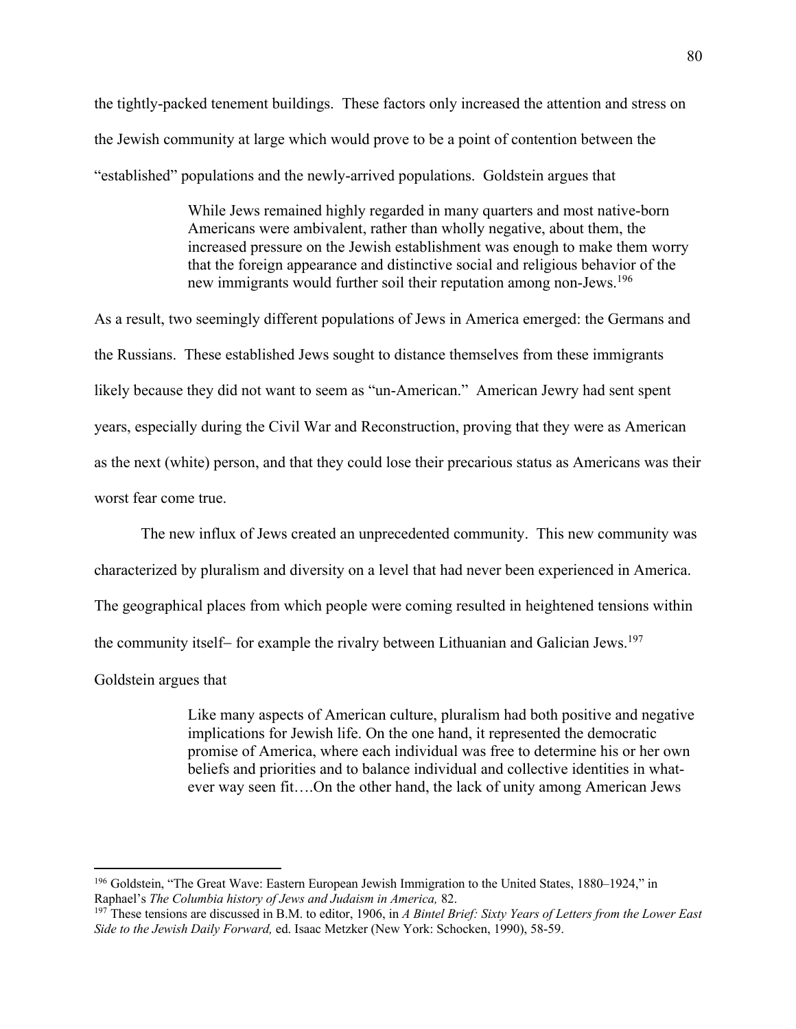the tightly-packed tenement buildings. These factors only increased the attention and stress on the Jewish community at large which would prove to be a point of contention between the "established" populations and the newly-arrived populations. Goldstein argues that

> While Jews remained highly regarded in many quarters and most native-born Americans were ambivalent, rather than wholly negative, about them, the increased pressure on the Jewish establishment was enough to make them worry that the foreign appearance and distinctive social and religious behavior of the new immigrants would further soil their reputation among non-Jews.<sup>196</sup>

As a result, two seemingly different populations of Jews in America emerged: the Germans and the Russians. These established Jews sought to distance themselves from these immigrants likely because they did not want to seem as "un-American." American Jewry had sent spent years, especially during the Civil War and Reconstruction, proving that they were as American as the next (white) person, and that they could lose their precarious status as Americans was their worst fear come true.

The new influx of Jews created an unprecedented community. This new community was

characterized by pluralism and diversity on a level that had never been experienced in America.

The geographical places from which people were coming resulted in heightened tensions within

the community itself- for example the rivalry between Lithuanian and Galician Jews.<sup>197</sup>

Goldstein argues that

Like many aspects of American culture, pluralism had both positive and negative implications for Jewish life. On the one hand, it represented the democratic promise of America, where each individual was free to determine his or her own beliefs and priorities and to balance individual and collective identities in whatever way seen fit….On the other hand, the lack of unity among American Jews

<sup>&</sup>lt;sup>196</sup> Goldstein, "The Great Wave: Eastern European Jewish Immigration to the United States, 1880–1924," in Raphael's *The Columbia history of Jews and Judaism in America*, 82.

<sup>&</sup>lt;sup>197</sup> These tensions are discussed in B.M. to editor, 1906, in *A Bintel Brief: Sixty Years of Letters from the Lower East Side to the Jewish Daily Forward,* ed. Isaac Metzker (New York: Schocken, 1990), 58-59.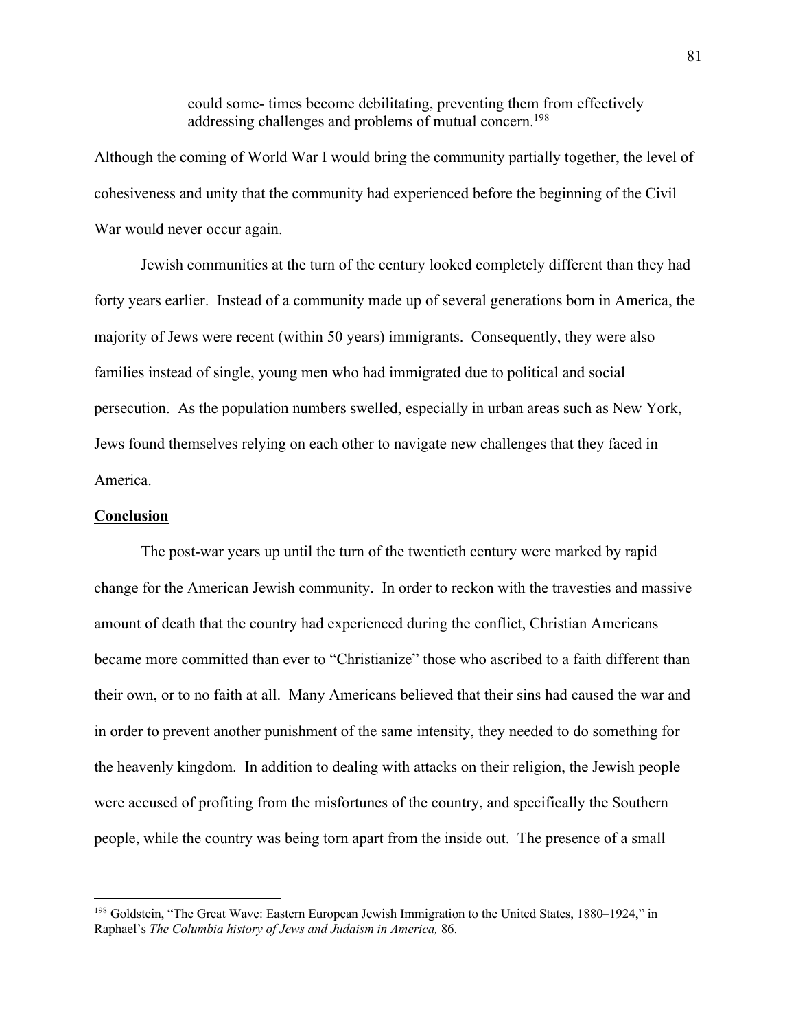could some- times become debilitating, preventing them from effectively addressing challenges and problems of mutual concern.<sup>198</sup>

Although the coming of World War I would bring the community partially together, the level of cohesiveness and unity that the community had experienced before the beginning of the Civil War would never occur again.

Jewish communities at the turn of the century looked completely different than they had forty years earlier. Instead of a community made up of several generations born in America, the majority of Jews were recent (within 50 years) immigrants. Consequently, they were also families instead of single, young men who had immigrated due to political and social persecution. As the population numbers swelled, especially in urban areas such as New York, Jews found themselves relying on each other to navigate new challenges that they faced in America.

## **Conclusion**

The post-war years up until the turn of the twentieth century were marked by rapid change for the American Jewish community. In order to reckon with the travesties and massive amount of death that the country had experienced during the conflict, Christian Americans became more committed than ever to "Christianize" those who ascribed to a faith different than their own, or to no faith at all. Many Americans believed that their sins had caused the war and in order to prevent another punishment of the same intensity, they needed to do something for the heavenly kingdom. In addition to dealing with attacks on their religion, the Jewish people were accused of profiting from the misfortunes of the country, and specifically the Southern people, while the country was being torn apart from the inside out. The presence of a small

<sup>198</sup> Goldstein, "The Great Wave: Eastern European Jewish Immigration to the United States, 1880–1924," in Raphael's *The Columbia history of Jews and Judaism in America,* 86.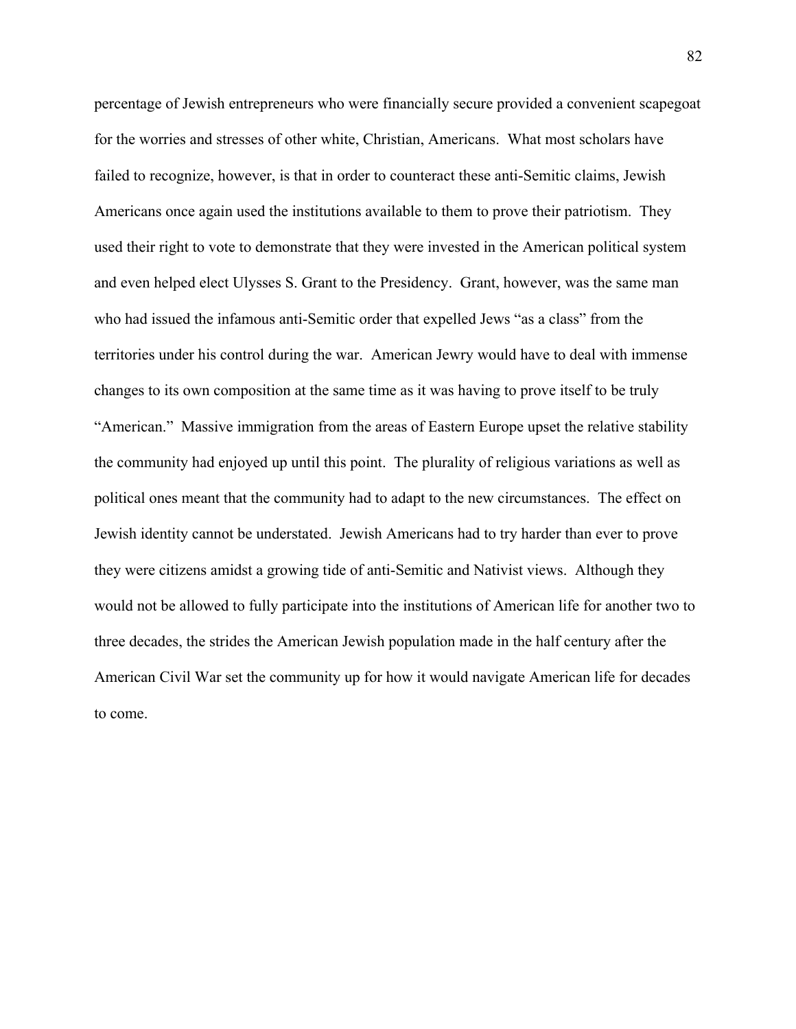percentage of Jewish entrepreneurs who were financially secure provided a convenient scapegoat for the worries and stresses of other white, Christian, Americans. What most scholars have failed to recognize, however, is that in order to counteract these anti-Semitic claims, Jewish Americans once again used the institutions available to them to prove their patriotism. They used their right to vote to demonstrate that they were invested in the American political system and even helped elect Ulysses S. Grant to the Presidency. Grant, however, was the same man who had issued the infamous anti-Semitic order that expelled Jews "as a class" from the territories under his control during the war. American Jewry would have to deal with immense changes to its own composition at the same time as it was having to prove itself to be truly "American." Massive immigration from the areas of Eastern Europe upset the relative stability the community had enjoyed up until this point. The plurality of religious variations as well as political ones meant that the community had to adapt to the new circumstances. The effect on Jewish identity cannot be understated. Jewish Americans had to try harder than ever to prove they were citizens amidst a growing tide of anti-Semitic and Nativist views. Although they would not be allowed to fully participate into the institutions of American life for another two to three decades, the strides the American Jewish population made in the half century after the American Civil War set the community up for how it would navigate American life for decades to come.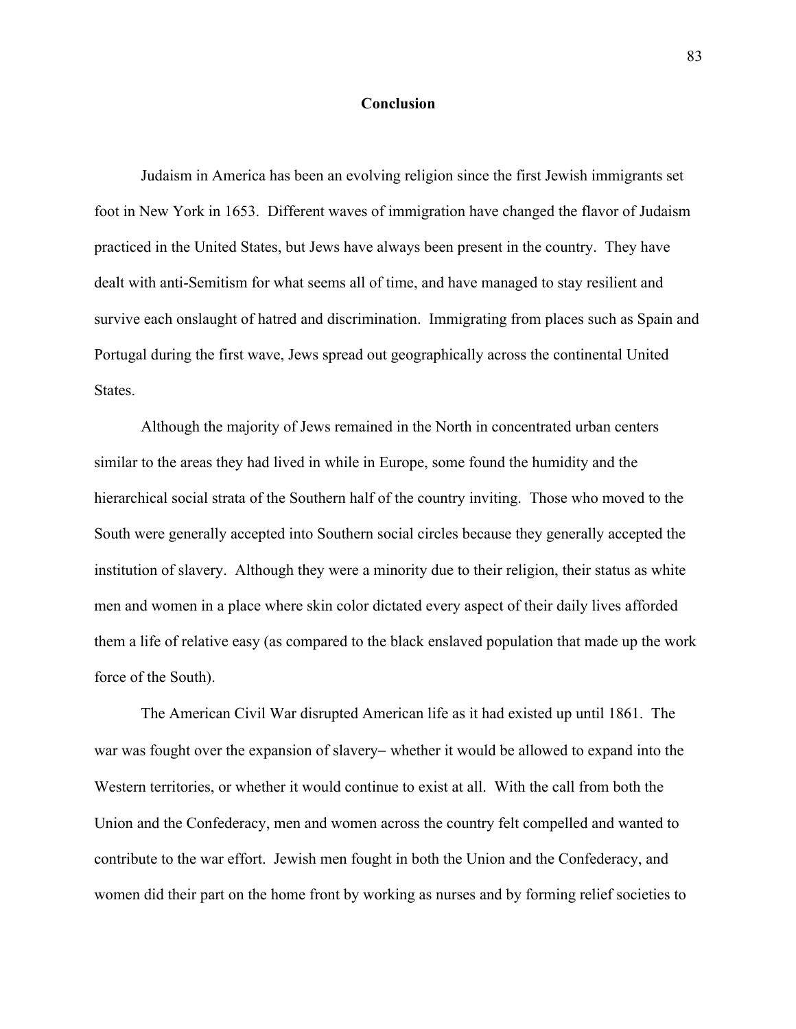## **Conclusion**

Judaism in America has been an evolving religion since the first Jewish immigrants set foot in New York in 1653. Different waves of immigration have changed the flavor of Judaism practiced in the United States, but Jews have always been present in the country. They have dealt with anti-Semitism for what seems all of time, and have managed to stay resilient and survive each onslaught of hatred and discrimination. Immigrating from places such as Spain and Portugal during the first wave, Jews spread out geographically across the continental United States.

Although the majority of Jews remained in the North in concentrated urban centers similar to the areas they had lived in while in Europe, some found the humidity and the hierarchical social strata of the Southern half of the country inviting. Those who moved to the South were generally accepted into Southern social circles because they generally accepted the institution of slavery. Although they were a minority due to their religion, their status as white men and women in a place where skin color dictated every aspect of their daily lives afforded them a life of relative easy (as compared to the black enslaved population that made up the work force of the South).

The American Civil War disrupted American life as it had existed up until 1861. The war was fought over the expansion of slavery- whether it would be allowed to expand into the Western territories, or whether it would continue to exist at all. With the call from both the Union and the Confederacy, men and women across the country felt compelled and wanted to contribute to the war effort. Jewish men fought in both the Union and the Confederacy, and women did their part on the home front by working as nurses and by forming relief societies to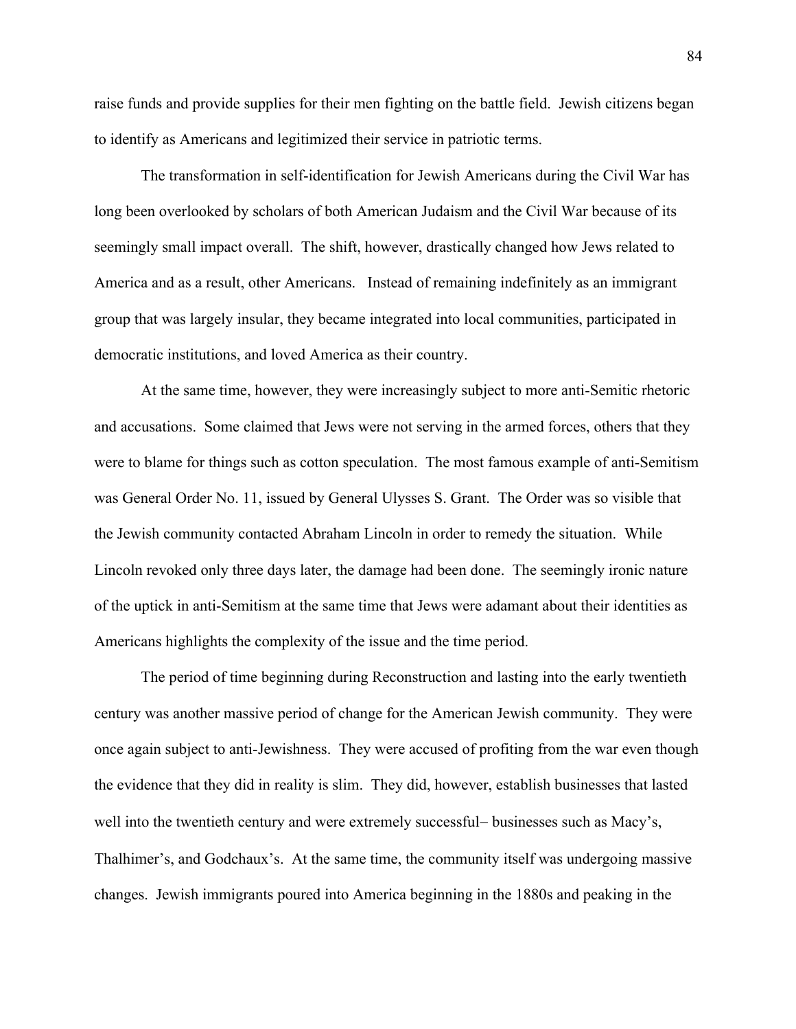raise funds and provide supplies for their men fighting on the battle field. Jewish citizens began to identify as Americans and legitimized their service in patriotic terms.

The transformation in self-identification for Jewish Americans during the Civil War has long been overlooked by scholars of both American Judaism and the Civil War because of its seemingly small impact overall. The shift, however, drastically changed how Jews related to America and as a result, other Americans. Instead of remaining indefinitely as an immigrant group that was largely insular, they became integrated into local communities, participated in democratic institutions, and loved America as their country.

At the same time, however, they were increasingly subject to more anti-Semitic rhetoric and accusations. Some claimed that Jews were not serving in the armed forces, others that they were to blame for things such as cotton speculation. The most famous example of anti-Semitism was General Order No. 11, issued by General Ulysses S. Grant. The Order was so visible that the Jewish community contacted Abraham Lincoln in order to remedy the situation. While Lincoln revoked only three days later, the damage had been done. The seemingly ironic nature of the uptick in anti-Semitism at the same time that Jews were adamant about their identities as Americans highlights the complexity of the issue and the time period.

The period of time beginning during Reconstruction and lasting into the early twentieth century was another massive period of change for the American Jewish community. They were once again subject to anti-Jewishness. They were accused of profiting from the war even though the evidence that they did in reality is slim. They did, however, establish businesses that lasted well into the twentieth century and were extremely successful- businesses such as Macy's, Thalhimer's, and Godchaux's. At the same time, the community itself was undergoing massive changes. Jewish immigrants poured into America beginning in the 1880s and peaking in the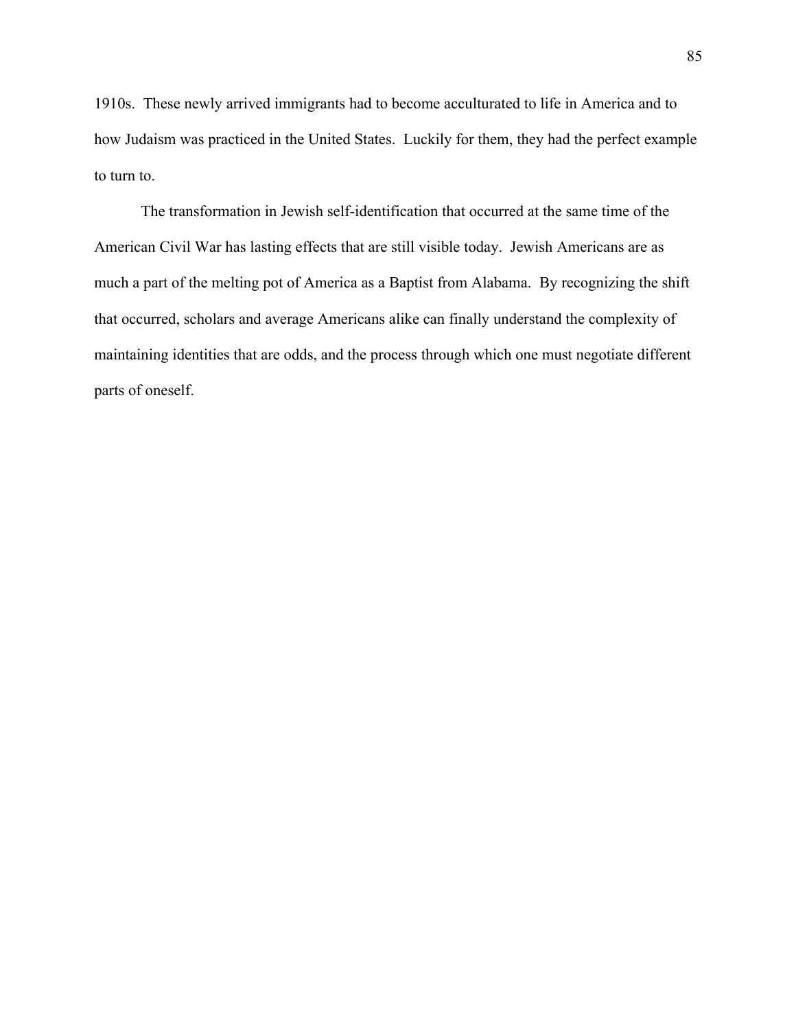1910s. These newly arrived immigrants had to become acculturated to life in America and to how Judaism was practiced in the United States. Luckily for them, they had the perfect example to turn to.

The transformation in Jewish self-identification that occurred at the same time of the American Civil War has lasting effects that are still visible today. Jewish Americans are as much a part of the melting pot of America as a Baptist from Alabama. By recognizing the shift that occurred, scholars and average Americans alike can finally understand the complexity of maintaining identities that are odds, and the process through which one must negotiate different parts of oneself.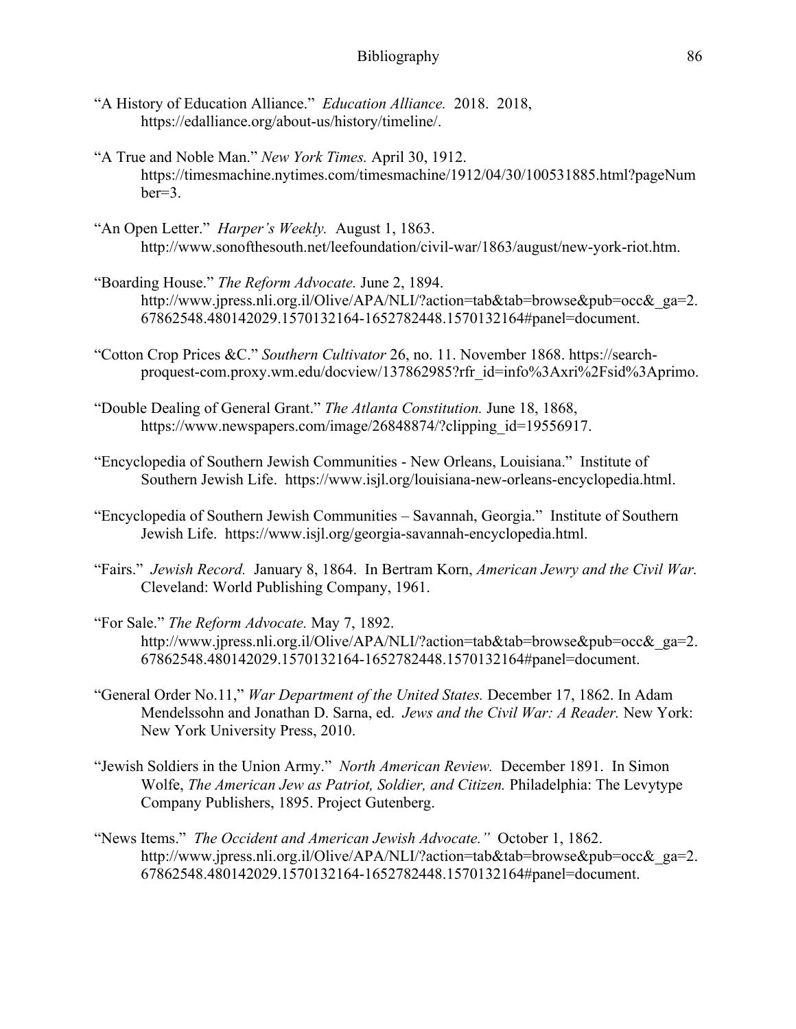- "A History of Education Alliance." *Education Alliance.* 2018. 2018, https://edalliance.org/about-us/history/timeline/.
- "A True and Noble Man." *New York Times.* April 30, 1912. https://timesmachine.nytimes.com/timesmachine/1912/04/30/100531885.html?pageNum ber=3.
- "An Open Letter." *Harper's Weekly.* August 1, 1863. http://www.sonofthesouth.net/leefoundation/civil-war/1863/august/new-york-riot.htm.
- "Boarding House." *The Reform Advocate.* June 2, 1894. http://www.jpress.nli.org.il/Olive/APA/NLI/?action=tab&tab=browse&pub=occ&\_ga=2. 67862548.480142029.1570132164-1652782448.1570132164#panel=document.
- "Cotton Crop Prices &C." *Southern Cultivator* 26, no. 11. November 1868. https://searchproquest-com.proxy.wm.edu/docview/137862985?rfr\_id=info%3Axri%2Fsid%3Aprimo.
- "Double Dealing of General Grant." *The Atlanta Constitution.* June 18, 1868, https://www.newspapers.com/image/26848874/?clipping\_id=19556917.
- "Encyclopedia of Southern Jewish Communities New Orleans, Louisiana." Institute of Southern Jewish Life. https://www.isjl.org/louisiana-new-orleans-encyclopedia.html.
- "Encyclopedia of Southern Jewish Communities Savannah, Georgia." Institute of Southern Jewish Life. https://www.isjl.org/georgia-savannah-encyclopedia.html.
- "Fairs." *Jewish Record.* January 8, 1864. In Bertram Korn, *American Jewry and the Civil War.*  Cleveland: World Publishing Company, 1961.
- "For Sale." *The Reform Advocate.* May 7, 1892. http://www.jpress.nli.org.il/Olive/APA/NLI/?action=tab&tab=browse&pub=occ&\_ga=2. 67862548.480142029.1570132164-1652782448.1570132164#panel=document.
- "General Order No.11," *War Department of the United States.* December 17, 1862. In Adam Mendelssohn and Jonathan D. Sarna, ed. *Jews and the Civil War: A Reader.* New York: New York University Press, 2010.
- "Jewish Soldiers in the Union Army." *North American Review.* December 1891. In Simon Wolfe, *The American Jew as Patriot, Soldier, and Citizen.* Philadelphia: The Levytype Company Publishers, 1895. Project Gutenberg.
- "News Items." *The Occident and American Jewish Advocate."* October 1, 1862. http://www.jpress.nli.org.il/Olive/APA/NLI/?action=tab&tab=browse&pub=occ&\_ga=2. 67862548.480142029.1570132164-1652782448.1570132164#panel=document.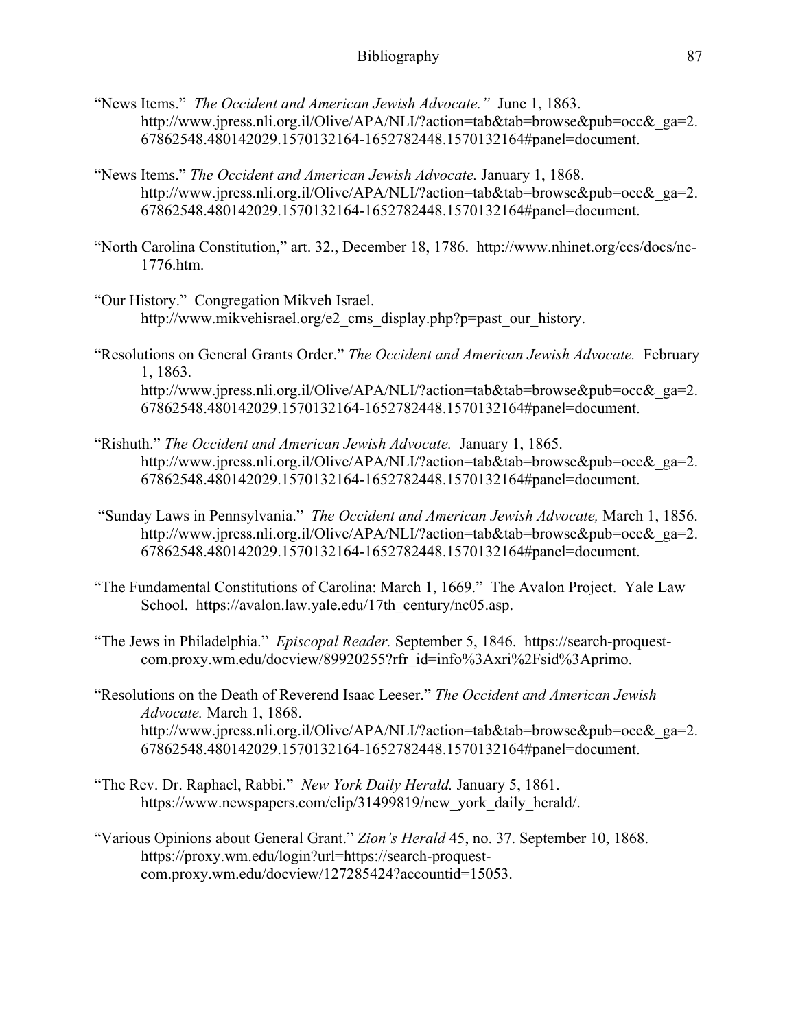- "News Items." *The Occident and American Jewish Advocate."* June 1, 1863. http://www.jpress.nli.org.il/Olive/APA/NLI/?action=tab&tab=browse&pub=occ&\_ga=2. 67862548.480142029.1570132164-1652782448.1570132164#panel=document.
- "News Items." *The Occident and American Jewish Advocate.* January 1, 1868. http://www.jpress.nli.org.il/Olive/APA/NLI/?action=tab&tab=browse&pub=occ&\_ga=2. 67862548.480142029.1570132164-1652782448.1570132164#panel=document.
- "North Carolina Constitution," art. 32., December 18, 1786. http://www.nhinet.org/ccs/docs/nc-1776.htm.
- "Our History." Congregation Mikveh Israel. http://www.mikvehisrael.org/e2\_cms\_display.php?p=past\_our\_history.
- "Resolutions on General Grants Order." *The Occident and American Jewish Advocate.* February 1, 1863. http://www.jpress.nli.org.il/Olive/APA/NLI/?action=tab&tab=browse&pub=occ&\_ga=2. 67862548.480142029.1570132164-1652782448.1570132164#panel=document.
- "Rishuth." *The Occident and American Jewish Advocate.* January 1, 1865. http://www.jpress.nli.org.il/Olive/APA/NLI/?action=tab&tab=browse&pub=occ&\_ga=2. 67862548.480142029.1570132164-1652782448.1570132164#panel=document.
- "Sunday Laws in Pennsylvania." *The Occident and American Jewish Advocate,* March 1, 1856. http://www.jpress.nli.org.il/Olive/APA/NLI/?action=tab&tab=browse&pub=occ&\_ga=2. 67862548.480142029.1570132164-1652782448.1570132164#panel=document.
- "The Fundamental Constitutions of Carolina: March 1, 1669." The Avalon Project. Yale Law School. https://avalon.law.yale.edu/17th\_century/nc05.asp.
- "The Jews in Philadelphia." *Episcopal Reader.* September 5, 1846. https://search-proquestcom.proxy.wm.edu/docview/89920255?rfr\_id=info%3Axri%2Fsid%3Aprimo.
- "Resolutions on the Death of Reverend Isaac Leeser." *The Occident and American Jewish Advocate.* March 1, 1868. http://www.jpress.nli.org.il/Olive/APA/NLI/?action=tab&tab=browse&pub=occ&\_ga=2. 67862548.480142029.1570132164-1652782448.1570132164#panel=document.
- "The Rev. Dr. Raphael, Rabbi." *New York Daily Herald.* January 5, 1861. https://www.newspapers.com/clip/31499819/new\_york\_daily\_herald/.
- "Various Opinions about General Grant." *Zion's Herald* 45, no. 37. September 10, 1868. https://proxy.wm.edu/login?url=https://search-proquestcom.proxy.wm.edu/docview/127285424?accountid=15053.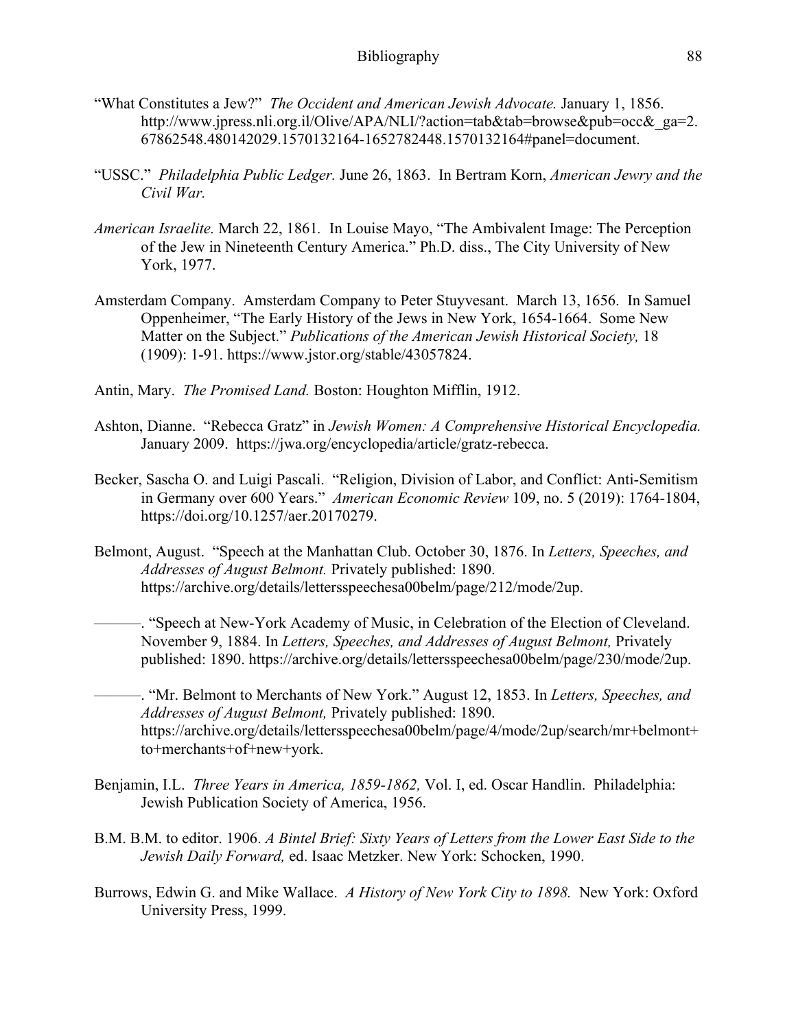- "What Constitutes a Jew?" *The Occident and American Jewish Advocate.* January 1, 1856. http://www.jpress.nli.org.il/Olive/APA/NLI/?action=tab&tab=browse&pub=occ&\_ga=2. 67862548.480142029.1570132164-1652782448.1570132164#panel=document.
- "USSC." *Philadelphia Public Ledger.* June 26, 1863. In Bertram Korn, *American Jewry and the Civil War.*
- *American Israelite.* March 22, 1861*.* In Louise Mayo, "The Ambivalent Image: The Perception of the Jew in Nineteenth Century America." Ph.D. diss., The City University of New York, 1977.
- Amsterdam Company. Amsterdam Company to Peter Stuyvesant. March 13, 1656. In Samuel Oppenheimer, "The Early History of the Jews in New York, 1654-1664. Some New Matter on the Subject." *Publications of the American Jewish Historical Society,* 18 (1909): 1-91. https://www.jstor.org/stable/43057824.
- Antin, Mary. *The Promised Land.* Boston: Houghton Mifflin, 1912.
- Ashton, Dianne. "Rebecca Gratz" in *Jewish Women: A Comprehensive Historical Encyclopedia.*  January 2009. https://jwa.org/encyclopedia/article/gratz-rebecca.
- Becker, Sascha O. and Luigi Pascali. "Religion, Division of Labor, and Conflict: Anti-Semitism in Germany over 600 Years." *American Economic Review* 109, no. 5 (2019): 1764-1804, https://doi.org/10.1257/aer.20170279.
- Belmont, August. "Speech at the Manhattan Club. October 30, 1876. In *Letters, Speeches, and Addresses of August Belmont.* Privately published: 1890. https://archive.org/details/lettersspeechesa00belm/page/212/mode/2up.

———. "Speech at New-York Academy of Music, in Celebration of the Election of Cleveland. November 9, 1884. In *Letters, Speeches, and Addresses of August Belmont,* Privately published: 1890. https://archive.org/details/lettersspeechesa00belm/page/230/mode/2up.

———. "Mr. Belmont to Merchants of New York." August 12, 1853. In *Letters, Speeches, and Addresses of August Belmont,* Privately published: 1890. https://archive.org/details/lettersspeechesa00belm/page/4/mode/2up/search/mr+belmont+ to+merchants+of+new+york.

- Benjamin, I.L. *Three Years in America, 1859-1862,* Vol. I, ed. Oscar Handlin. Philadelphia: Jewish Publication Society of America, 1956.
- B.M. B.M. to editor. 1906. *A Bintel Brief: Sixty Years of Letters from the Lower East Side to the Jewish Daily Forward,* ed. Isaac Metzker. New York: Schocken, 1990.
- Burrows, Edwin G. and Mike Wallace. *A History of New York City to 1898.* New York: Oxford University Press, 1999.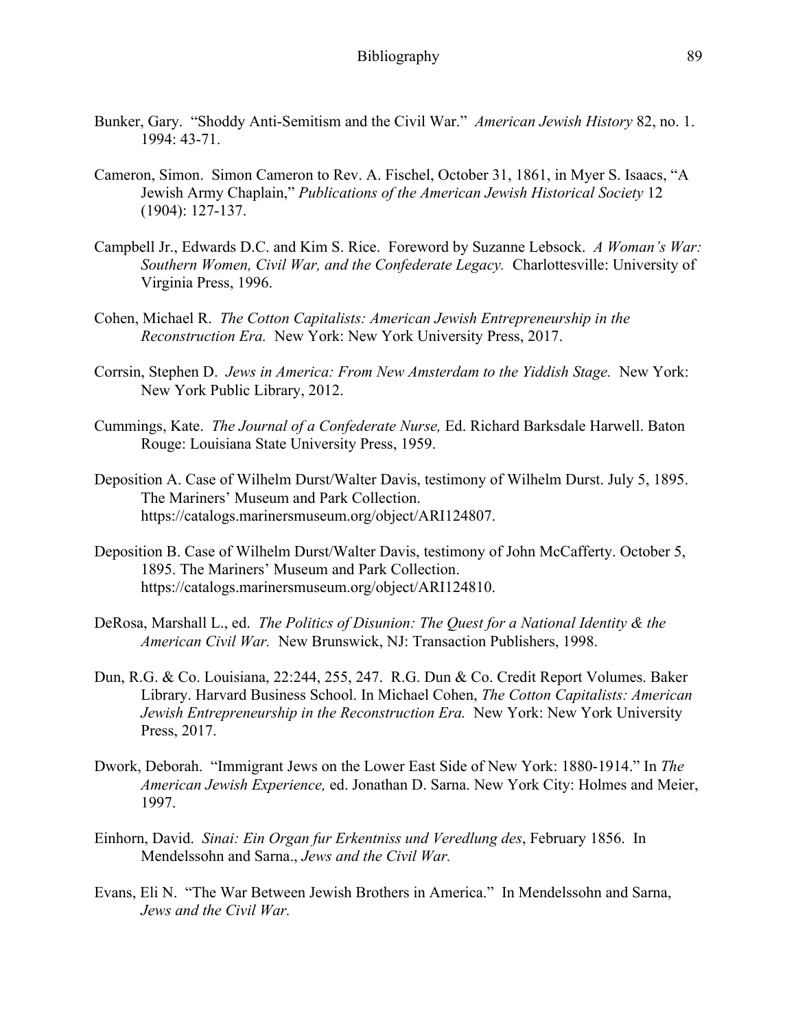- Bunker, Gary. "Shoddy Anti-Semitism and the Civil War." *American Jewish History* 82, no. 1. 1994: 43-71.
- Cameron, Simon. Simon Cameron to Rev. A. Fischel, October 31, 1861, in Myer S. Isaacs, "A Jewish Army Chaplain," *Publications of the American Jewish Historical Society* 12 (1904): 127-137.
- Campbell Jr., Edwards D.C. and Kim S. Rice. Foreword by Suzanne Lebsock. *A Woman's War: Southern Women, Civil War, and the Confederate Legacy.* Charlottesville: University of Virginia Press, 1996.
- Cohen, Michael R. *The Cotton Capitalists: American Jewish Entrepreneurship in the Reconstruction Era.* New York: New York University Press, 2017.
- Corrsin, Stephen D. *Jews in America: From New Amsterdam to the Yiddish Stage.* New York: New York Public Library, 2012.
- Cummings, Kate. *The Journal of a Confederate Nurse,* Ed. Richard Barksdale Harwell. Baton Rouge: Louisiana State University Press, 1959.
- Deposition A. Case of Wilhelm Durst/Walter Davis, testimony of Wilhelm Durst. July 5, 1895. The Mariners' Museum and Park Collection. https://catalogs.marinersmuseum.org/object/ARI124807.
- Deposition B. Case of Wilhelm Durst/Walter Davis, testimony of John McCafferty. October 5, 1895. The Mariners' Museum and Park Collection. https://catalogs.marinersmuseum.org/object/ARI124810.
- DeRosa, Marshall L., ed. *The Politics of Disunion: The Quest for a National Identity & the American Civil War.* New Brunswick, NJ: Transaction Publishers, 1998.
- Dun, R.G. & Co. Louisiana, 22:244, 255, 247. R.G. Dun & Co. Credit Report Volumes. Baker Library. Harvard Business School. In Michael Cohen, *The Cotton Capitalists: American Jewish Entrepreneurship in the Reconstruction Era.* New York: New York University Press, 2017.
- Dwork, Deborah. "Immigrant Jews on the Lower East Side of New York: 1880-1914." In *The American Jewish Experience,* ed. Jonathan D. Sarna. New York City: Holmes and Meier, 1997.
- Einhorn, David. *Sinai: Ein Organ fur Erkentniss und Veredlung des*, February 1856. In Mendelssohn and Sarna., *Jews and the Civil War.*
- Evans, Eli N. "The War Between Jewish Brothers in America." In Mendelssohn and Sarna, *Jews and the Civil War.*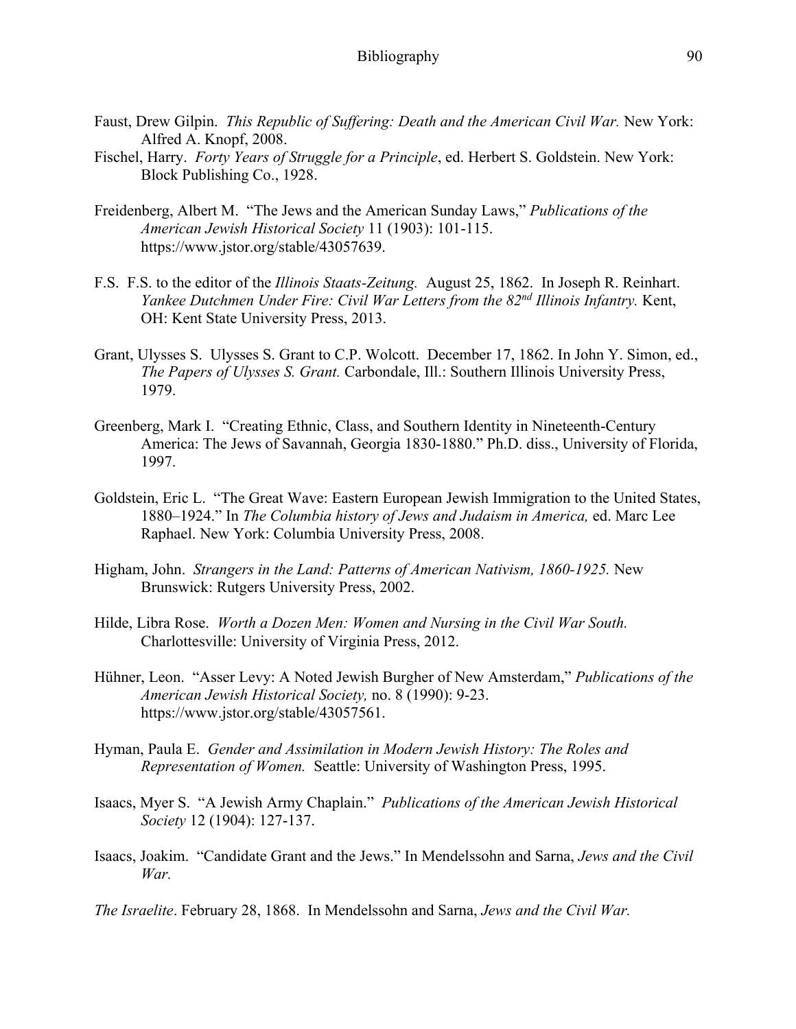- Faust, Drew Gilpin. *This Republic of Suffering: Death and the American Civil War.* New York: Alfred A. Knopf, 2008.
- Fischel, Harry. *Forty Years of Struggle for a Principle*, ed. Herbert S. Goldstein. New York: Block Publishing Co., 1928.
- Freidenberg, Albert M. "The Jews and the American Sunday Laws," *Publications of the American Jewish Historical Society* 11 (1903): 101-115. https://www.jstor.org/stable/43057639.
- F.S. F.S. to the editor of the *Illinois Staats-Zeitung.* August 25, 1862. In Joseph R. Reinhart. *Yankee Dutchmen Under Fire: Civil War Letters from the 82nd Illinois Infantry.* Kent, OH: Kent State University Press, 2013.
- Grant, Ulysses S. Ulysses S. Grant to C.P. Wolcott. December 17, 1862. In John Y. Simon, ed., *The Papers of Ulysses S. Grant.* Carbondale, Ill.: Southern Illinois University Press, 1979.
- Greenberg, Mark I. "Creating Ethnic, Class, and Southern Identity in Nineteenth-Century America: The Jews of Savannah, Georgia 1830-1880." Ph.D. diss., University of Florida, 1997.
- Goldstein, Eric L. "The Great Wave: Eastern European Jewish Immigration to the United States, 1880–1924." In *The Columbia history of Jews and Judaism in America,* ed. Marc Lee Raphael. New York: Columbia University Press, 2008.
- Higham, John. *Strangers in the Land: Patterns of American Nativism, 1860-1925.* New Brunswick: Rutgers University Press, 2002.
- Hilde, Libra Rose. *Worth a Dozen Men: Women and Nursing in the Civil War South.*  Charlottesville: University of Virginia Press, 2012.
- Hühner, Leon. "Asser Levy: A Noted Jewish Burgher of New Amsterdam," *Publications of the American Jewish Historical Society,* no. 8 (1990): 9-23. https://www.jstor.org/stable/43057561.
- Hyman, Paula E. *Gender and Assimilation in Modern Jewish History: The Roles and Representation of Women.* Seattle: University of Washington Press, 1995.
- Isaacs, Myer S. "A Jewish Army Chaplain." *Publications of the American Jewish Historical Society* 12 (1904): 127-137.
- Isaacs, Joakim. "Candidate Grant and the Jews." In Mendelssohn and Sarna, *Jews and the Civil War.*

*The Israelite*. February 28, 1868. In Mendelssohn and Sarna, *Jews and the Civil War.*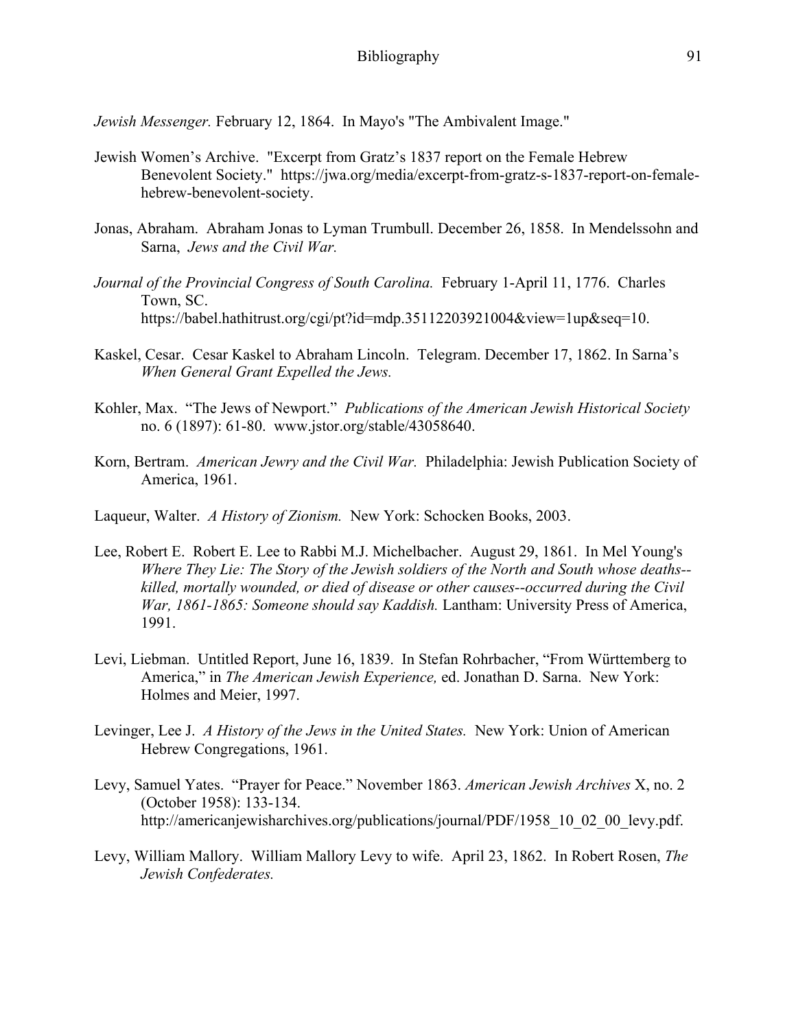*Jewish Messenger.* February 12, 1864. In Mayo's "The Ambivalent Image."

- Jewish Women's Archive. "Excerpt from Gratz's 1837 report on the Female Hebrew Benevolent Society." https://jwa.org/media/excerpt-from-gratz-s-1837-report-on-femalehebrew-benevolent-society.
- Jonas, Abraham. Abraham Jonas to Lyman Trumbull. December 26, 1858. In Mendelssohn and Sarna, *Jews and the Civil War.*
- *Journal of the Provincial Congress of South Carolina.* February 1-April 11, 1776. Charles Town, SC. https://babel.hathitrust.org/cgi/pt?id=mdp.35112203921004&view=1up&seq=10.
- Kaskel, Cesar. Cesar Kaskel to Abraham Lincoln. Telegram. December 17, 1862. In Sarna's *When General Grant Expelled the Jews.*
- Kohler, Max. "The Jews of Newport." *Publications of the American Jewish Historical Society*  no. 6 (1897): 61-80. www.jstor.org/stable/43058640.
- Korn, Bertram. *American Jewry and the Civil War.* Philadelphia: Jewish Publication Society of America, 1961.
- Laqueur, Walter. *A History of Zionism.* New York: Schocken Books, 2003.
- Lee, Robert E. Robert E. Lee to Rabbi M.J. Michelbacher. August 29, 1861. In Mel Young's *Where They Lie: The Story of the Jewish soldiers of the North and South whose deaths- killed, mortally wounded, or died of disease or other causes--occurred during the Civil War, 1861-1865: Someone should say Kaddish.* Lantham: University Press of America, 1991.
- Levi, Liebman. Untitled Report, June 16, 1839. In Stefan Rohrbacher, "From Württemberg to America," in *The American Jewish Experience,* ed. Jonathan D. Sarna. New York: Holmes and Meier, 1997.
- Levinger, Lee J. *A History of the Jews in the United States.* New York: Union of American Hebrew Congregations, 1961.
- Levy, Samuel Yates. "Prayer for Peace." November 1863. *American Jewish Archives* X, no. 2 (October 1958): 133-134. http://americanjewisharchives.org/publications/journal/PDF/1958 10 02 00 levy.pdf.
- Levy, William Mallory. William Mallory Levy to wife. April 23, 1862. In Robert Rosen, *The Jewish Confederates.*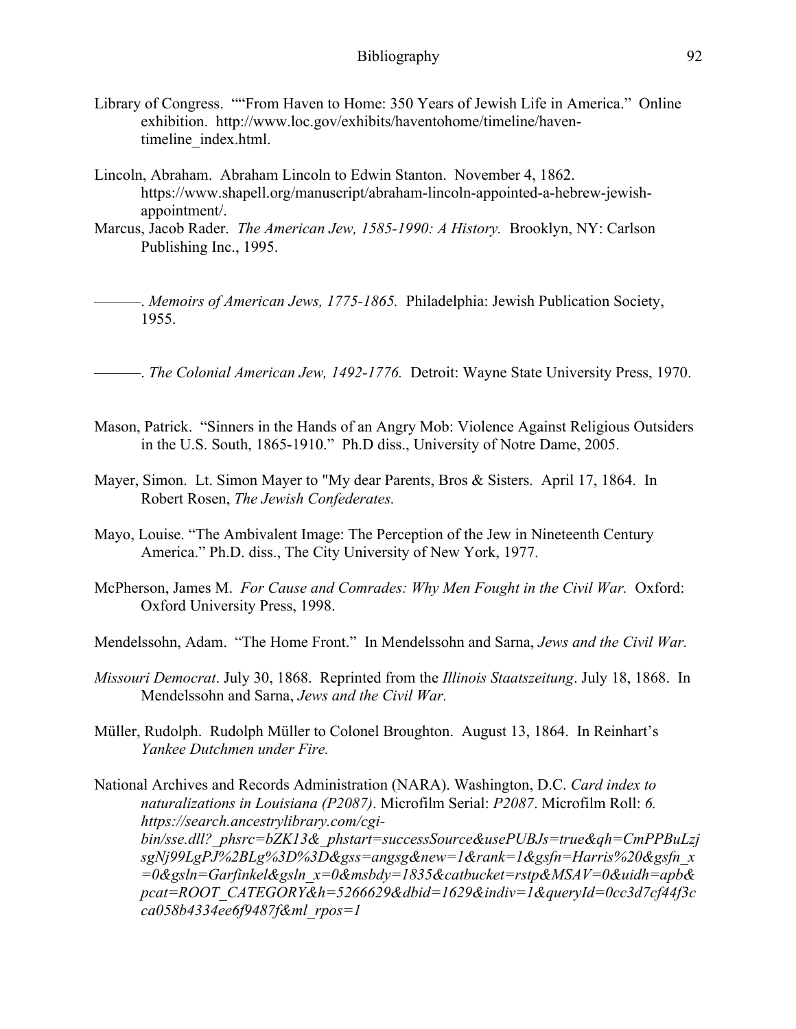- Library of Congress. ""From Haven to Home: 350 Years of Jewish Life in America." Online exhibition. http://www.loc.gov/exhibits/haventohome/timeline/haventimeline\_index.html.
- Lincoln, Abraham. Abraham Lincoln to Edwin Stanton. November 4, 1862. https://www.shapell.org/manuscript/abraham-lincoln-appointed-a-hebrew-jewishappointment/.
- Marcus, Jacob Rader. *The American Jew, 1585-1990: A History.* Brooklyn, NY: Carlson Publishing Inc., 1995.

-. *Memoirs of American Jews, 1775-1865.* Philadelphia: Jewish Publication Society, 1955.

———. *The Colonial American Jew, 1492-1776.* Detroit: Wayne State University Press, 1970.

- Mason, Patrick. "Sinners in the Hands of an Angry Mob: Violence Against Religious Outsiders in the U.S. South, 1865-1910." Ph.D diss., University of Notre Dame, 2005.
- Mayer, Simon. Lt. Simon Mayer to "My dear Parents, Bros & Sisters. April 17, 1864. In Robert Rosen, *The Jewish Confederates.*
- Mayo, Louise. "The Ambivalent Image: The Perception of the Jew in Nineteenth Century America." Ph.D. diss., The City University of New York, 1977.
- McPherson, James M. *For Cause and Comrades: Why Men Fought in the Civil War.* Oxford: Oxford University Press, 1998.
- Mendelssohn, Adam. "The Home Front." In Mendelssohn and Sarna, *Jews and the Civil War.*
- *Missouri Democrat*. July 30, 1868. Reprinted from the *Illinois Staatszeitung*. July 18, 1868. In Mendelssohn and Sarna, *Jews and the Civil War.*
- Müller, Rudolph. Rudolph Müller to Colonel Broughton. August 13, 1864. In Reinhart's *Yankee Dutchmen under Fire.*

National Archives and Records Administration (NARA). Washington, D.C. *Card index to naturalizations in Louisiana (P2087)*. Microfilm Serial: *P2087*. Microfilm Roll: *6. https://search.ancestrylibrary.com/cgibin/sse.dll?\_phsrc=bZK13&\_phstart=successSource&usePUBJs=true&qh=CmPPBuLzj sgNj99LgPJ%2BLg%3D%3D&gss=angsg&new=1&rank=1&gsfn=Harris%20&gsfn\_x =0&gsln=Garfinkel&gsln\_x=0&msbdy=1835&catbucket=rstp&MSAV=0&uidh=apb& pcat=ROOT\_CATEGORY&h=5266629&dbid=1629&indiv=1&queryId=0cc3d7cf44f3c ca058b4334ee6f9487f&ml\_rpos=1*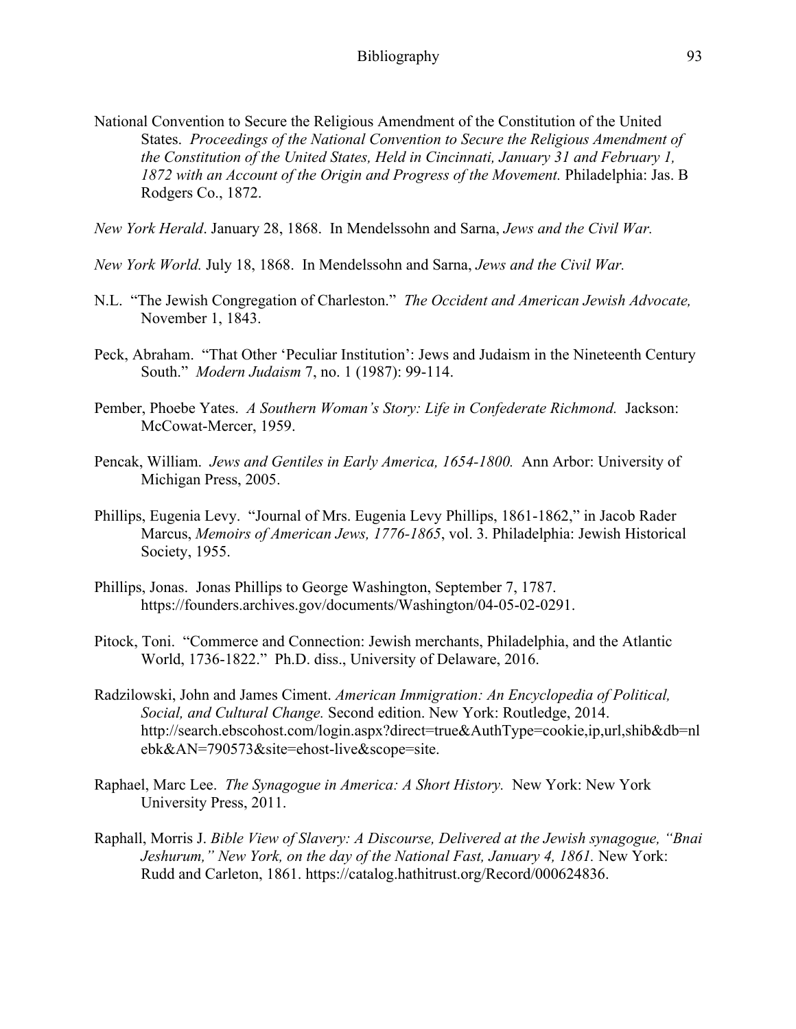National Convention to Secure the Religious Amendment of the Constitution of the United States. *Proceedings of the National Convention to Secure the Religious Amendment of the Constitution of the United States, Held in Cincinnati, January 31 and February 1, 1872 with an Account of the Origin and Progress of the Movement.* Philadelphia: Jas. B Rodgers Co., 1872.

*New York Herald*. January 28, 1868. In Mendelssohn and Sarna, *Jews and the Civil War.* 

*New York World.* July 18, 1868. In Mendelssohn and Sarna, *Jews and the Civil War.* 

- N.L. "The Jewish Congregation of Charleston." *The Occident and American Jewish Advocate,*  November 1, 1843.
- Peck, Abraham. "That Other 'Peculiar Institution': Jews and Judaism in the Nineteenth Century South." *Modern Judaism* 7, no. 1 (1987): 99-114.
- Pember, Phoebe Yates. *A Southern Woman's Story: Life in Confederate Richmond.* Jackson: McCowat-Mercer, 1959.
- Pencak, William. *Jews and Gentiles in Early America, 1654-1800.* Ann Arbor: University of Michigan Press, 2005.
- Phillips, Eugenia Levy. "Journal of Mrs. Eugenia Levy Phillips, 1861-1862," in Jacob Rader Marcus, *Memoirs of American Jews, 1776-1865*, vol. 3. Philadelphia: Jewish Historical Society, 1955.
- Phillips, Jonas. Jonas Phillips to George Washington, September 7, 1787. https://founders.archives.gov/documents/Washington/04-05-02-0291.
- Pitock, Toni. "Commerce and Connection: Jewish merchants, Philadelphia, and the Atlantic World, 1736-1822." Ph.D. diss., University of Delaware, 2016.
- Radzilowski, John and James Ciment. *American Immigration: An Encyclopedia of Political, Social, and Cultural Change.* Second edition. New York: Routledge, 2014. http://search.ebscohost.com/login.aspx?direct=true&AuthType=cookie,ip,url,shib&db=nl ebk&AN=790573&site=ehost-live&scope=site.
- Raphael, Marc Lee. *The Synagogue in America: A Short History.* New York: New York University Press, 2011.
- Raphall, Morris J. *Bible View of Slavery: A Discourse, Delivered at the Jewish synagogue, "Bnai Jeshurum," New York, on the day of the National Fast, January 4, 1861.* New York: Rudd and Carleton, 1861. https://catalog.hathitrust.org/Record/000624836.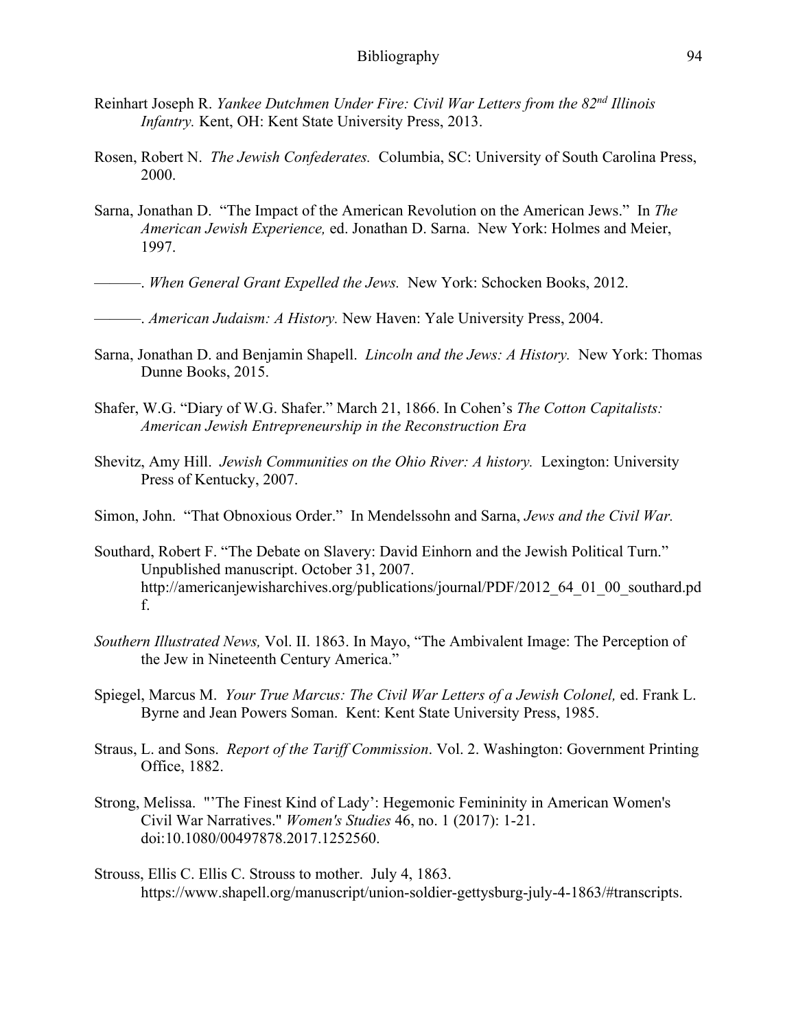- Reinhart Joseph R. *Yankee Dutchmen Under Fire: Civil War Letters from the 82nd Illinois Infantry.* Kent, OH: Kent State University Press, 2013.
- Rosen, Robert N. *The Jewish Confederates.* Columbia, SC: University of South Carolina Press, 2000.
- Sarna, Jonathan D. "The Impact of the American Revolution on the American Jews." In *The American Jewish Experience,* ed. Jonathan D. Sarna. New York: Holmes and Meier, 1997.
- ———. *When General Grant Expelled the Jews.* New York: Schocken Books, 2012.
- ———. *American Judaism: A History.* New Haven: Yale University Press, 2004.
- Sarna, Jonathan D. and Benjamin Shapell. *Lincoln and the Jews: A History.* New York: Thomas Dunne Books, 2015.
- Shafer, W.G. "Diary of W.G. Shafer." March 21, 1866. In Cohen's *The Cotton Capitalists: American Jewish Entrepreneurship in the Reconstruction Era*
- Shevitz, Amy Hill. *Jewish Communities on the Ohio River: A history*. Lexington: University Press of Kentucky, 2007.
- Simon, John. "That Obnoxious Order." In Mendelssohn and Sarna, *Jews and the Civil War.*
- Southard, Robert F. "The Debate on Slavery: David Einhorn and the Jewish Political Turn." Unpublished manuscript. October 31, 2007. http://americanjewisharchives.org/publications/journal/PDF/2012\_64\_01\_00\_southard.pd f.
- *Southern Illustrated News,* Vol. II. 1863. In Mayo, "The Ambivalent Image: The Perception of the Jew in Nineteenth Century America."
- Spiegel, Marcus M. *Your True Marcus: The Civil War Letters of a Jewish Colonel*, ed. Frank L. Byrne and Jean Powers Soman. Kent: Kent State University Press, 1985.
- Straus, L. and Sons. *Report of the Tariff Commission*. Vol. 2. Washington: Government Printing Office, 1882.
- Strong, Melissa. "'The Finest Kind of Lady': Hegemonic Femininity in American Women's Civil War Narratives." *Women's Studies* 46, no. 1 (2017): 1-21. doi:10.1080/00497878.2017.1252560.
- Strouss, Ellis C. Ellis C. Strouss to mother. July 4, 1863. https://www.shapell.org/manuscript/union-soldier-gettysburg-july-4-1863/#transcripts.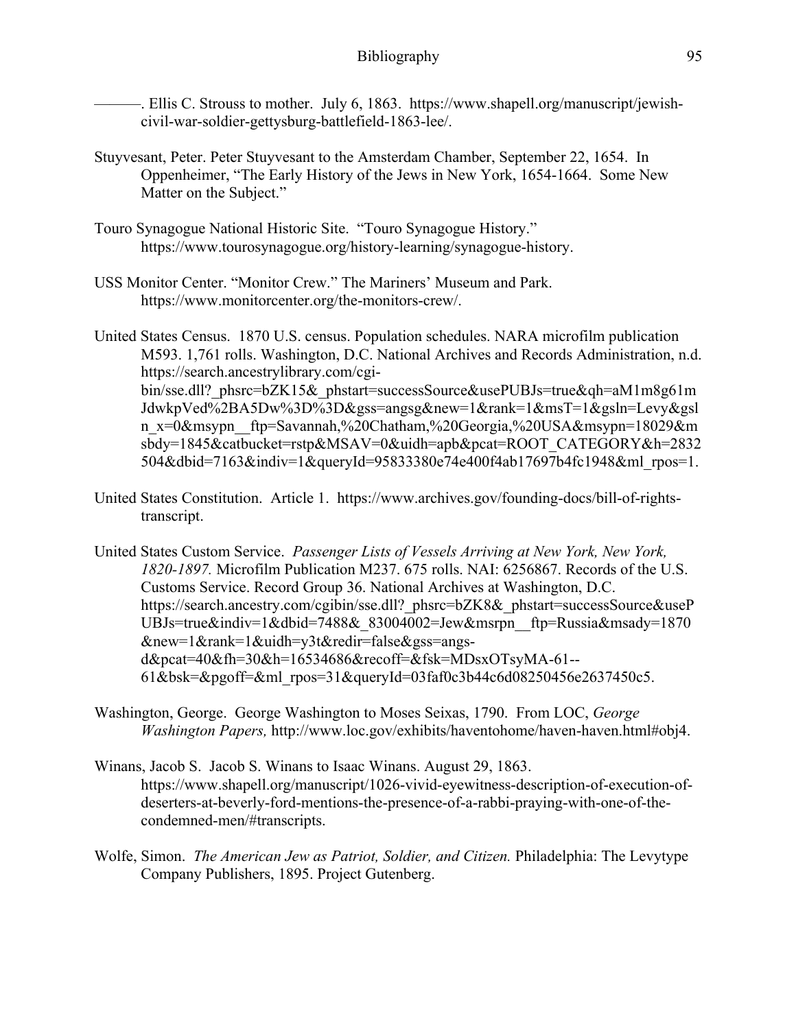———. Ellis C. Strouss to mother. July 6, 1863. https://www.shapell.org/manuscript/jewishcivil-war-soldier-gettysburg-battlefield-1863-lee/.

- Stuyvesant, Peter. Peter Stuyvesant to the Amsterdam Chamber, September 22, 1654. In Oppenheimer, "The Early History of the Jews in New York, 1654-1664. Some New Matter on the Subject."
- Touro Synagogue National Historic Site. "Touro Synagogue History." https://www.tourosynagogue.org/history-learning/synagogue-history.
- USS Monitor Center. "Monitor Crew." The Mariners' Museum and Park. https://www.monitorcenter.org/the-monitors-crew/.

United States Census. 1870 U.S. census. Population schedules. NARA microfilm publication M593. 1,761 rolls. Washington, D.C. National Archives and Records Administration, n.d. https://search.ancestrylibrary.com/cgibin/sse.dll? phsrc=bZK15& phstart=successSource&usePUBJs=true&qh=aM1m8g61m JdwkpVed%2BA5Dw%3D%3D&gss=angsg&new=1&rank=1&msT=1&gsln=Levy&gsl n\_x=0&msypn\_\_ftp=Savannah,%20Chatham,%20Georgia,%20USA&msypn=18029&m sbdy=1845&catbucket=rstp&MSAV=0&uidh=apb&pcat=ROOT\_CATEGORY&h=2832 504&dbid=7163&indiv=1&queryId=95833380e74e400f4ab17697b4fc1948&ml\_rpos=1.

- United States Constitution. Article 1. https://www.archives.gov/founding-docs/bill-of-rightstranscript.
- United States Custom Service. *Passenger Lists of Vessels Arriving at New York, New York, 1820-1897.* Microfilm Publication M237. 675 rolls. NAI: 6256867. Records of the U.S. Customs Service. Record Group 36. National Archives at Washington, D.C. https://search.ancestry.com/cgibin/sse.dll? phsrc=bZK8& phstart=successSource&useP UBJs=true&indiv=1&dbid=7488&\_83004002=Jew&msrpn\_\_ftp=Russia&msady=1870 &new=1&rank=1&uidh=y3t&redir=false&gss=angsd&pcat=40&fh=30&h=16534686&recoff=&fsk=MDsxOTsyMA-61-- 61&bsk=&pgoff=&ml\_rpos=31&queryId=03faf0c3b44c6d08250456e2637450c5.
- Washington, George. George Washington to Moses Seixas, 1790. From LOC, *George Washington Papers,* http://www.loc.gov/exhibits/haventohome/haven-haven.html#obj4.
- Winans, Jacob S. Jacob S. Winans to Isaac Winans. August 29, 1863. https://www.shapell.org/manuscript/1026-vivid-eyewitness-description-of-execution-ofdeserters-at-beverly-ford-mentions-the-presence-of-a-rabbi-praying-with-one-of-thecondemned-men/#transcripts.
- Wolfe, Simon. *The American Jew as Patriot, Soldier, and Citizen.* Philadelphia: The Levytype Company Publishers, 1895. Project Gutenberg.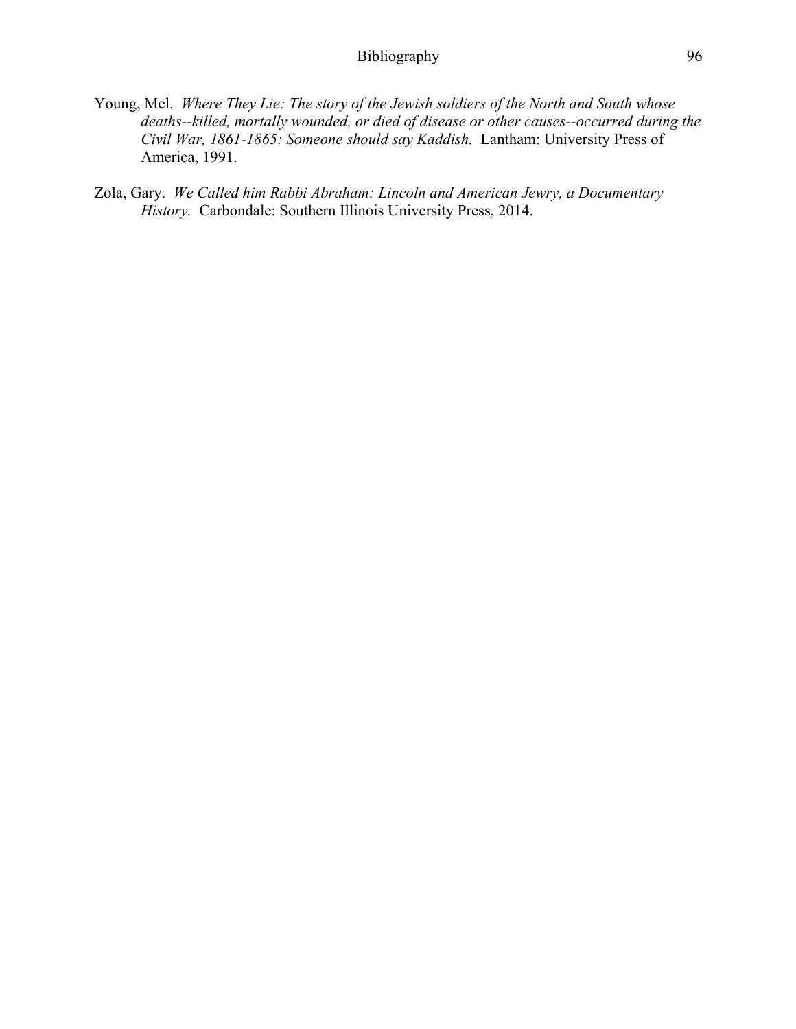- Young, Mel. *Where They Lie: The story of the Jewish soldiers of the North and South whose deaths--killed, mortally wounded, or died of disease or other causes--occurred during the Civil War, 1861-1865: Someone should say Kaddish.* Lantham: University Press of America, 1991.
- Zola, Gary. *We Called him Rabbi Abraham: Lincoln and American Jewry, a Documentary History.* Carbondale: Southern Illinois University Press, 2014.